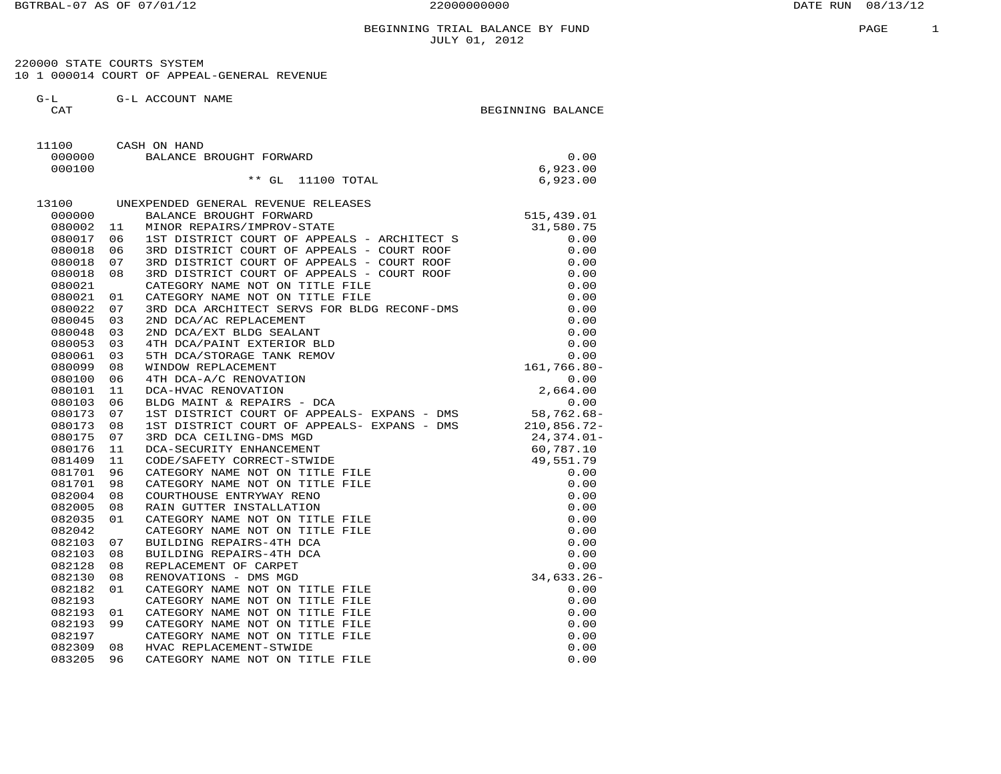220000 STATE COURTS SYSTEM10 1 000014 COURT OF APPEAL-GENERAL REVENUE

 G-L G-L ACCOUNT NAMECAT BEGINNING BALANCE

 11100 CASH ON HAND 000000 BALANCE BROUGHT FORWARD 0.006,923.00<br>6,923.00 000100 6,923.00  $^{\ast\ast}$  GL  $\,$  11100 TOTAL  $\,$  6,923.00 13100 UNEXPENDED GENERAL REVENUE RELEASES 000000 BALANCE BROUGHT FORWARD 515,439.01 080002 11 MINOR REPAIRS/IMPROV-STATE 31,580.75 080017 06 1ST DISTRICT COURT OF APPEALS - ARCHITECT S<br>080018 06 3RD DISTRICT COURT OF APPEALS - COURT ROOF 0.00<br>080018 07 3RD DISTRICT COURT OF APPEALS - COURT ROOF 0.00<br>080021 01 CATEGORY NAME NOT ON TITLE FILE 0.00<br>08002 080048 03 2ND DCA/EXT BLDG SEALANT 0.00 080053 03 4TH DCA/PAINT EXTERIOR BLD 0.00 080061 03 5TH DCA/STORAGE TANK REMOV 0.00 080099 08 WINDOW REPLACEMENT 161,766.80- 080100 06 4TH DCA-A/C RENOVATION 0.00 080101 11 DCA-HVAC RENOVATION 2,664.00 080103 06 BLDG MAINT & REPAIRS - DCA 0.00 080173 07 1ST DISTRICT COURT OF APPEALS- EXPANS - DMS 58,762.68- 080173 08 1ST DISTRICT COURT OF APPEALS- EXPANS - DMS 210,856.72- 080175 07 3RD DCA CEILING-DMS MGD 24,374.01- 080176 11 DCA-SECURITY ENHANCEMENT 60,787.10 081409 11 CODE/SAFETY CORRECT-STWIDE 49,551.79 081701 96 CATEGORY NAME NOT ON TITLE FILE 0.00 081701 98 CATEGORY NAME NOT ON TITLE FILE 0.00 082004 08 COURTHOUSE ENTRYWAY RENO 0.00 082005 08 RAIN GUTTER INSTALLATION 0.00 082035 01 CATEGORY NAME NOT ON TITLE FILE 0.00 082042 CATEGORY NAME NOT ON TITLE FILE 0.00 082103 07 BUILDING REPAIRS-4TH DCA 0.00 082103 08 BUILDING REPAIRS-4TH DCA 0.00 082128 08 REPLACEMENT OF CARPET 0.00 082130 08 RENOVATIONS - DMS MGD 34,633.26- 082182 01 CATEGORY NAME NOT ON TITLE FILE 0.00 082193 CATEGORY NAME NOT ON TITLE FILE 0.00 082193 01 CATEGORY NAME NOT ON TITLE FILE 0.00 082193 99 CATEGORY NAME NOT ON TITLE FILE 0.00 082197 CATEGORY NAME NOT ON TITLE FILE 0.00 082309 08 HVAC REPLACEMENT-STWIDE 0.00 083205 96 CATEGORY NAME NOT ON TITLE FILE 0.00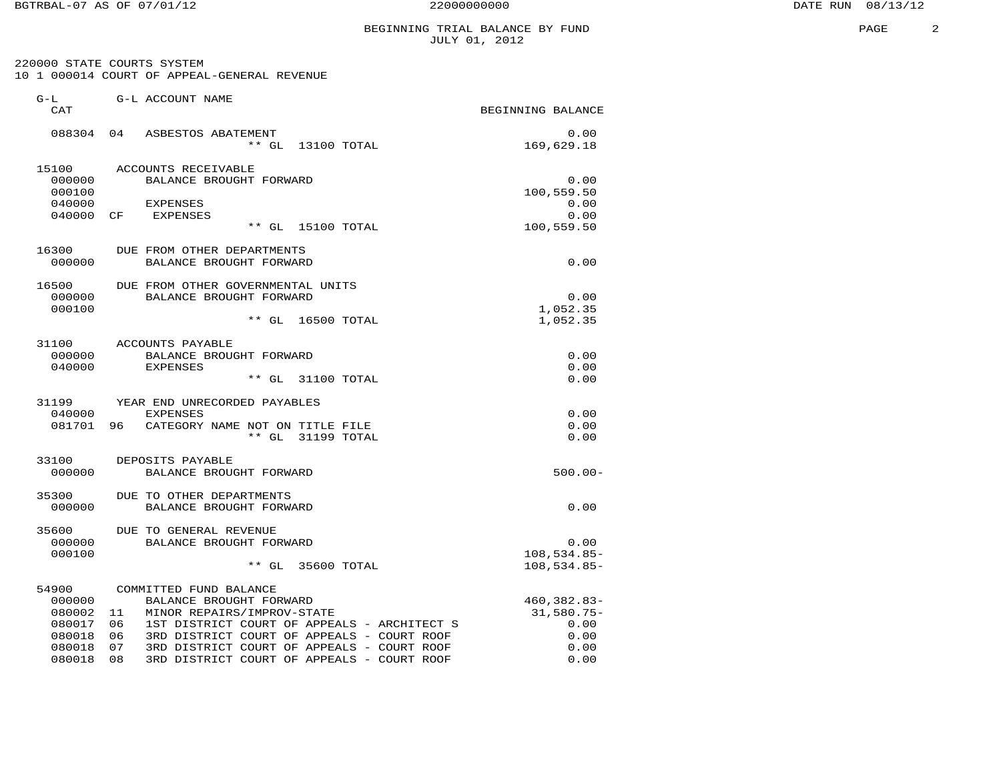$\overline{a}$ 

|                                                                            |                                                                                                                                                                                                                                                                                      | BEGINNING TRIAL BALANCE BY FUND<br>JULY 01, 2012            | PAGE |
|----------------------------------------------------------------------------|--------------------------------------------------------------------------------------------------------------------------------------------------------------------------------------------------------------------------------------------------------------------------------------|-------------------------------------------------------------|------|
|                                                                            | 220000 STATE COURTS SYSTEM<br>10 1 000014 COURT OF APPEAL-GENERAL REVENUE                                                                                                                                                                                                            |                                                             |      |
| $G-L$<br>CAT                                                               | G-L ACCOUNT NAME                                                                                                                                                                                                                                                                     | BEGINNING BALANCE                                           |      |
|                                                                            | 088304 04 ASBESTOS ABATEMENT<br>** GL 13100 TOTAL                                                                                                                                                                                                                                    | 0.00<br>169,629.18                                          |      |
| 15100<br>000000<br>000100                                                  | ACCOUNTS RECEIVABLE<br>BALANCE BROUGHT FORWARD                                                                                                                                                                                                                                       | 0.00<br>100,559.50                                          |      |
| 040000<br>040000 CF                                                        | <b>EXPENSES</b><br><b>EXPENSES</b><br>** GL 15100 TOTAL                                                                                                                                                                                                                              | 0.00<br>0.00<br>100,559.50                                  |      |
| 16300<br>000000                                                            | DUE FROM OTHER DEPARTMENTS<br>BALANCE BROUGHT FORWARD                                                                                                                                                                                                                                | 0.00                                                        |      |
| 16500<br>000000<br>000100                                                  | DUE FROM OTHER GOVERNMENTAL UNITS<br>BALANCE BROUGHT FORWARD<br>** GL 16500 TOTAL                                                                                                                                                                                                    | 0.00<br>1,052.35<br>1,052.35                                |      |
| 31100<br>000000<br>040000                                                  | ACCOUNTS PAYABLE<br>BALANCE BROUGHT FORWARD<br><b>EXPENSES</b><br>** GL 31100 TOTAL                                                                                                                                                                                                  | 0.00<br>0.00<br>0.00                                        |      |
| 31199<br>040000                                                            | YEAR END UNRECORDED PAYABLES<br><b>EXPENSES</b><br>081701 96 CATEGORY NAME NOT ON TITLE FILE<br>** GL 31199 TOTAL                                                                                                                                                                    | 0.00<br>0.00<br>0.00                                        |      |
| 33100<br>000000                                                            | DEPOSITS PAYABLE<br>BALANCE BROUGHT FORWARD                                                                                                                                                                                                                                          | $500.00 -$                                                  |      |
| 35300<br>000000                                                            | DUE TO OTHER DEPARTMENTS<br>BALANCE BROUGHT FORWARD                                                                                                                                                                                                                                  | 0.00                                                        |      |
| 35600<br>000000<br>000100                                                  | DUE TO GENERAL REVENUE<br>BALANCE BROUGHT FORWARD<br>** GL 35600 TOTAL                                                                                                                                                                                                               | 0.00<br>$108,534.85-$<br>$108,534.85-$                      |      |
| 54900<br>000000<br>080002 11<br>080017 06<br>080018<br>080018<br>080018 08 | COMMITTED FUND BALANCE<br>BALANCE BROUGHT FORWARD<br>MINOR REPAIRS/IMPROV-STATE<br>1ST DISTRICT COURT OF APPEALS - ARCHITECT S<br>06<br>3RD DISTRICT COURT OF APPEALS - COURT ROOF<br>07<br>3RD DISTRICT COURT OF APPEALS - COURT ROOF<br>3RD DISTRICT COURT OF APPEALS - COURT ROOF | 460,382.83-<br>$31,580.75-$<br>0.00<br>0.00<br>0.00<br>0.00 |      |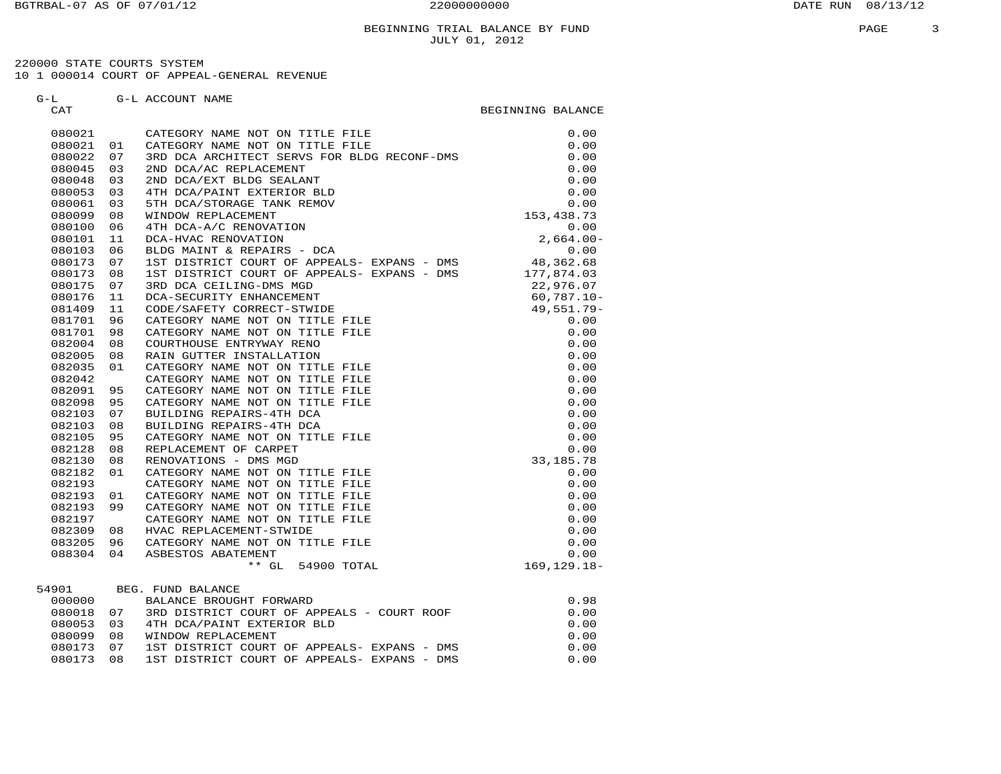220000 STATE COURTS SYSTEM10 1 000014 COURT OF APPEAL-GENERAL REVENUE

G-L G-L ACCOUNT NAME

 CAT BEGINNING BALANCE 080021 CATEGORY NAME NOT ON TITLE FILE 0.00080021 01 CATEGORY NAME NOT ON TITLE FILE  $\qquad \qquad 0.00$  080022 07 3RD DCA ARCHITECT SERVS FOR BLDG RECONF-DMS 0.00 080045 03 2ND DCA/AC REPLACEMENT 0.00 080048 03 2ND DCA/EXT BLDG SEALANT 0.00 080053 03 4TH DCA/PAINT EXTERIOR BLD 0.00 080061 03 5TH DCA/STORAGE TANK REMOV 0.00 080099 08 WINDOW REPLACEMENT 153,438.73 080100 06 4TH DCA-A/C RENOVATION 0.00 080101 11 DCA-HVAC RENOVATION 2,664.00- 080103 06 BLDG MAINT & REPAIRS - DCA 0.00 080173 07 1ST DISTRICT COURT OF APPEALS- EXPANS - DMS 48,362.68 080173 08 1ST DISTRICT COURT OF APPEALS- EXPANS - DMS 177,874.03 080175 07 3RD DCA CEILING-DMS MGD 22,976.07 080176 11 DCA-SECURITY ENHANCEMENT 60,787.10- 081409 11 CODE/SAFETY CORRECT-STWIDE 49,551.79- 081701 96 CATEGORY NAME NOT ON TITLE FILE  $0.00$ <br>
082004 98 COURTHOUSE ENTRYWAY RENO  $0.00$ <br>
082005 08 RAIN GUTTER INSTALLATION  $0.00$ <br>
082005 08 RAIN GUTTER INSTALLATION  $0.00$ <br>
082095 01 CATEGORY NAME NOT ON TITLE FILE 082182 01 CATEGORY NAME NOT ON TITLE FILE 0.00<br>
082193 01 CATEGORY NAME NOT ON TITLE FILE 0.00<br>
082193 01 CATEGORY NAME NOT ON TITLE FILE 0.00<br>
082193 99 CATEGORY NAME NOT ON TITLE FILE 0.00<br>
082309 08 HVAC REPLACEMENT 0. 54901 BEG. FUND BALANCE901 BEG. FUND BALANCE<br>000000 BALANCE BROUGHT FORWARD 000000 BALANCE BROUGHT FORWARD 0.98 080018 07 3RD DISTRICT COURT OF APPEALS - COURT ROOF 0.00 080053 03 4TH DCA/PAINT EXTERIOR BLD 0.00

080099 08 WINDOW REPLACEMENT<br>080173 07 1ST DISTRICT COURT OF APPEALS- EXPANS – DMS 0.00<br>080173 08 1ST DISTRICT COURT OF APPEALS- EXPANS – DMS 0.00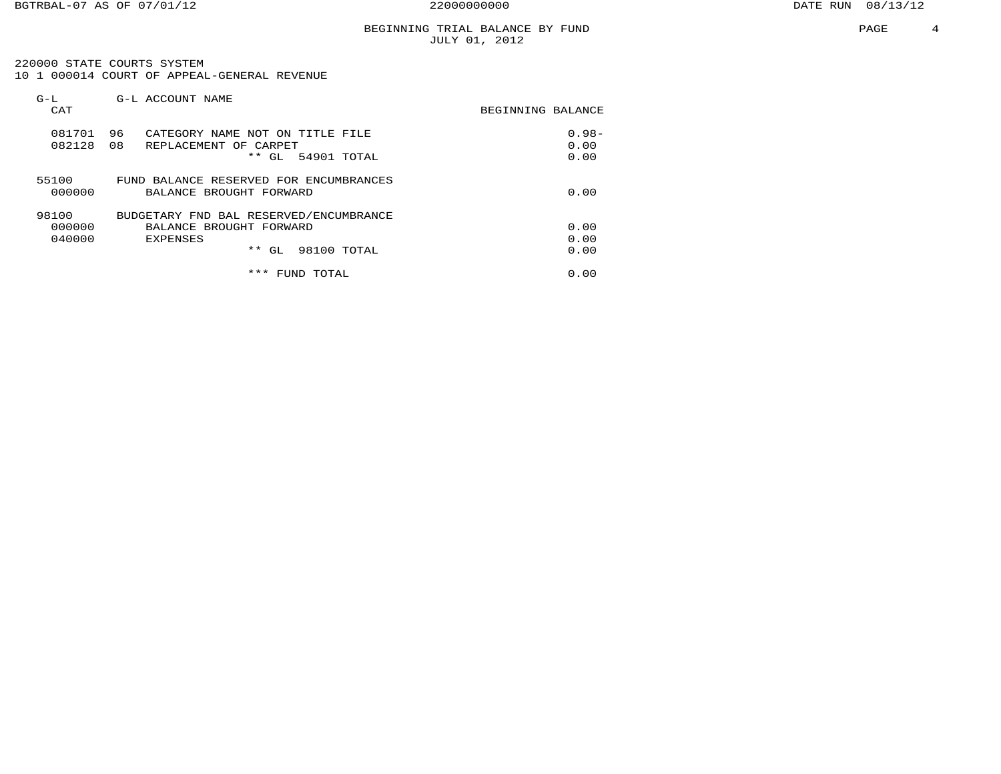220000 STATE COURTS SYSTEM 10 1 000014 COURT OF APPEAL-GENERAL REVENUE

| $G-L$<br>CAT              | G-L ACCOUNT NAME                                                                                                 | BEGINNING BALANCE        |
|---------------------------|------------------------------------------------------------------------------------------------------------------|--------------------------|
| 081701<br>082128          | 96<br>CATEGORY NAME NOT ON<br>TITLE FILE<br>08<br>REPLACEMENT OF CARPET<br>* *<br>54901 TOTAL<br>GL              | $0.98 -$<br>0.00<br>0.00 |
| 55100<br>000000           | FUND BALANCE RESERVED FOR ENCUMBRANCES<br>BALANCE BROUGHT FORWARD                                                | 0.00                     |
| 98100<br>000000<br>040000 | BUDGETARY FND BAL RESERVED/ENCUMBRANCE<br>BALANCE BROUGHT FORWARD<br><b>EXPENSES</b><br>* *<br>98100 TOTAL<br>GL | 0.00<br>0.00<br>0.00     |
|                           | ***<br>TOTAL<br>FUND                                                                                             | 0.00                     |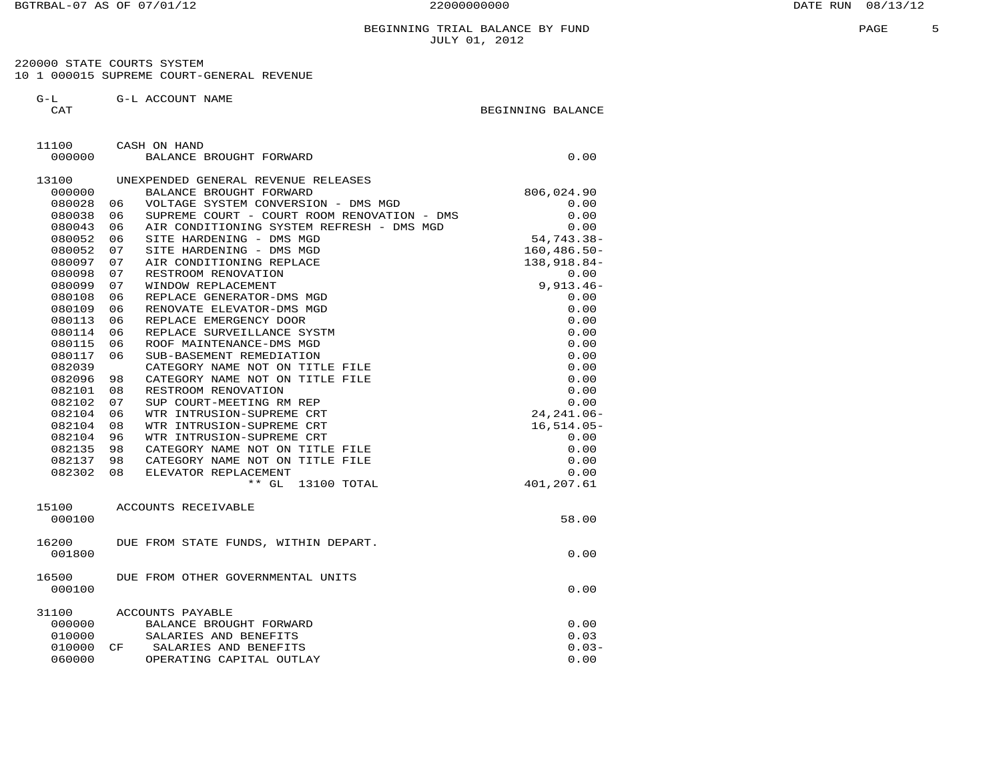220000 STATE COURTS SYSTEM 10 1 000015 SUPREME COURT-GENERAL REVENUE

 G-L G-L ACCOUNT NAME CAT GENERAL BEGINNING BALANCE

| 11100  | CASH ON HAND                                      |                 |
|--------|---------------------------------------------------|-----------------|
| 000000 | BALANCE BROUGHT FORWARD                           | 0.00            |
| 13100  | UNEXPENDED GENERAL REVENUE RELEASES               |                 |
| 000000 | BALANCE BROUGHT FORWARD                           | 806,024.90      |
| 080028 | VOLTAGE SYSTEM CONVERSION - DMS MGD<br>06         | 0.00            |
| 080038 | 06<br>SUPREME COURT - COURT ROOM RENOVATION - DMS | 0.00            |
| 080043 | AIR CONDITIONING SYSTEM REFRESH - DMS MGD<br>06   | 0.00            |
| 080052 | SITE HARDENING - DMS MGD<br>06                    | $54, 743.38 -$  |
| 080052 | 07<br>SITE HARDENING - DMS MGD                    | $160, 486.50 -$ |
| 080097 | 07<br>AIR CONDITIONING REPLACE                    | 138,918.84-     |
| 080098 | 07<br>RESTROOM RENOVATION                         | 0.00            |
| 080099 | 07<br>WINDOW REPLACEMENT                          | $9,913.46 -$    |
| 080108 | 06<br>REPLACE GENERATOR-DMS MGD                   | 0.00            |
| 080109 | 06<br>RENOVATE ELEVATOR-DMS MGD                   | 0.00            |
| 080113 | REPLACE EMERGENCY DOOR<br>06                      | 0.00            |
| 080114 | REPLACE SURVEILLANCE SYSTM<br>06                  | 0.00            |
| 080115 | ROOF MAINTENANCE-DMS MGD<br>06                    | 0.00            |
| 080117 | SUB-BASEMENT REMEDIATION<br>06                    | 0.00            |
| 082039 | CATEGORY NAME NOT ON TITLE FILE                   | 0.00            |
| 082096 | CATEGORY NAME NOT ON TITLE FILE<br>98             | 0.00            |
| 082101 | 08<br>RESTROOM RENOVATION                         | 0.00            |
| 082102 | 07<br>SUP COURT-MEETING RM REP                    | 0.00            |
| 082104 | 06<br>WTR INTRUSION-SUPREME CRT                   | $24, 241.06 -$  |
| 082104 | 08<br>WTR INTRUSION-SUPREME CRT                   | $16,514.05-$    |
| 082104 | 96<br>WTR INTRUSION-SUPREME CRT                   | 0.00            |
| 082135 | CATEGORY NAME NOT ON TITLE FILE<br>98             | 0.00            |
| 082137 | 98<br>CATEGORY NAME NOT ON TITLE FILE             | 0.00            |
| 082302 | ELEVATOR REPLACEMENT<br>08                        | 0.00            |
|        | ** GL 13100 TOTAL                                 | 401,207.61      |
| 15100  | ACCOUNTS RECEIVABLE                               |                 |
| 000100 |                                                   | 58.00           |
| 16200  | DUE FROM STATE FUNDS, WITHIN DEPART.              |                 |
| 001800 |                                                   | 0.00            |
| 16500  | DUE FROM OTHER GOVERNMENTAL UNITS                 |                 |
| 000100 |                                                   | 0.00            |
| 31100  | ACCOUNTS PAYABLE                                  |                 |
| 000000 | BALANCE BROUGHT FORWARD                           | 0.00            |
| 010000 | SALARIES AND BENEFITS                             | 0.03            |
| 010000 | SALARIES AND BENEFITS<br>CF                       | $0.03-$         |
| 060000 | OPERATING CAPITAL OUTLAY                          | 0.00            |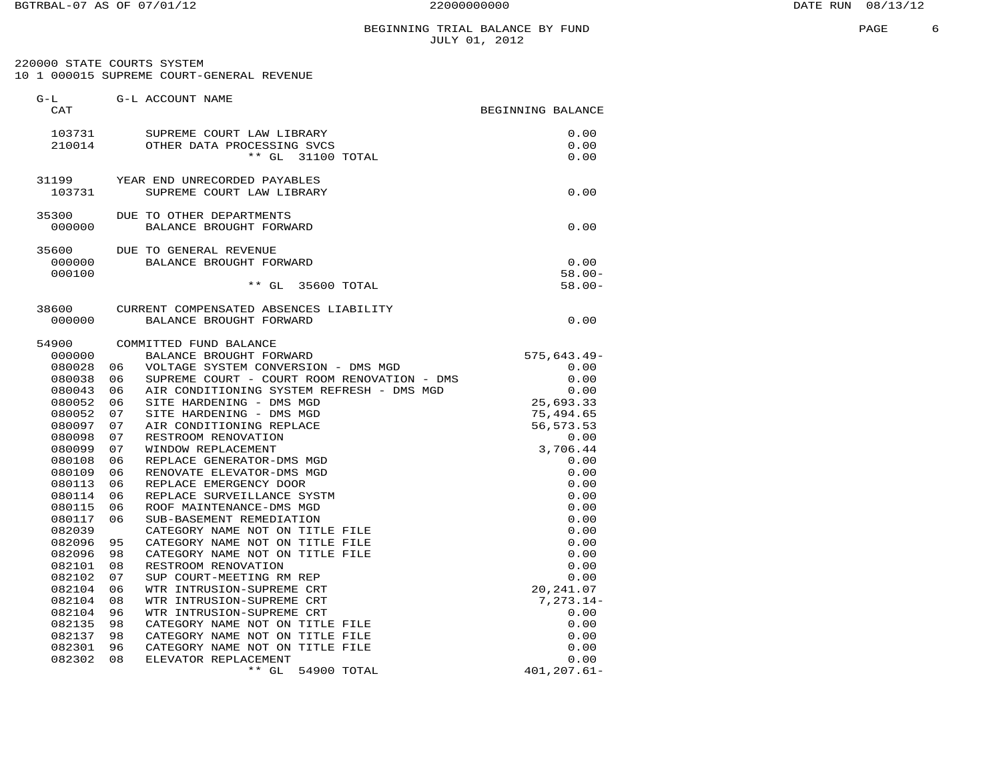# BEGINNING TRIAL BALANCE BY FUND JULY 01, 2012

 220000 STATE COURTS SYSTEM 10 1 000015 SUPREME COURT-GENERAL REVENUE

| $G-L$<br>CAT     |          | G-L ACCOUNT NAME                                     | BEGINNING BALANCE        |
|------------------|----------|------------------------------------------------------|--------------------------|
| 103731           |          | SUPREME COURT LAW LIBRARY                            | 0.00                     |
| 210014           |          | OTHER DATA PROCESSING SVCS                           | 0.00                     |
|                  |          | $**$ GL<br>31100 TOTAL                               | 0.00                     |
| 31199            |          | YEAR END UNRECORDED PAYABLES                         |                          |
| 103731           |          | SUPREME COURT LAW LIBRARY                            | 0.00                     |
| 35300            |          | DUE TO OTHER DEPARTMENTS                             |                          |
| 000000           |          | BALANCE BROUGHT FORWARD                              | 0.00                     |
| 35600            |          | DUE TO GENERAL REVENUE                               |                          |
| 000000           |          | BALANCE BROUGHT FORWARD                              | 0.00                     |
| 000100           |          |                                                      | $58.00 -$                |
|                  |          | $**$ GL<br>35600 TOTAL                               | $58.00 -$                |
| 38600            |          | CURRENT COMPENSATED ABSENCES LIABILITY               |                          |
| 000000           |          | BALANCE BROUGHT FORWARD                              | 0.00                     |
| 54900            |          | COMMITTED FUND BALANCE                               |                          |
| 000000           |          | BALANCE BROUGHT FORWARD                              | $575, 643.49 -$          |
| 080028           | 06       | VOLTAGE SYSTEM CONVERSION - DMS MGD                  | 0.00                     |
| 080038           | 06       | SUPREME COURT - COURT ROOM RENOVATION - DMS          | 0.00                     |
| 080043           | 06       | AIR CONDITIONING SYSTEM REFRESH - DMS MGD            | 0.00                     |
| 080052           | 06       | SITE HARDENING - DMS MGD                             | 25,693.33                |
| 080052<br>080097 | 07<br>07 | SITE HARDENING - DMS MGD<br>AIR CONDITIONING REPLACE | 75,494.65<br>56, 573. 53 |
| 080098           | 07       | RESTROOM RENOVATION                                  | 0.00                     |
| 080099           | 07       | WINDOW REPLACEMENT                                   | 3,706.44                 |
| 080108           | 06       | REPLACE GENERATOR-DMS MGD                            | 0.00                     |
| 080109           | 06       | RENOVATE ELEVATOR-DMS MGD                            | 0.00                     |
| 080113           | 06       | REPLACE EMERGENCY DOOR                               | 0.00                     |
| 080114           | 06       | REPLACE SURVEILLANCE SYSTM                           | 0.00                     |
| 080115           | 06       | ROOF MAINTENANCE-DMS MGD                             | 0.00                     |
| 080117           | 06       | SUB-BASEMENT REMEDIATION                             | 0.00                     |
| 082039           |          | CATEGORY NAME NOT ON TITLE FILE                      | 0.00                     |
| 082096           | 95       | CATEGORY NAME NOT ON TITLE FILE                      | 0.00                     |
| 082096           | 98       | CATEGORY NAME NOT ON TITLE FILE                      | 0.00                     |
| 082101           | 08       | RESTROOM RENOVATION                                  | 0.00                     |
| 082102           | 07       | SUP COURT-MEETING RM REP                             | 0.00                     |
| 082104           | 06       | WTR INTRUSION-SUPREME CRT                            | 20, 241.07               |
| 082104           | 08       | WTR INTRUSION-SUPREME CRT                            | $7, 273.14 -$            |
| 082104           | 96       | WTR INTRUSION-SUPREME CRT                            | 0.00                     |
| 082135           | 98       | CATEGORY NAME NOT ON TITLE FILE                      | 0.00                     |
| 082137           | 98       | CATEGORY NAME NOT ON TITLE FILE                      | 0.00                     |
| 082301           | 96       | CATEGORY NAME NOT ON TITLE FILE                      | 0.00                     |
| 082302           | 08       | ELEVATOR REPLACEMENT                                 | 0.00                     |
|                  |          | $**$ GL<br>54900 TOTAL                               | $401, 207.61 -$          |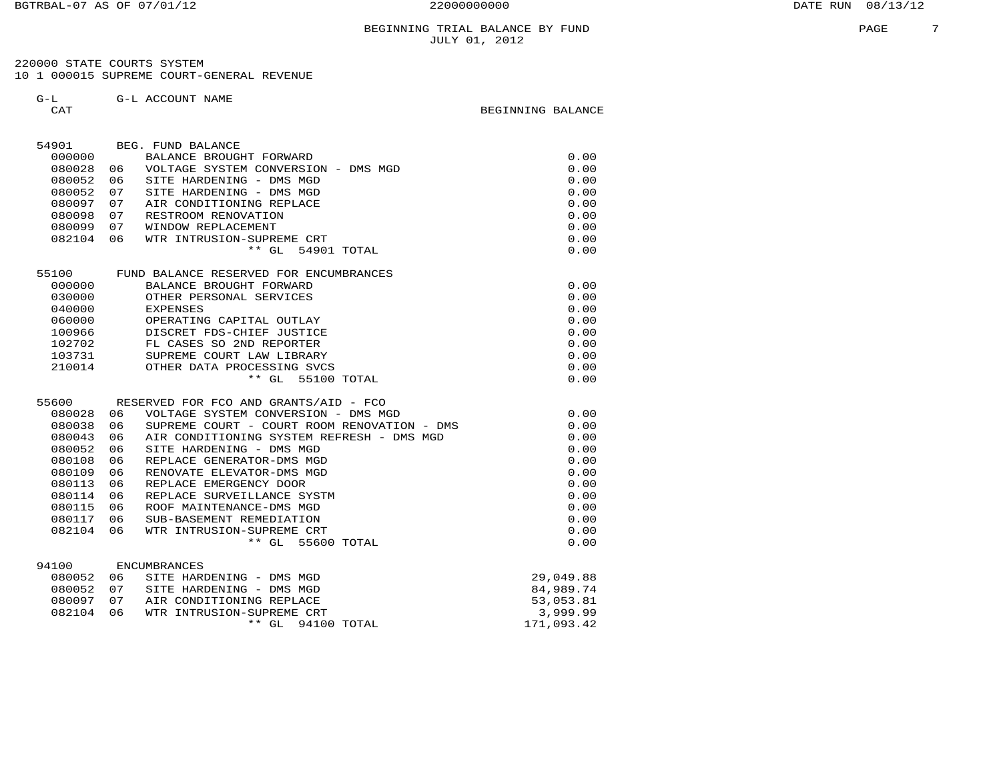#### BEGINNING TRIAL BALANCE BY FUND **FRAGE 1999** PAGE 2 JULY 01, 2012

 220000 STATE COURTS SYSTEM 10 1 000015 SUPREME COURT-GENERAL REVENUE

G-L G-L ACCOUNT NAME

CAT GENERAL BEGINNING BALANCE

| 54901  |    | BEG. FUND BALANCE                           |            |
|--------|----|---------------------------------------------|------------|
| 000000 |    | BALANCE BROUGHT FORWARD                     | 0.00       |
| 080028 | 06 | VOLTAGE SYSTEM CONVERSION - DMS MGD         | 0.00       |
| 080052 | 06 | SITE HARDENING - DMS MGD                    | 0.00       |
| 080052 | 07 | SITE HARDENING - DMS MGD                    | 0.00       |
| 080097 | 07 | AIR CONDITIONING REPLACE                    | 0.00       |
| 080098 | 07 | RESTROOM RENOVATION                         | 0.00       |
| 080099 | 07 | WINDOW REPLACEMENT                          | 0.00       |
| 082104 | 06 | WTR INTRUSION-SUPREME CRT                   | 0.00       |
|        |    | $***$ GL<br>54901 TOTAL                     | 0.00       |
| 55100  |    | FUND BALANCE RESERVED FOR ENCUMBRANCES      |            |
| 000000 |    | BALANCE BROUGHT FORWARD                     | 0.00       |
| 030000 |    | OTHER PERSONAL SERVICES                     | 0.00       |
| 040000 |    | <b>EXPENSES</b>                             | 0.00       |
| 060000 |    | OPERATING CAPITAL OUTLAY                    | 0.00       |
| 100966 |    | DISCRET FDS-CHIEF JUSTICE                   | 0.00       |
| 102702 |    | FL CASES SO 2ND REPORTER                    | 0.00       |
| 103731 |    | SUPREME COURT LAW LIBRARY                   | 0.00       |
| 210014 |    | OTHER DATA PROCESSING SVCS                  | 0.00       |
|        |    | $**$ GL<br>55100 TOTAL                      | 0.00       |
|        |    |                                             |            |
| 55600  |    | RESERVED FOR FCO AND GRANTS/AID - FCO       |            |
| 080028 | 06 | VOLTAGE SYSTEM CONVERSION - DMS MGD         | 0.00       |
| 080038 | 06 | SUPREME COURT - COURT ROOM RENOVATION - DMS | 0.00       |
| 080043 | 06 | AIR CONDITIONING SYSTEM REFRESH - DMS MGD   | 0.00       |
| 080052 | 06 | SITE HARDENING - DMS MGD                    | 0.00       |
| 080108 | 06 | REPLACE GENERATOR-DMS MGD                   | 0.00       |
| 080109 | 06 | RENOVATE ELEVATOR-DMS MGD                   | 0.00       |
| 080113 | 06 | REPLACE EMERGENCY DOOR                      | 0.00       |
| 080114 | 06 | REPLACE SURVEILLANCE SYSTM                  | 0.00       |
| 080115 | 06 | ROOF MAINTENANCE-DMS MGD                    | 0.00       |
| 080117 | 06 | SUB-BASEMENT REMEDIATION                    | 0.00       |
| 082104 | 06 | WTR INTRUSION-SUPREME CRT                   | 0.00       |
|        |    | $**$ GL<br>55600 TOTAL                      | 0.00       |
| 94100  |    | <b>ENCUMBRANCES</b>                         |            |
| 080052 | 06 | SITE HARDENING - DMS MGD                    | 29,049.88  |
| 080052 | 07 | SITE HARDENING - DMS MGD                    | 84,989.74  |
| 080097 | 07 | AIR CONDITIONING REPLACE                    | 53,053.81  |
| 082104 | 06 | WTR INTRUSION-SUPREME CRT                   | 3,999.99   |
|        |    | $**$ GL<br>94100 TOTAL                      | 171,093.42 |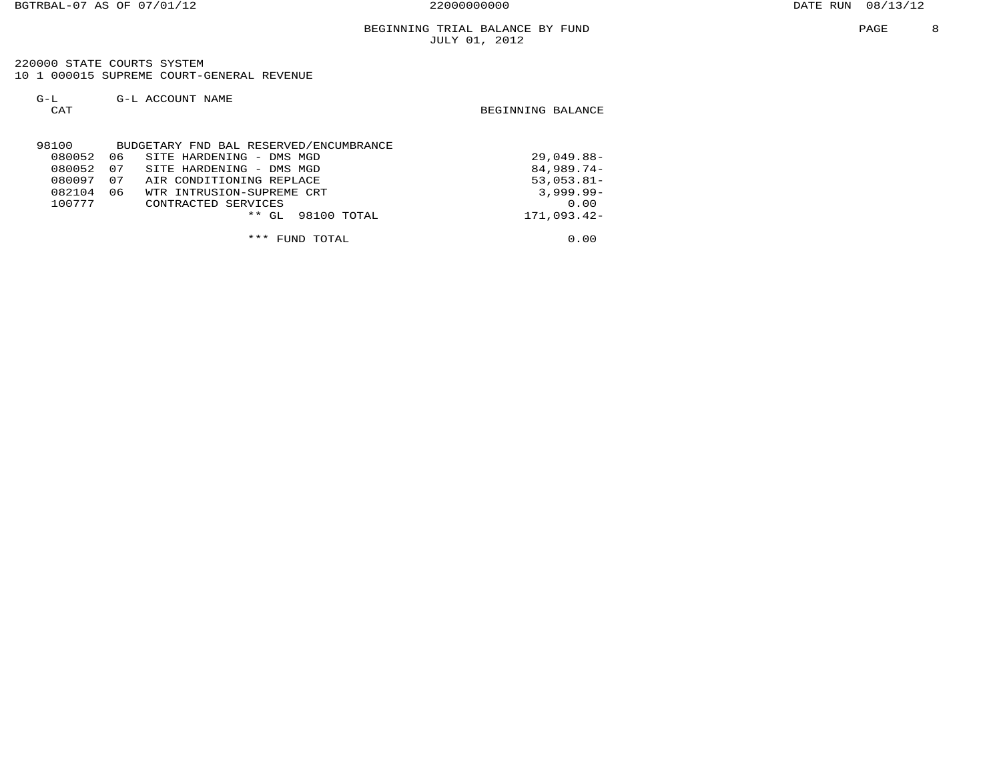220000 STATE COURTS SYSTEM 10 1 000015 SUPREME COURT-GENERAL REVENUE

| $G-T$                | G-L ACCOUNT NAME |  |
|----------------------|------------------|--|
| $\sim$ $\sim$ $\sim$ |                  |  |

CAT CAT CAT CATE AND LOCAL CATE CATE CATE AND DEGINAL BALANCE

| 98100  |    | BUDGETARY FND BAL RESERVED/ENCUMBRANCE |               |
|--------|----|----------------------------------------|---------------|
| 080052 | 06 | SITE HARDENING - DMS MGD               | $29,049.88-$  |
| 080052 | 07 | SITE HARDENING - DMS MGD               | $84,989.74-$  |
| 080097 | 07 | AIR CONDITIONING REPLACE               | $53,053.81-$  |
| 082104 | 06 | WTR INTRUSION-SUPREME CRT              | $3,999.99 -$  |
| 100777 |    | CONTRACTED SERVICES                    | 0.00          |
|        |    | 98100 TOTAL<br>$***$ GL                | $171.093.42-$ |
|        |    |                                        |               |
|        |    | *** FUND TOTAL                         | 0.00          |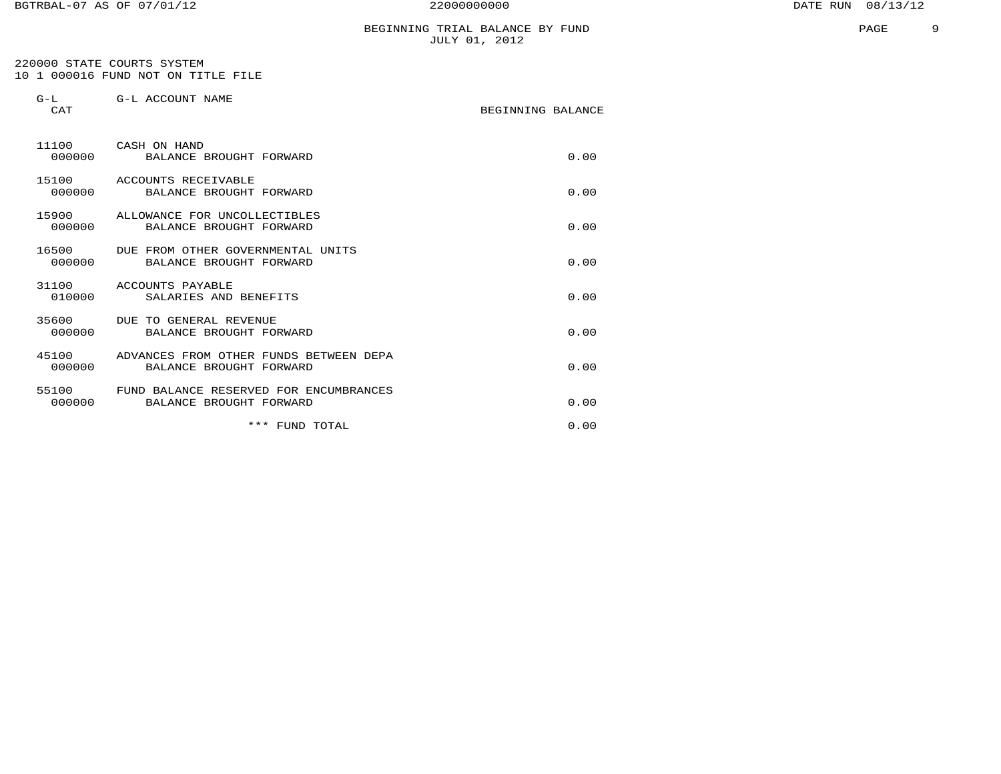## BEGINNING TRIAL BALANCE BY FUND JULY 01, 2012

 220000 STATE COURTS SYSTEM 10 1 000016 FUND NOT ON TITLE FILE

| $G-L$<br>CAT    | G-L ACCOUNT NAME                                                  | BEGINNING BALANCE |      |
|-----------------|-------------------------------------------------------------------|-------------------|------|
| 11100<br>000000 | CASH ON HAND<br>BALANCE BROUGHT FORWARD                           |                   | 0.00 |
| 15100<br>000000 | ACCOUNTS RECEIVABLE<br>BALANCE BROUGHT FORWARD                    |                   | 0.00 |
| 15900<br>000000 | ALLOWANCE FOR UNCOLLECTIBLES<br>BALANCE BROUGHT FORWARD           |                   | 0.00 |
| 16500<br>000000 | DUE FROM OTHER GOVERNMENTAL UNITS<br>BALANCE BROUGHT FORWARD      |                   | 0.00 |
| 31100<br>010000 | ACCOUNTS PAYABLE<br>SALARIES AND BENEFITS                         |                   | 0.00 |
| 35600<br>000000 | DUE TO GENERAL REVENUE<br>BALANCE BROUGHT FORWARD                 |                   | 0.00 |
| 45100<br>000000 | ADVANCES FROM OTHER FUNDS BETWEEN DEPA<br>BALANCE BROUGHT FORWARD |                   | 0.00 |
| 55100<br>000000 | FUND BALANCE RESERVED FOR ENCUMBRANCES<br>BALANCE BROUGHT FORWARD |                   | 0.00 |
|                 | *** FUND TOTAL                                                    |                   | 0.00 |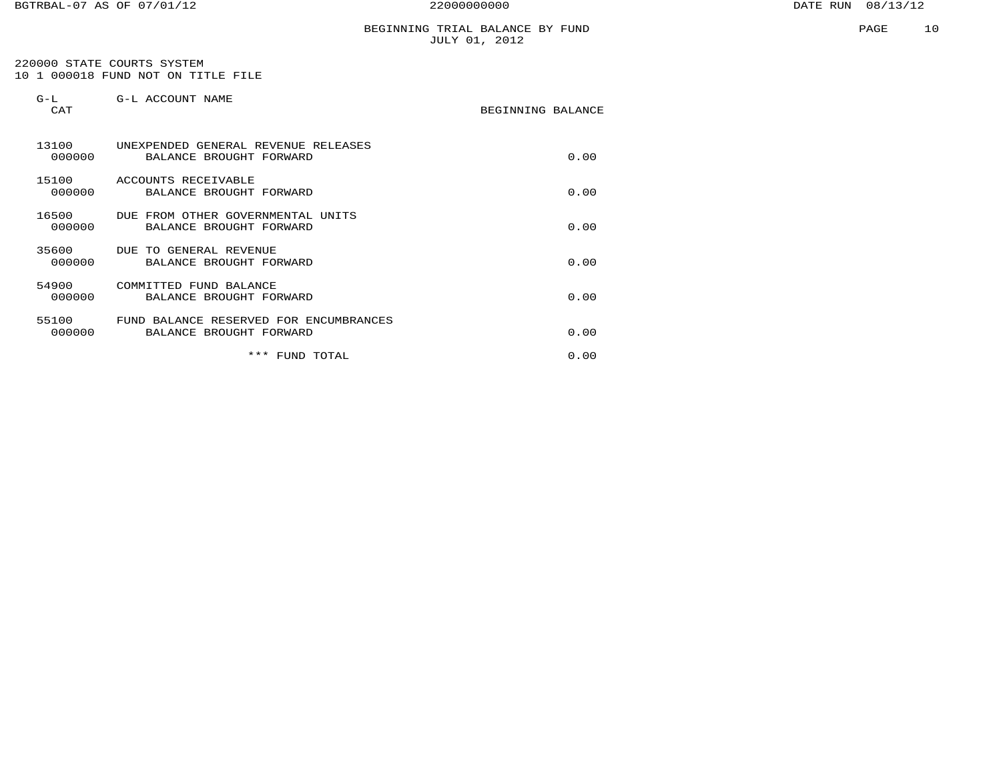# BEGINNING TRIAL BALANCE BY FUND JULY 01, 2012

 220000 STATE COURTS SYSTEM 10 1 000018 FUND NOT ON TITLE FILE

| $G-L$<br><b>CAT</b> | G-L ACCOUNT NAME                                                  | BEGINNING BALANCE |      |
|---------------------|-------------------------------------------------------------------|-------------------|------|
| 13100<br>000000     | UNEXPENDED GENERAL REVENUE RELEASES<br>BALANCE BROUGHT FORWARD    |                   | 0.00 |
| 15100<br>000000     | ACCOUNTS RECEIVABLE<br>BALANCE BROUGHT FORWARD                    |                   | 0.00 |
| 16500<br>000000     | DUE FROM OTHER GOVERNMENTAL UNITS<br>BALANCE BROUGHT FORWARD      |                   | 0.00 |
| 35600<br>000000     | DUE TO GENERAL REVENUE<br>BALANCE BROUGHT FORWARD                 |                   | 0.00 |
| 54900<br>000000     | COMMITTED FUND BALANCE<br>BALANCE BROUGHT FORWARD                 |                   | 0.00 |
| 55100<br>000000     | FUND BALANCE RESERVED FOR ENCUMBRANCES<br>BALANCE BROUGHT FORWARD |                   | 0.00 |
|                     | * * *<br>FUND TOTAL                                               |                   | 0.00 |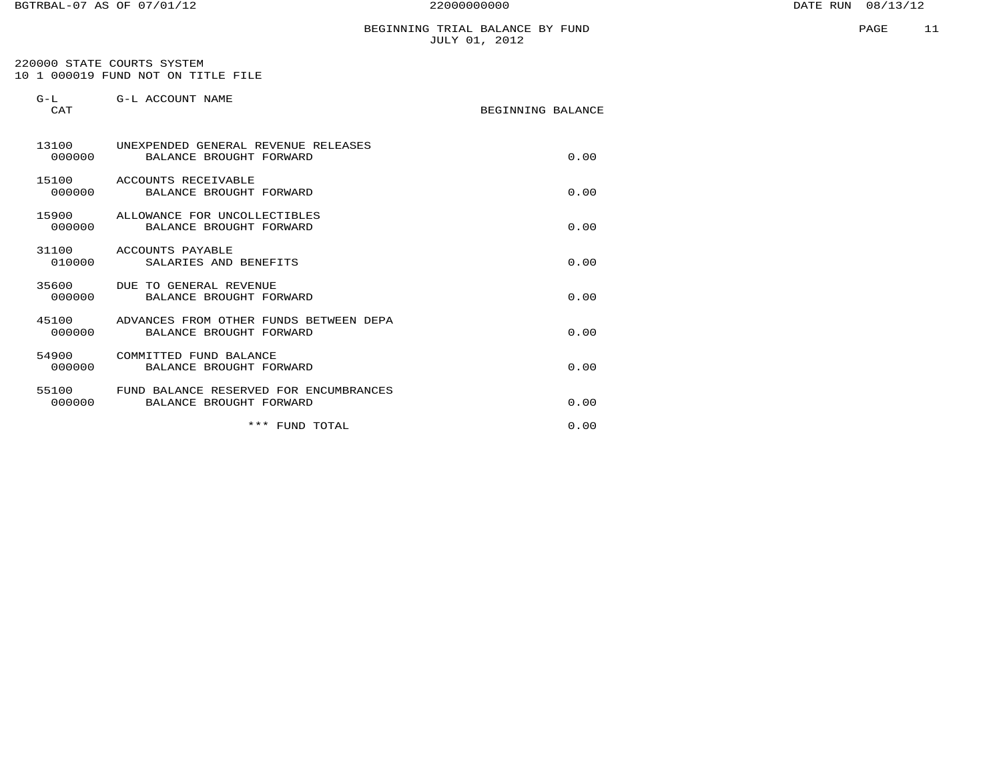# BEGINNING TRIAL BALANCE BY FUND JULY 01, 2012

 220000 STATE COURTS SYSTEM 10 1 000019 FUND NOT ON TITLE FILE

| $G-L$<br>CAT    | G-L ACCOUNT NAME                                                        | BEGINNING BALANCE |
|-----------------|-------------------------------------------------------------------------|-------------------|
| 000000          | 13100 UNEXPENDED GENERAL REVENUE RELEASES<br>BALANCE BROUGHT FORWARD    | 0.00              |
| 15100<br>000000 | ACCOUNTS RECEIVABLE<br>BALANCE BROUGHT FORWARD                          | 0.00              |
| 000000          | 15900 ALLOWANCE FOR UNCOLLECTIBLES<br>BALANCE BROUGHT FORWARD           | 0.00              |
| 010000          | 31100 ACCOUNTS PAYABLE<br>SALARIES AND BENEFITS                         | 0.00              |
| 000000          | 35600 DUE TO GENERAL REVENUE<br>BALANCE BROUGHT FORWARD                 | 0.00              |
| 000000          | 45100 ADVANCES FROM OTHER FUNDS BETWEEN DEPA<br>BALANCE BROUGHT FORWARD | 0.00              |
| 54900<br>000000 | COMMITTED FUND BALANCE<br>BALANCE BROUGHT FORWARD                       | 0.00              |
| 55100<br>000000 | FUND BALANCE RESERVED FOR ENCUMBRANCES<br>BALANCE BROUGHT FORWARD       | 0.00              |
|                 | *** FUND TOTAL                                                          | 0.00              |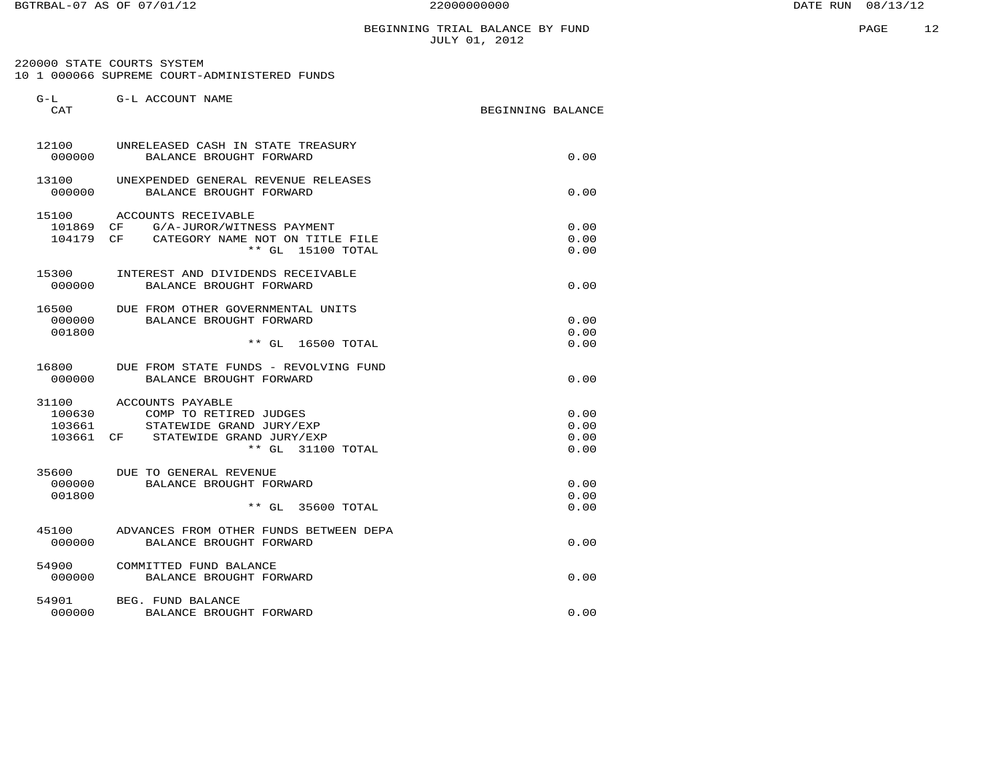# BEGINNING TRIAL BALANCE BY FUND JULY 01, 2012

 220000 STATE COURTS SYSTEM 10 1 000066 SUPREME COURT-ADMINISTERED FUNDS

| $G-L$<br>CAT                        | G-L ACCOUNT NAME                                                                                                              | BEGINNING BALANCE            |
|-------------------------------------|-------------------------------------------------------------------------------------------------------------------------------|------------------------------|
| 12100<br>000000                     | UNRELEASED CASH IN STATE TREASURY<br>BALANCE BROUGHT FORWARD                                                                  | 0.00                         |
| 13100<br>000000                     | UNEXPENDED GENERAL REVENUE RELEASES<br>BALANCE BROUGHT FORWARD                                                                | 0.00                         |
| 15100<br>101869<br>104179           | ACCOUNTS RECEIVABLE<br>G/A-JUROR/WITNESS PAYMENT<br>CF<br>CF<br>CATEGORY NAME NOT ON TITLE FILE<br>** GL 15100 TOTAL          | 0.00<br>0.00<br>0.00         |
| 15300<br>000000                     | INTEREST AND DIVIDENDS RECEIVABLE<br>BALANCE BROUGHT FORWARD                                                                  | 0.00                         |
| 16500<br>000000<br>001800           | DUE FROM OTHER GOVERNMENTAL UNITS<br>BALANCE BROUGHT FORWARD<br>$**$ GL<br>16500 TOTAL                                        | 0.00<br>0.00<br>0.00         |
| 16800<br>000000                     | DUE FROM STATE FUNDS - REVOLVING FUND<br>BALANCE BROUGHT FORWARD                                                              | 0.00                         |
| 31100<br>100630<br>103661<br>103661 | ACCOUNTS PAYABLE<br>COMP TO RETIRED JUDGES<br>STATEWIDE GRAND JURY/EXP<br>STATEWIDE GRAND JURY/EXP<br>CF<br>** GL 31100 TOTAL | 0.00<br>0.00<br>0.00<br>0.00 |
| 35600<br>000000<br>001800           | DUE TO GENERAL REVENUE<br>BALANCE BROUGHT FORWARD<br>$***$ GL<br>$35600$ TOTAL                                                | 0.00<br>0.00<br>0.00         |
| 45100<br>000000                     | ADVANCES FROM OTHER FUNDS BETWEEN DEPA<br>BALANCE BROUGHT FORWARD                                                             | 0.00                         |
| 54900<br>000000                     | COMMITTED FUND BALANCE<br>BALANCE BROUGHT FORWARD                                                                             | 0.00                         |
| 54901<br>000000                     | BEG. FUND BALANCE<br>BALANCE BROUGHT FORWARD                                                                                  | 0.00                         |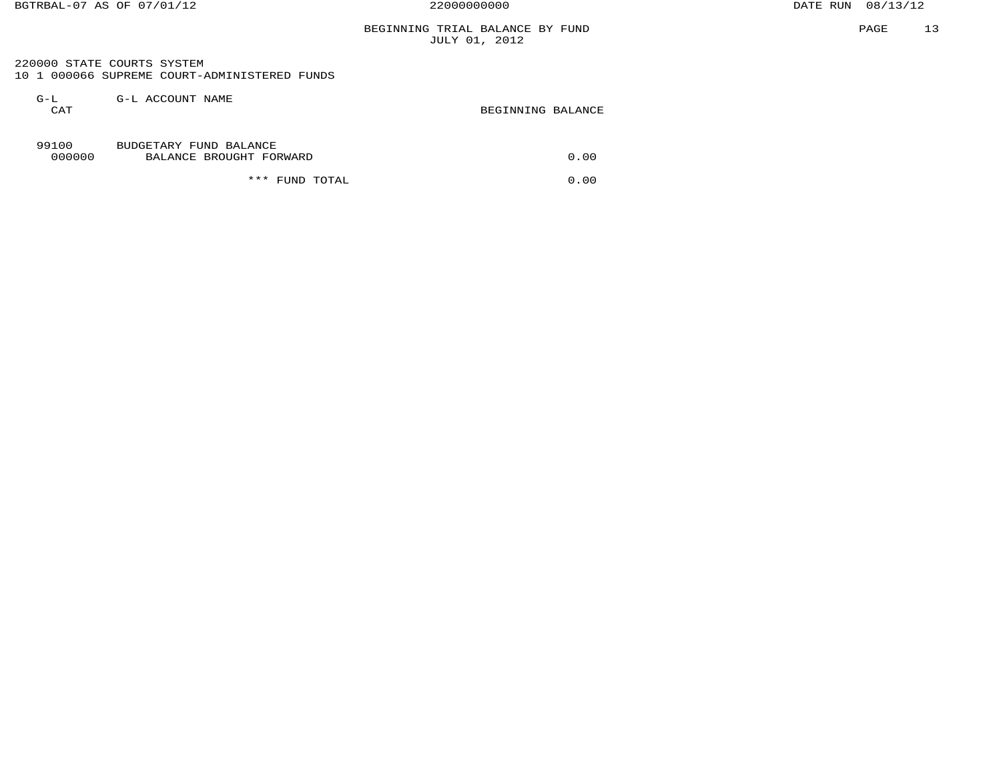# BEGINNING TRIAL BALANCE BY FUND JULY 01, 2012

 220000 STATE COURTS SYSTEM 10 1 000066 SUPREME COURT-ADMINISTERED FUNDS

| $G-L$<br>CAT    | G-L ACCOUNT NAME                                  | BEGINNING BALANCE |
|-----------------|---------------------------------------------------|-------------------|
| 99100<br>000000 | BUDGETARY FUND BALANCE<br>BALANCE BROUGHT FORWARD | 0.00              |
|                 | * * *<br>FUND TOTAL                               | 0.00              |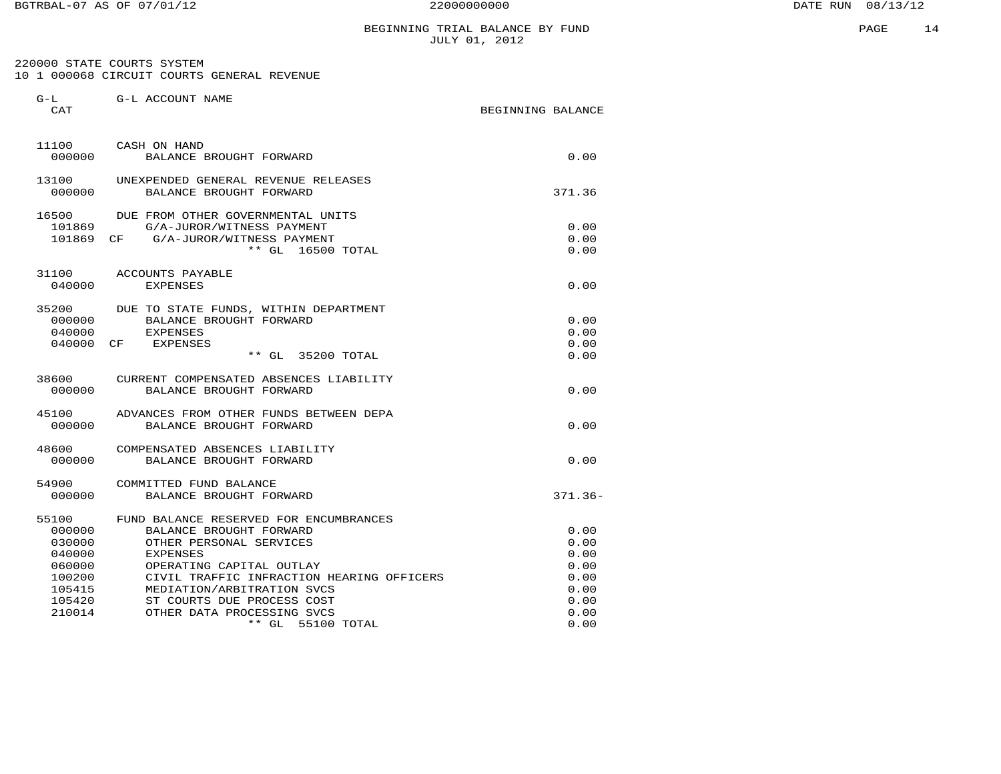G-L G-L ACCOUNT NAME

## BEGINNING TRIAL BALANCE BY FUND JULY 01, 2012

 220000 STATE COURTS SYSTEM 10 1 000068 CIRCUIT COURTS GENERAL REVENUE

| CAT    |                                                           | BEGINNING BALANCE |              |
|--------|-----------------------------------------------------------|-------------------|--------------|
| 11100  | CASH ON HAND                                              |                   |              |
| 000000 | BALANCE BROUGHT FORWARD                                   |                   | 0.00         |
| 13100  | UNEXPENDED GENERAL REVENUE RELEASES                       |                   |              |
| 000000 | BALANCE BROUGHT FORWARD                                   |                   | 371.36       |
| 16500  | DUE FROM OTHER GOVERNMENTAL UNITS                         |                   |              |
| 101869 | G/A-JUROR/WITNESS PAYMENT                                 |                   | 0.00         |
| 101869 | G/A-JUROR/WITNESS PAYMENT<br>CF<br>$**$ GL<br>16500 TOTAL |                   | 0.00<br>0.00 |
|        |                                                           |                   |              |
| 31100  | ACCOUNTS PAYABLE                                          |                   |              |
| 040000 | <b>EXPENSES</b>                                           |                   | 0.00         |
| 35200  | DUE TO STATE FUNDS, WITHIN DEPARTMENT                     |                   |              |
| 000000 | BALANCE BROUGHT FORWARD                                   |                   | 0.00         |
| 040000 | <b>EXPENSES</b>                                           |                   | 0.00         |
| 040000 | <b>EXPENSES</b><br>CF                                     |                   | 0.00         |
|        | 35200 TOTAL<br>$**$ GL                                    |                   | 0.00         |
| 38600  | CURRENT COMPENSATED ABSENCES LIABILITY                    |                   |              |
| 000000 | BALANCE BROUGHT FORWARD                                   |                   | 0.00         |
| 45100  | ADVANCES FROM OTHER FUNDS BETWEEN DEPA                    |                   |              |
| 000000 | BALANCE BROUGHT FORWARD                                   |                   | 0.00         |
| 48600  | COMPENSATED ABSENCES LIABILITY                            |                   |              |
| 000000 | BALANCE BROUGHT FORWARD                                   |                   | 0.00         |
| 54900  | COMMITTED FUND BALANCE                                    |                   |              |
| 000000 | BALANCE BROUGHT FORWARD                                   |                   | $371.36 -$   |
| 55100  | FUND BALANCE RESERVED FOR ENCUMBRANCES                    |                   |              |
| 000000 | BALANCE BROUGHT FORWARD                                   |                   | 0.00         |
| 030000 | OTHER PERSONAL SERVICES                                   |                   | 0.00         |
| 040000 | <b>EXPENSES</b>                                           |                   | 0.00         |
| 060000 | OPERATING CAPITAL OUTLAY                                  |                   | 0.00         |
| 100200 | CIVIL TRAFFIC INFRACTION HEARING OFFICERS                 |                   | 0.00         |
| 105415 | MEDIATION/ARBITRATION SVCS                                |                   | 0.00         |
| 105420 | ST COURTS DUE PROCESS COST                                |                   | 0.00         |
| 210014 | OTHER DATA PROCESSING SVCS<br>$**$ GL<br>55100 TOTAL      |                   | 0.00<br>0.00 |
|        |                                                           |                   |              |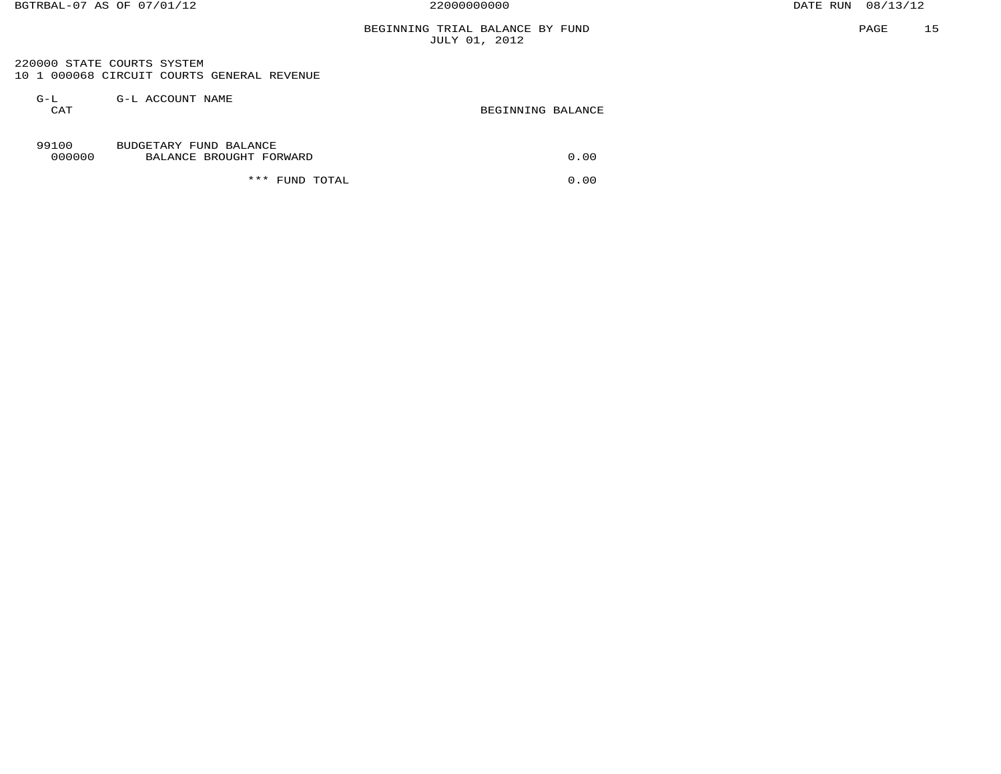# BEGINNING TRIAL BALANCE BY FUND JULY 01, 2012

 220000 STATE COURTS SYSTEM 10 1 000068 CIRCUIT COURTS GENERAL REVENUE

| $G-L$<br>CAT    | G-L ACCOUNT NAME                                  | BEGINNING BALANCE |
|-----------------|---------------------------------------------------|-------------------|
| 99100<br>000000 | BUDGETARY FUND BALANCE<br>BALANCE BROUGHT FORWARD | 0.00              |
|                 | ***<br>FUND TOTAL                                 | 0.00              |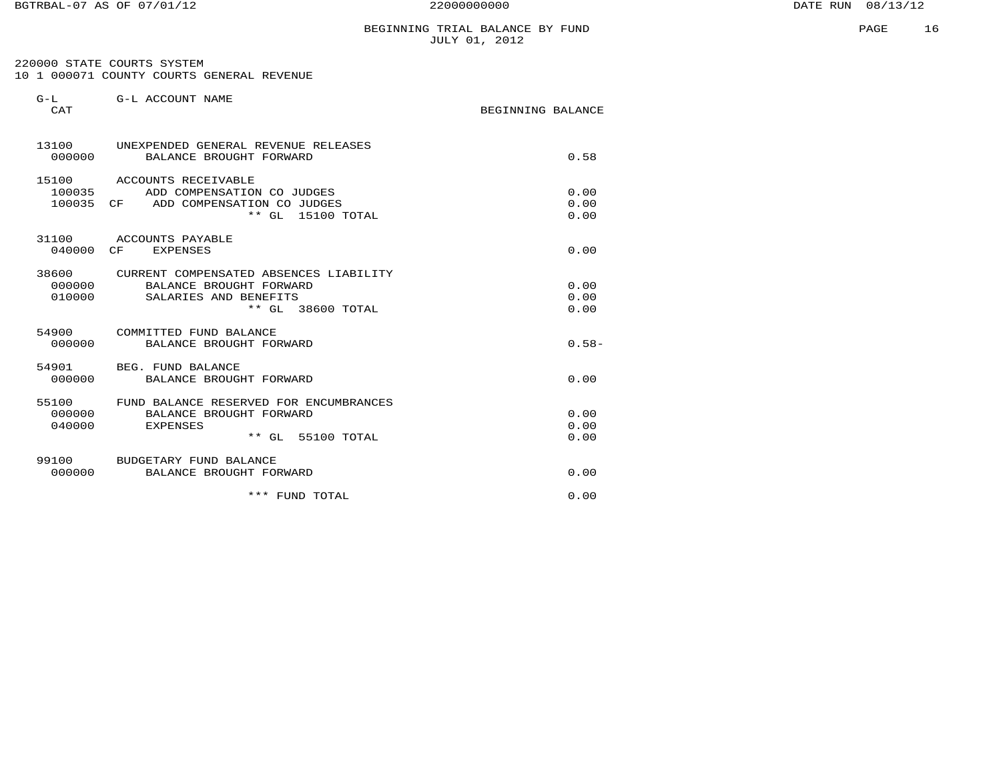220000 STATE COURTS SYSTEM 10 1 000071 COUNTY COURTS GENERAL REVENUE

| $G-L$<br>CAT              | G-L ACCOUNT NAME                                                                                                 | BEGINNING BALANCE    |
|---------------------------|------------------------------------------------------------------------------------------------------------------|----------------------|
| 000000                    | 13100 UNEXPENDED GENERAL REVENUE RELEASES<br>BALANCE BROUGHT FORWARD                                             | 0.58                 |
| 100035<br>100035          | 15100 ACCOUNTS RECEIVABLE<br>ADD COMPENSATION CO JUDGES<br>ADD COMPENSATION CO JUDGES<br>CF<br>** GL 15100 TOTAL | 0.00<br>0.00<br>0.00 |
| 040000 CF                 | 31100 ACCOUNTS PAYABLE<br><b>EXPENSES</b>                                                                        | 0.00                 |
| 38600<br>000000<br>010000 | CURRENT COMPENSATED ABSENCES LIABILITY<br>BALANCE BROUGHT FORWARD<br>SALARIES AND BENEFITS<br>** GL 38600 TOTAL  | 0.00<br>0.00<br>0.00 |
| 54900<br>000000           | COMMITTED FUND BALANCE<br>BALANCE BROUGHT FORWARD                                                                | $0.58-$              |
| 000000                    | 54901 BEG. FUND BALANCE<br>BALANCE BROUGHT FORWARD                                                               | 0.00                 |
| 000000<br>040000          | 55100 FUND BALANCE RESERVED FOR ENCUMBRANCES<br>BALANCE BROUGHT FORWARD<br><b>EXPENSES</b><br>** GL 55100 TOTAL  | 0.00<br>0.00<br>0.00 |
| 000000                    | 99100 BUDGETARY FUND BALANCE<br>BALANCE BROUGHT FORWARD                                                          | 0.00                 |
|                           | *** FUND TOTAL                                                                                                   | 0.00                 |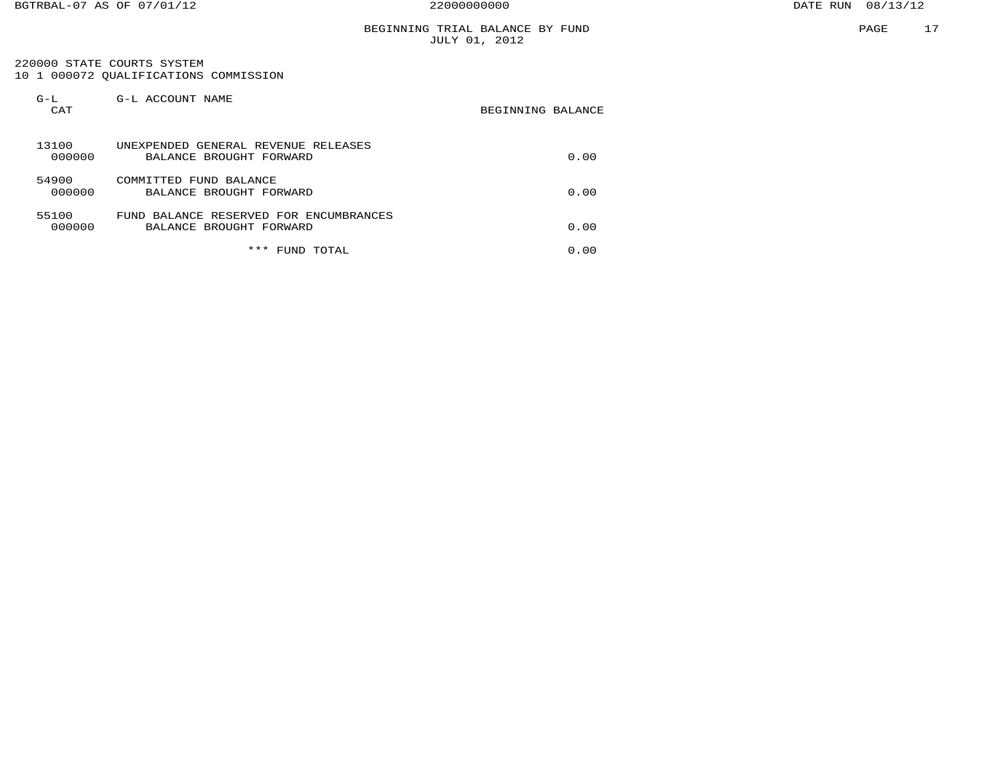220000 STATE COURTS SYSTEM 10 1 000072 QUALIFICATIONS COMMISSION

| $G-L$<br>CAT    | G-L ACCOUNT NAME                                                  | BEGINNING BALANCE |
|-----------------|-------------------------------------------------------------------|-------------------|
| 13100<br>000000 | UNEXPENDED GENERAL REVENUE RELEASES<br>BALANCE BROUGHT FORWARD    | 0.00              |
| 54900<br>000000 | COMMITTED FUND BALANCE<br>BALANCE BROUGHT FORWARD                 | 0.00              |
| 55100<br>000000 | FUND BALANCE RESERVED FOR ENCUMBRANCES<br>BALANCE BROUGHT FORWARD | 0.00              |
|                 | ***<br>FUND TOTAL                                                 | 0.00              |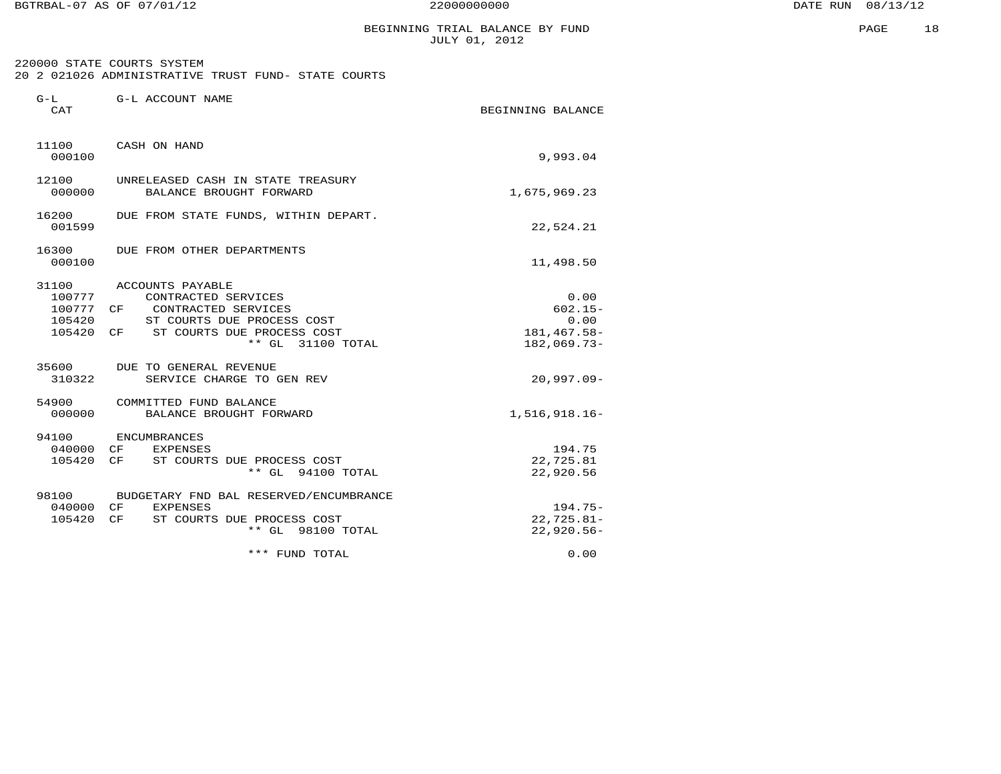BGTRBAL-07 AS OF 07/01/12 22000000000 DATE RUN 08/13/12

PAGE 18

## BEGINNING TRIAL BALANCE BY FUND JULY 01, 2012

 220000 STATE COURTS SYSTEM 20 2 021026 ADMINISTRATIVE TRUST FUND- STATE COURTS

| $G-L$<br>CAT                  | G-L ACCOUNT NAME                                                                                                                                                | BEGINNING BALANCE                                          |
|-------------------------------|-----------------------------------------------------------------------------------------------------------------------------------------------------------------|------------------------------------------------------------|
| 000100                        | 11100 CASH ON HAND                                                                                                                                              | 9,993.04                                                   |
| 12100<br>000000               | UNRELEASED CASH IN STATE TREASURY<br>BALANCE BROUGHT FORWARD                                                                                                    | 1,675,969.23                                               |
| 16200<br>001599               | DUE FROM STATE FUNDS, WITHIN DEPART.                                                                                                                            | 22,524.21                                                  |
| 16300<br>000100               | DUE FROM OTHER DEPARTMENTS                                                                                                                                      | 11,498.50                                                  |
| 100777<br>100777 CF<br>105420 | 31100 ACCOUNTS PAYABLE<br>CONTRACTED SERVICES<br>CONTRACTED SERVICES<br>ST COURTS DUE PROCESS COST<br>105420 CF ST COURTS DUE PROCESS COST<br>** GL 31100 TOTAL | 0.00<br>$602.15 -$<br>0.00<br>181,467.58-<br>$182,069.73-$ |
| 310322                        | 35600 DUE TO GENERAL REVENUE<br>SERVICE CHARGE TO GEN REV                                                                                                       | $20.997.09 -$                                              |
| 000000                        | 54900 COMMITTED FUND BALANCE<br>BALANCE BROUGHT FORWARD                                                                                                         | $1,516,918.16-$                                            |
| 94100<br>040000<br>105420     | ENCUMBRANCES<br>CF<br><b>EXPENSES</b><br>CF<br>ST COURTS DUE PROCESS COST<br>** GL 94100 TOTAL                                                                  | 194.75<br>22,725.81<br>22,920.56                           |
| 040000 CF<br>105420           | 98100 BUDGETARY FND BAL RESERVED/ENCUMBRANCE<br><b>EXPENSES</b><br>ST COURTS DUE PROCESS COST<br>CF<br>** GL 98100 TOTAL                                        | $194.75-$<br>$22,725.81-$<br>$22,920.56 -$                 |
|                               | *** FUND TOTAL                                                                                                                                                  | 0.00                                                       |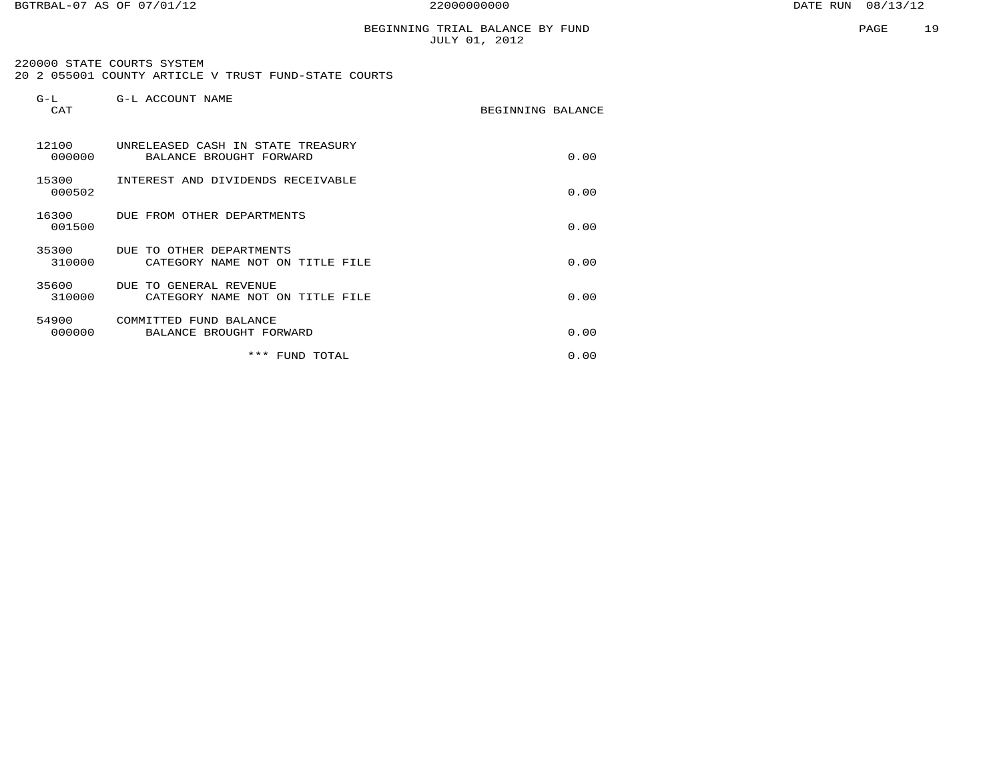# BEGINNING TRIAL BALANCE BY FUND JULY 01, 2012

 220000 STATE COURTS SYSTEM 20 2 055001 COUNTY ARTICLE V TRUST FUND-STATE COURTS

| $G-L$<br>CAT    | G-L ACCOUNT NAME                                             | BEGINNING BALANCE |      |
|-----------------|--------------------------------------------------------------|-------------------|------|
| 12100<br>000000 | UNRELEASED CASH IN STATE TREASURY<br>BALANCE BROUGHT FORWARD |                   | 0.00 |
| 15300<br>000502 | INTEREST AND DIVIDENDS RECEIVABLE                            |                   | 0.00 |
| 16300<br>001500 | DUE FROM OTHER DEPARTMENTS                                   |                   | 0.00 |
| 35300<br>310000 | DUE TO OTHER DEPARTMENTS<br>CATEGORY NAME NOT ON TITLE FILE  |                   | 0.00 |
| 35600<br>310000 | DUE TO GENERAL REVENUE<br>CATEGORY NAME NOT ON TITLE FILE    |                   | 0.00 |
| 54900<br>000000 | COMMITTED FUND BALANCE<br>BALANCE BROUGHT FORWARD            |                   | 0.00 |
|                 | ***<br>FUND TOTAL                                            |                   | 0.00 |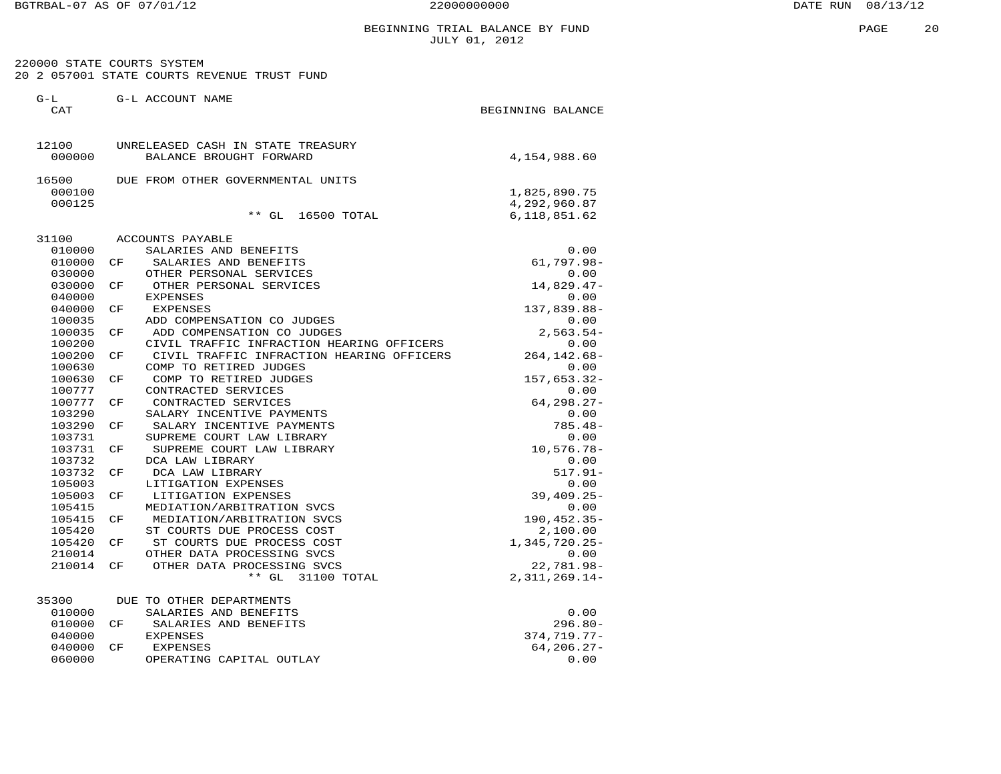# BEGINNING TRIAL BALANCE BY FUND JULY 01, 2012

 220000 STATE COURTS SYSTEM 20 2 057001 STATE COURTS REVENUE TRUST FUND

| $G-L$<br>CAT    |     | G-L ACCOUNT NAME                                             | BEGINNING BALANCE |                 |
|-----------------|-----|--------------------------------------------------------------|-------------------|-----------------|
| 12100<br>000000 |     | UNRELEASED CASH IN STATE TREASURY<br>BALANCE BROUGHT FORWARD |                   | 4,154,988.60    |
|                 |     |                                                              |                   |                 |
| 16500           |     | DUE FROM OTHER GOVERNMENTAL UNITS                            |                   |                 |
| 000100          |     |                                                              |                   | 1,825,890.75    |
| 000125          |     |                                                              |                   | 4,292,960.87    |
|                 |     | ** GL<br>16500 TOTAL                                         |                   | 6,118,851.62    |
| 31100           |     | ACCOUNTS PAYABLE                                             |                   |                 |
| 010000          |     | SALARIES AND BENEFITS                                        |                   | 0.00            |
| 010000          | CF  | SALARIES AND BENEFITS                                        |                   | 61,797.98-      |
| 030000          |     | OTHER PERSONAL SERVICES                                      |                   | 0.00            |
| 030000          | CF  | OTHER PERSONAL SERVICES                                      |                   | $14,829.47-$    |
| 040000          |     | <b>EXPENSES</b>                                              |                   | 0.00            |
| 040000          | CF  | <b>EXPENSES</b>                                              |                   | 137,839.88-     |
| 100035          |     | ADD COMPENSATION CO JUDGES                                   |                   | 0.00            |
| 100035          | CF  | ADD COMPENSATION CO JUDGES                                   |                   | $2,563.54-$     |
| 100200          |     | CIVIL TRAFFIC INFRACTION HEARING OFFICERS                    |                   | 0.00            |
| 100200          | CF  | CIVIL TRAFFIC INFRACTION HEARING OFFICERS                    |                   | $264, 142.68 -$ |
| 100630          |     | COMP TO RETIRED JUDGES                                       |                   | 0.00            |
| 100630          | CF  | COMP TO RETIRED JUDGES                                       |                   | 157,653.32-     |
| 100777          |     | CONTRACTED SERVICES                                          |                   | 0.00            |
| 100777          | CF  | CONTRACTED SERVICES                                          |                   | $64, 298.27 -$  |
| 103290          |     | SALARY INCENTIVE PAYMENTS                                    |                   | 0.00            |
| 103290          | CF. | SALARY INCENTIVE PAYMENTS                                    |                   | $785.48-$       |
| 103731          |     | SUPREME COURT LAW LIBRARY                                    |                   | 0.00            |
| 103731          | CF  | SUPREME COURT LAW LIBRARY                                    |                   | $10,576.78 -$   |
| 103732          |     | DCA LAW LIBRARY                                              |                   | 0.00            |
| 103732          | CF  | DCA LAW LIBRARY                                              |                   | $517.91 -$      |
| 105003          |     | LITIGATION EXPENSES                                          |                   | 0.00            |
| 105003          | CF  | LITIGATION EXPENSES                                          |                   | $39,409.25 -$   |
| 105415          |     | MEDIATION/ARBITRATION SVCS                                   |                   | 0.00            |
| 105415          | CF  | MEDIATION/ARBITRATION SVCS                                   |                   | 190, 452.35-    |
| 105420          |     | ST COURTS DUE PROCESS COST                                   |                   | 2,100.00        |
| 105420          | CF  | ST COURTS DUE PROCESS COST                                   |                   | 1,345,720.25-   |
| 210014          |     | OTHER DATA PROCESSING SVCS                                   |                   | 0.00            |
| 210014          | CF  | OTHER DATA PROCESSING SVCS<br>$**$ GL<br>31100 TOTAL         |                   | 22,781.98-      |
|                 |     |                                                              |                   | 2, 311, 269.14- |
| 35300           |     | DUE TO OTHER DEPARTMENTS                                     |                   |                 |
| 010000          |     | SALARIES AND BENEFITS                                        |                   | 0.00            |
| 010000          | CF  | SALARIES AND BENEFITS                                        |                   | $296.80 -$      |
| 040000          |     | <b>EXPENSES</b>                                              |                   | $374, 719.77 -$ |
| 040000          | CF  | <b>EXPENSES</b>                                              |                   | $64, 206.27 -$  |
| 060000          |     | OPERATING CAPITAL OUTLAY                                     |                   | 0.00            |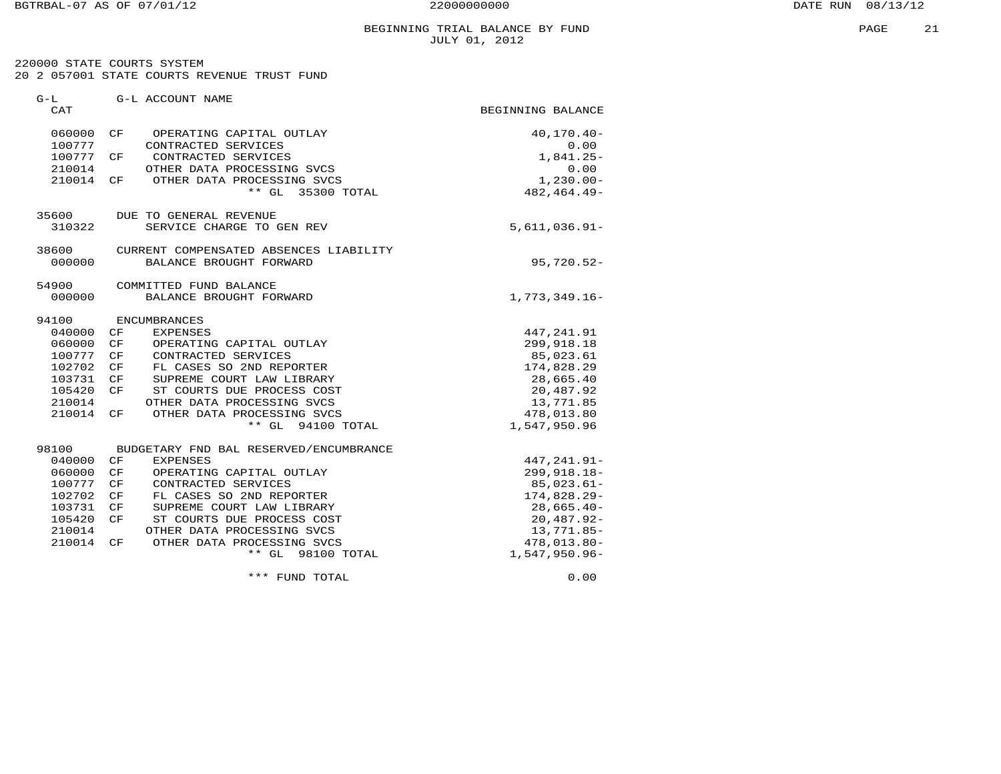220000 STATE COURTS SYSTEM 20 2 057001 STATE COURTS REVENUE TRUST FUND

| $G-L$<br>CAT |    | G-L ACCOUNT NAME                       | BEGINNING BALANCE |
|--------------|----|----------------------------------------|-------------------|
|              |    |                                        |                   |
| 060000       | CF | OPERATING CAPITAL OUTLAY               | $40, 170.40 -$    |
| 100777       |    | CONTRACTED SERVICES                    | 0.00              |
| 100777       | CF | CONTRACTED SERVICES                    | $1,841.25-$       |
| 210014       |    | OTHER DATA PROCESSING SVCS             | 0.00              |
| 210014 CF    |    | OTHER DATA PROCESSING SVCS             | $1,230.00 -$      |
|              |    | ** GL 35300 TOTAL                      | 482, 464. 49-     |
| 35600        |    | DUE TO GENERAL REVENUE                 |                   |
| 310322       |    | SERVICE CHARGE TO GEN REV              | $5,611,036.91 -$  |
| 38600        |    | CURRENT COMPENSATED ABSENCES LIABILITY |                   |
| 000000       |    | BALANCE BROUGHT FORWARD                | $95,720.52 -$     |
| 54900        |    | COMMITTED FUND BALANCE                 |                   |
| 000000       |    | BALANCE BROUGHT FORWARD                | $1,773,349.16-$   |
| 94100        |    | ENCUMBRANCES                           |                   |
| 040000       | CF | <b>EXPENSES</b>                        | 447, 241.91       |
| 060000       | CF | OPERATING CAPITAL OUTLAY               | 299,918.18        |
| 100777       | CF | CONTRACTED SERVICES                    | 85,023.61         |
| 102702       | CF | FL CASES SO 2ND REPORTER               | 174,828.29        |
| 103731       | CF | SUPREME COURT LAW LIBRARY              | 28,665.40         |
| 105420       | CF | ST COURTS DUE PROCESS COST             | 20,487.92         |
| 210014       |    | OTHER DATA PROCESSING SVCS             | 13,771.85         |
| 210014 CF    |    | OTHER DATA PROCESSING SVCS             | 478,013.80        |
|              |    | ** GL 94100 TOTAL                      | 1,547,950.96      |
| 98100        |    | BUDGETARY FND BAL RESERVED/ENCUMBRANCE |                   |
| 040000       | CF | <b>EXPENSES</b>                        | 447, 241.91-      |
| 060000       | CF | OPERATING CAPITAL OUTLAY               | $299, 918.18 -$   |
| 100777       | CF | CONTRACTED SERVICES                    | $85,023.61-$      |
| 102702       | CF | FL CASES SO 2ND REPORTER               | $174,828.29-$     |
| 103731       | CF | SUPREME COURT LAW LIBRARY              | $28,665.40-$      |
| 105420       | CF | ST COURTS DUE PROCESS COST             | $20,487.92-$      |
| 210014       |    | OTHER DATA PROCESSING SVCS             | 13,771.85-        |
| 210014       | CF | OTHER DATA PROCESSING SVCS             | $478,013.80 -$    |
|              |    | ** GL 98100 TOTAL                      | 1,547,950.96-     |
|              |    | *** FUND TOTAL                         | 0.00              |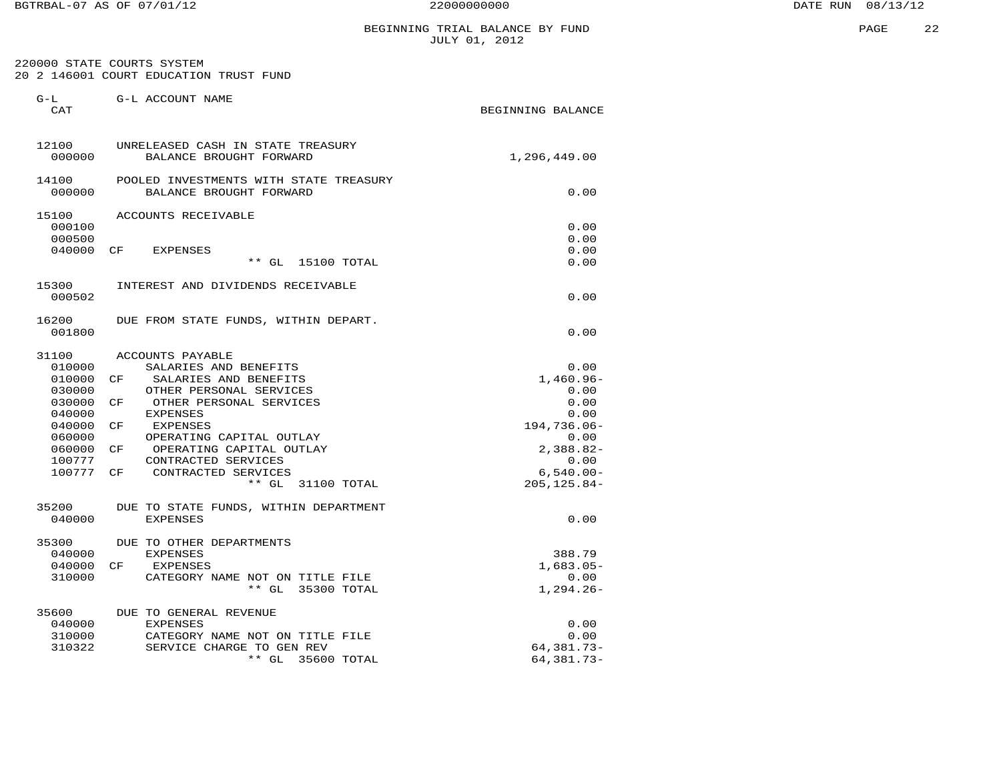220000 STATE COURTS SYSTEM 20 2 146001 COURT EDUCATION TRUST FUND

| $G-L$<br>CAT     | G-L ACCOUNT NAME                                                  | BEGINNING BALANCE      |
|------------------|-------------------------------------------------------------------|------------------------|
| 12100<br>000000  | UNRELEASED CASH IN STATE TREASURY<br>BALANCE BROUGHT FORWARD      | 1,296,449.00           |
| 14100<br>000000  | POOLED INVESTMENTS WITH STATE TREASURY<br>BALANCE BROUGHT FORWARD | 0.00                   |
| 15100            | ACCOUNTS RECEIVABLE                                               |                        |
| 000100           |                                                                   | 0.00                   |
| 000500           |                                                                   | 0.00                   |
| 040000           | CF<br><b>EXPENSES</b><br>** GL<br>15100 TOTAL                     | 0.00<br>0.00           |
| 15300            | INTEREST AND DIVIDENDS RECEIVABLE                                 |                        |
| 000502           |                                                                   | 0.00                   |
| 16200<br>001800  | DUE FROM STATE FUNDS, WITHIN DEPART.                              | 0.00                   |
| 31100            | ACCOUNTS PAYABLE                                                  |                        |
| 010000           | SALARIES AND BENEFITS                                             | 0.00                   |
| 010000           | SALARIES AND BENEFITS<br>CF                                       | $1,460.96 -$           |
| 030000           | OTHER PERSONAL SERVICES                                           | 0.00                   |
| 030000           | CF<br>OTHER PERSONAL SERVICES                                     | 0.00                   |
| 040000           | <b>EXPENSES</b>                                                   | 0.00                   |
| 040000<br>060000 | CF<br>EXPENSES<br>OPERATING CAPITAL OUTLAY                        | $194,736.06 -$<br>0.00 |
| 060000           | OPERATING CAPITAL OUTLAY<br>CF                                    | $2,388.82-$            |
| 100777           | CONTRACTED SERVICES                                               | 0.00                   |
| 100777           | CONTRACTED SERVICES<br>CF                                         | $6,540.00 -$           |
|                  | $**$ GL<br>31100 TOTAL                                            | $205, 125.84 -$        |
| 35200            | DUE TO STATE FUNDS, WITHIN DEPARTMENT                             |                        |
| 040000           | <b>EXPENSES</b>                                                   | 0.00                   |
| 35300            | DUE TO OTHER DEPARTMENTS                                          |                        |
| 040000<br>040000 | <b>EXPENSES</b><br>CF<br><b>EXPENSES</b>                          | 388.79<br>$1,683.05-$  |
| 310000           | CATEGORY NAME NOT ON TITLE FILE                                   | 0.00                   |
|                  | $**$ GL<br>35300 TOTAL                                            | $1,294.26-$            |
| 35600            | DUE TO GENERAL REVENUE                                            |                        |
| 040000           | <b>EXPENSES</b>                                                   | 0.00                   |
| 310000           | CATEGORY NAME NOT ON TITLE FILE                                   | 0.00                   |
| 310322           | SERVICE CHARGE TO GEN REV                                         | 64,381.73-             |
|                  | $***$ GL<br>35600 TOTAL                                           | 64,381.73-             |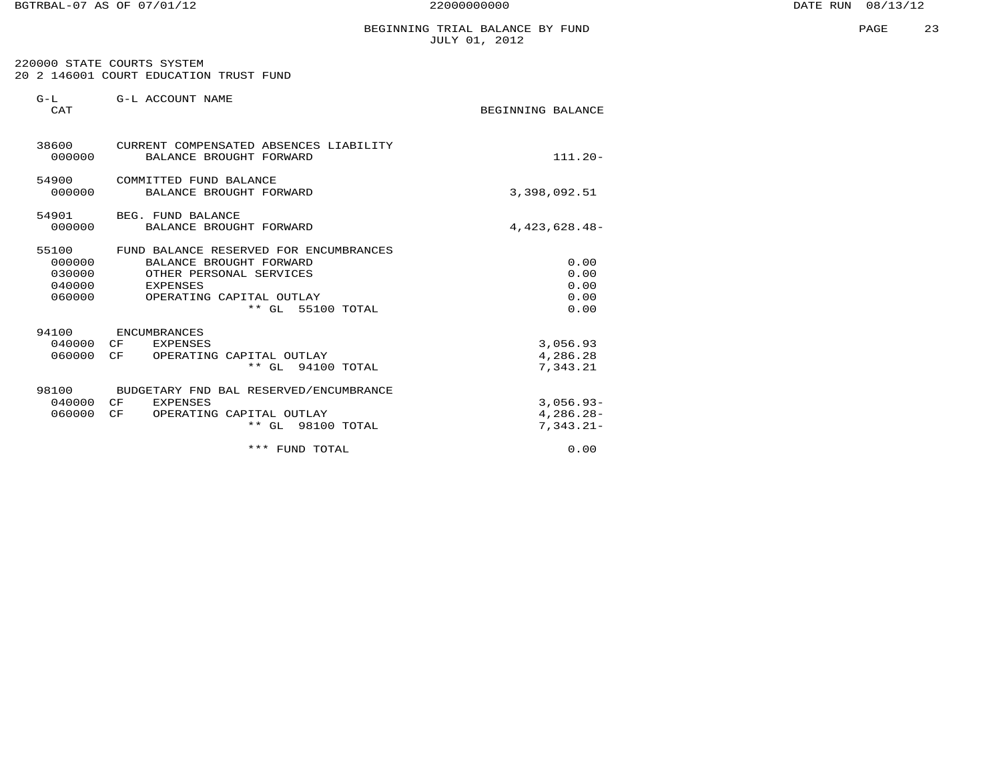# BEGINNING TRIAL BALANCE BY FUND JULY 01, 2012

 220000 STATE COURTS SYSTEM 20 2 146001 COURT EDUCATION TRUST FUND

| $G-L$<br>CAT                                  | G-L ACCOUNT NAME                                                                                                                                          | BEGINNING BALANCE                         |
|-----------------------------------------------|-----------------------------------------------------------------------------------------------------------------------------------------------------------|-------------------------------------------|
| 000000                                        | 38600 CURRENT COMPENSATED ABSENCES LIABILITY<br>BALANCE BROUGHT FORWARD                                                                                   | $111.20 -$                                |
| 54900<br>000000                               | COMMITTED FUND BALANCE<br>BALANCE BROUGHT FORWARD                                                                                                         | 3,398,092.51                              |
| 54901<br>000000                               | BEG. FUND BALANCE<br>BALANCE BROUGHT FORWARD                                                                                                              | 4, 423, 628. 48-                          |
| 55100<br>000000<br>030000<br>040000<br>060000 | FUND BALANCE RESERVED FOR ENCUMBRANCES<br>BALANCE BROUGHT FORWARD<br>OTHER PERSONAL SERVICES<br>EXPENSES<br>OPERATING CAPITAL OUTLAY<br>** GL 55100 TOTAL | 0.00<br>0.00<br>0.00<br>0.00<br>0.00      |
| 94100<br>040000<br>060000                     | ENCUMBRANCES<br>CF<br>EXPENSES<br>CF<br>OPERATING CAPITAL OUTLAY<br>$**$ GL<br>94100 TOTAL                                                                | 3,056.93<br>4,286.28<br>7,343.21          |
| 98100<br>040000<br>060000                     | BUDGETARY FND BAL RESERVED/ENCUMBRANCE<br>CF<br><b>EXPENSES</b><br>CF<br>OPERATING CAPITAL OUTLAY<br>** GL 98100 TOTAL                                    | $3.056.93-$<br>$4,286.28-$<br>$7,343.21-$ |
|                                               | *** FUND TOTAL                                                                                                                                            | 0.00                                      |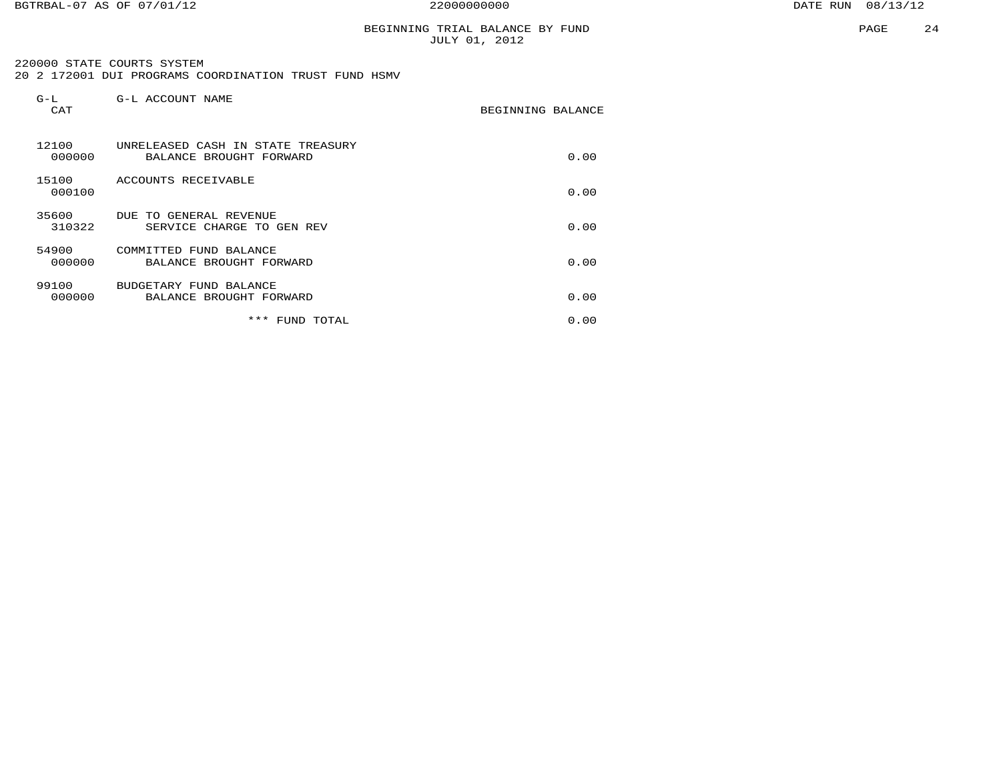# BEGINNING TRIAL BALANCE BY FUND JULY 01, 2012

#### 220000 STATE COURTS SYSTEM 20 2 172001 DUI PROGRAMS COORDINATION TRUST FUND HSMV

| G-L<br>CAT      | G-L ACCOUNT NAME                                             | BEGINNING BALANCE |      |
|-----------------|--------------------------------------------------------------|-------------------|------|
| 12100<br>000000 | UNRELEASED CASH IN STATE TREASURY<br>BALANCE BROUGHT FORWARD |                   | 0.00 |
| 15100<br>000100 | ACCOUNTS RECEIVABLE                                          |                   | 0.00 |
| 35600<br>310322 | DUE TO GENERAL REVENUE<br>SERVICE CHARGE TO GEN REV          |                   | 0.00 |
| 54900<br>000000 | COMMITTED FUND BALANCE<br>BALANCE BROUGHT FORWARD            |                   | 0.00 |
| 99100<br>000000 | BUDGETARY FUND BALANCE<br>BALANCE BROUGHT FORWARD            |                   | 0.00 |
|                 | ***<br>FUND TOTAL                                            |                   | 0.00 |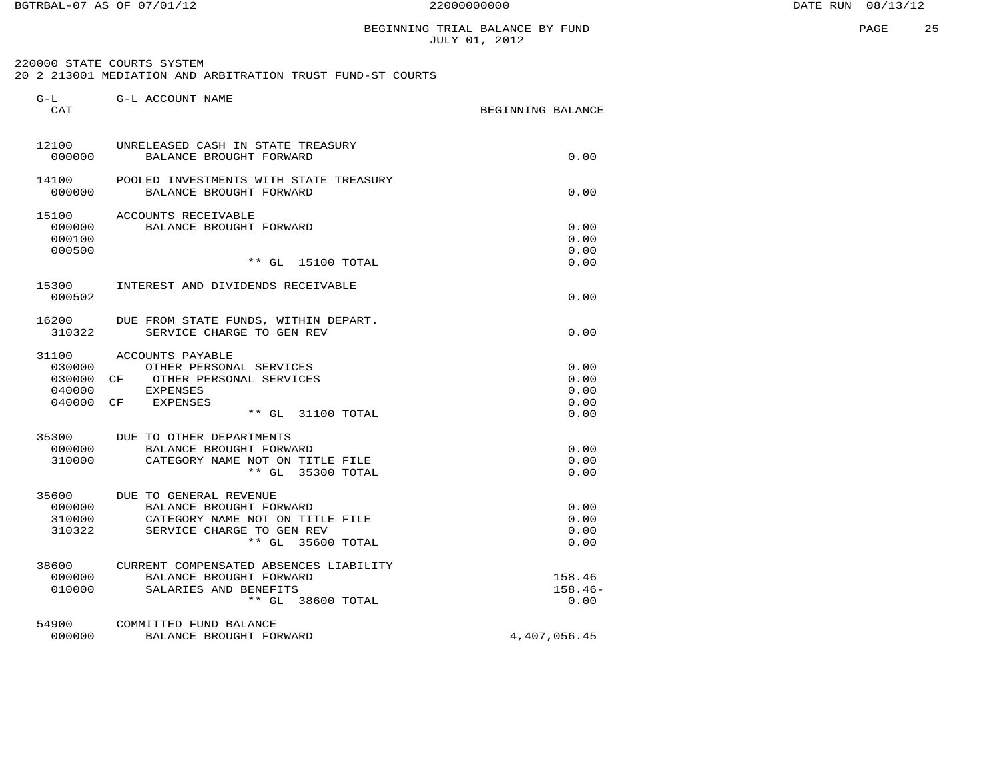220000 STATE COURTS SYSTEM 20 2 213001 MEDIATION AND ARBITRATION TRUST FUND-ST COURTS

| $G-L$<br><b>CAT</b>                 | G-L ACCOUNT NAME                                                                                                                             | BEGINNING BALANCE            |
|-------------------------------------|----------------------------------------------------------------------------------------------------------------------------------------------|------------------------------|
| 12100<br>000000                     | UNRELEASED CASH IN STATE TREASURY<br>BALANCE BROUGHT FORWARD                                                                                 | 0.00                         |
| 14100<br>000000                     | POOLED INVESTMENTS WITH STATE TREASURY<br>BALANCE BROUGHT FORWARD                                                                            | 0.00                         |
| 15100<br>000000<br>000100<br>000500 | ACCOUNTS RECEIVABLE<br>BALANCE BROUGHT FORWARD                                                                                               | 0.00<br>0.00<br>0.00         |
|                                     | $***$ GL<br>15100 TOTAL                                                                                                                      | 0.00                         |
| 15300<br>000502                     | INTEREST AND DIVIDENDS RECEIVABLE                                                                                                            | 0.00                         |
| 16200<br>310322                     | DUE FROM STATE FUNDS, WITHIN DEPART.<br>SERVICE CHARGE TO GEN REV                                                                            | 0.00                         |
| 31100<br>030000<br>030000<br>040000 | ACCOUNTS PAYABLE<br>OTHER PERSONAL SERVICES<br>CF<br>OTHER PERSONAL SERVICES<br><b>EXPENSES</b>                                              | 0.00<br>0.00<br>0.00         |
| 040000                              | CF.<br>EXPENSES<br>** GL 31100 TOTAL                                                                                                         | 0.00<br>0.00                 |
| 35300<br>000000<br>310000           | DUE TO OTHER DEPARTMENTS<br>BALANCE BROUGHT FORWARD<br>CATEGORY NAME NOT ON TITLE FILE<br>** GL 35300 TOTAL                                  | 0.00<br>0.00<br>0.00         |
| 35600<br>000000<br>310000<br>310322 | DUE TO GENERAL REVENUE<br>BALANCE BROUGHT FORWARD<br>CATEGORY NAME NOT ON TITLE FILE<br>SERVICE CHARGE TO GEN REV<br>$***$ GL<br>35600 TOTAL | 0.00<br>0.00<br>0.00<br>0.00 |
| 38600<br>000000<br>010000           | CURRENT COMPENSATED ABSENCES LIABILITY<br>BALANCE BROUGHT FORWARD<br>SALARIES AND BENEFITS<br>** GL 38600 TOTAL                              | 158.46<br>$158.46-$<br>0.00  |
| 54900<br>000000                     | COMMITTED FUND BALANCE<br>BALANCE BROUGHT FORWARD                                                                                            | 4,407,056.45                 |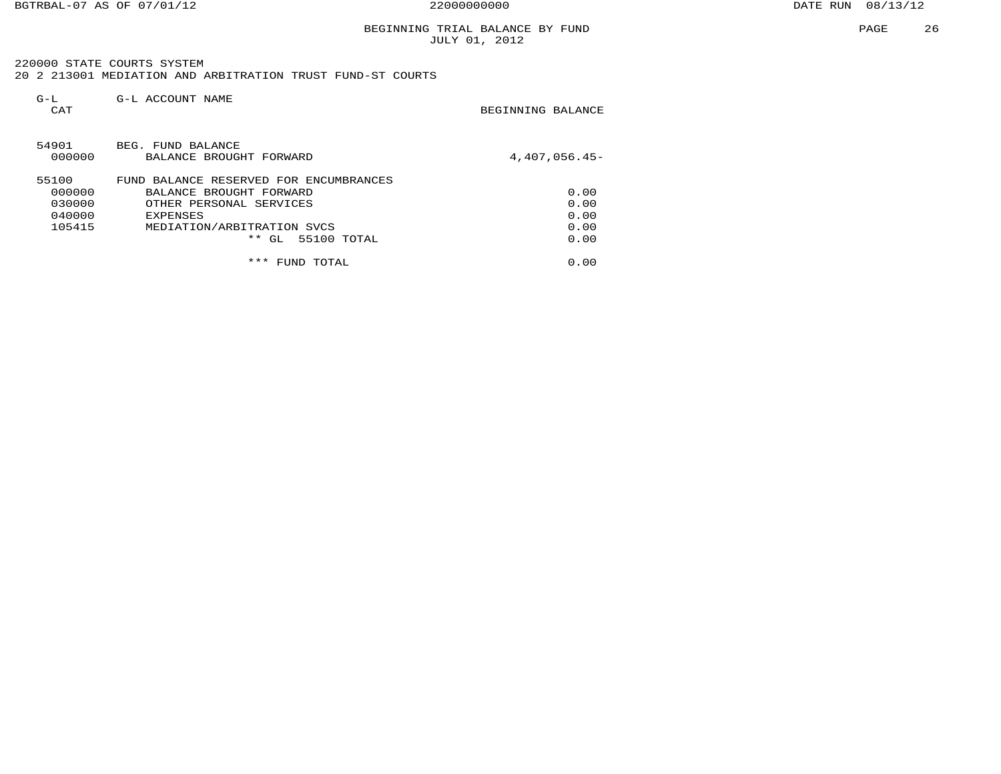# BEGINNING TRIAL BALANCE BY FUND JULY 01, 2012

 220000 STATE COURTS SYSTEM20 2 213001 MEDIATION AND ARBITRATION TRUST FUND-ST COURTS

| $G-L$<br>CAT    | G-L ACCOUNT NAME                             | BEGINNING BALANCE |
|-----------------|----------------------------------------------|-------------------|
| 54901<br>000000 | BEG. FUND BALANCE<br>BALANCE BROUGHT FORWARD | $4.407.056.45-$   |
| 55100           | FUND BALANCE RESERVED FOR ENCUMBRANCES       |                   |
| 000000          | BALANCE BROUGHT FORWARD                      | 0.00              |
| 030000          | OTHER PERSONAL SERVICES                      | 0.00              |
| 040000          | <b>EXPENSES</b>                              | 0.00              |
| 105415          | MEDIATION/ARBITRATION SVCS                   | 0.00              |
|                 | $***$<br>GL 55100 TOTAL                      | 0.00              |
|                 | ***<br>TOTAL<br>FUND                         | 0.00              |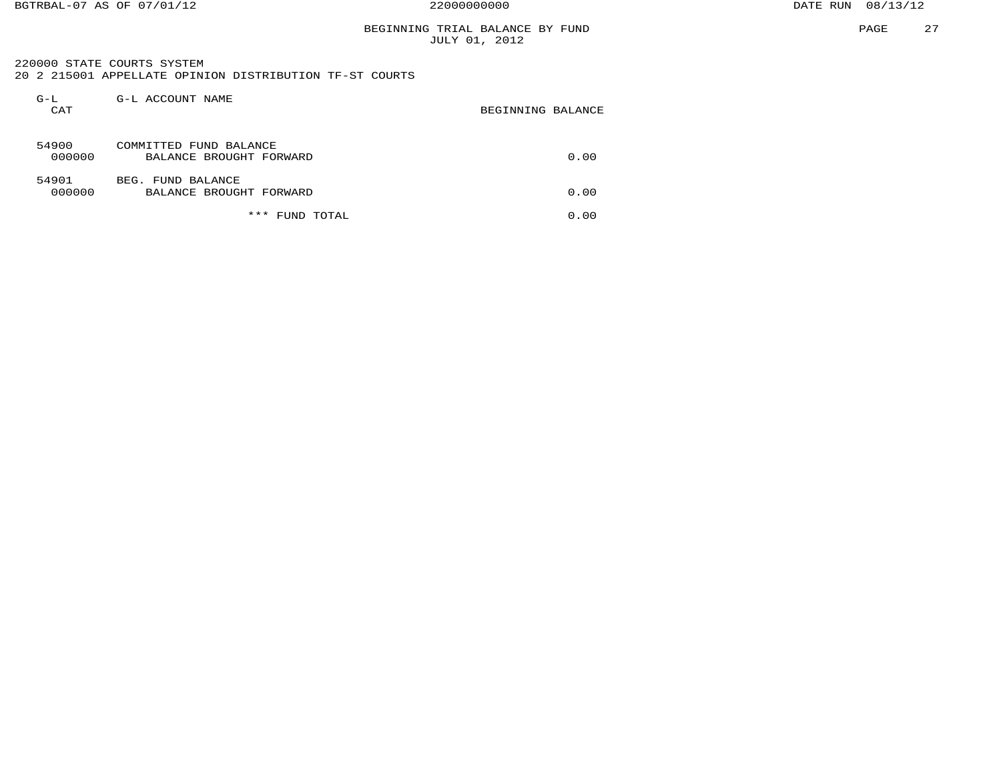# BEGINNING TRIAL BALANCE BY FUND JULY 01, 2012

 220000 STATE COURTS SYSTEM 20 2 215001 APPELLATE OPINION DISTRIBUTION TF-ST COURTS

| $G-L$<br>CAT    | G-L ACCOUNT NAME                                  | BEGINNING BALANCE |      |
|-----------------|---------------------------------------------------|-------------------|------|
| 54900<br>000000 | COMMITTED FUND BALANCE<br>BALANCE BROUGHT FORWARD |                   | 0.00 |
| 54901<br>000000 | BEG. FUND BALANCE<br>BALANCE BROUGHT FORWARD      |                   | 0.00 |
|                 | ***<br>TOTAL<br>FUND                              |                   | 0.00 |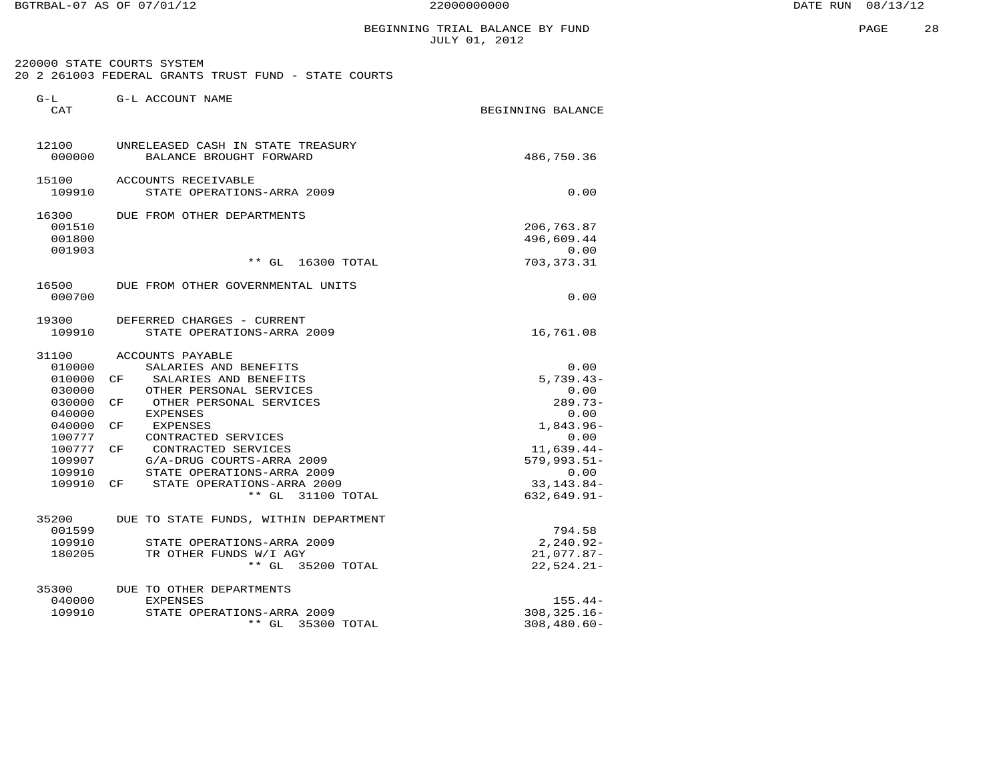BGTRBAL-07 AS OF 07/01/12 22000000000 DATE RUN 08/13/12

G-L G-L ACCOUNT NAME

# BEGINNING TRIAL BALANCE BY FUND **PAGE 28 FOR SECONDATION** JULY 01, 2012

| 220000 STATE COURTS SYSTEM                           |  |  |  |  |
|------------------------------------------------------|--|--|--|--|
| 20 2 261003 FEDERAL GRANTS TRUST FUND - STATE COURTS |  |  |  |  |

| CAT    |                                       | BEGINNING BALANCE |
|--------|---------------------------------------|-------------------|
| 12100  | UNRELEASED CASH IN STATE TREASURY     |                   |
| 000000 | BALANCE BROUGHT FORWARD               | 486,750.36        |
| 15100  | ACCOUNTS RECEIVABLE                   |                   |
| 109910 | STATE OPERATIONS-ARRA 2009            | 0.00              |
| 16300  | DUE FROM OTHER DEPARTMENTS            |                   |
| 001510 |                                       | 206,763.87        |
| 001800 |                                       | 496,609.44        |
| 001903 |                                       | 0.00              |
|        | $**$ GL<br>16300 TOTAL                | 703,373.31        |
| 16500  | DUE FROM OTHER GOVERNMENTAL UNITS     |                   |
| 000700 |                                       | 0.00              |
| 19300  | DEFERRED CHARGES - CURRENT            |                   |
| 109910 | STATE OPERATIONS-ARRA 2009            | 16,761.08         |
| 31100  | ACCOUNTS PAYABLE                      |                   |
| 010000 | SALARIES AND BENEFITS                 | 0.00              |
| 010000 | SALARIES AND BENEFITS<br>CF           | $5,739.43-$       |
| 030000 | OTHER PERSONAL SERVICES               | 0.00              |
| 030000 | CF<br>OTHER PERSONAL SERVICES         | $289.73-$         |
| 040000 | <b>EXPENSES</b>                       | 0.00              |
| 040000 | CF<br>EXPENSES                        | $1.843.96 -$      |
| 100777 | CONTRACTED SERVICES                   | 0.00              |
| 100777 | CONTRACTED SERVICES<br>CF             | $11,639.44-$      |
| 109907 | G/A-DRUG COURTS-ARRA 2009             | $579,993.51-$     |
| 109910 | STATE OPERATIONS-ARRA 2009            | 0.00              |
| 109910 | STATE OPERATIONS-ARRA 2009<br>CF      | $33,143.84-$      |
|        | ** GL 31100 TOTAL                     | $632,649.91 -$    |
| 35200  | DUE TO STATE FUNDS, WITHIN DEPARTMENT |                   |
| 001599 |                                       | 794.58            |
| 109910 | STATE OPERATIONS-ARRA 2009            | $2, 240.92 -$     |
| 180205 | TR OTHER FUNDS W/I AGY                | $21,077.87-$      |
|        | ** GL 35200 TOTAL                     | $22,524.21-$      |
| 35300  | DUE TO OTHER DEPARTMENTS              |                   |
| 040000 | <b>EXPENSES</b>                       | $155.44-$         |
| 109910 | STATE OPERATIONS-ARRA 2009            | $308, 325.16 -$   |
|        | 35300 TOTAL<br>** GL                  | $308,480.60 -$    |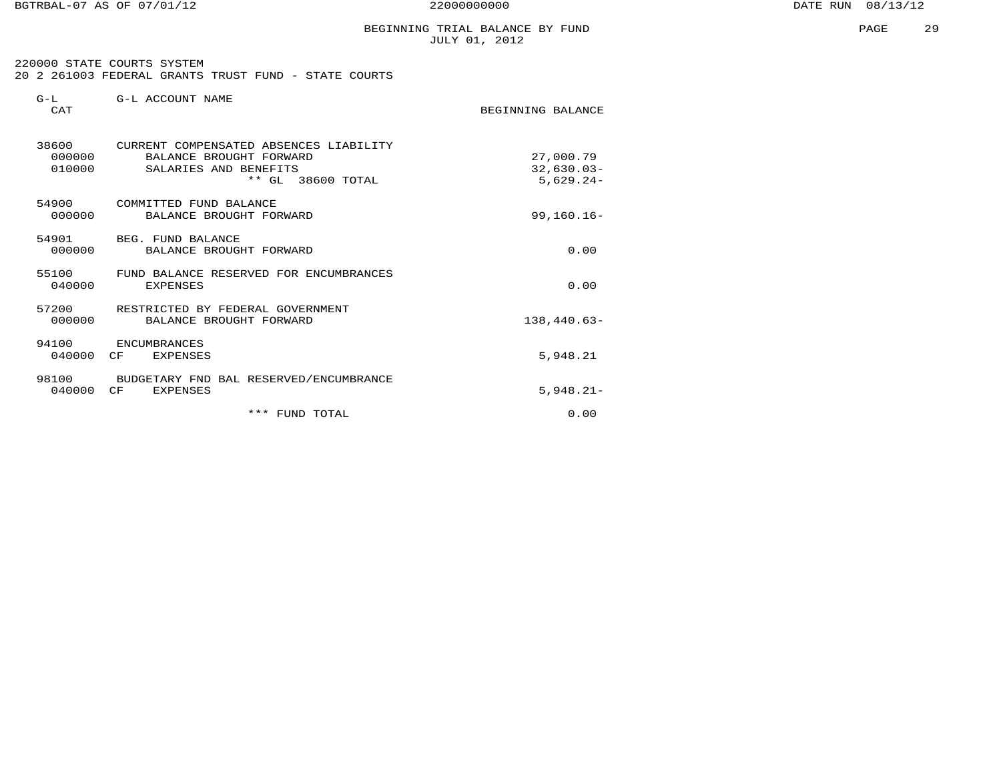BGTRBAL-07 AS OF 07/01/12 22000000000 DATE RUN 08/13/12

PAGE 29

# BEGINNING TRIAL BALANCE BY FUND JULY 01, 2012

BEGINNING BALANCE

| 220000 STATE COURTS SYSTEM                           |  |  |  |  |
|------------------------------------------------------|--|--|--|--|
| 20 2 261003 FEDERAL GRANTS TRUST FUND - STATE COURTS |  |  |  |  |

| $G-T$ .     | G-L ACCOUNT NAME |  |
|-------------|------------------|--|
| $C\Delta T$ |                  |  |

| 38600<br>000000<br>010000 | CURRENT COMPENSATED ABSENCES LIABILITY<br>BALANCE BROUGHT FORWARD<br>SALARIES AND BENEFITS<br>** GL 38600 TOTAL | 27,000.79<br>$32,630.03-$<br>$5,629.24-$ |
|---------------------------|-----------------------------------------------------------------------------------------------------------------|------------------------------------------|
| 54900<br>000000           | COMMITTED FUND BALANCE<br>BALANCE BROUGHT FORWARD                                                               | $99, 160.16 -$                           |
| 000000                    | 54901 BEG. FUND BALANCE<br>BALANCE BROUGHT FORWARD                                                              | 0.00                                     |
| 55100<br>040000           | FUND BALANCE RESERVED FOR ENCUMBRANCES<br><b>EXPENSES</b>                                                       | 0.00                                     |
| 000000                    | 57200 RESTRICTED BY FEDERAL GOVERNMENT<br>BALANCE BROUGHT FORWARD                                               | $138,440.63-$                            |
| 94100<br>040000           | ENCUMBRANCES<br>CF<br><b>EXPENSES</b>                                                                           | 5,948.21                                 |
| 040000                    | 98100 BUDGETARY FND BAL RESERVED/ENCUMBRANCE<br>$C_{\rm F}$<br><b>EXPENSES</b>                                  | $5.948.21 -$                             |
|                           | *** FUND TOTAL                                                                                                  | 0.00                                     |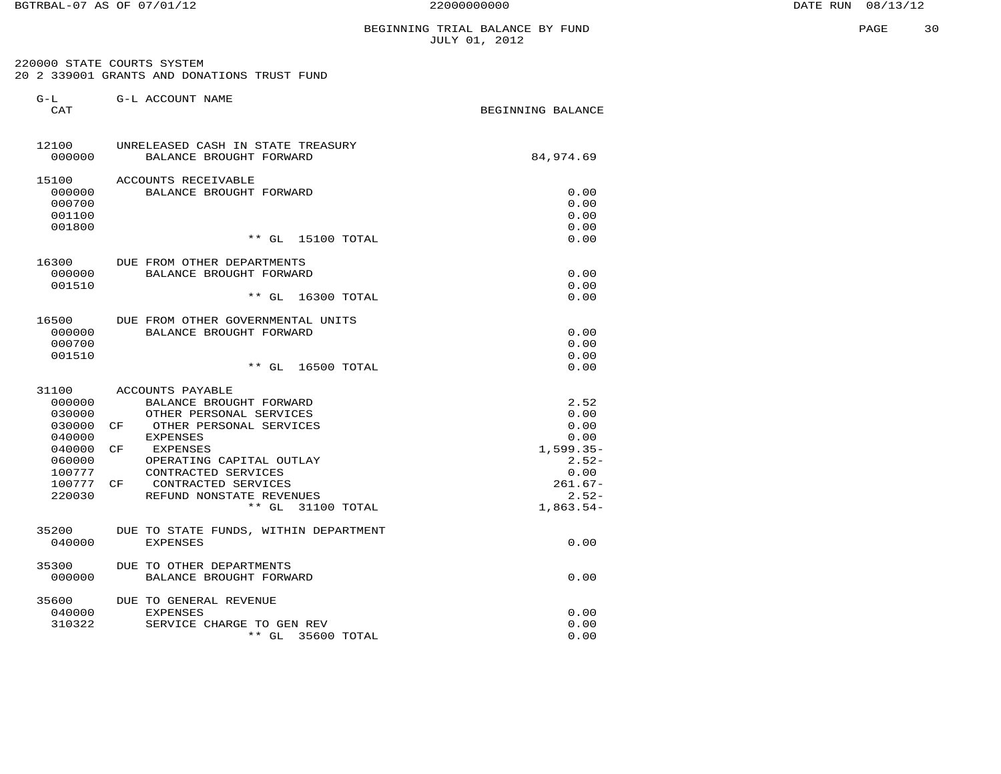220000 STATE COURTS SYSTEM 20 2 339001 GRANTS AND DONATIONS TRUST FUND

| $G-L$<br>CAT     | G-L ACCOUNT NAME                                | BEGINNING BALANCE |
|------------------|-------------------------------------------------|-------------------|
| 12100            | UNRELEASED CASH IN STATE TREASURY               |                   |
| 000000           | BALANCE BROUGHT FORWARD                         | 84,974.69         |
| 15100            | ACCOUNTS RECEIVABLE                             |                   |
| 000000           | BALANCE BROUGHT FORWARD                         | 0.00              |
| 000700           |                                                 | 0.00<br>0.00      |
| 001100<br>001800 |                                                 | 0.00              |
|                  | $**$ GL<br>15100 TOTAL                          | 0.00              |
| 16300            | DUE FROM OTHER DEPARTMENTS                      |                   |
| 000000           | BALANCE BROUGHT FORWARD                         | 0.00              |
| 001510           |                                                 | 0.00              |
|                  | $**$ GL<br>16300 TOTAL                          | 0.00              |
| 16500            | DUE FROM OTHER GOVERNMENTAL UNITS               |                   |
| 000000           | BALANCE BROUGHT FORWARD                         | 0.00              |
| 000700           |                                                 | 0.00<br>0.00      |
| 001510           | $***$ GL<br>16500 TOTAL                         | 0.00              |
| 31100            | ACCOUNTS PAYABLE                                |                   |
| 000000           | BALANCE BROUGHT FORWARD                         | 2.52              |
| 030000           | OTHER PERSONAL SERVICES                         | 0.00              |
| 030000           | OTHER PERSONAL SERVICES<br>CF                   | 0.00              |
| 040000           | <b>EXPENSES</b>                                 | 0.00              |
| 040000           | CF<br><b>EXPENSES</b>                           | $1,599.35-$       |
| 060000<br>100777 | OPERATING CAPITAL OUTLAY<br>CONTRACTED SERVICES | $2.52-$<br>0.00   |
| 100777           | CONTRACTED SERVICES<br>CF                       | $261.67-$         |
| 220030           | REFUND NONSTATE REVENUES                        | $2.52-$           |
|                  | $**$ GL<br>31100 TOTAL                          | $1,863.54-$       |
| 35200            | DUE TO STATE FUNDS, WITHIN DEPARTMENT           |                   |
| 040000           | <b>EXPENSES</b>                                 | 0.00              |
| 35300            | DUE TO OTHER DEPARTMENTS                        |                   |
| 000000           | BALANCE BROUGHT FORWARD                         | 0.00              |
| 35600            | DUE TO GENERAL REVENUE                          |                   |
| 040000<br>310322 | <b>EXPENSES</b><br>SERVICE CHARGE TO GEN REV    | 0.00<br>0.00      |
|                  | $**$ GL<br>35600 TOTAL                          | 0.00              |
|                  |                                                 |                   |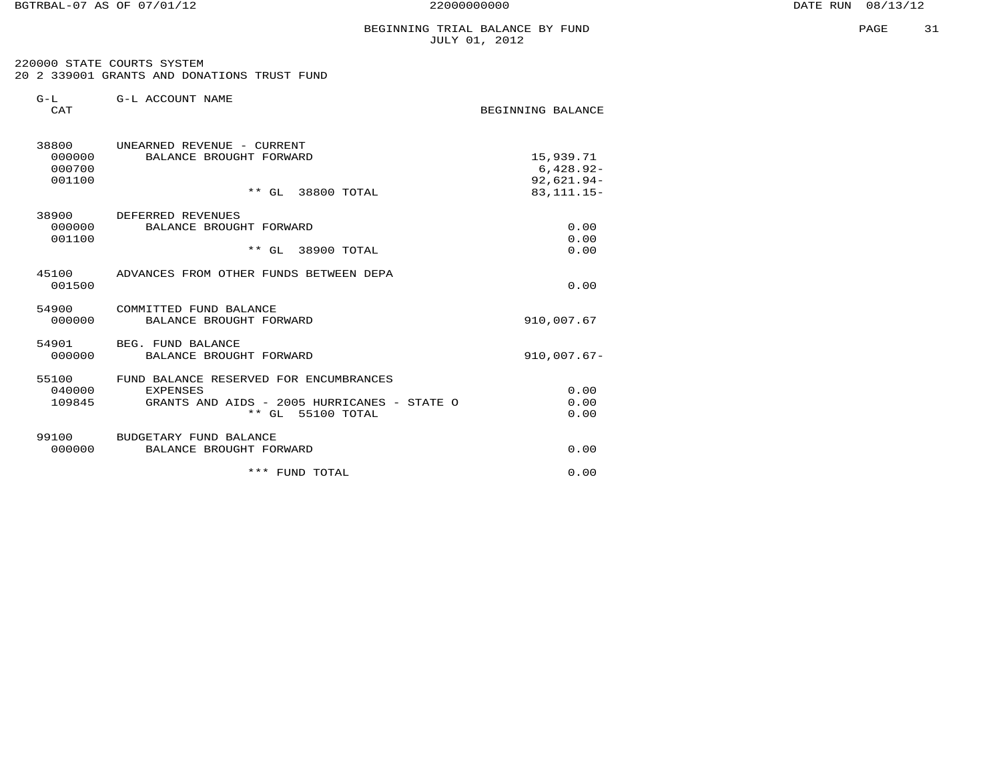BGTRBAL-07 AS OF 07/01/12 22000000000 DATE RUN 08/13/12

#### BEGINNING TRIAL BALANCE BY FUND JULY 01, 2012

 220000 STATE COURTS SYSTEM 20 2 339001 GRANTS AND DONATIONS TRUST FUND

| $G-L$<br><b>CAT</b>                 | G-L ACCOUNT NAME                                                                                                              | BEGINNING BALANCE                                        |
|-------------------------------------|-------------------------------------------------------------------------------------------------------------------------------|----------------------------------------------------------|
| 38800<br>000000<br>000700<br>001100 | UNEARNED REVENUE - CURRENT<br>BALANCE BROUGHT FORWARD<br>** GL 38800 TOTAL                                                    | 15,939.71<br>$6,428.92-$<br>$92,621.94-$<br>83, 111. 15- |
| 38900<br>000000<br>001100           | DEFERRED REVENUES<br>BALANCE BROUGHT FORWARD<br>** GL 38900 TOTAL                                                             | 0.00<br>0.00<br>0.00                                     |
| 001500                              | 45100 ADVANCES FROM OTHER FUNDS BETWEEN DEPA                                                                                  | 0.00                                                     |
| 54900<br>000000                     | COMMITTED FUND BALANCE<br>BALANCE BROUGHT FORWARD                                                                             | 910,007.67                                               |
| 54901<br>000000                     | BEG. FUND BALANCE<br>BALANCE BROUGHT FORWARD                                                                                  | $910,007.67 -$                                           |
| 55100<br>040000<br>109845           | FUND BALANCE RESERVED FOR ENCUMBRANCES<br><b>EXPENSES</b><br>GRANTS AND AIDS - 2005 HURRICANES - STATE O<br>** GL 55100 TOTAL | 0.00<br>0.00<br>0.00                                     |
| 99100<br>000000                     | BUDGETARY FUND BALANCE<br>BALANCE BROUGHT FORWARD                                                                             | 0.00                                                     |
|                                     | ***<br>FUND TOTAL                                                                                                             | 0.00                                                     |
|                                     |                                                                                                                               |                                                          |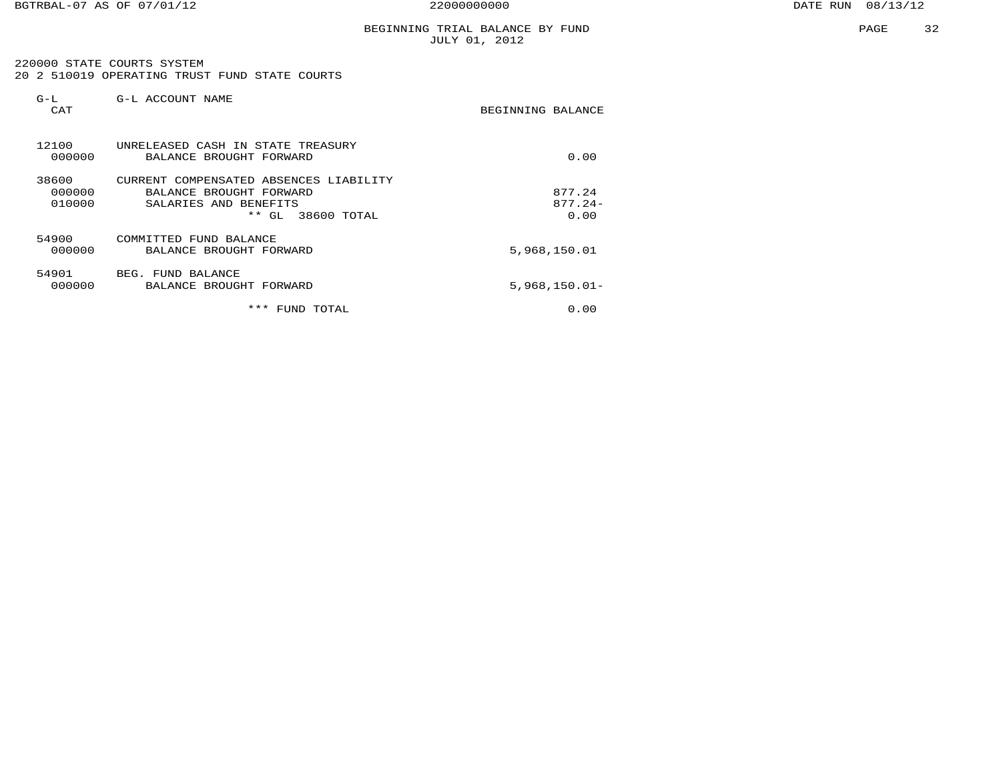220000 STATE COURTS SYSTEM 20 2 510019 OPERATING TRUST FUND STATE COURTS

| G-L<br>CAT                | G-L ACCOUNT NAME                                                                                                       | BEGINNING BALANCE           |
|---------------------------|------------------------------------------------------------------------------------------------------------------------|-----------------------------|
| 12100<br>000000           | UNRELEASED CASH IN STATE TREASURY<br>BALANCE BROUGHT FORWARD                                                           | 0.00                        |
| 38600<br>000000<br>010000 | CURRENT COMPENSATED ABSENCES LIABILITY<br>BALANCE BROUGHT FORWARD<br>SALARIES AND BENEFITS<br>* *<br>38600 TOTAL<br>GL | 877.24<br>$877.24-$<br>0.00 |
| 54900<br>000000           | COMMITTED FUND BALANCE<br>BALANCE BROUGHT FORWARD                                                                      | 5,968,150.01                |
| 54901<br>000000           | BEG. FUND BALANCE<br>BALANCE BROUGHT FORWARD                                                                           | $5,968,150.01 -$            |
|                           | ***<br>FUND<br>TOTAL                                                                                                   | 0.00                        |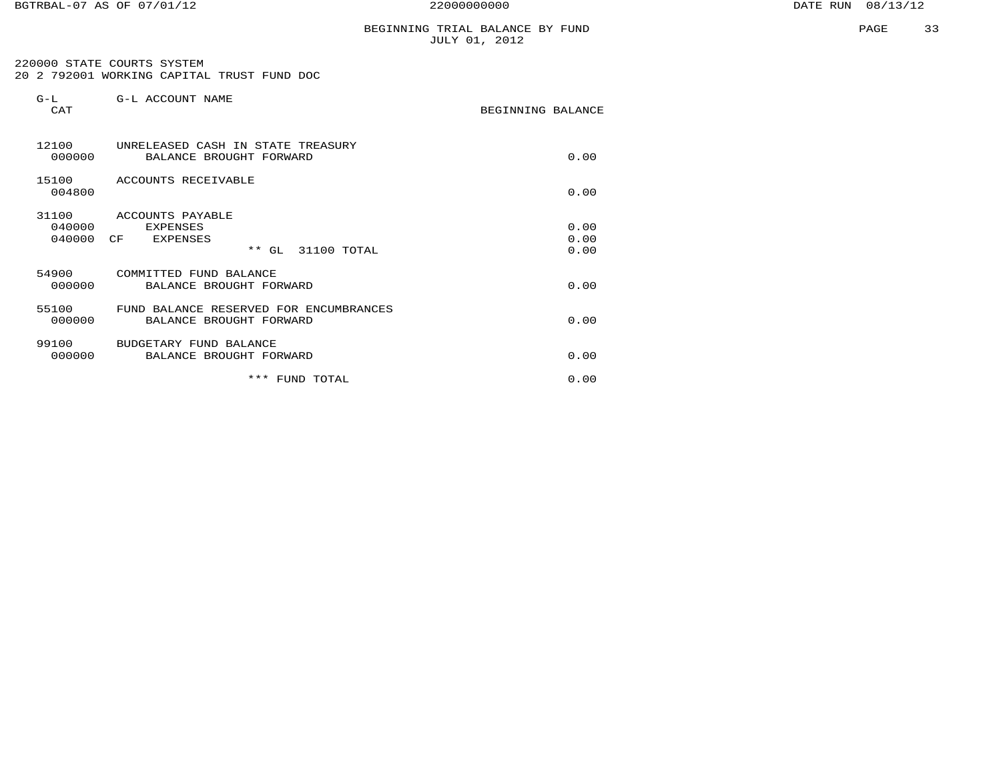220000 STATE COURTS SYSTEM 20 2 792001 WORKING CAPITAL TRUST FUND DOC

| $G-L$<br>CAT              | G-L ACCOUNT NAME                                                                       | BEGINNING BALANCE    |
|---------------------------|----------------------------------------------------------------------------------------|----------------------|
| 12100<br>000000           | UNRELEASED CASH IN STATE TREASURY<br>BALANCE BROUGHT FORWARD                           | 0.00                 |
| 15100<br>004800           | ACCOUNTS RECEIVABLE                                                                    | 0.00                 |
| 31100<br>040000<br>040000 | ACCOUNTS PAYABLE<br><b>EXPENSES</b><br>CF<br><b>EXPENSES</b><br>$**$ GL<br>31100 TOTAL | 0.00<br>0.00<br>0.00 |
| 54900<br>000000           | COMMITTED FUND BALANCE<br>BALANCE BROUGHT FORWARD                                      | 0.00                 |
| 55100<br>000000           | FUND BALANCE RESERVED FOR ENCUMBRANCES<br>BALANCE BROUGHT FORWARD                      | 0.00                 |
| 99100<br>000000           | BUDGETARY FUND BALANCE<br>BALANCE BROUGHT FORWARD                                      | 0.00                 |
|                           | *** FUND TOTAL                                                                         | 0.00                 |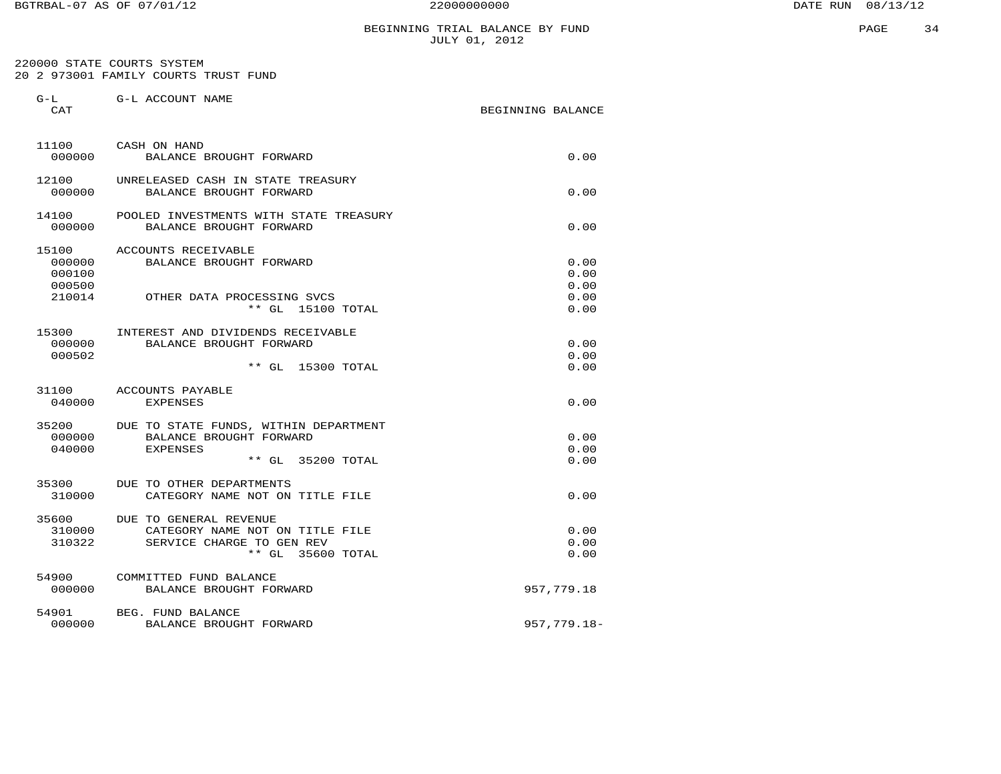# BEGINNING TRIAL BALANCE BY FUND JULY 01, 2012

 220000 STATE COURTS SYSTEM 20 2 973001 FAMILY COURTS TRUST FUND

G-L G-L ACCOUNT NAME

| CAT              |                                                             | BEGINNING BALANCE |
|------------------|-------------------------------------------------------------|-------------------|
| 11100            | CASH ON HAND                                                |                   |
| 000000           | BALANCE BROUGHT FORWARD                                     | 0.00              |
| 12100            | UNRELEASED CASH IN STATE TREASURY                           |                   |
| 000000           | BALANCE BROUGHT FORWARD                                     | 0.00              |
| 14100            | POOLED INVESTMENTS WITH STATE TREASURY                      |                   |
| 000000           | BALANCE BROUGHT FORWARD                                     | 0.00              |
| 15100            | ACCOUNTS RECEIVABLE                                         |                   |
| 000000           | BALANCE BROUGHT FORWARD                                     | 0.00              |
| 000100<br>000500 |                                                             | 0.00<br>0.00      |
| 210014           | OTHER DATA PROCESSING SVCS                                  | 0.00              |
|                  | $**$ GL<br>15100 TOTAL                                      | 0.00              |
| 15300            | INTEREST AND DIVIDENDS RECEIVABLE                           |                   |
| 000000           | BALANCE BROUGHT FORWARD                                     | 0.00              |
| 000502           |                                                             | 0.00              |
|                  | $**$ GL<br>15300 TOTAL                                      | 0.00              |
| 31100            | ACCOUNTS PAYABLE                                            |                   |
| 040000           | <b>EXPENSES</b>                                             | 0.00              |
| 35200            | DUE TO STATE FUNDS, WITHIN DEPARTMENT                       |                   |
| 000000           | BALANCE BROUGHT FORWARD                                     | 0.00              |
| 040000           | <b>EXPENSES</b><br>** GL 35200 TOTAL                        | 0.00<br>0.00      |
|                  |                                                             |                   |
| 35300<br>310000  | DUE TO OTHER DEPARTMENTS<br>CATEGORY NAME NOT ON TITLE FILE | 0.00              |
|                  |                                                             |                   |
| 35600<br>310000  | DUE TO GENERAL REVENUE<br>CATEGORY NAME NOT ON TITLE FILE   | 0.00              |
| 310322           | SERVICE CHARGE TO GEN REV                                   | 0.00              |
|                  | $**$ GL<br>35600 TOTAL                                      | 0.00              |
| 54900            | COMMITTED FUND BALANCE                                      |                   |
| 000000           | BALANCE BROUGHT FORWARD                                     | 957,779.18        |
| 54901            | BEG. FUND BALANCE                                           |                   |
| 000000           | BALANCE BROUGHT FORWARD                                     | 957,779.18-       |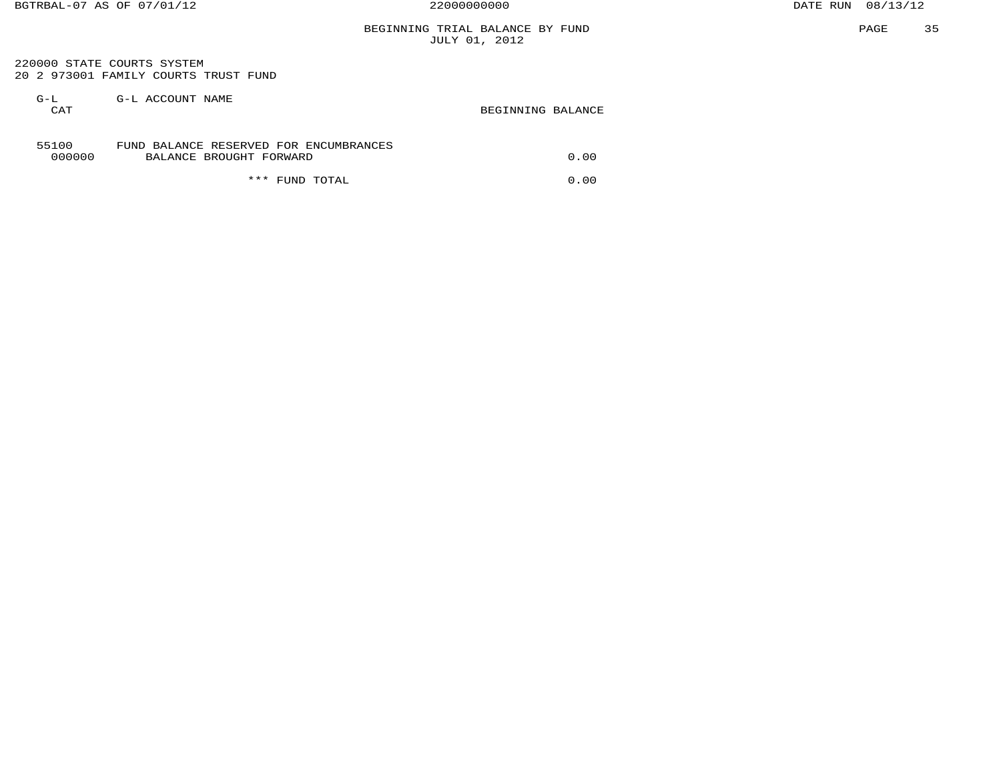# BEGINNING TRIAL BALANCE BY FUND JULY 01, 2012

 220000 STATE COURTS SYSTEM 20 2 973001 FAMILY COURTS TRUST FUND

| $G-L$<br>CAT    | G-L ACCOUNT NAME                                                  | BEGINNING BALANCE |
|-----------------|-------------------------------------------------------------------|-------------------|
| 55100<br>000000 | FUND BALANCE RESERVED FOR ENCUMBRANCES<br>BALANCE BROUGHT FORWARD | 0.00              |
|                 | ***<br>TOTAL<br>FUND                                              | 0.00              |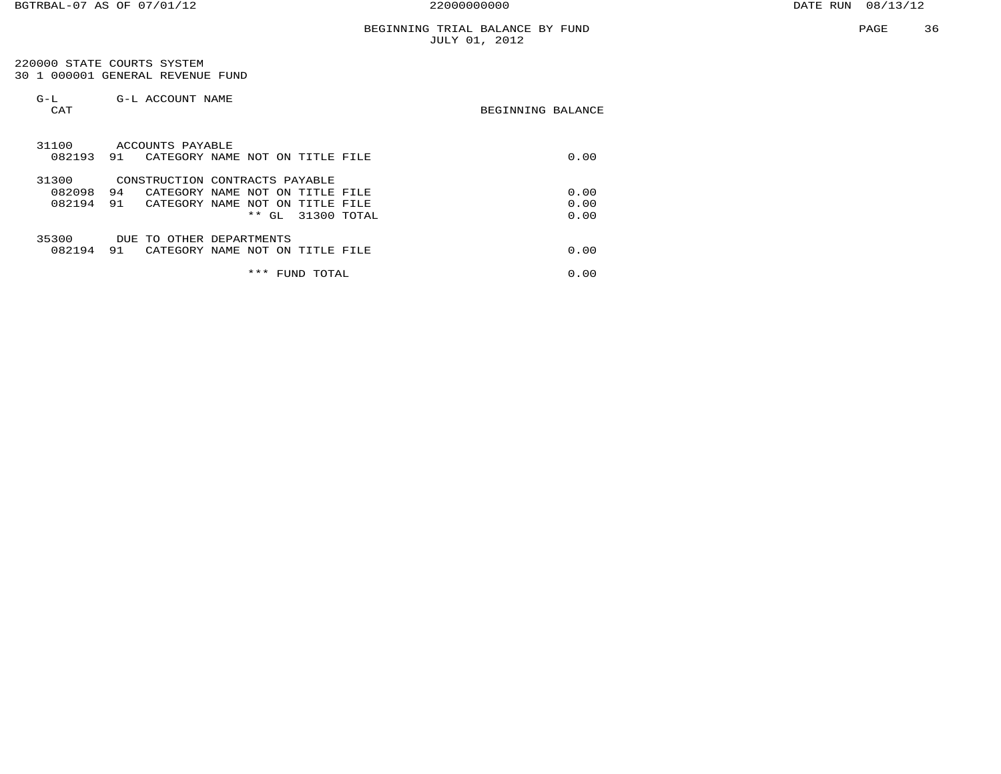220000 STATE COURTS SYSTEM 30 1 000001 GENERAL REVENUE FUND

| $G-L$<br>CAT              | G-L ACCOUNT NAME          |                                                                                                                                      | BEGINNING BALANCE    |  |
|---------------------------|---------------------------|--------------------------------------------------------------------------------------------------------------------------------------|----------------------|--|
| 31100<br>082193           | ACCOUNTS PAYABLE<br>91    | CATEGORY NAME NOT ON TITLE<br>FILE                                                                                                   | 0.00                 |  |
| 31300<br>082098<br>082194 | 94<br>91<br>CATEGORY NAME | CONSTRUCTION CONTRACTS PAYABLE<br>CATEGORY NAME NOT ON<br>TTTLE.<br>FTLE<br>NOT<br>ON<br>TITLE<br>FILE<br>31300 TOTAL<br>$***$<br>GL | 0.00<br>0.00<br>0.00 |  |
| 35300<br>082194           | DUE.<br>TO<br>91          | OTHER DEPARTMENTS<br>CATEGORY NAME NOT ON TITLE FILE<br>***<br>TOTAL<br>FUND                                                         | 0.00<br>0.00         |  |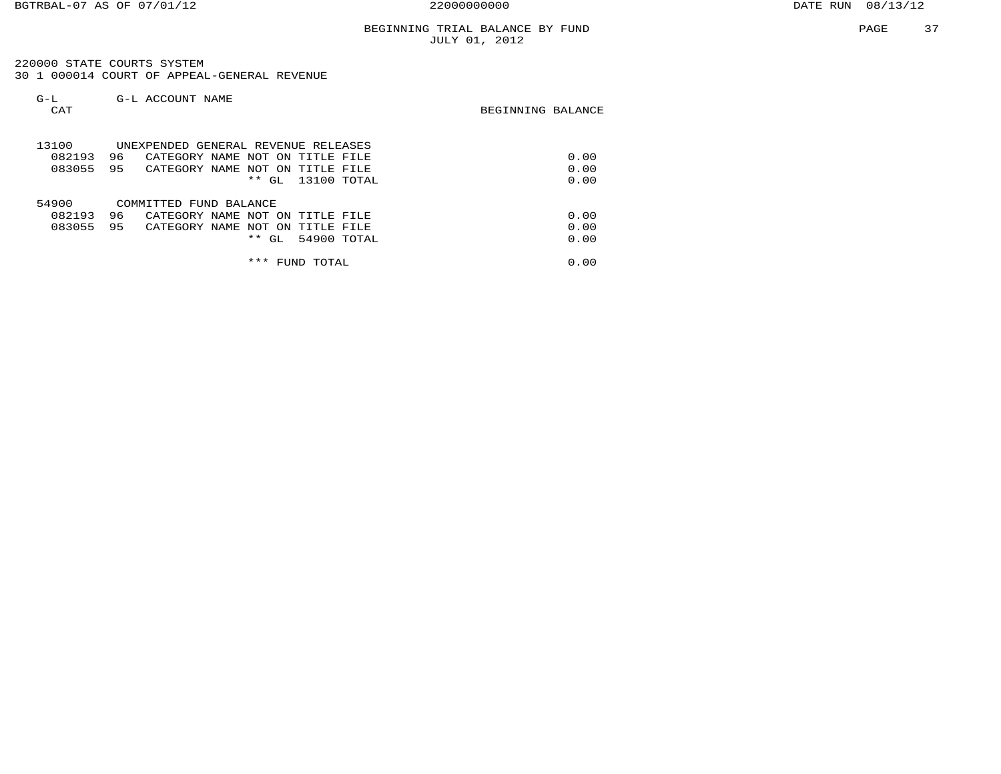220000 STATE COURTS SYSTEM 30 1 000014 COURT OF APPEAL-GENERAL REVENUE

| $G-L$<br>CAT | G-L ACCOUNT NAME                         | BEGINNING BALANCE |
|--------------|------------------------------------------|-------------------|
| 13100        | UNEXPENDED GENERAL REVENUE RELEASES      |                   |
| 082193       | 96<br>CATEGORY NAME NOT ON TITLE FILE    | 0.00              |
| 083055       | 95<br>CATEGORY NAME NOT ON TITLE FILE    | 0.00              |
|              | $***$ GL<br>13100 TOTAL                  | 0.00              |
| 54900        | COMMITTED FUND BALANCE                   |                   |
| 082193       | 96<br>CATEGORY NAME NOT ON TITLE FILE    | 0.00              |
| 083055       | 95<br>CATEGORY NAME NOT ON<br>TITLE FILE | 0.00              |
|              | 54900 TOTAL<br>$***$<br>GL               | 0.00              |
|              | ***<br>FUND TOTAL                        | 0.00              |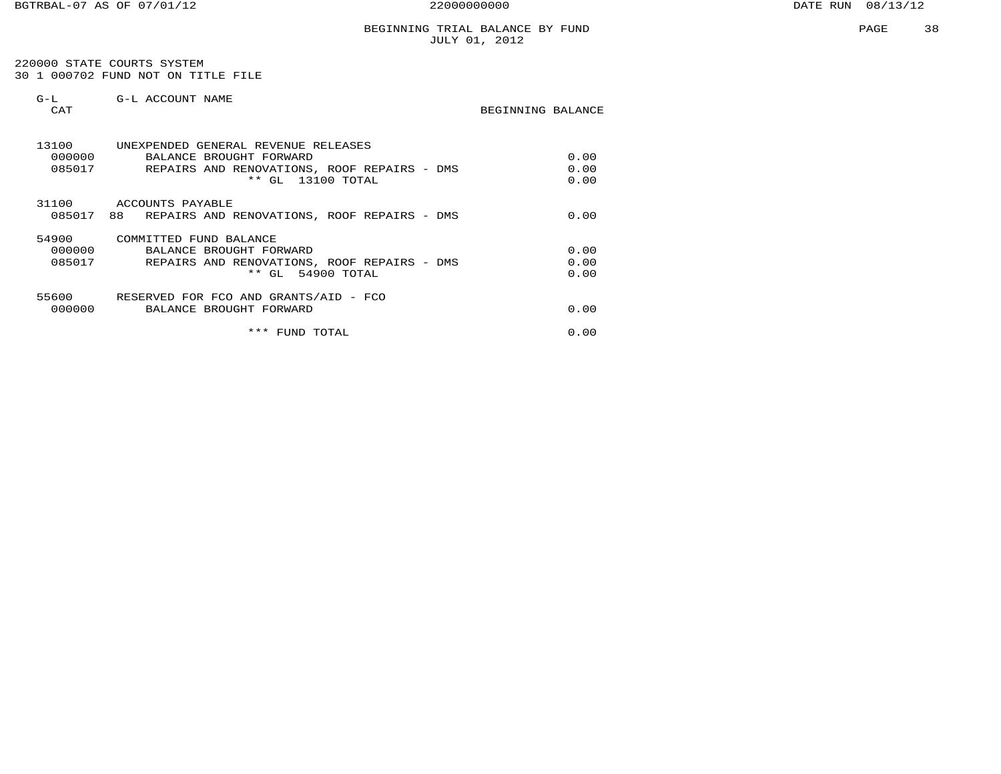220000 STATE COURTS SYSTEM 30 1 000702 FUND NOT ON TITLE FILE

| $G-L$<br>CAT              | G-L ACCOUNT NAME                                                                                                                   | BEGINNING BALANCE    |
|---------------------------|------------------------------------------------------------------------------------------------------------------------------------|----------------------|
| 13100<br>000000<br>085017 | UNEXPENDED GENERAL REVENUE RELEASES<br>BALANCE BROUGHT FORWARD<br>REPAIRS AND RENOVATIONS, ROOF REPAIRS - DMS<br>** GL 13100 TOTAL | 0.00<br>0.00<br>0.00 |
| 31100<br>085017           | ACCOUNTS PAYABLE<br>88 REPAIRS AND RENOVATIONS, ROOF REPAIRS - DMS                                                                 | 0.00                 |
| 54900<br>000000<br>085017 | COMMITTED FUND BALANCE<br>BALANCE BROUGHT FORWARD<br>REPAIRS AND RENOVATIONS, ROOF REPAIRS - DMS<br>** GL 54900 TOTAL              | 0.00<br>0.00<br>0.00 |
| 000000                    | 55600 RESERVED FOR FCO AND GRANTS/AID - FCO<br>BALANCE BROUGHT FORWARD                                                             | 0.00                 |
|                           | * * *<br>FUND TOTAL                                                                                                                | 0.00                 |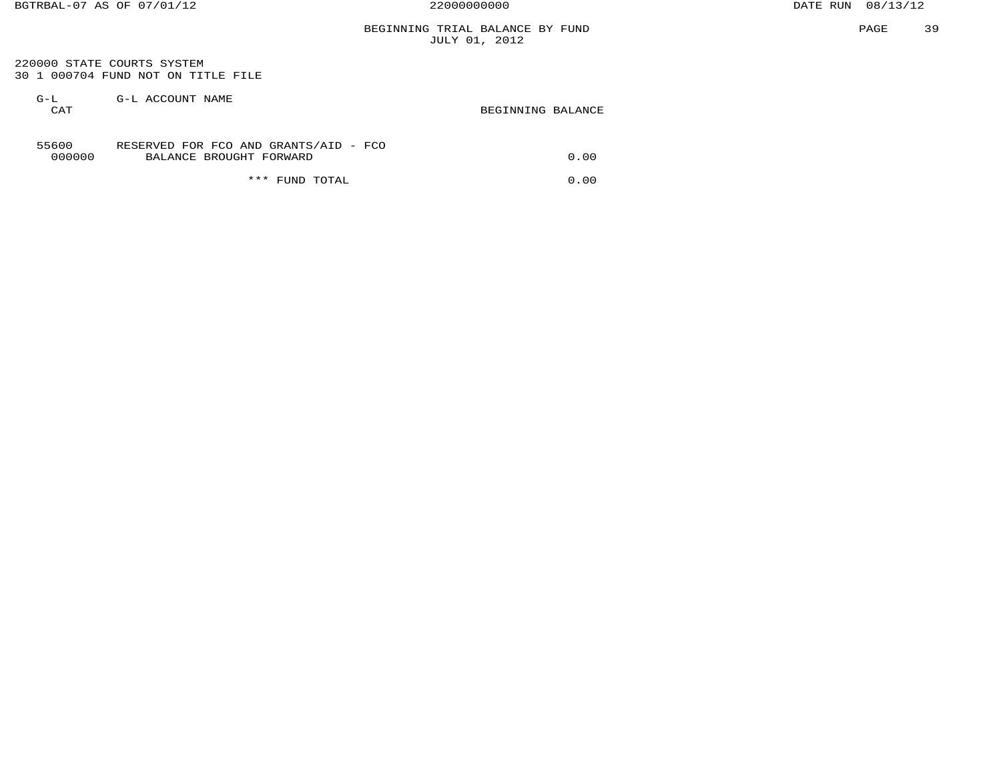BEGINNING TRIAL BALANCE BY FUND JULY 01, 2012

 220000 STATE COURTS SYSTEM 30 1 000704 FUND NOT ON TITLE FILE

| G-L<br>CAT      | G-L ACCOUNT NAME                                                 | BEGINNING BALANCE |
|-----------------|------------------------------------------------------------------|-------------------|
| 55600<br>000000 | RESERVED FOR FCO AND GRANTS/AID - FCO<br>BALANCE BROUGHT FORWARD | 0.00              |
|                 | *** FUND TOTAL                                                   | 0.00              |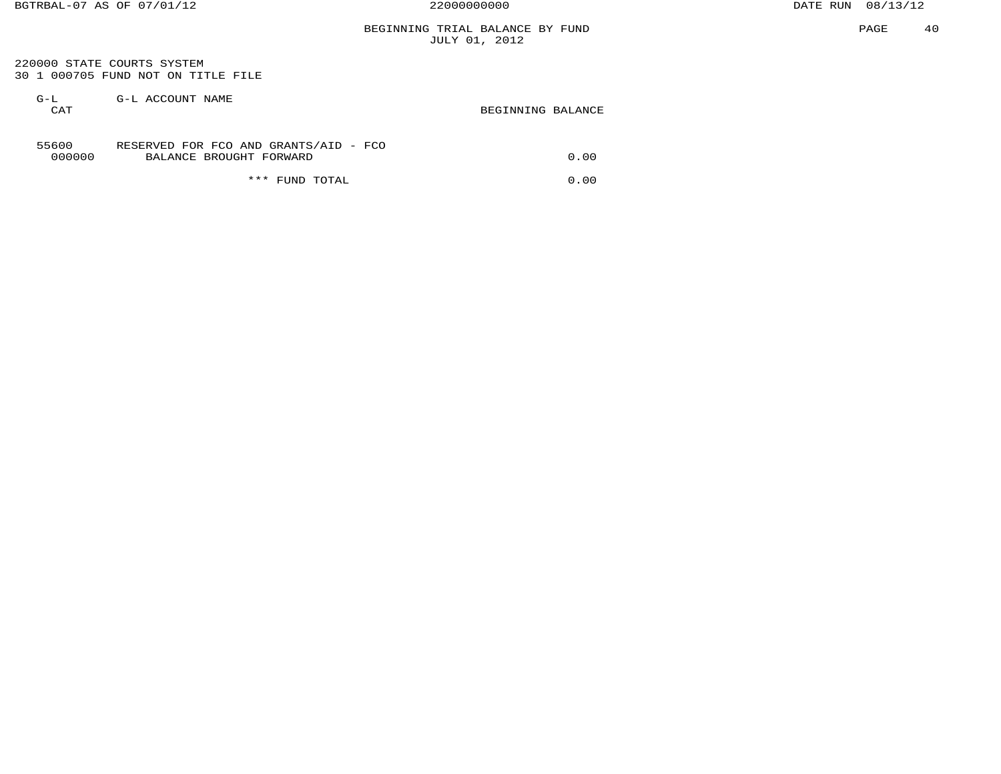BEGINNING TRIAL BALANCE BY FUND JULY 01, 2012

 220000 STATE COURTS SYSTEM 30 1 000705 FUND NOT ON TITLE FILE

| $G-L$<br>CAT    | G-L ACCOUNT NAME                                                 | BEGINNING BALANCE |
|-----------------|------------------------------------------------------------------|-------------------|
| 55600<br>000000 | RESERVED FOR FCO AND GRANTS/AID - FCO<br>BALANCE BROUGHT FORWARD | 0.00              |
|                 | * * *<br>FUND TOTAL                                              | 0.00              |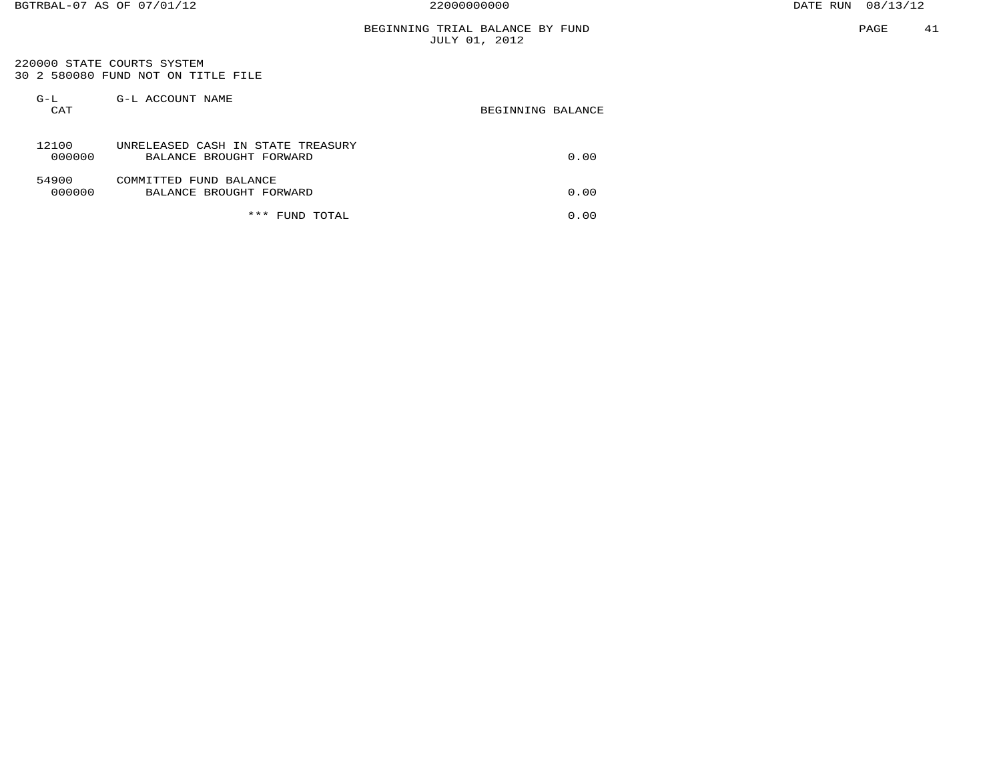## BEGINNING TRIAL BALANCE BY FUND JULY 01, 2012

 220000 STATE COURTS SYSTEM 30 2 580080 FUND NOT ON TITLE FILE

| $G-L$<br>CAT    | G-L ACCOUNT NAME                                             | BEGINNING BALANCE |
|-----------------|--------------------------------------------------------------|-------------------|
| 12100<br>000000 | UNRELEASED CASH IN STATE TREASURY<br>BALANCE BROUGHT FORWARD | 0.00              |
| 54900<br>000000 | COMMITTED FUND BALANCE<br>BALANCE BROUGHT FORWARD            | 0.00              |
|                 | ***<br>TOTAL<br>FUND                                         | 0.00              |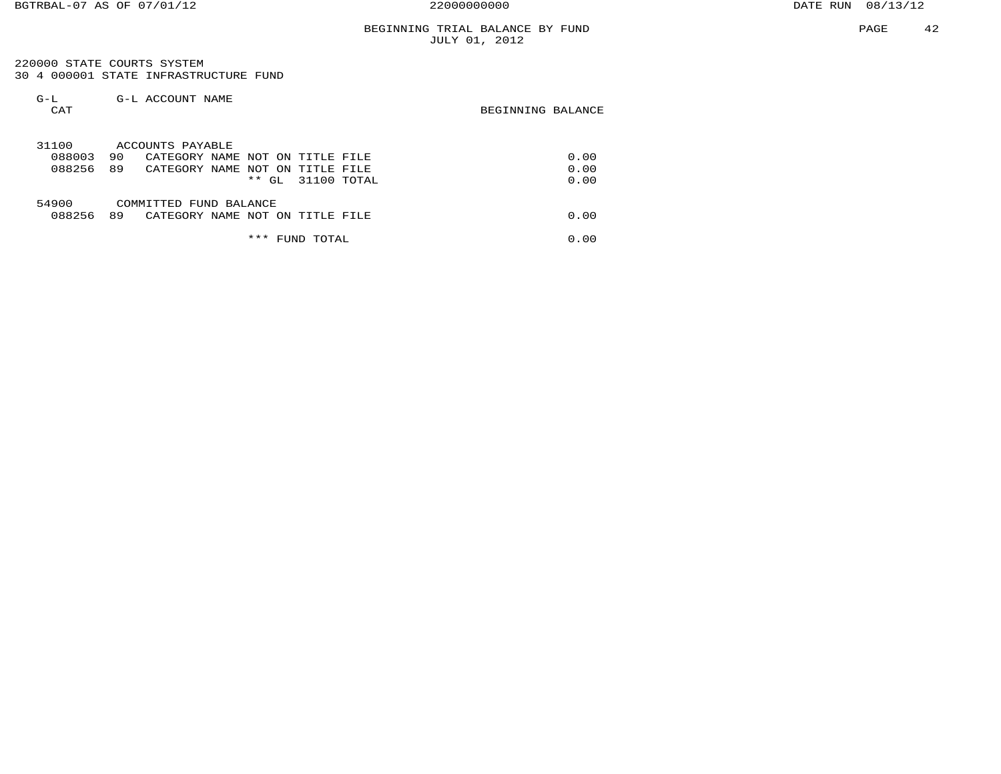220000 STATE COURTS SYSTEM 30 4 000001 STATE INFRASTRUCTURE FUND

| $G-L$<br>CAT | G-L ACCOUNT NAME                            | BEGINNING BALANCE |
|--------------|---------------------------------------------|-------------------|
| 31100        | ACCOUNTS PAYABLE                            |                   |
| 088003       | 90<br>CATEGORY NAME NOT ON<br>TITLE FILE    | 0.00              |
| 088256       | 89<br>CATEGORY NAME<br>NOT ON<br>TITLE FILE | 0.00              |
|              | $***$<br>31100 TOTAL<br>GL.                 | 0.00              |
| 54900        | COMMITTED FUND BALANCE                      |                   |
| 088256       | 89<br>CATEGORY NAME NOT ON TITLE FILE       | 0.00              |
|              | ***<br>TOTAL<br>FUND                        | 0.00              |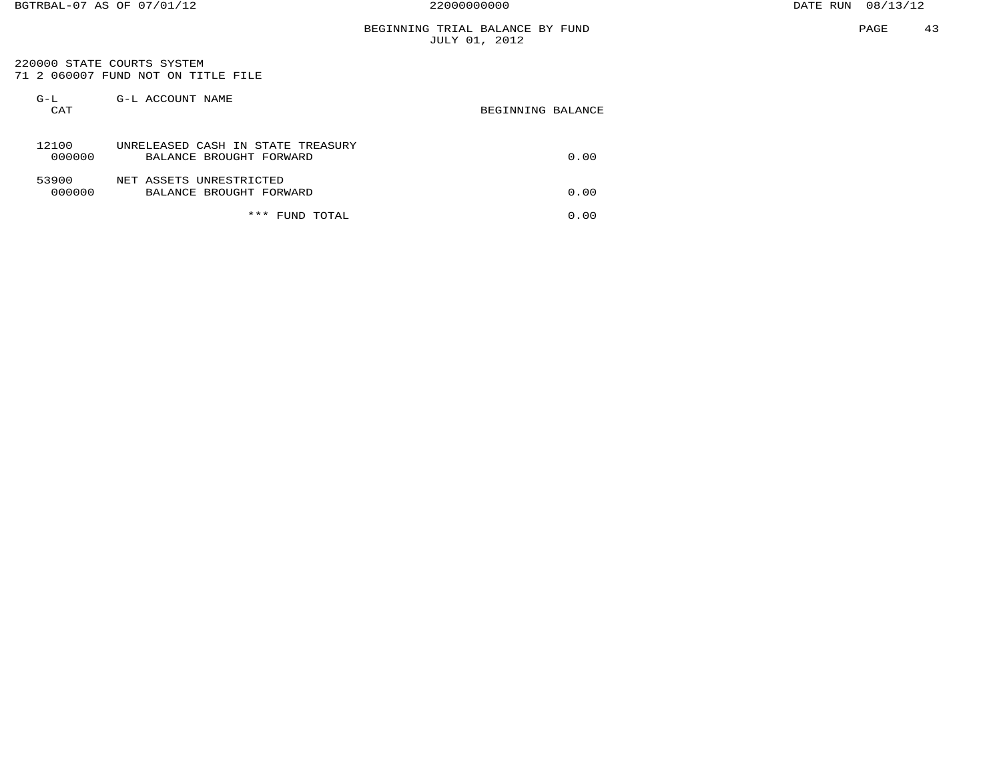# BEGINNING TRIAL BALANCE BY FUND JULY 01, 2012

 220000 STATE COURTS SYSTEM 71 2 060007 FUND NOT ON TITLE FILE

| $G-L$<br>CAT    | G-L ACCOUNT NAME                                             | BEGINNING BALANCE |
|-----------------|--------------------------------------------------------------|-------------------|
| 12100<br>000000 | UNRELEASED CASH IN STATE TREASURY<br>BALANCE BROUGHT FORWARD | 0.00              |
| 53900<br>000000 | NET ASSETS UNRESTRICTED<br>BALANCE BROUGHT FORWARD           | 0.00              |
|                 | ***<br>TOTAL<br>FUND                                         | 0.00              |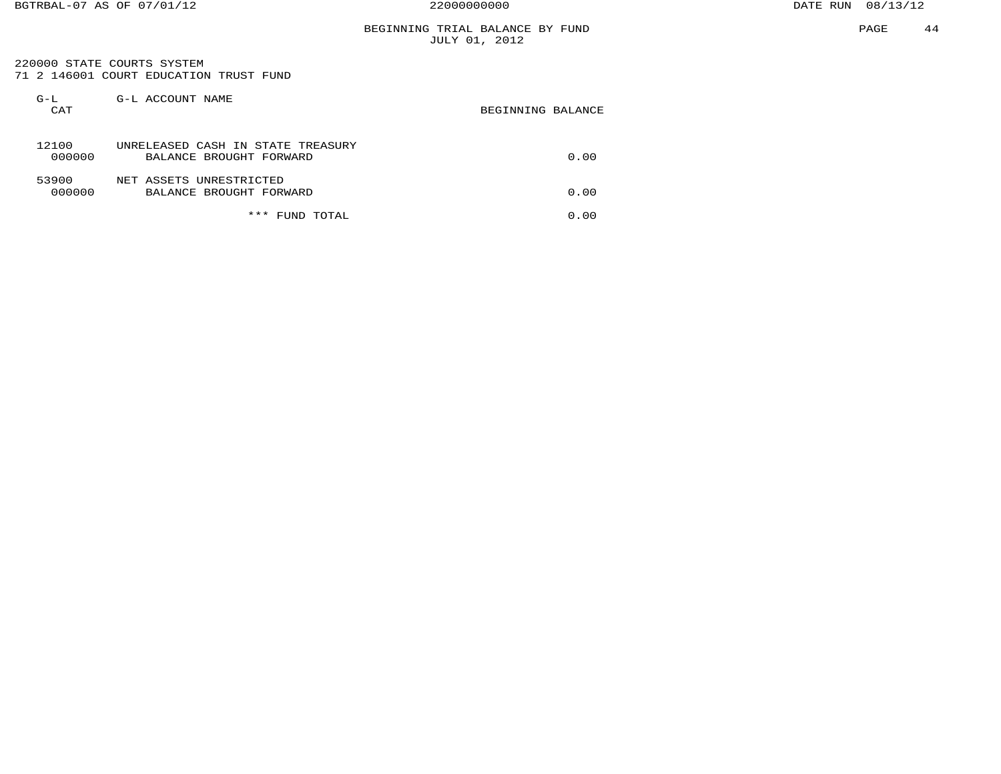## BEGINNING TRIAL BALANCE BY FUND JULY 01, 2012

 220000 STATE COURTS SYSTEM 71 2 146001 COURT EDUCATION TRUST FUND

| $G-L$<br>CAT    | G-L ACCOUNT NAME                                             | BEGINNING BALANCE |
|-----------------|--------------------------------------------------------------|-------------------|
| 12100<br>000000 | UNRELEASED CASH IN STATE TREASURY<br>BALANCE BROUGHT FORWARD | 0.00              |
| 53900<br>000000 | NET ASSETS UNRESTRICTED<br>BALANCE BROUGHT FORWARD           | 0.00              |
|                 | ***<br>TOTAL<br>FUND                                         | 0.00              |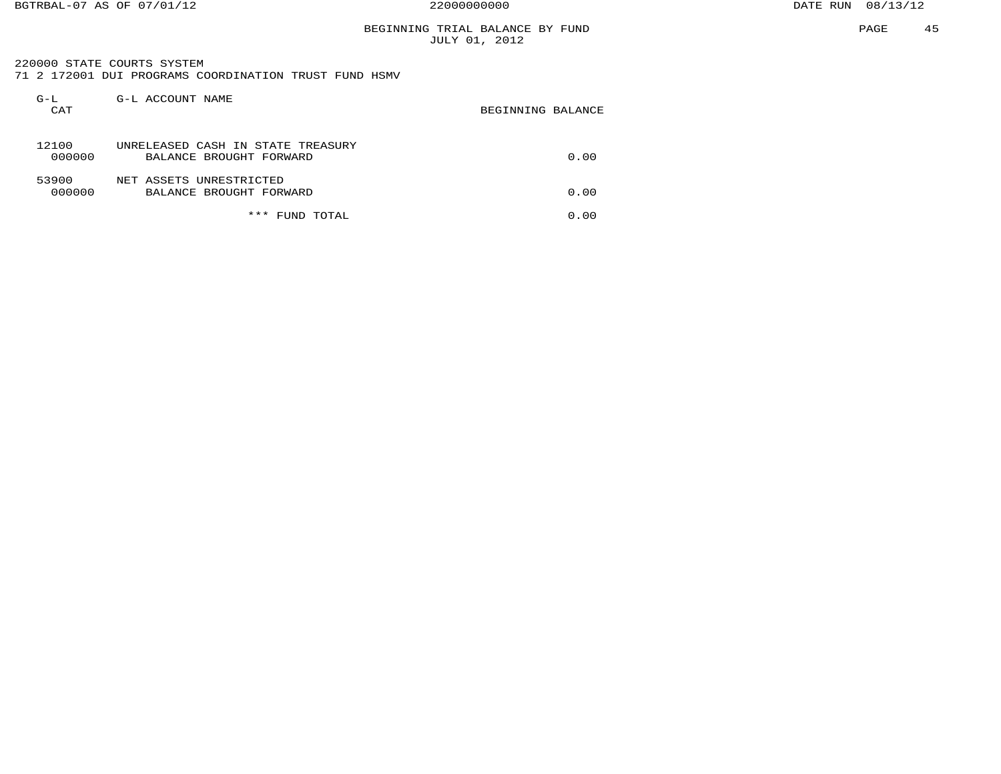## BEGINNING TRIAL BALANCE BY FUND JULY 01, 2012

 220000 STATE COURTS SYSTEM71 2 172001 DUI PROGRAMS COORDINATION TRUST FUND HSMV

| $G-L$<br>CAT    | G-L ACCOUNT NAME                                             | BEGINNING BALANCE |
|-----------------|--------------------------------------------------------------|-------------------|
| 12100<br>000000 | UNRELEASED CASH IN STATE TREASURY<br>BALANCE BROUGHT FORWARD | 0.00              |
| 53900<br>000000 | NET ASSETS UNRESTRICTED<br>BALANCE BROUGHT FORWARD           | 0.00              |
|                 | ***<br>TOTAL<br>FUND                                         | 0.00              |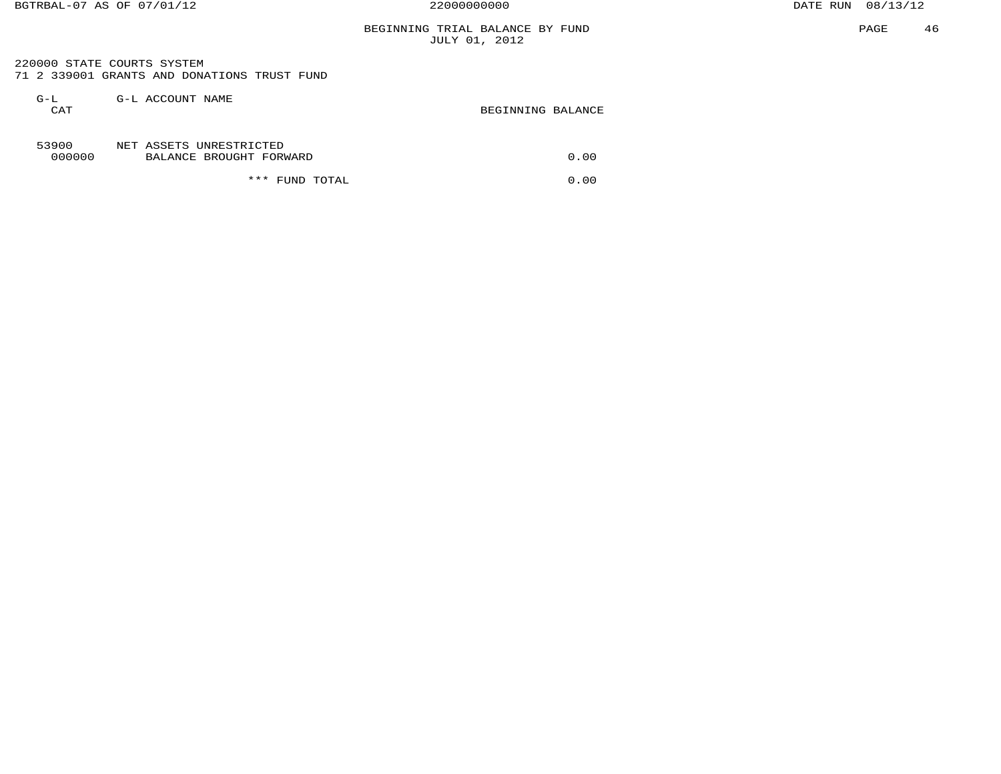## BEGINNING TRIAL BALANCE BY FUND JULY 01, 2012

 220000 STATE COURTS SYSTEM 71 2 339001 GRANTS AND DONATIONS TRUST FUND

| $G-L$<br>CAT    | G-L ACCOUNT NAME                                   | BEGINNING BALANCE |
|-----------------|----------------------------------------------------|-------------------|
| 53900<br>000000 | NET ASSETS UNRESTRICTED<br>BALANCE BROUGHT FORWARD | 0.00              |
|                 | *** FUND TOTAL                                     | 0.00              |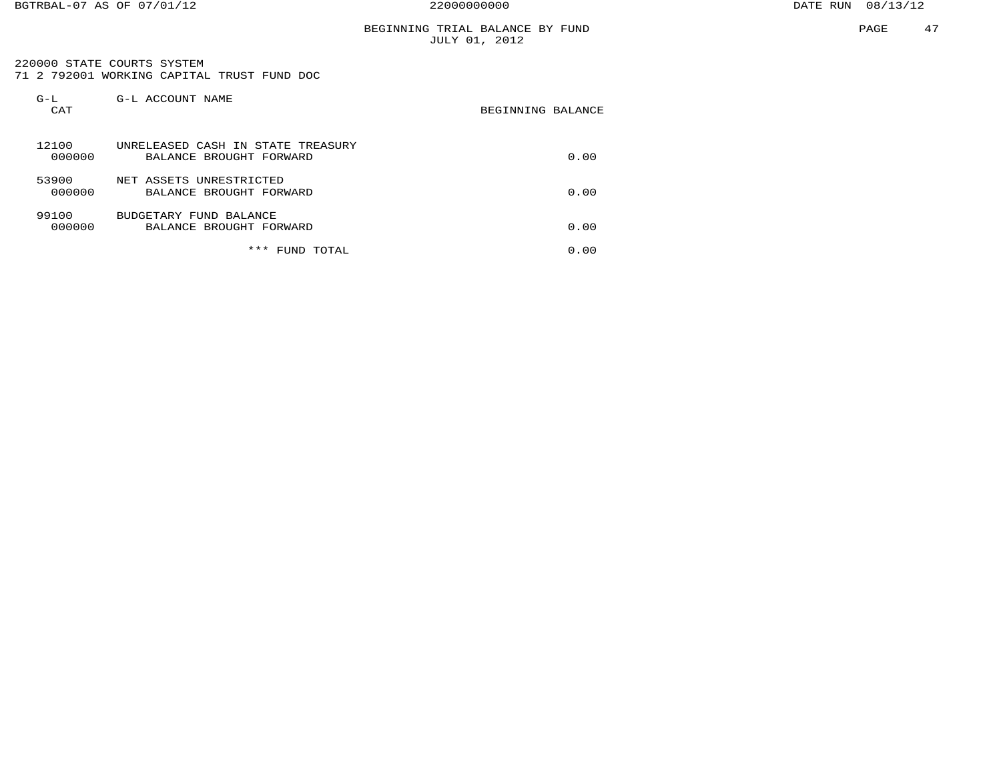## BEGINNING TRIAL BALANCE BY FUND JULY 01, 2012

 220000 STATE COURTS SYSTEM 71 2 792001 WORKING CAPITAL TRUST FUND DOC

| $G-L$<br>CAT    | G-L ACCOUNT NAME                                             | BEGINNING BALANCE |
|-----------------|--------------------------------------------------------------|-------------------|
| 12100<br>000000 | UNRELEASED CASH IN STATE TREASURY<br>BALANCE BROUGHT FORWARD | 0.00              |
| 53900<br>000000 | NET ASSETS UNRESTRICTED<br>BALANCE BROUGHT FORWARD           | 0.00              |
| 99100<br>000000 | BUDGETARY FUND BALANCE<br>BALANCE BROUGHT FORWARD            | 0.00              |
|                 | ***<br>TOTAL<br><b>FUND</b>                                  | 0.00              |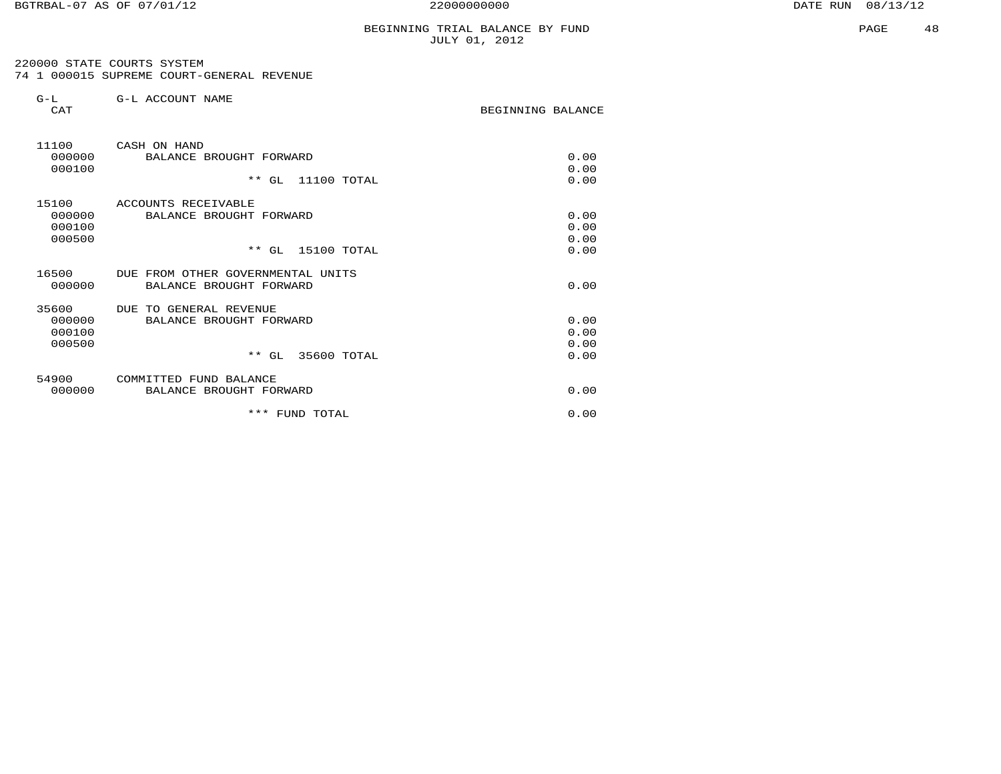BEGINNING BALANCE

 220000 STATE COURTS SYSTEM 74 1 000015 SUPREME COURT-GENERAL REVENUE

| $G-L$ | G-L ACCOUNT NAME |  |
|-------|------------------|--|
| CAT   |                  |  |

| 11100<br>000000<br>000100           | CASH ON HAND<br>BALANCE BROUGHT FORWARD<br>$***$<br>11100 TOTAL<br>GL          | 0.00<br>0.00<br>0.00         |
|-------------------------------------|--------------------------------------------------------------------------------|------------------------------|
| 15100<br>000000<br>000100<br>000500 | ACCOUNTS RECEIVABLE<br>BALANCE BROUGHT FORWARD<br>$**$ GL<br>15100 TOTAL       | 0.00<br>0.00<br>0.00<br>0.00 |
| 16500<br>000000                     | DUE FROM OTHER GOVERNMENTAL UNITS<br>BALANCE BROUGHT FORWARD                   | 0.00                         |
| 35600<br>000000<br>000100<br>000500 | DUE TO<br>GENERAL REVENUE<br>BALANCE BROUGHT FORWARD<br>$**$ GL<br>35600 TOTAL | 0.00<br>0.00<br>0.00<br>0.00 |
| 54900<br>000000                     | COMMITTED<br>FUND BALANCE<br>BROUGHT FORWARD<br><b>BALANCE</b>                 | 0.00                         |
|                                     | ***<br>FUND<br>TOTAL                                                           | 0.00                         |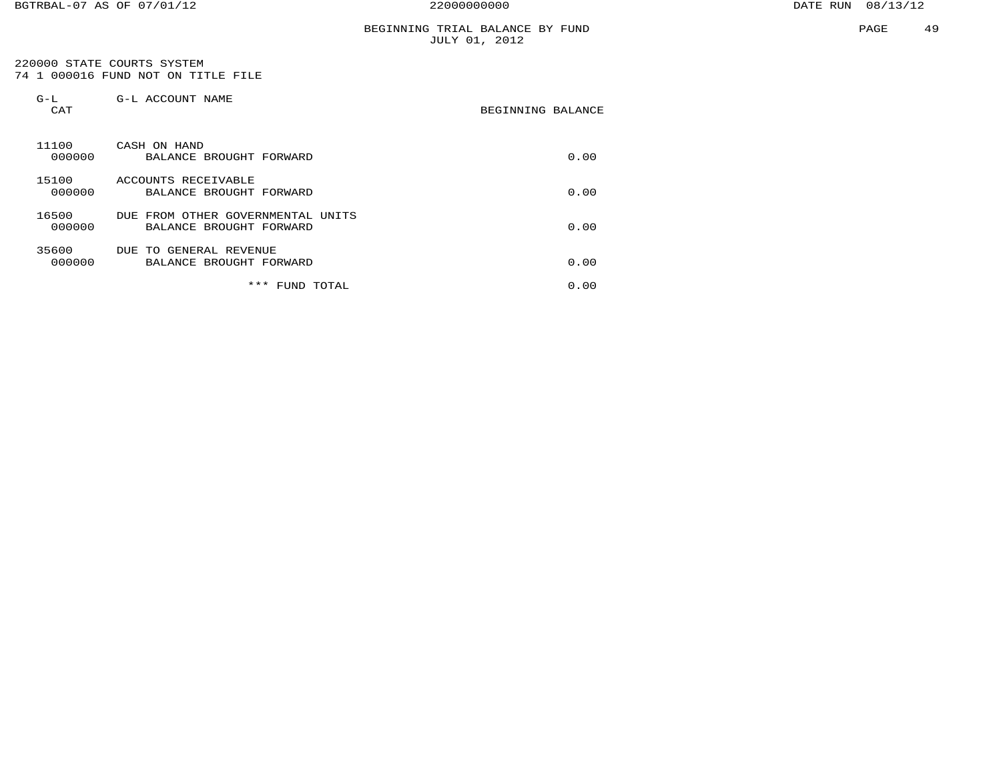## BEGINNING TRIAL BALANCE BY FUND JULY 01, 2012

 220000 STATE COURTS SYSTEM 74 1 000016 FUND NOT ON TITLE FILE

| $G-L$<br>CAT    | G-L ACCOUNT NAME                                                      | BEGINNING BALANCE |
|-----------------|-----------------------------------------------------------------------|-------------------|
| 11100<br>000000 | CASH ON HAND<br>BALANCE BROUGHT FORWARD                               | 0.00              |
| 15100<br>000000 | ACCOUNTS RECEIVABLE<br>BALANCE BROUGHT FORWARD                        | 0.00              |
| 16500<br>000000 | OTHER GOVERNMENTAL<br>DUE<br>FROM<br>UNITS<br>BALANCE BROUGHT FORWARD | 0.00              |
| 35600<br>000000 | GENERAL REVENUE<br>DUE TO<br>BALANCE BROUGHT FORWARD                  | 0.00              |
|                 | ***<br>FUND<br>TOTAL                                                  | 0.00              |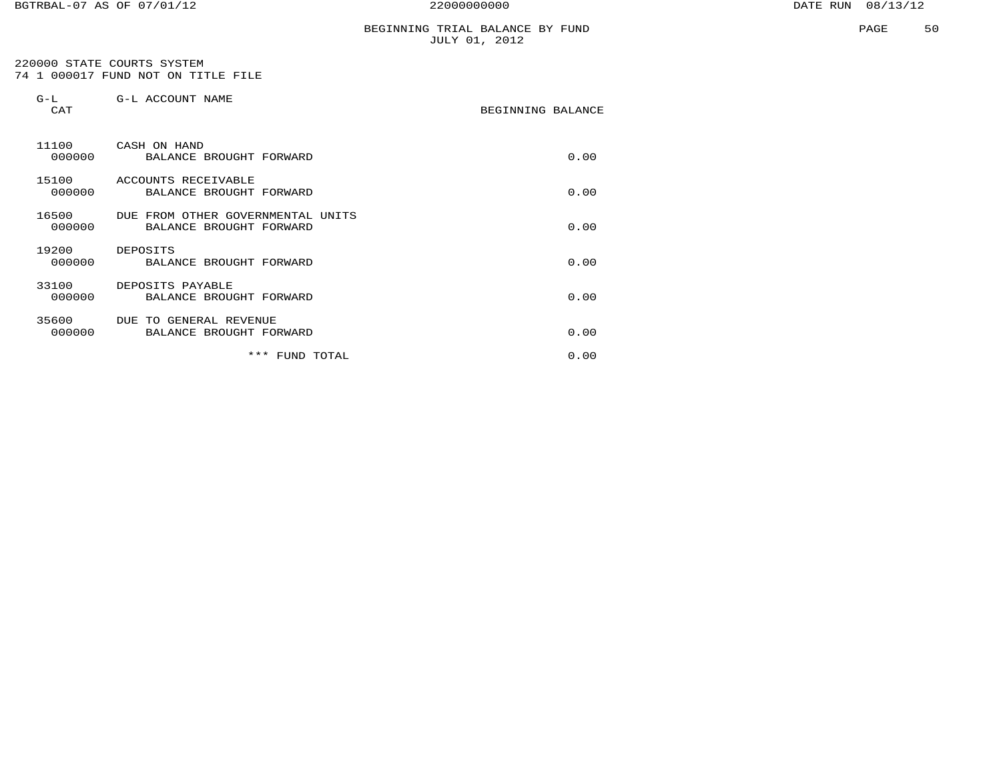## BEGINNING TRIAL BALANCE BY FUND JULY 01, 2012

 220000 STATE COURTS SYSTEM 74 1 000017 FUND NOT ON TITLE FILE

| $G-L$<br>CAT    | G-L ACCOUNT NAME                                             | BEGINNING BALANCE |      |
|-----------------|--------------------------------------------------------------|-------------------|------|
| 11100<br>000000 | CASH ON HAND<br>BALANCE BROUGHT FORWARD                      |                   | 0.00 |
| 15100<br>000000 | ACCOUNTS RECEIVABLE<br>BALANCE BROUGHT FORWARD               |                   | 0.00 |
| 16500<br>000000 | DUE FROM OTHER GOVERNMENTAL UNITS<br>BALANCE BROUGHT FORWARD |                   | 0.00 |
| 19200<br>000000 | DEPOSITS<br>BALANCE BROUGHT FORWARD                          |                   | 0.00 |
| 33100<br>000000 | DEPOSITS PAYABLE<br>BALANCE BROUGHT FORWARD                  |                   | 0.00 |
| 35600<br>000000 | DUE TO GENERAL REVENUE<br>BALANCE BROUGHT FORWARD            |                   | 0.00 |
|                 | ***<br>FUND TOTAL                                            |                   | 0.00 |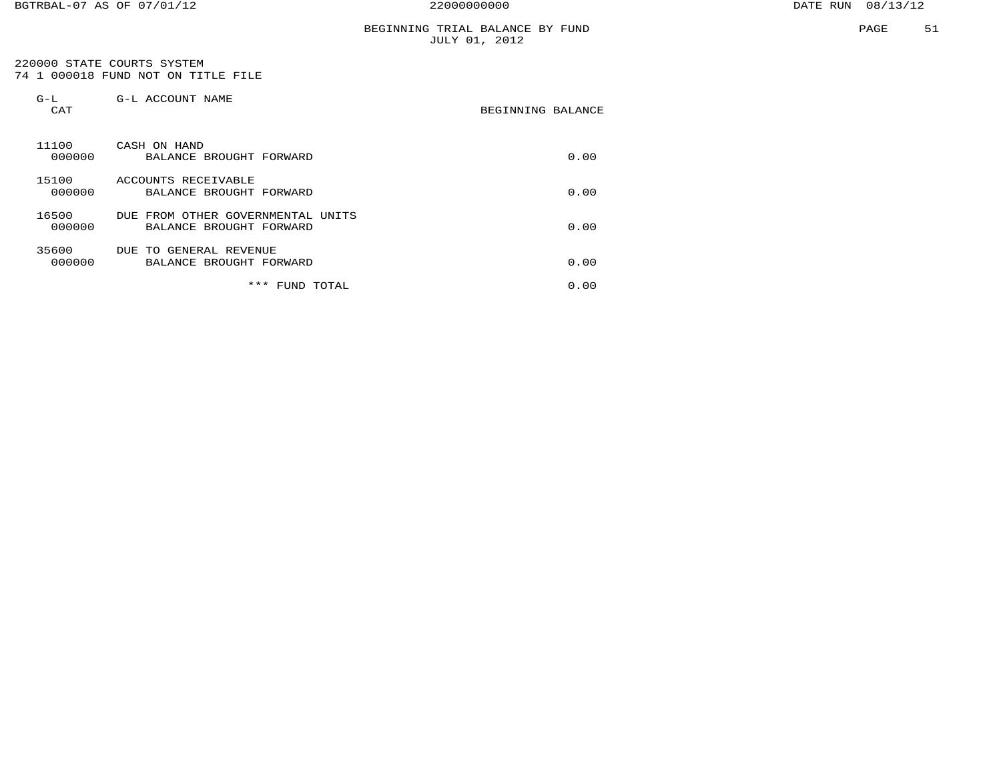## BEGINNING TRIAL BALANCE BY FUND JULY 01, 2012

 220000 STATE COURTS SYSTEM 74 1 000018 FUND NOT ON TITLE FILE

| $G-L$<br>CAT    | G-L ACCOUNT NAME                                                      | BEGINNING BALANCE |
|-----------------|-----------------------------------------------------------------------|-------------------|
| 11100<br>000000 | CASH ON HAND<br>BALANCE BROUGHT FORWARD                               | 0.00              |
| 15100<br>000000 | ACCOUNTS RECEIVABLE<br>BALANCE BROUGHT FORWARD                        | 0.00              |
| 16500<br>000000 | OTHER GOVERNMENTAL<br>DUE<br>FROM<br>UNITS<br>BALANCE BROUGHT FORWARD | 0.00              |
| 35600<br>000000 | GENERAL REVENUE<br>DUE TO<br>BALANCE BROUGHT FORWARD                  | 0.00              |
|                 | ***<br>FUND<br>TOTAL                                                  | 0.00              |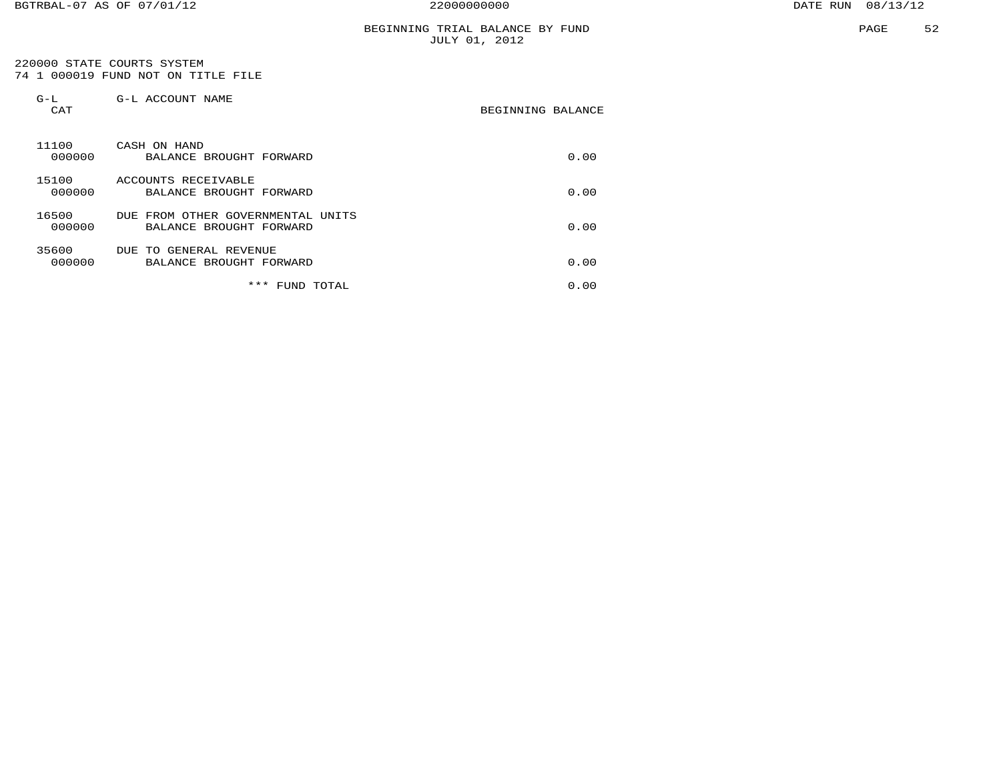## BEGINNING TRIAL BALANCE BY FUND JULY 01, 2012

 220000 STATE COURTS SYSTEM 74 1 000019 FUND NOT ON TITLE FILE

| $G-L$<br>CAT    | G-L ACCOUNT NAME                                                      | BEGINNING BALANCE |
|-----------------|-----------------------------------------------------------------------|-------------------|
| 11100<br>000000 | CASH ON HAND<br>BALANCE BROUGHT FORWARD                               | 0.00              |
| 15100<br>000000 | ACCOUNTS RECEIVABLE<br>BALANCE BROUGHT FORWARD                        | 0.00              |
| 16500<br>000000 | OTHER GOVERNMENTAL<br>DUE<br>FROM<br>UNITS<br>BALANCE BROUGHT FORWARD | 0.00              |
| 35600<br>000000 | GENERAL REVENUE<br>DUE TO<br>BALANCE BROUGHT FORWARD                  | 0.00              |
|                 | ***<br>FUND<br>TOTAL                                                  | 0.00              |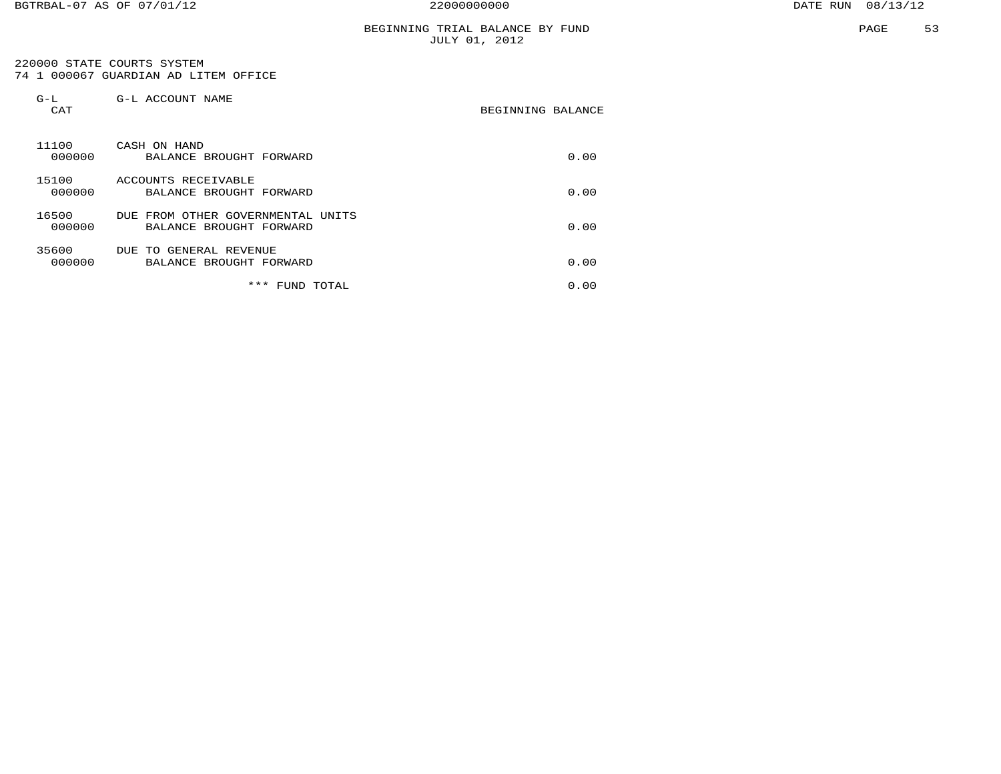## BEGINNING TRIAL BALANCE BY FUND JULY 01, 2012

 220000 STATE COURTS SYSTEM 74 1 000067 GUARDIAN AD LITEM OFFICE

| $G-L$<br>CAT    | G-L ACCOUNT NAME                                                      | BEGINNING BALANCE |
|-----------------|-----------------------------------------------------------------------|-------------------|
| 11100<br>000000 | CASH ON HAND<br>BALANCE BROUGHT FORWARD                               | 0.00              |
| 15100<br>000000 | ACCOUNTS RECEIVABLE<br>BALANCE BROUGHT FORWARD                        | 0.00              |
| 16500<br>000000 | OTHER GOVERNMENTAL<br>DUE<br>FROM<br>UNITS<br>BALANCE BROUGHT FORWARD | 0.00              |
| 35600<br>000000 | GENERAL REVENUE<br>DUE TO<br>BALANCE BROUGHT FORWARD                  | 0.00              |
|                 | ***<br>TOTAL<br>FUND.                                                 | 0.00              |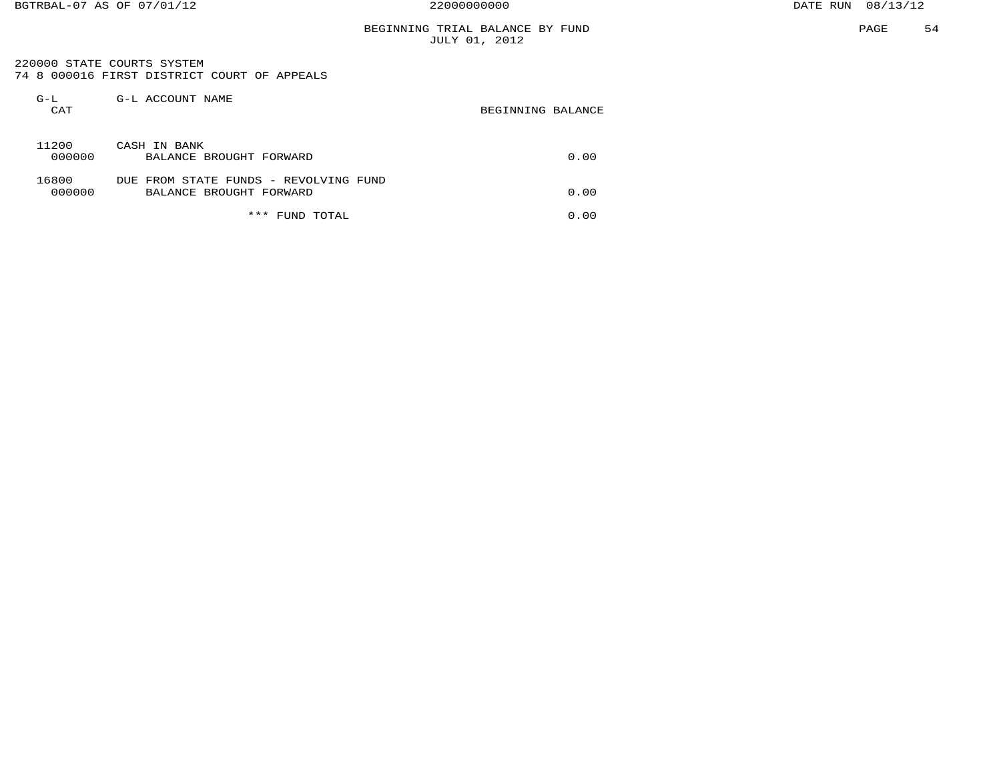## BEGINNING TRIAL BALANCE BY FUND JULY 01, 2012

 220000 STATE COURTS SYSTEM 74 8 000016 FIRST DISTRICT COURT OF APPEALS

| $G-L$<br>CAT    | G-L ACCOUNT NAME                                                 | BEGINNING BALANCE |
|-----------------|------------------------------------------------------------------|-------------------|
| 11200<br>000000 | CASH IN BANK<br>BALANCE BROUGHT FORWARD                          | 0.00              |
| 16800<br>000000 | DUE FROM STATE FUNDS - REVOLVING FUND<br>BALANCE BROUGHT FORWARD | 0.00              |
|                 | * * *<br>TOTAL<br>FUND                                           | 0.00              |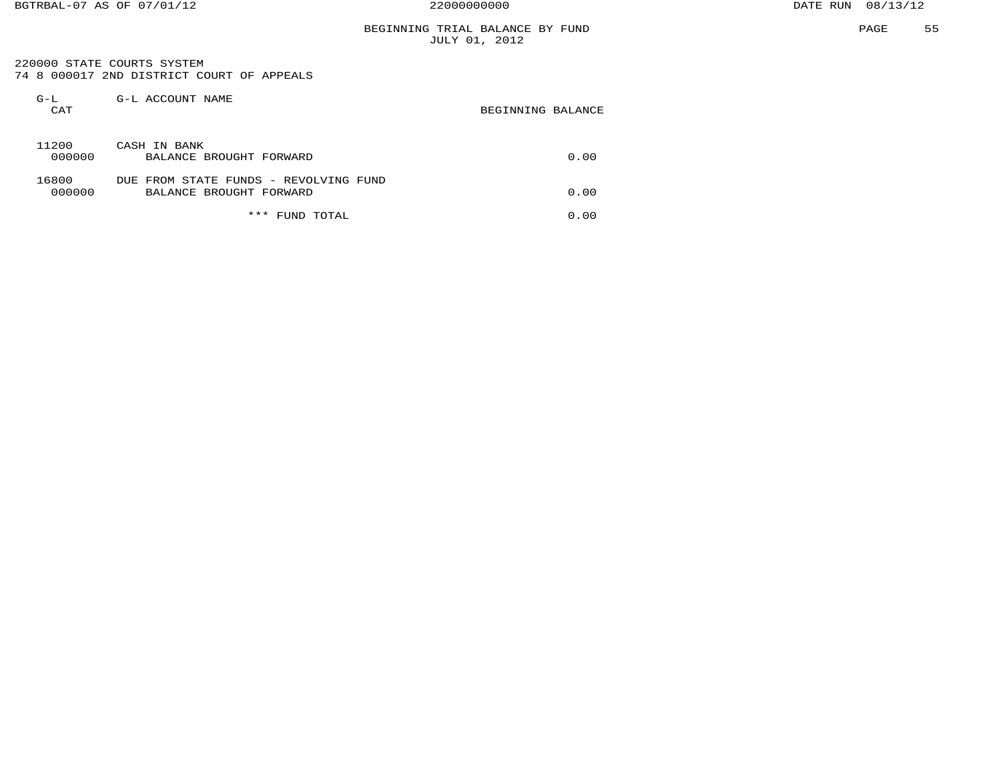## BEGINNING TRIAL BALANCE BY FUND JULY 01, 2012

 220000 STATE COURTS SYSTEM 74 8 000017 2ND DISTRICT COURT OF APPEALS

| $G-L$<br>CAT    | G-L ACCOUNT NAME                                                 | BEGINNING BALANCE |
|-----------------|------------------------------------------------------------------|-------------------|
| 11200<br>000000 | CASH IN BANK<br>BALANCE BROUGHT FORWARD                          | 0.00              |
| 16800<br>000000 | DUE FROM STATE FUNDS - REVOLVING FUND<br>BALANCE BROUGHT FORWARD | 0.00              |
|                 | ***<br>FUND TOTAL                                                | 0.00              |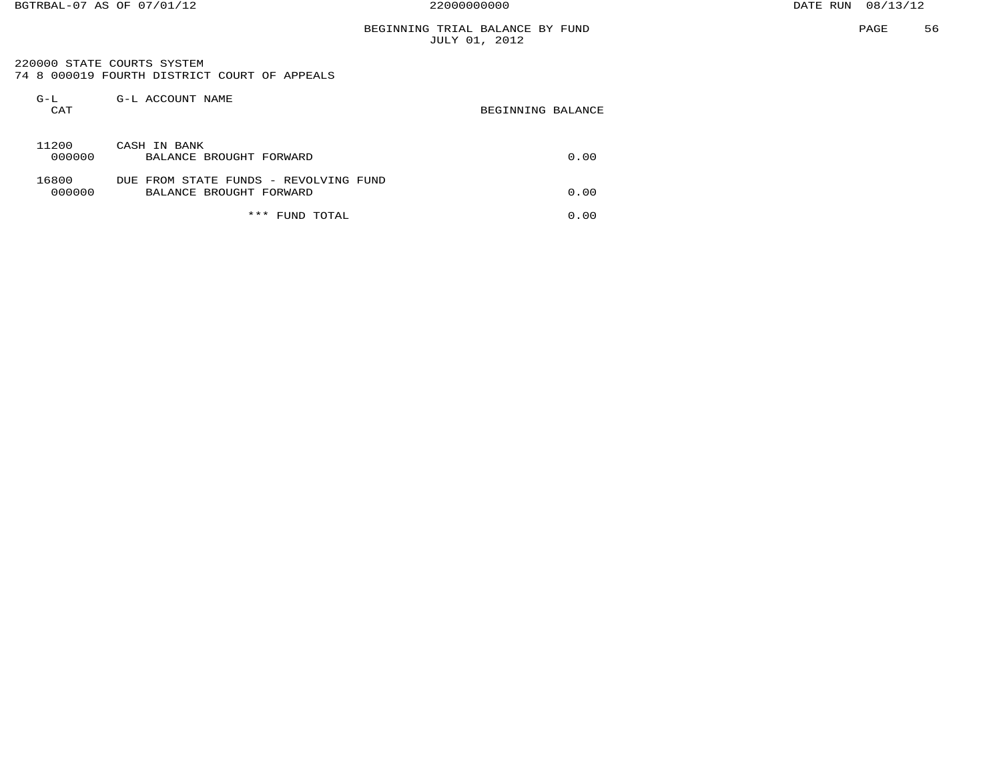220000 STATE COURTS SYSTEM 74 8 000019 FOURTH DISTRICT COURT OF APPEALS

| $G-L$<br>CAT    | G-L ACCOUNT NAME                                                 | BEGINNING BALANCE |  |
|-----------------|------------------------------------------------------------------|-------------------|--|
| 11200<br>000000 | CASH IN BANK<br>BALANCE BROUGHT FORWARD                          | 0.00              |  |
| 16800<br>000000 | DUE FROM STATE FUNDS - REVOLVING FUND<br>BALANCE BROUGHT FORWARD | 0.00              |  |
|                 | ***<br>TOTAL<br>FUND                                             | 0.00              |  |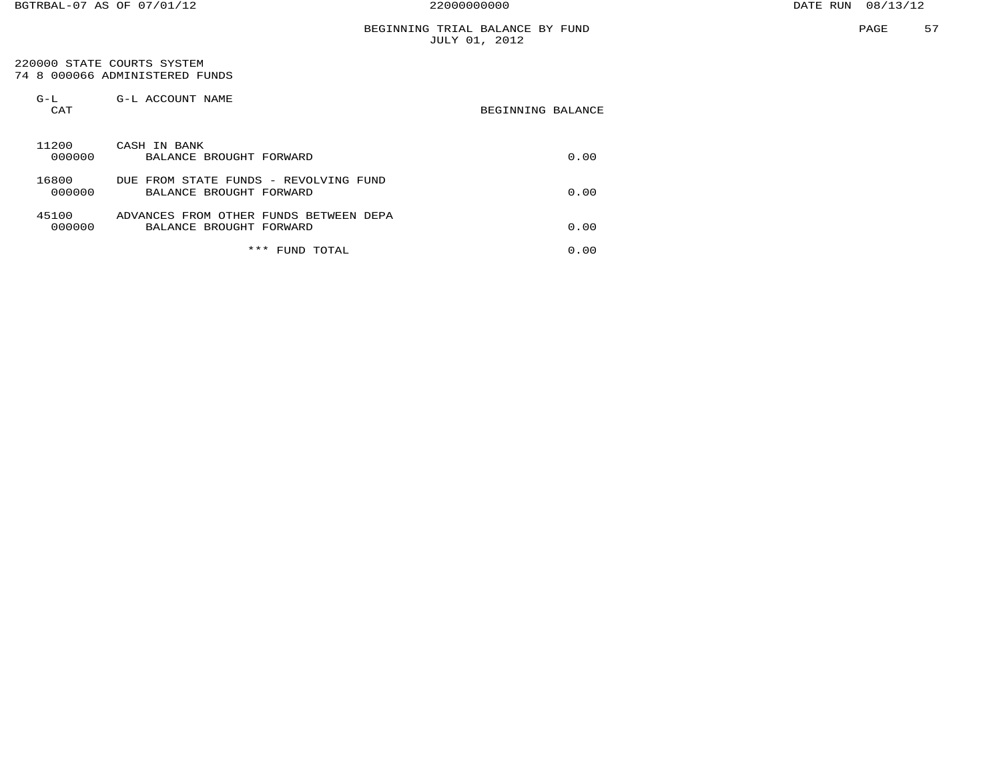## BEGINNING TRIAL BALANCE BY FUND JULY 01, 2012

#### 220000 STATE COURTS SYSTEM 74 8 000066 ADMINISTERED FUNDS

| $G-L$<br>CAT    | G-L ACCOUNT NAME                                                  | BEGINNING BALANCE |
|-----------------|-------------------------------------------------------------------|-------------------|
| 11200<br>000000 | CASH IN BANK<br>BALANCE BROUGHT FORWARD                           | 0.00              |
| 16800<br>000000 | DUE FROM STATE FUNDS - REVOLVING FUND<br>BALANCE BROUGHT FORWARD  | 0.00              |
| 45100<br>000000 | ADVANCES FROM OTHER FUNDS BETWEEN DEPA<br>BALANCE BROUGHT FORWARD | 0.00              |
|                 | ***<br>FUND TOTAL                                                 | 0.00              |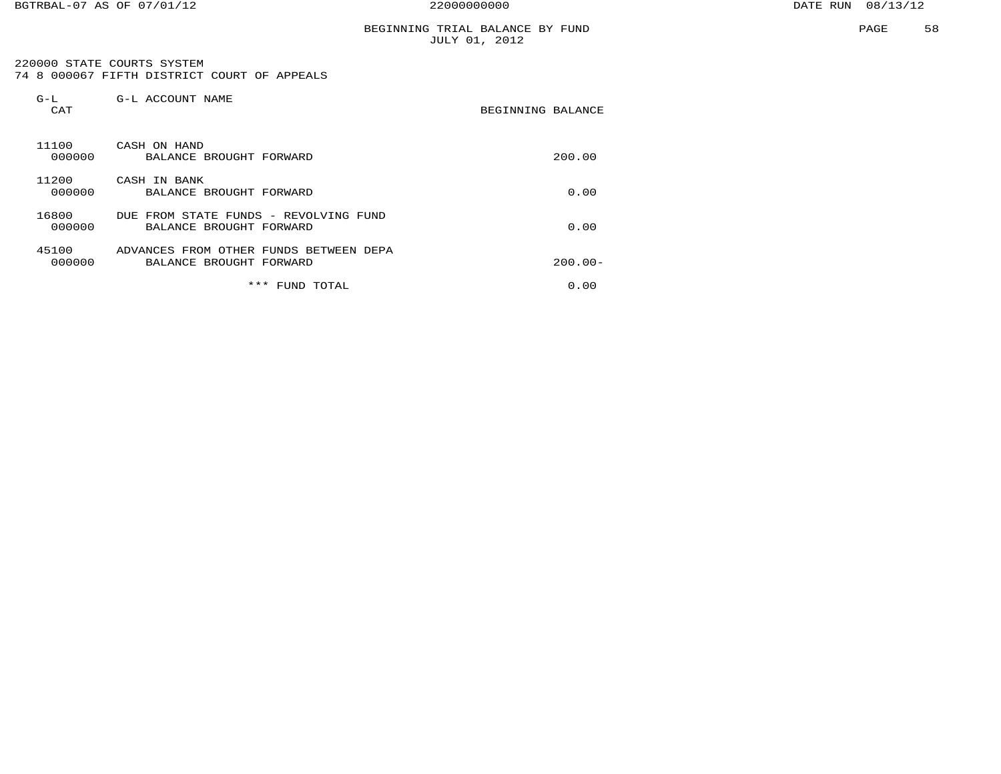## BEGINNING TRIAL BALANCE BY FUND JULY 01, 2012

 220000 STATE COURTS SYSTEM 74 8 000067 FIFTH DISTRICT COURT OF APPEALS

| $G-L$<br>CAT    | G-L ACCOUNT NAME                                                  | BEGINNING BALANCE |
|-----------------|-------------------------------------------------------------------|-------------------|
| 11100<br>000000 | CASH ON HAND<br>BALANCE BROUGHT FORWARD                           | 200.00            |
| 11200<br>000000 | CASH IN BANK<br>BALANCE BROUGHT FORWARD                           | 0.00              |
| 16800<br>000000 | DUE FROM STATE FUNDS - REVOLVING FUND<br>BALANCE BROUGHT FORWARD  | 0.00              |
| 45100<br>000000 | ADVANCES FROM OTHER FUNDS BETWEEN DEPA<br>BALANCE BROUGHT FORWARD | $200.00 -$        |
|                 | *** FUND TOTAL                                                    | 0.00              |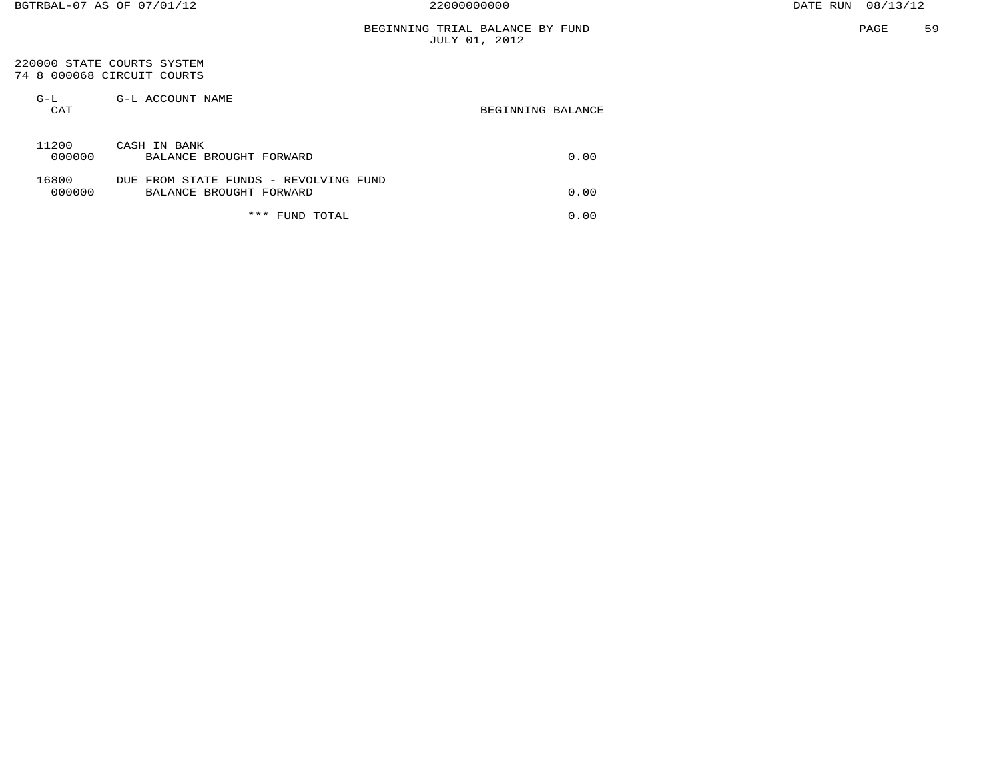#### 220000 STATE COURTS SYSTEM 74 8 000068 CIRCUIT COURTS

| $G-L$<br>CAT    | G-L ACCOUNT NAME                                                 | BEGINNING BALANCE |
|-----------------|------------------------------------------------------------------|-------------------|
| 11200<br>000000 | CASH IN BANK<br>BALANCE BROUGHT FORWARD                          | 0.00              |
| 16800<br>000000 | DUE FROM STATE FUNDS - REVOLVING FUND<br>BALANCE BROUGHT FORWARD | 0.00              |
|                 | ***<br>TOTAL<br>FUND                                             | 0.00              |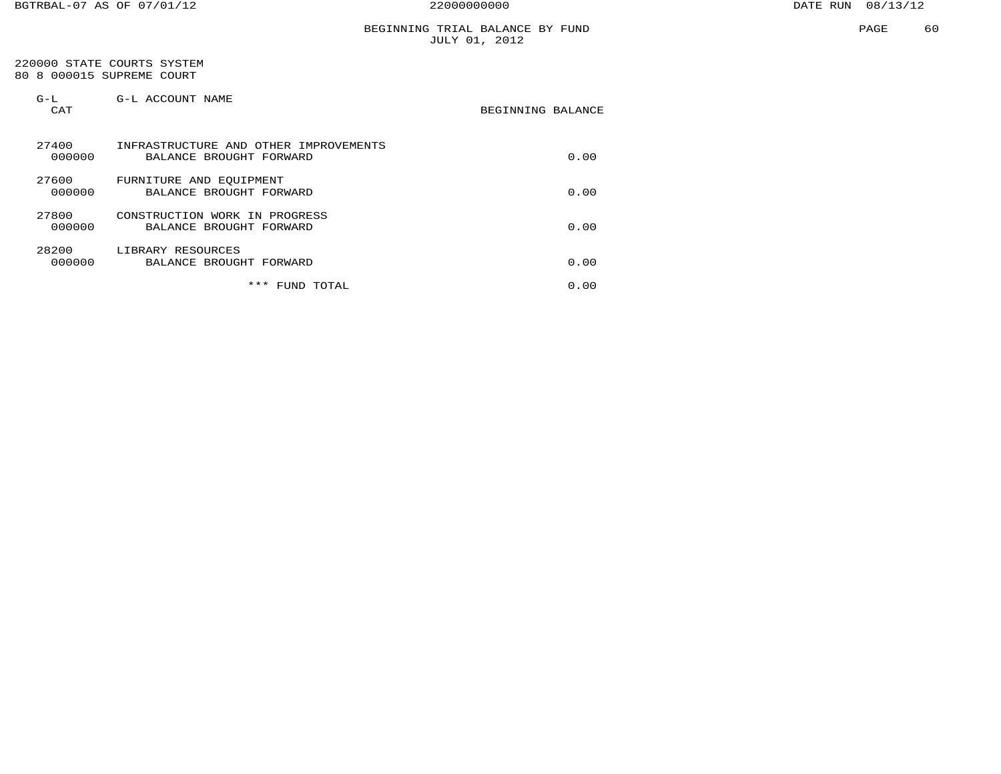## BEGINNING TRIAL BALANCE BY FUND JULY 01, 2012

#### 220000 STATE COURTS SYSTEM 80 8 000015 SUPREME COURT

| $G-L$<br>CAT    | G-L ACCOUNT NAME                                                 | BEGINNING BALANCE |
|-----------------|------------------------------------------------------------------|-------------------|
| 27400<br>000000 | INFRASTRUCTURE AND OTHER IMPROVEMENTS<br>BALANCE BROUGHT FORWARD | 0.00              |
| 27600<br>000000 | FURNITURE AND EOUIPMENT<br>BALANCE BROUGHT FORWARD               | 0.00              |
| 27800<br>000000 | CONSTRUCTION WORK IN PROGRESS<br>BALANCE BROUGHT FORWARD         | 0.00              |
| 28200<br>000000 | LIBRARY RESOURCES<br>BALANCE BROUGHT FORWARD                     | 0.00              |
|                 | ***<br>TOTAL<br>FUND                                             | 0.00              |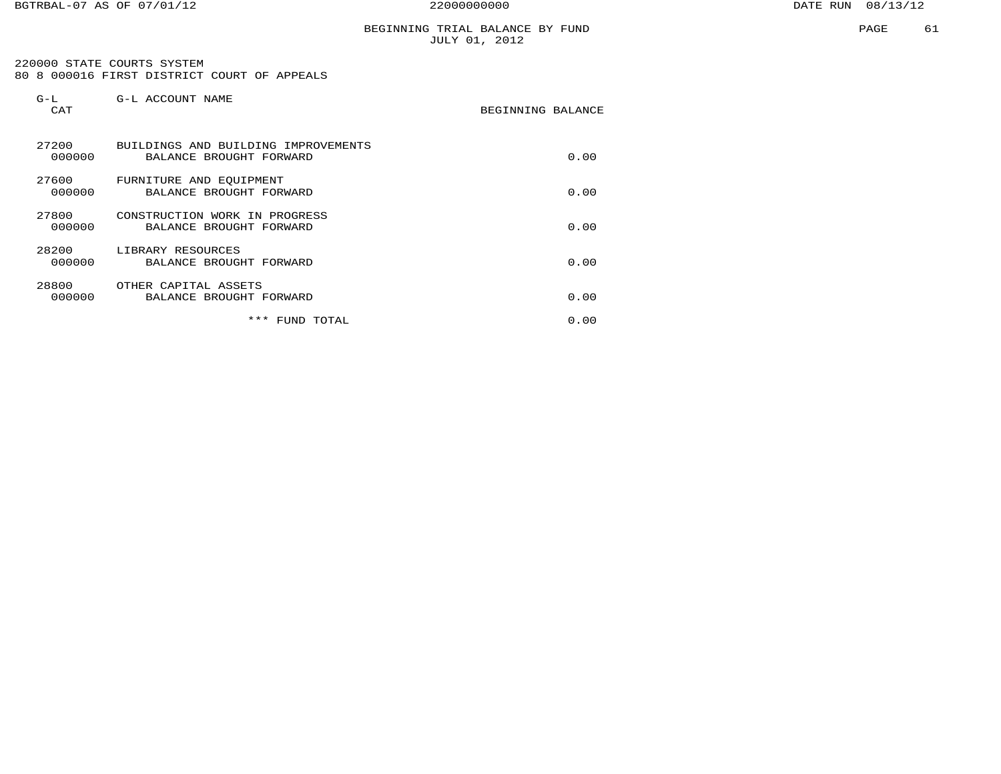220000 STATE COURTS SYSTEM80 8 000016 FIRST DISTRICT COURT OF APPEALS

| $G-L$<br>CAT    | G-L ACCOUNT NAME                                               | BEGINNING BALANCE |
|-----------------|----------------------------------------------------------------|-------------------|
| 27200<br>000000 | BUILDINGS AND BUILDING IMPROVEMENTS<br>BALANCE BROUGHT FORWARD | 0.00              |
| 27600<br>000000 | FURNITURE AND EQUIPMENT<br>BALANCE BROUGHT FORWARD             | 0.00              |
| 27800<br>000000 | CONSTRUCTION WORK IN PROGRESS<br>BALANCE BROUGHT FORWARD       | 0.00              |
| 28200<br>000000 | LIBRARY RESOURCES<br>BALANCE BROUGHT FORWARD                   | 0.00              |
| 28800<br>000000 | OTHER CAPITAL ASSETS<br>BALANCE BROUGHT FORWARD                | 0.00              |
|                 | *** FUND TOTAL                                                 | 0.00              |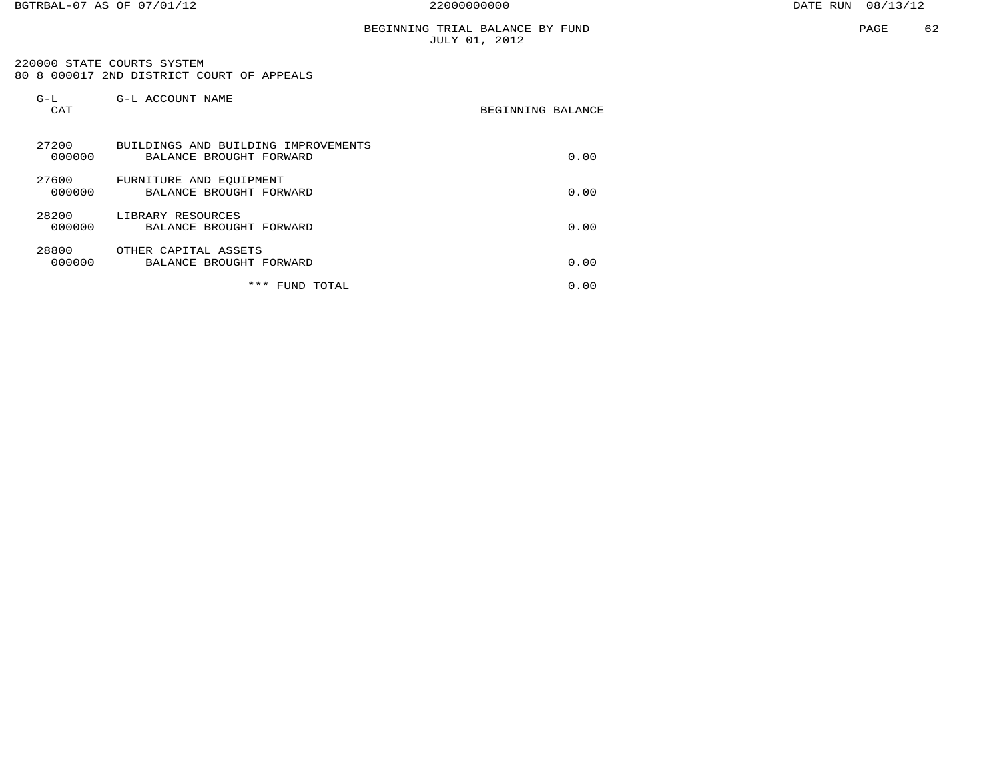## BEGINNING TRIAL BALANCE BY FUND JULY 01, 2012

 220000 STATE COURTS SYSTEM 80 8 000017 2ND DISTRICT COURT OF APPEALS

| $G-L$<br>CAT    | G-L ACCOUNT NAME                                               | BEGINNING BALANCE |
|-----------------|----------------------------------------------------------------|-------------------|
| 27200<br>000000 | BUILDINGS AND BUILDING IMPROVEMENTS<br>BALANCE BROUGHT FORWARD | 0.00              |
| 27600<br>000000 | FURNITURE AND EQUIPMENT<br>BALANCE BROUGHT FORWARD             | 0.00              |
| 28200<br>000000 | LIBRARY RESOURCES<br>BALANCE BROUGHT FORWARD                   | 0.00              |
| 28800<br>000000 | OTHER CAPITAL ASSETS<br>BALANCE BROUGHT FORWARD                | 0.00              |
|                 | *** FUND TOTAL                                                 | 0.00              |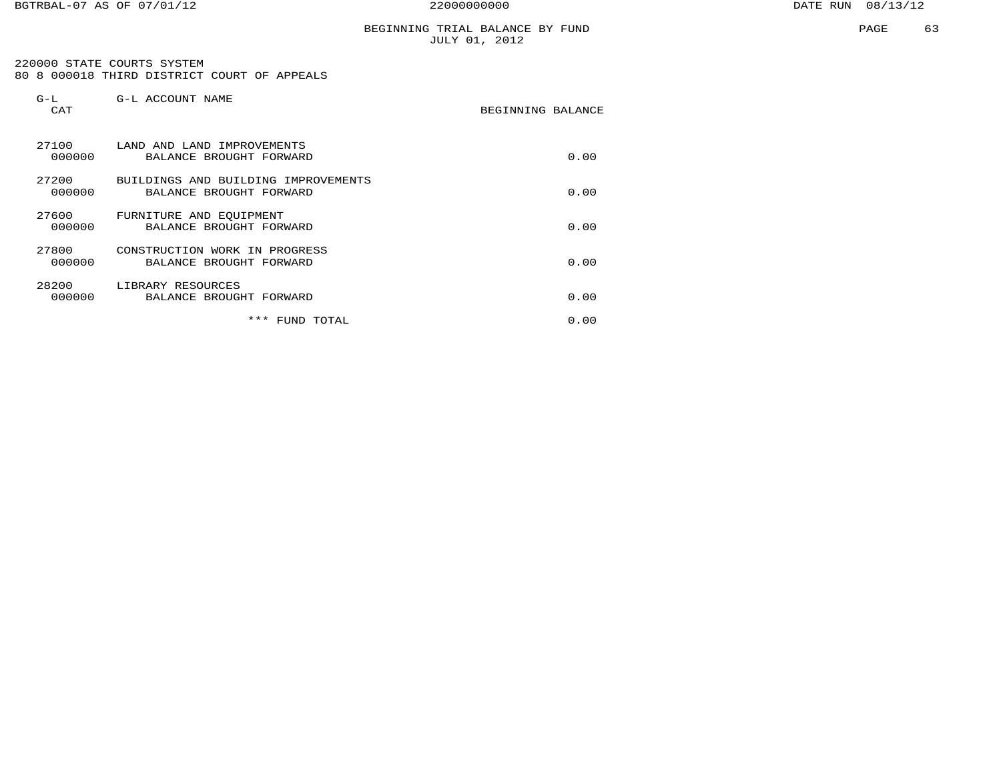220000 STATE COURTS SYSTEM80 8 000018 THIRD DISTRICT COURT OF APPEALS

| $G-L$<br>CAT    | G-L ACCOUNT NAME                                               | BEGINNING BALANCE |      |
|-----------------|----------------------------------------------------------------|-------------------|------|
| 27100<br>000000 | LAND AND LAND IMPROVEMENTS<br>BALANCE BROUGHT FORWARD          |                   | 0.00 |
| 27200<br>000000 | BUILDINGS AND BUILDING IMPROVEMENTS<br>BALANCE BROUGHT FORWARD |                   | 0.00 |
| 27600<br>000000 | FURNITURE AND EOUIPMENT<br>BALANCE BROUGHT FORWARD             |                   | 0.00 |
| 27800<br>000000 | CONSTRUCTION WORK IN PROGRESS<br>BALANCE BROUGHT FORWARD       |                   | 0.00 |
| 28200<br>000000 | LIBRARY RESOURCES<br>BALANCE BROUGHT FORWARD                   |                   | 0.00 |
|                 | *** FUND TOTAL                                                 |                   | 0.00 |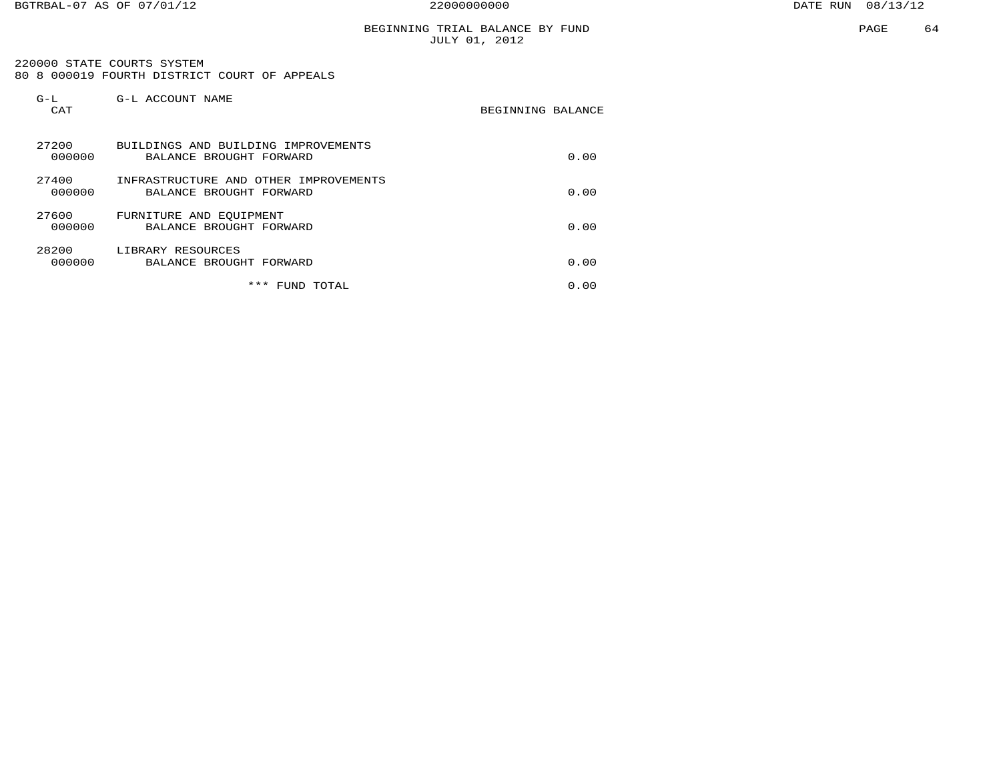## BEGINNING TRIAL BALANCE BY FUND JULY 01, 2012

 220000 STATE COURTS SYSTEM 80 8 000019 FOURTH DISTRICT COURT OF APPEALS

| $G-L$<br>CAT    | G-L ACCOUNT NAME                                                 | BEGINNING BALANCE |  |
|-----------------|------------------------------------------------------------------|-------------------|--|
| 27200<br>000000 | BUILDINGS AND BUILDING IMPROVEMENTS<br>BALANCE BROUGHT FORWARD   | 0.00              |  |
| 27400<br>000000 | INFRASTRUCTURE AND OTHER IMPROVEMENTS<br>BALANCE BROUGHT FORWARD | 0.00              |  |
| 27600<br>000000 | FURNITURE AND EQUIPMENT<br>BALANCE BROUGHT FORWARD               | 0.00              |  |
| 28200<br>000000 | LIBRARY RESOURCES<br>BALANCE BROUGHT FORWARD                     | 0.00              |  |
|                 | ***<br>FUND<br>TOTAL                                             | 0.00              |  |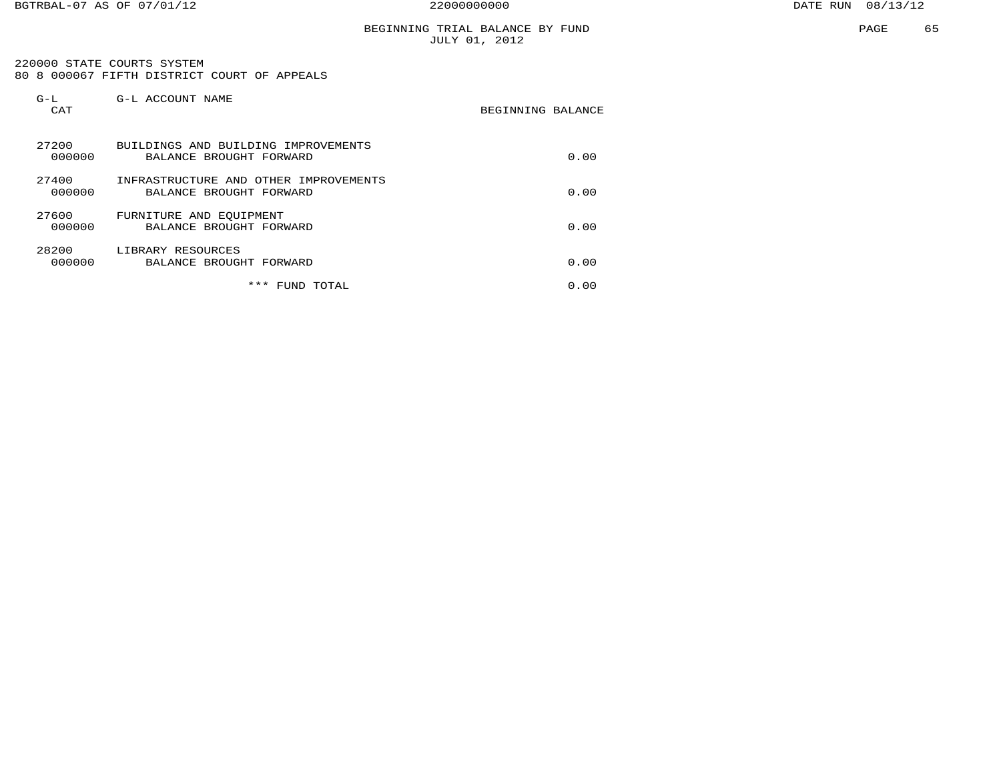220000 STATE COURTS SYSTEM 80 8 000067 FIFTH DISTRICT COURT OF APPEALS

| $G-L$<br>CAT    | G-L ACCOUNT NAME                                                 | BEGINNING BALANCE |      |
|-----------------|------------------------------------------------------------------|-------------------|------|
| 27200<br>000000 | BUILDINGS AND BUILDING IMPROVEMENTS<br>BALANCE BROUGHT FORWARD   |                   | 0.00 |
| 27400<br>000000 | INFRASTRUCTURE AND OTHER IMPROVEMENTS<br>BALANCE BROUGHT FORWARD |                   | 0.00 |
| 27600<br>000000 | FURNITURE AND EOUIPMENT<br>BALANCE BROUGHT FORWARD               |                   | 0.00 |
| 28200<br>000000 | LIBRARY RESOURCES<br>BALANCE BROUGHT FORWARD                     |                   | 0.00 |
|                 | ***<br>FUND TOTAL                                                |                   | 0.00 |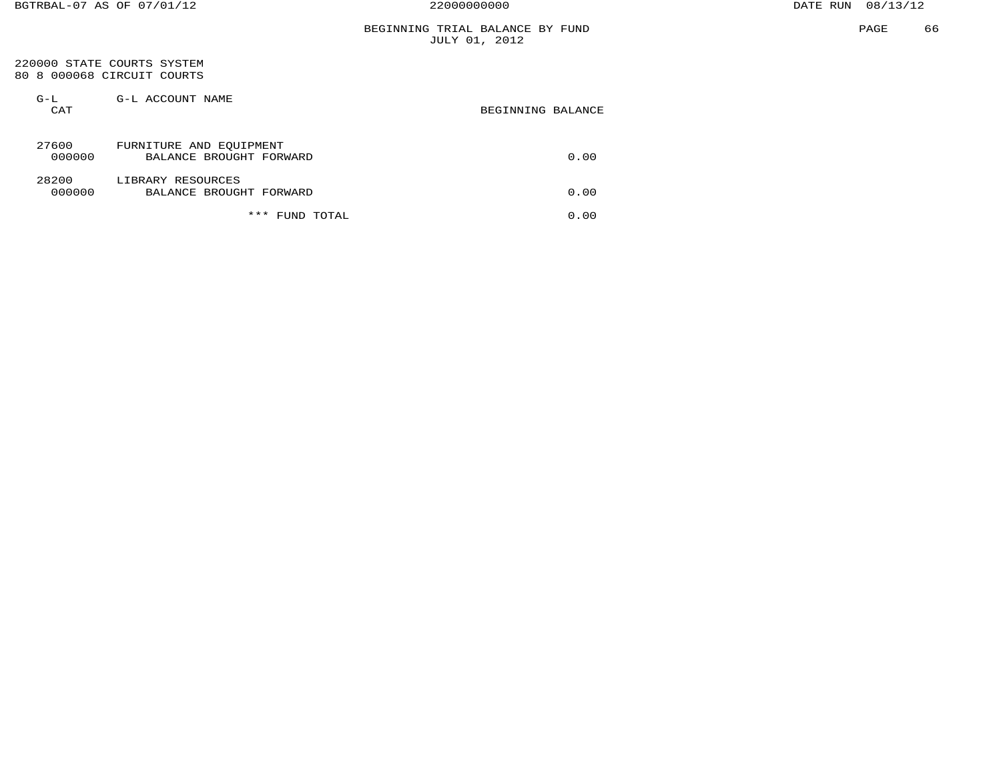#### 220000 STATE COURTS SYSTEM 80 8 000068 CIRCUIT COURTS

| $G-L$<br>CAT    | G-L ACCOUNT NAME                                   | BEGINNING BALANCE |
|-----------------|----------------------------------------------------|-------------------|
| 27600<br>000000 | FURNITURE AND EQUIPMENT<br>BALANCE BROUGHT FORWARD | 0.00              |
| 28200<br>000000 | LIBRARY RESOURCES<br>BALANCE BROUGHT FORWARD       | 0.00              |
|                 | ***<br>TOTAL<br>FUND                               | 0.00              |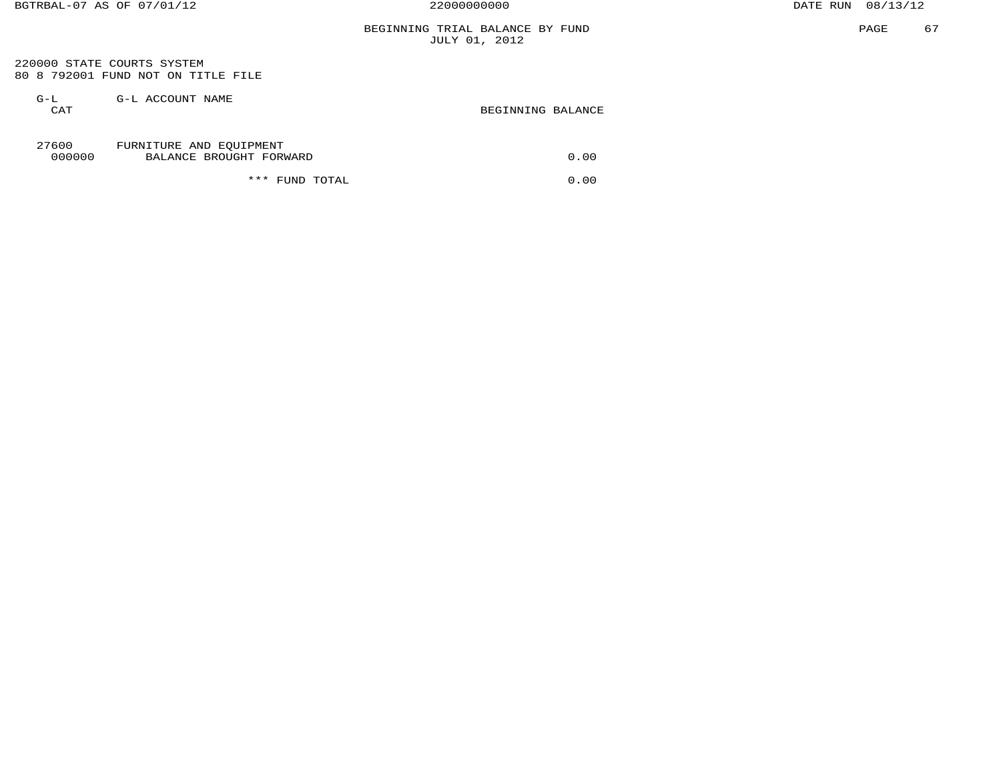## BEGINNING TRIAL BALANCE BY FUND JULY 01, 2012

 220000 STATE COURTS SYSTEM 80 8 792001 FUND NOT ON TITLE FILE

| $G-L$<br>CAT    | G-L ACCOUNT NAME                                   | BEGINNING BALANCE |
|-----------------|----------------------------------------------------|-------------------|
| 27600<br>000000 | FURNITURE AND EQUIPMENT<br>BALANCE BROUGHT FORWARD | 0.00              |
|                 | *** FUND TOTAL                                     | 0.00              |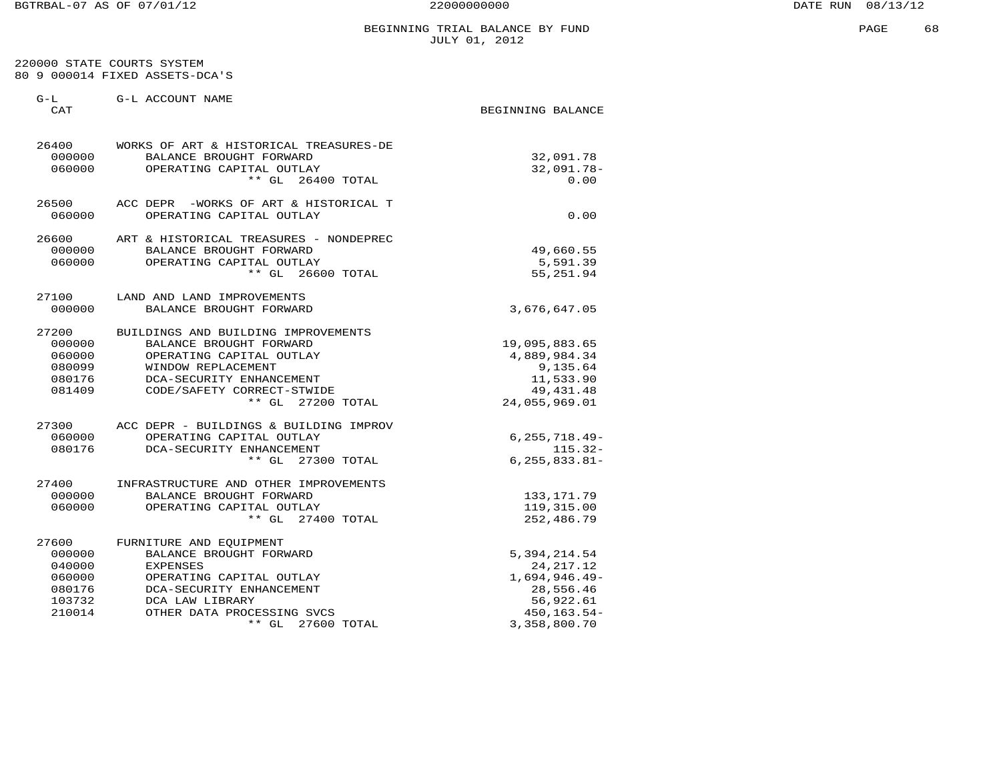## BEGINNING TRIAL BALANCE BY FUND **EXAMPLE 68 SEGINNING** PAGE JULY 01, 2012

#### 220000 STATE COURTS SYSTEM 80 9 000014 FIXED ASSETS-DCA'S

| G-L<br>CAT                                                        | G-L ACCOUNT NAME                                                                                                                                                                                       | BEGINNING BALANCE                                                                                           |
|-------------------------------------------------------------------|--------------------------------------------------------------------------------------------------------------------------------------------------------------------------------------------------------|-------------------------------------------------------------------------------------------------------------|
| 26400<br>000000<br>060000                                         | WORKS OF ART & HISTORICAL TREASURES-DE<br>BALANCE BROUGHT FORWARD<br>OPERATING CAPITAL OUTLAY<br>$***$ GL<br>26400 TOTAL                                                                               | 32,091.78<br>32,091.78-<br>0.00                                                                             |
| 26500<br>060000                                                   | ACC DEPR -WORKS OF ART & HISTORICAL T<br>OPERATING CAPITAL OUTLAY                                                                                                                                      | 0.00                                                                                                        |
| 26600<br>000000<br>060000                                         | ART & HISTORICAL TREASURES - NONDEPREC<br>BALANCE BROUGHT FORWARD<br>OPERATING CAPITAL OUTLAY<br>$***$ GL<br>26600 TOTAL                                                                               | 49,660.55<br>5,591.39<br>55,251.94                                                                          |
| 27100<br>000000                                                   | LAND AND LAND IMPROVEMENTS<br>BALANCE BROUGHT FORWARD                                                                                                                                                  | 3,676,647.05                                                                                                |
| 27200<br>000000<br>060000<br>080099<br>080176<br>081409           | BUILDINGS AND BUILDING IMPROVEMENTS<br>BALANCE BROUGHT FORWARD<br>OPERATING CAPITAL OUTLAY<br>WINDOW REPLACEMENT<br>DCA-SECURITY ENHANCEMENT<br>CODE/SAFETY CORRECT-STWIDE<br>** GL 27200 TOTAL        | 19,095,883.65<br>4,889,984.34<br>9,135.64<br>11,533.90<br>49, 431. 48<br>24,055,969.01                      |
| 27300<br>060000<br>080176                                         | ACC DEPR - BUILDINGS & BUILDING IMPROV<br>OPERATING CAPITAL OUTLAY<br>DCA-SECURITY ENHANCEMENT<br>** GL 27300 TOTAL                                                                                    | $6, 255, 718.49 -$<br>$115.32-$<br>$6, 255, 833.81 -$                                                       |
| 27400<br>000000<br>060000                                         | INFRASTRUCTURE AND OTHER IMPROVEMENTS<br>BALANCE BROUGHT FORWARD<br>OPERATING CAPITAL OUTLAY<br>** GL 27400 TOTAL                                                                                      | 133, 171.79<br>119,315.00<br>252,486.79                                                                     |
| 27600<br>000000<br>040000<br>060000<br>080176<br>103732<br>210014 | FURNITURE AND EOUIPMENT<br>BALANCE BROUGHT FORWARD<br><b>EXPENSES</b><br>OPERATING CAPITAL OUTLAY<br>DCA-SECURITY ENHANCEMENT<br>DCA LAW LIBRARY<br>OTHER DATA PROCESSING SVCS<br>** GL<br>27600 TOTAL | 5, 394, 214.54<br>24, 217. 12<br>$1,694,946.49-$<br>28,556.46<br>56,922.61<br>450, 163. 54-<br>3,358,800.70 |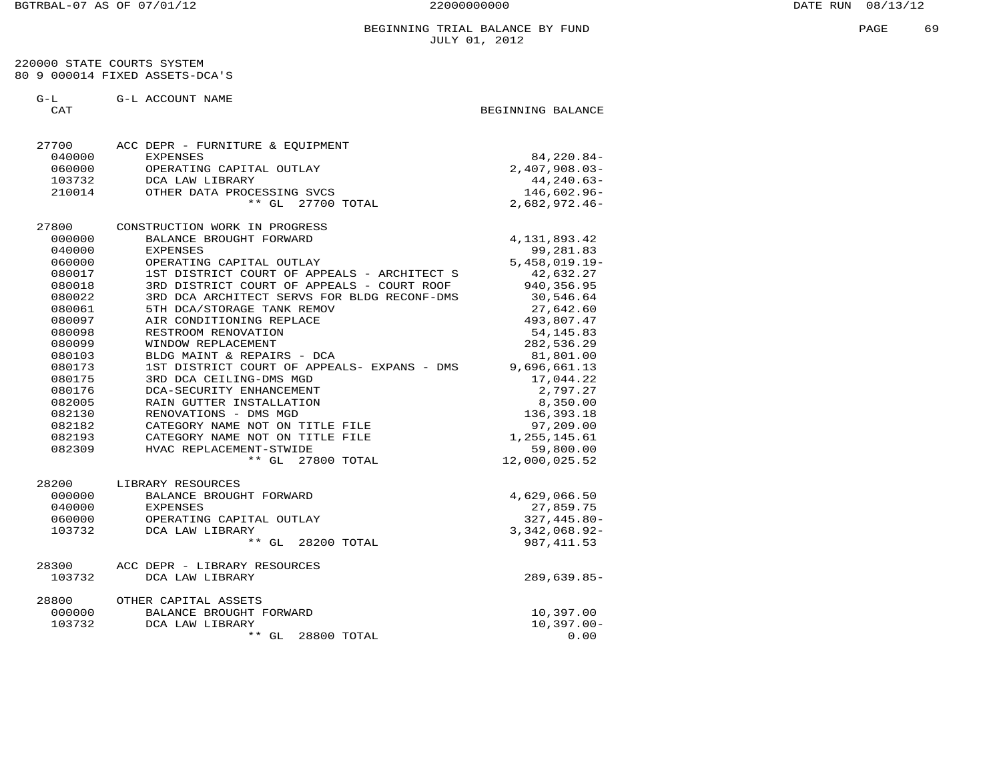220000 STATE COURTS SYSTEM 80 9 000014 FIXED ASSETS-DCA'S

G-L G-L ACCOUNT NAME

CAT GENERAL SECTION OF STREET AND REGINAL BEGINNING BALANCE

| 27700  | ACC DEPR - FURNITURE & EQUIPMENT            |                 |
|--------|---------------------------------------------|-----------------|
| 040000 | <b>EXPENSES</b>                             | 84, 220.84-     |
| 060000 | OPERATING CAPITAL OUTLAY                    | $2,407,908.03-$ |
| 103732 | DCA LAW LIBRARY                             | 44, 240.63-     |
| 210014 | OTHER DATA PROCESSING SVCS                  | 146,602.96-     |
|        | $**$ GL<br>27700 TOTAL                      | $2,682,972.46-$ |
| 27800  | CONSTRUCTION WORK IN PROGRESS               |                 |
| 000000 | BALANCE BROUGHT FORWARD                     | 4, 131, 893. 42 |
| 040000 | <b>EXPENSES</b>                             | 99,281.83       |
| 060000 | OPERATING CAPITAL OUTLAY                    | $5,458,019.19-$ |
| 080017 | 1ST DISTRICT COURT OF APPEALS - ARCHITECT S | 42,632.27       |
| 080018 | 3RD DISTRICT COURT OF APPEALS - COURT ROOF  | 940, 356.95     |
| 080022 | 3RD DCA ARCHITECT SERVS FOR BLDG RECONF-DMS | 30,546.64       |
| 080061 | 5TH DCA/STORAGE TANK REMOV                  | 27,642.60       |
| 080097 | AIR CONDITIONING REPLACE                    | 493,807.47      |
| 080098 | RESTROOM RENOVATION                         | 54, 145.83      |
| 080099 | WINDOW REPLACEMENT                          | 282,536.29      |
| 080103 | BLDG MAINT & REPAIRS - DCA                  | 81,801.00       |
| 080173 | 1ST DISTRICT COURT OF APPEALS- EXPANS - DMS | 9,696,661.13    |
| 080175 | 3RD DCA CEILING-DMS MGD                     | 17,044.22       |
| 080176 | DCA-SECURITY ENHANCEMENT                    | 2,797.27        |
| 082005 | RAIN GUTTER INSTALLATION                    | 8,350.00        |
| 082130 | RENOVATIONS - DMS MGD                       | 136, 393. 18    |
| 082182 | CATEGORY NAME NOT ON TITLE FILE             | 97,209.00       |
| 082193 | CATEGORY NAME NOT ON TITLE FILE             | 1,255,145.61    |
| 082309 | HVAC REPLACEMENT-STWIDE                     | 59,800.00       |
|        | ** GL 27800 TOTAL                           | 12,000,025.52   |
| 28200  | LIBRARY RESOURCES                           |                 |
| 000000 | BALANCE BROUGHT FORWARD                     | 4,629,066.50    |
| 040000 | EXPENSES                                    | 27,859.75       |
| 060000 | OPERATING CAPITAL OUTLAY                    | $327, 445.80 -$ |
| 103732 | DCA LAW LIBRARY                             | $3,342,068.92-$ |
|        | $**$ GL<br>28200 TOTAL                      | 987, 411.53     |
| 28300  | ACC DEPR - LIBRARY RESOURCES                |                 |
| 103732 | DCA LAW LIBRARY                             | $289,639.85-$   |
| 28800  | OTHER CAPITAL ASSETS                        |                 |
| 000000 | BALANCE BROUGHT FORWARD                     | 10,397.00       |
| 103732 | DCA LAW LIBRARY                             | $10, 397.00 -$  |
|        | $***$ GL<br>28800 TOTAL                     | 0.00            |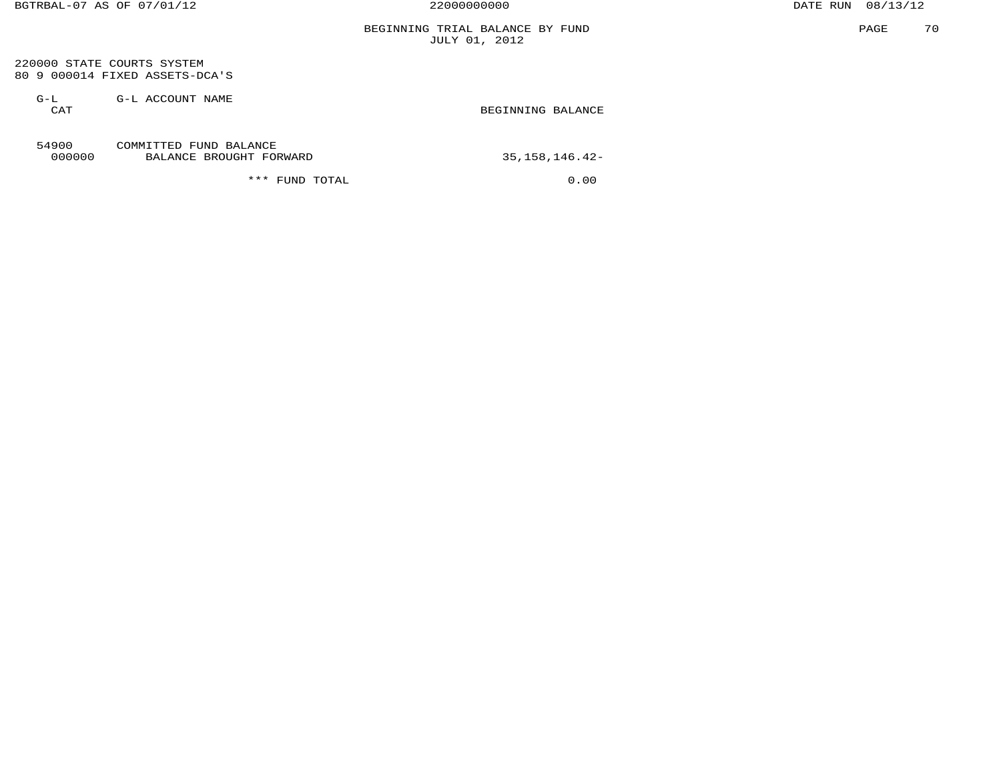220000 STATE COURTS SYSTEM 80 9 000014 FIXED ASSETS-DCA'S

 G-L G-L ACCOUNT NAME CAT GENERAL BEGINNING BALANCE

#### 54900 COMMITTED FUND BALANCE 000000 BALANCE BROUGHT FORWARD 35,158,146.42-

\*\*\* FUND TOTAL 0.00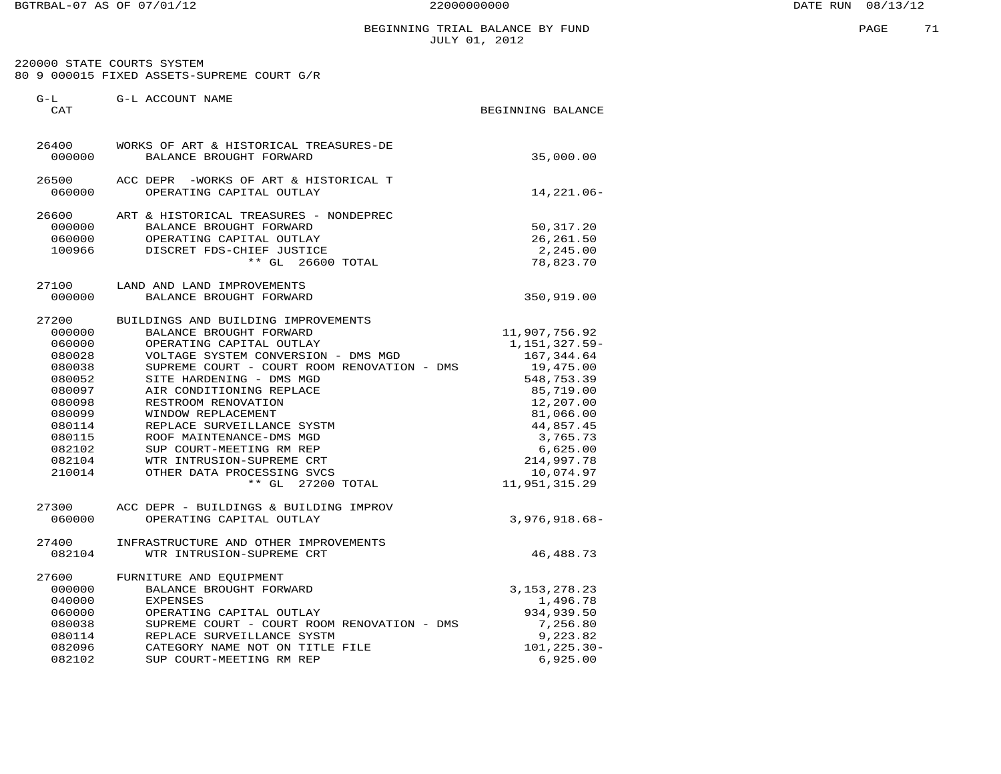220000 STATE COURTS SYSTEM 80 9 000015 FIXED ASSETS-SUPREME COURT G/R

| $G-L$<br>CAT                                                                                                                            | G-L ACCOUNT NAME                                                                                                                                                                                                                                                                                                                                                                                                                                                 | BEGINNING BALANCE |                                                                                                                                                                                                    |
|-----------------------------------------------------------------------------------------------------------------------------------------|------------------------------------------------------------------------------------------------------------------------------------------------------------------------------------------------------------------------------------------------------------------------------------------------------------------------------------------------------------------------------------------------------------------------------------------------------------------|-------------------|----------------------------------------------------------------------------------------------------------------------------------------------------------------------------------------------------|
| 26400<br>000000                                                                                                                         | WORKS OF ART & HISTORICAL TREASURES-DE<br>BALANCE BROUGHT FORWARD                                                                                                                                                                                                                                                                                                                                                                                                |                   | 35,000.00                                                                                                                                                                                          |
| 26500<br>060000                                                                                                                         | ACC DEPR -WORKS OF ART & HISTORICAL T<br>OPERATING CAPITAL OUTLAY                                                                                                                                                                                                                                                                                                                                                                                                |                   | 14,221.06-                                                                                                                                                                                         |
| 26600<br>000000<br>060000<br>100966                                                                                                     | ART & HISTORICAL TREASURES - NONDEPREC<br>BALANCE BROUGHT FORWARD<br>OPERATING CAPITAL OUTLAY<br>DISCRET FDS-CHIEF JUSTICE<br>$**$ GL<br>26600 TOTAL                                                                                                                                                                                                                                                                                                             |                   | 50,317.20<br>26, 261.50<br>2,245.00<br>78,823.70                                                                                                                                                   |
| 27100<br>000000                                                                                                                         | LAND AND LAND IMPROVEMENTS<br>BALANCE BROUGHT FORWARD                                                                                                                                                                                                                                                                                                                                                                                                            |                   | 350,919.00                                                                                                                                                                                         |
| 27200<br>000000<br>060000<br>080028<br>080038<br>080052<br>080097<br>080098<br>080099<br>080114<br>080115<br>082102<br>082104<br>210014 | BUILDINGS AND BUILDING IMPROVEMENTS<br>BALANCE BROUGHT FORWARD<br>OPERATING CAPITAL OUTLAY<br>VOLTAGE SYSTEM CONVERSION - DMS MGD<br>SUPREME COURT - COURT ROOM RENOVATION - DMS<br>SITE HARDENING - DMS MGD<br>AIR CONDITIONING REPLACE<br>RESTROOM RENOVATION<br>WINDOW REPLACEMENT<br>REPLACE SURVEILLANCE SYSTM<br>ROOF MAINTENANCE-DMS MGD<br>SUP COURT-MEETING RM REP<br>WTR INTRUSION-SUPREME CRT<br>OTHER DATA PROCESSING SVCS<br>27200 TOTAL<br>$**$ GL |                   | 11,907,756.92<br>1, 151, 327.59-<br>167, 344.64<br>19,475.00<br>548,753.39<br>85,719.00<br>12,207.00<br>81,066.00<br>44,857.45<br>3,765.73<br>6,625.00<br>214,997.78<br>10,074.97<br>11,951,315.29 |
| 27300<br>060000                                                                                                                         | ACC DEPR - BUILDINGS & BUILDING IMPROV<br>OPERATING CAPITAL OUTLAY                                                                                                                                                                                                                                                                                                                                                                                               |                   | $3,976,918.68 -$                                                                                                                                                                                   |
| 27400<br>082104                                                                                                                         | INFRASTRUCTURE AND OTHER IMPROVEMENTS<br>WTR INTRUSION-SUPREME CRT                                                                                                                                                                                                                                                                                                                                                                                               |                   | 46, 488. 73                                                                                                                                                                                        |
| 27600<br>000000<br>040000<br>060000<br>080038<br>080114<br>082096<br>082102                                                             | FURNITURE AND EQUIPMENT<br>BALANCE BROUGHT FORWARD<br><b>EXPENSES</b><br>OPERATING CAPITAL OUTLAY<br>SUPREME COURT - COURT ROOM RENOVATION - DMS<br>REPLACE SURVEILLANCE SYSTM<br>CATEGORY NAME NOT ON TITLE FILE<br>SUP COURT-MEETING RM REP                                                                                                                                                                                                                    |                   | 3, 153, 278. 23<br>1,496.78<br>934,939.50<br>7,256.80<br>9,223.82<br>101,225.30-<br>6,925.00                                                                                                       |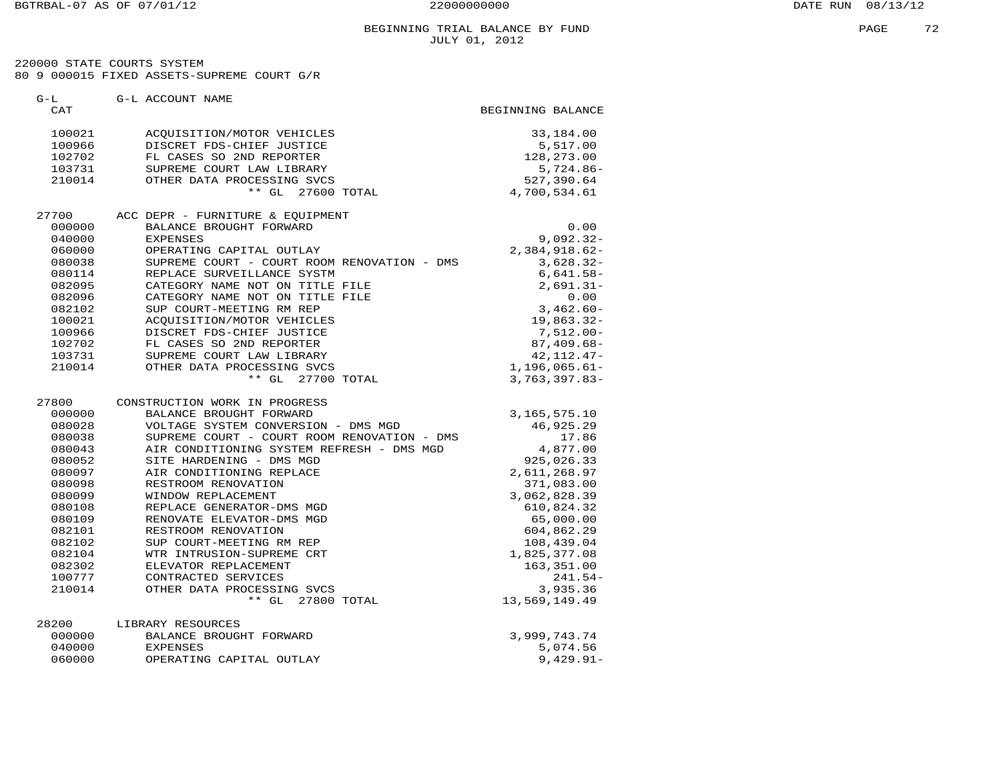#### BEGINNING TRIAL BALANCE BY FUND **EXAMPLE 2** 2 JULY 01, 2012

 220000 STATE COURTS SYSTEM 80 9 000015 FIXED ASSETS-SUPREME COURT G/R

| $G-L$<br>CAT | G-L ACCOUNT NAME                            | BEGINNING BALANCE  |
|--------------|---------------------------------------------|--------------------|
|              |                                             |                    |
| 100021       | ACQUISITION/MOTOR VEHICLES                  | 33,184.00          |
| 100966       | DISCRET FDS-CHIEF JUSTICE                   | 5,517.00           |
| 102702       | FL CASES SO 2ND REPORTER                    | 128,273.00         |
| 103731       | SUPREME COURT LAW LIBRARY                   | $5,724.86-$        |
| 210014       | OTHER DATA PROCESSING SVCS                  | 527,390.64         |
|              | ** GL 27600 TOTAL                           | 4,700,534.61       |
| 27700        | ACC DEPR - FURNITURE & EQUIPMENT            |                    |
| 000000       | BALANCE BROUGHT FORWARD                     | 0.00               |
| 040000       | <b>EXPENSES</b>                             | $9,092.32-$        |
| 060000       | OPERATING CAPITAL OUTLAY                    | $2,384,918.62-$    |
| 080038       | SUPREME COURT - COURT ROOM RENOVATION - DMS | $3,628.32-$        |
| 080114       | REPLACE SURVEILLANCE SYSTM                  | $6,641.58-$        |
| 082095       | CATEGORY NAME NOT ON TITLE FILE             | $2,691.31-$        |
| 082096       | CATEGORY NAME NOT ON TITLE FILE             | 0.00               |
| 082102       | SUP COURT-MEETING RM REP                    | $3,462.60 -$       |
| 100021       | ACQUISITION/MOTOR VEHICLES                  | 19,863.32-         |
| 100966       | DISCRET FDS-CHIEF JUSTICE                   | $7,512.00 -$       |
| 102702       | FL CASES SO 2ND REPORTER                    | $87,409.68-$       |
| 103731       | SUPREME COURT LAW LIBRARY                   | $42, 112.47 -$     |
| 210014       | OTHER DATA PROCESSING SVCS                  | $1, 196, 065.61 -$ |
|              | ** GL 27700 TOTAL                           | $3,763,397.83-$    |
| 27800        | CONSTRUCTION WORK IN PROGRESS               |                    |
| 000000       | BALANCE BROUGHT FORWARD                     | 3,165,575.10       |
| 080028       | VOLTAGE SYSTEM CONVERSION - DMS MGD         | 46,925.29          |
| 080038       | SUPREME COURT - COURT ROOM RENOVATION - DMS | 17.86              |
| 080043       | AIR CONDITIONING SYSTEM REFRESH - DMS MGD   | 4,877.00           |
| 080052       | SITE HARDENING - DMS MGD                    | 925,026.33         |
| 080097       | AIR CONDITIONING REPLACE                    | 2,611,268.97       |
| 080098       | RESTROOM RENOVATION                         | 371,083.00         |
| 080099       | WINDOW REPLACEMENT                          | 3,062,828.39       |
| 080108       | REPLACE GENERATOR-DMS MGD                   | 610,824.32         |
| 080109       | RENOVATE ELEVATOR-DMS MGD                   | 65,000.00          |
| 082101       | RESTROOM RENOVATION                         | 604,862.29         |
| 082102       | SUP COURT-MEETING RM REP                    | 108,439.04         |
| 082104       | WTR INTRUSION-SUPREME CRT                   | 1,825,377.08       |
| 082302       | ELEVATOR REPLACEMENT                        | 163,351.00         |
| 100777       | CONTRACTED SERVICES                         | $241.54-$          |
| 210014       | OTHER DATA PROCESSING SVCS                  | 3,935.36           |
|              | $**$ GL<br>27800 TOTAL                      | 13,569,149.49      |
| 28200        | LIBRARY RESOURCES                           |                    |
| 000000       | BALANCE BROUGHT FORWARD                     | 3,999,743.74       |
| 040000       | <b>EXPENSES</b>                             | 5,074.56           |
| 060000       | OPERATING CAPITAL OUTLAY                    | $9,429.91 -$       |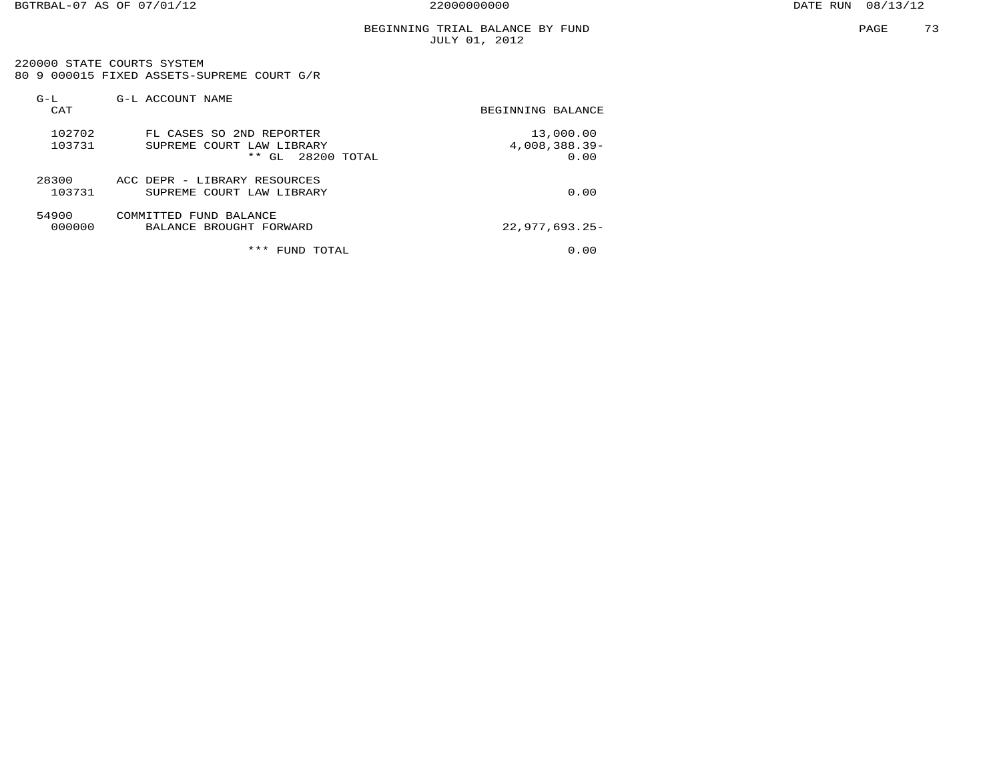220000 STATE COURTS SYSTEM 80 9 000015 FIXED ASSETS-SUPREME COURT G/R

| $G-L$<br>CAT     | G-L ACCOUNT NAME                                                                     | BEGINNING BALANCE                  |
|------------------|--------------------------------------------------------------------------------------|------------------------------------|
| 102702<br>103731 | FL CASES SO 2ND REPORTER<br>SUPREME COURT LAW LIBRARY<br>$***$<br>28200 TOTAL<br>GL. | 13,000.00<br>4,008,388.39-<br>0.00 |
| 28300<br>103731  | ACC DEPR - LIBRARY RESOURCES<br>SUPREME COURT LAW LIBRARY                            | 0.00                               |
| 54900<br>000000  | COMMITTED FUND BALANCE<br>BALANCE BROUGHT FORWARD                                    | $22,977,693.25-$                   |
|                  | ***<br>FUND TOTAL                                                                    | 0.00                               |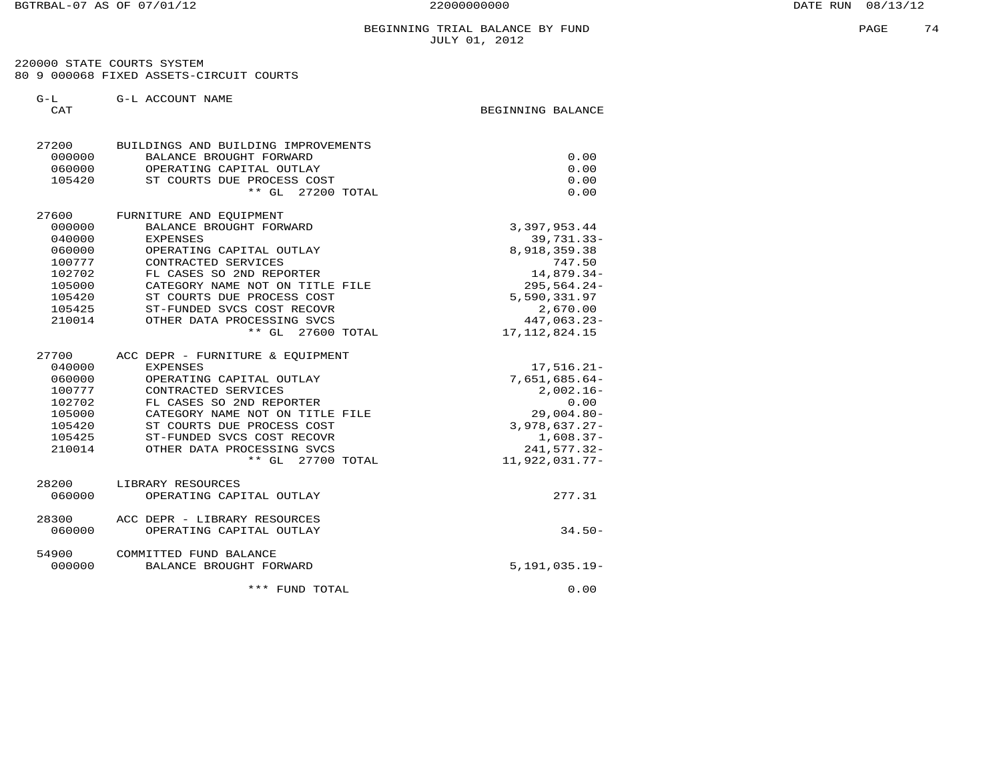220000 STATE COURTS SYSTEM 80 9 000068 FIXED ASSETS-CIRCUIT COURTS

G-L G-L ACCOUNT NAME

CAT GENERAL BEGINNING BALANCE

| 27200<br>000000<br>060000 | BUILDINGS AND BUILDING IMPROVEMENTS<br>BALANCE BROUGHT FORWARD<br>OPERATING CAPITAL OUTLAY | 0.00<br>0.00                    |
|---------------------------|--------------------------------------------------------------------------------------------|---------------------------------|
| 105420                    | ST COURTS DUE PROCESS COST<br>** GL 27200 TOTAL                                            | 0.00<br>0.00                    |
| 27600                     | FURNITURE AND EQUIPMENT                                                                    |                                 |
| 000000                    | BALANCE BROUGHT FORWARD                                                                    | 3, 397, 953.44                  |
| 040000                    | <b>EXPENSES</b>                                                                            | $39,731.33 -$                   |
| 060000                    | OPERATING CAPITAL OUTLAY                                                                   | 8,918,359.38                    |
| 100777                    | CONTRACTED SERVICES                                                                        | 747.50                          |
| 102702                    | FL CASES SO 2ND REPORTER                                                                   | 14,879.34-                      |
| 105000                    | CATEGORY NAME NOT ON TITLE FILE                                                            | $295,564.24-$                   |
| 105420                    | ST COURTS DUE PROCESS COST                                                                 | 5,590,331.97                    |
| 105425                    | ST-FUNDED SVCS COST RECOVR                                                                 | 2,670.00                        |
| 210014                    | OTHER DATA PROCESSING SVCS<br>$**$ GL<br>27600 TOTAL                                       | 447,063.23-<br>17, 112, 824. 15 |
| 27700                     | ACC DEPR - FURNITURE & EQUIPMENT                                                           |                                 |
| 040000                    | <b>EXPENSES</b>                                                                            | $17,516.21-$                    |
| 060000                    | OPERATING CAPITAL OUTLAY                                                                   | $7,651,685.64-$                 |
| 100777                    | CONTRACTED SERVICES                                                                        | $2,002.16 -$                    |
| 102702                    | FL CASES SO 2ND REPORTER                                                                   | 0.00                            |
| 105000                    | CATEGORY NAME NOT ON TITLE FILE                                                            | $29,004.80 -$                   |
| 105420                    | ST COURTS DUE PROCESS COST                                                                 | $3,978,637.27-$                 |
| 105425                    | ST-FUNDED SVCS COST RECOVR                                                                 | $1,608.37-$                     |
| 210014                    | OTHER DATA PROCESSING SVCS                                                                 | $241,577.32-$                   |
|                           | $**$ GL<br>27700 TOTAL                                                                     | 11,922,031.77-                  |
| 28200                     | LIBRARY RESOURCES                                                                          |                                 |
| 060000                    | OPERATING CAPITAL OUTLAY                                                                   | 277.31                          |
| 28300                     | ACC DEPR - LIBRARY RESOURCES                                                               |                                 |
| 060000                    | OPERATING CAPITAL OUTLAY                                                                   | $34.50-$                        |
| 54900                     | COMMITTED FUND BALANCE                                                                     |                                 |
| 000000                    | BALANCE BROUGHT FORWARD                                                                    | $5,191,035.19-$                 |
|                           | *** FUND TOTAL                                                                             | 0.00                            |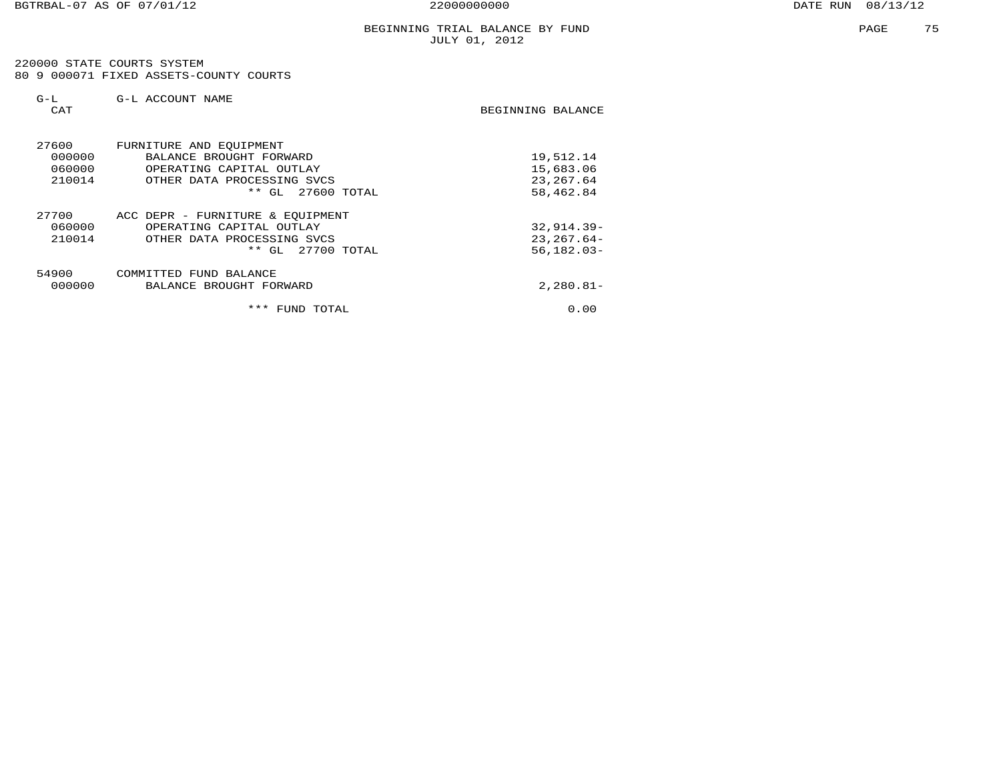220000 STATE COURTS SYSTEM 80 9 000071 FIXED ASSETS-COUNTY COURTS

| $G-L$<br>CAT                        | G-L ACCOUNT NAME                                                                                                                     | BEGINNING BALANCE                                 |
|-------------------------------------|--------------------------------------------------------------------------------------------------------------------------------------|---------------------------------------------------|
| 27600<br>000000<br>060000<br>210014 | FURNITURE AND EQUIPMENT<br>BALANCE BROUGHT FORWARD<br>OPERATING CAPITAL OUTLAY<br>OTHER DATA PROCESSING SVCS<br>** GL<br>27600 TOTAL | 19,512.14<br>15,683.06<br>23, 267.64<br>58,462.84 |
| 27700<br>060000<br>210014           | ACC DEPR - FURNITURE & EQUIPMENT<br>OPERATING CAPITAL OUTLAY<br>OTHER DATA PROCESSING SVCS<br>* *<br>27700 TOTAL<br>GL               | $32,914.39-$<br>$23, 267.64 -$<br>$56, 182.03 -$  |
| 54900<br>000000                     | COMMITTED FUND BALANCE<br>BALANCE BROUGHT FORWARD                                                                                    | $2,280.81-$                                       |
|                                     | ***<br>FUND TOTAL                                                                                                                    | 0.00                                              |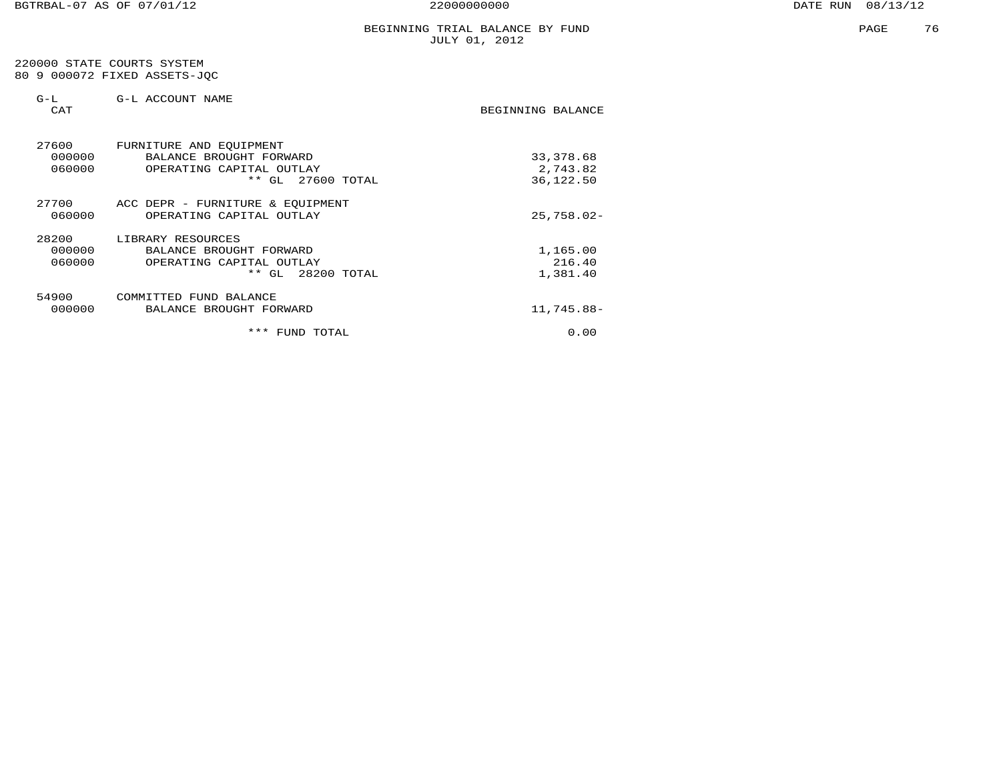|  |  | 220000 STATE COURTS SYSTEM   |  |  |  |
|--|--|------------------------------|--|--|--|
|  |  | 80 9 000072 FIXED ASSETS-JOC |  |  |  |

| $G-L$<br>CAT | G-L ACCOUNT NAME                                                                                                                | BEGINNING BALANCE                   |
|--------------|---------------------------------------------------------------------------------------------------------------------------------|-------------------------------------|
| 27600        | FURNITURE AND EQUIPMENT<br>000000<br>BALANCE BROUGHT FORWARD<br>060000<br>OPERATING CAPITAL OUTLAY<br>$***$ GL<br>$27600$ TOTAL | 33, 378.68<br>2,743.82<br>36,122.50 |
| 27700        | ACC DEPR - FURNITURE & EQUIPMENT<br>060000<br>OPERATING CAPITAL OUTLAY                                                          | $25,758.02-$                        |
| 28200        | LIBRARY RESOURCES<br>000000<br>BALANCE BROUGHT FORWARD<br>060000<br>OPERATING CAPITAL OUTLAY<br>** GL<br>28200 TOTAL            | 1,165.00<br>216.40<br>1,381.40      |
| 54900        | COMMITTED FUND BALANCE<br>000000<br>BALANCE BROUGHT FORWARD                                                                     | 11,745.88-                          |
|              | ***<br>FUND TOTAL                                                                                                               | 0.00                                |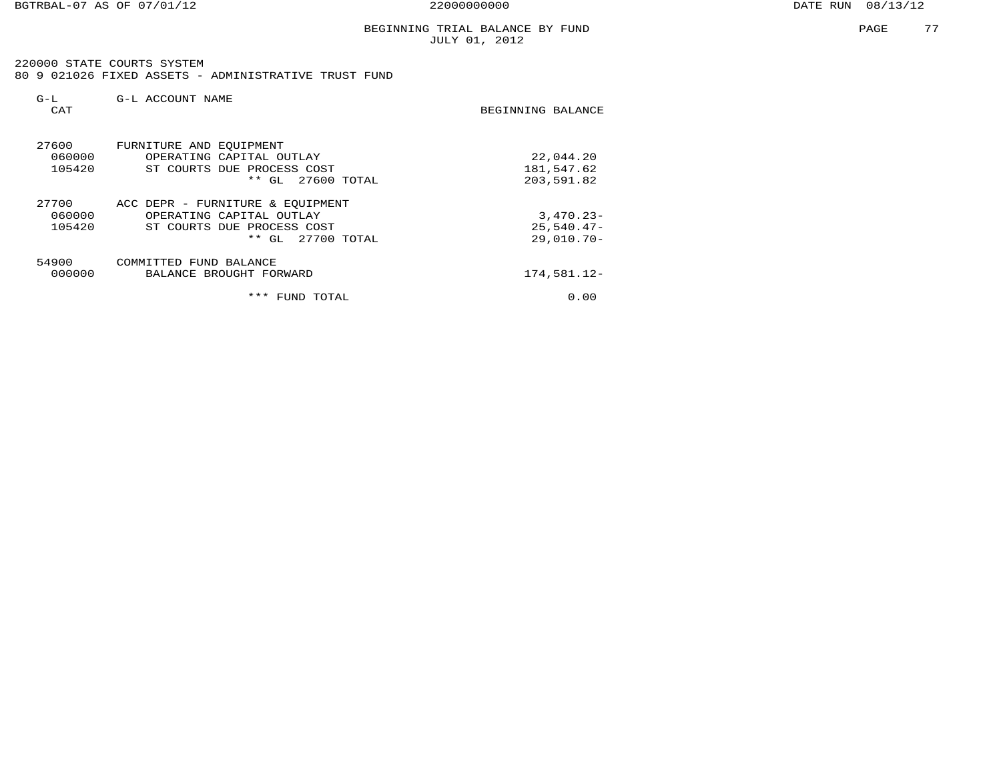BGTRBAL-07 AS OF 07/01/12 22000000000 DATE RUN 08/13/12

PAGE 77

#### BEGINNING TRIAL BALANCE BY FUND JULY 01, 2012

 220000 STATE COURTS SYSTEM 80 9 021026 FIXED ASSETS - ADMINISTRATIVE TRUST FUND

| $G-L$<br>CAT              | G-L ACCOUNT NAME                                                                                                     | BEGINNING BALANCE                           |
|---------------------------|----------------------------------------------------------------------------------------------------------------------|---------------------------------------------|
| 27600<br>060000<br>105420 | FURNITURE AND EQUIPMENT<br>OPERATING CAPITAL OUTLAY<br>ST COURTS DUE PROCESS COST<br>27600 TOTAL<br>$**$ GL          | 22,044.20<br>181,547.62<br>203,591.82       |
| 27700<br>060000<br>105420 | ACC DEPR - FURNITURE & EOUIPMENT<br>OPERATING CAPITAL OUTLAY<br>ST COURTS DUE PROCESS COST<br>27700 TOTAL<br>$**$ GL | $3,470.23-$<br>$25.540.47-$<br>$29,010.70-$ |
| 54900<br>000000           | COMMITTED FUND BALANCE<br>BALANCE BROUGHT FORWARD                                                                    | 174,581.12-                                 |
|                           | ***<br>TOTAL<br>FUND                                                                                                 | 0.00                                        |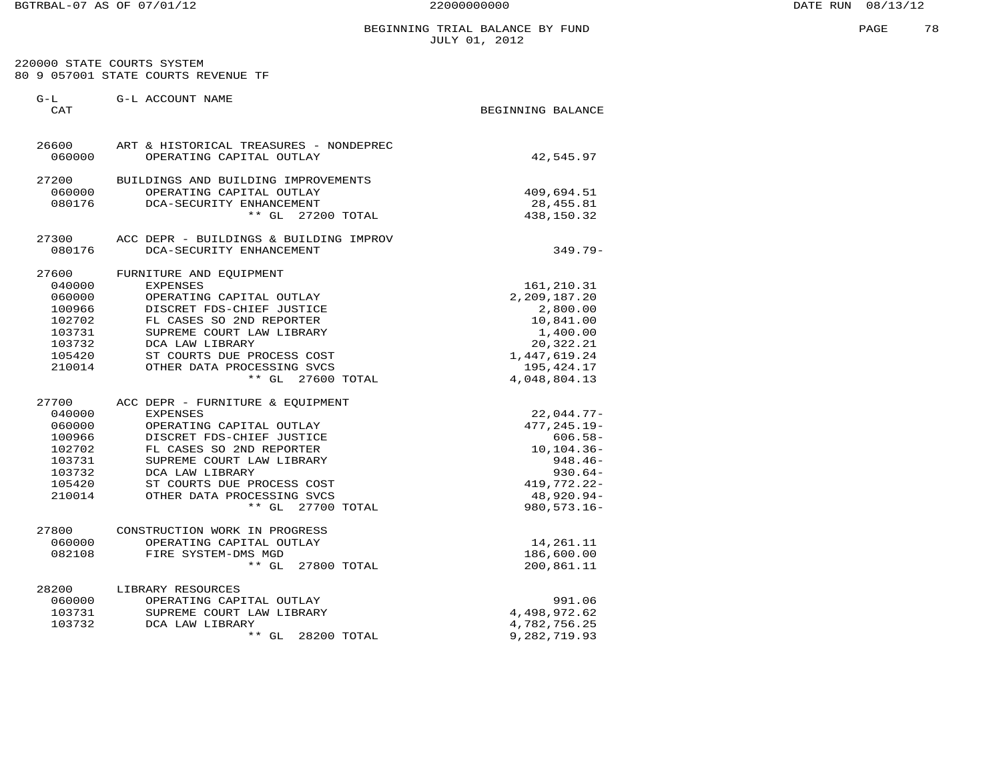220000 STATE COURTS SYSTEM 80 9 057001 STATE COURTS REVENUE TF

| $G-L$<br>CAT | G-L ACCOUNT NAME                       | BEGINNING BALANCE |
|--------------|----------------------------------------|-------------------|
| 26600        | ART & HISTORICAL TREASURES - NONDEPREC |                   |
| 060000       | OPERATING CAPITAL OUTLAY               | 42,545.97         |
| 27200        | BUILDINGS AND BUILDING IMPROVEMENTS    |                   |
| 060000       | OPERATING CAPITAL OUTLAY               | 409,694.51        |
| 080176       | DCA-SECURITY ENHANCEMENT               | 28, 455.81        |
|              | ** GL 27200 TOTAL                      | 438,150.32        |
| 27300        | ACC DEPR - BUILDINGS & BUILDING IMPROV |                   |
| 080176       | DCA-SECURITY ENHANCEMENT               | $349.79 -$        |
| 27600        | FURNITURE AND EQUIPMENT                |                   |
| 040000       | <b>EXPENSES</b>                        | 161,210.31        |
| 060000       | OPERATING CAPITAL OUTLAY               | 2,209,187.20      |
| 100966       | DISCRET FDS-CHIEF JUSTICE              | 2,800.00          |
| 102702       | FL CASES SO 2ND REPORTER               | 10,841.00         |
| 103731       | SUPREME COURT LAW LIBRARY              | 1,400.00          |
| 103732       | DCA LAW LIBRARY                        | 20,322.21         |
| 105420       | ST COURTS DUE PROCESS COST             | 1, 447, 619.24    |
| 210014       | OTHER DATA PROCESSING SVCS             | 195, 424. 17      |
|              | ** GL 27600 TOTAL                      | 4,048,804.13      |
| 27700        | ACC DEPR - FURNITURE & EQUIPMENT       |                   |
| 040000       | <b>EXPENSES</b>                        | $22,044.77-$      |
| 060000       | OPERATING CAPITAL OUTLAY               | $477, 245.19 -$   |
| 100966       | DISCRET FDS-CHIEF JUSTICE              | $606.58-$         |
| 102702       | FL CASES SO 2ND REPORTER               | $10, 104.36 -$    |
| 103731       | SUPREME COURT LAW LIBRARY              | $948.46 -$        |
| 103732       | DCA LAW LIBRARY                        | $930.64-$         |
| 105420       | ST COURTS DUE PROCESS COST             | 419,772.22-       |
| 210014       | OTHER DATA PROCESSING SVCS             | 48,920.94-        |
|              | ** GL 27700 TOTAL                      | $980, 573.16 -$   |
| 27800        | CONSTRUCTION WORK IN PROGRESS          |                   |
| 060000       | OPERATING CAPITAL OUTLAY               | 14,261.11         |
| 082108       | FIRE SYSTEM-DMS MGD                    | 186,600.00        |
|              | $***$ GL<br>27800 TOTAL                | 200,861.11        |
| 28200        | LIBRARY RESOURCES                      |                   |
| 060000       | OPERATING CAPITAL OUTLAY               | 991.06            |
| 103731       | SUPREME COURT LAW LIBRARY              | 4,498,972.62      |
| 103732       | DCA LAW LIBRARY                        | 4,782,756.25      |
|              | $***$ GL<br>28200 TOTAL                | 9,282,719.93      |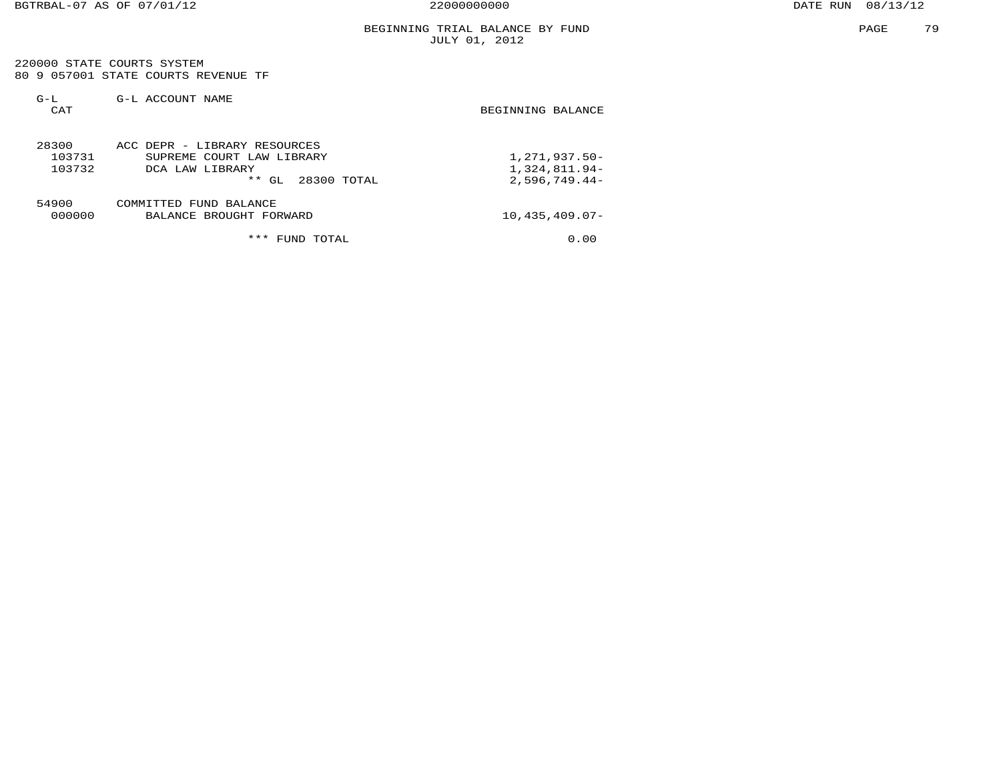220000 STATE COURTS SYSTEM 80 9 057001 STATE COURTS REVENUE TF

| $G-L$<br>CAT              | G-L ACCOUNT NAME                                                                                           | BEGINNING BALANCE                                 |
|---------------------------|------------------------------------------------------------------------------------------------------------|---------------------------------------------------|
| 28300<br>103731<br>103732 | ACC DEPR - LIBRARY RESOURCES<br>SUPREME COURT LAW LIBRARY<br>DCA LAW LIBRARY<br>$* *$<br>28300 TOTAL<br>GL | 1,271,937.50-<br>1,324,811.94-<br>$2,596,749.44-$ |
| 54900<br>000000           | COMMITTED FUND BALANCE<br>BALANCE BROUGHT FORWARD                                                          | $10,435,409.07-$                                  |
|                           | ***<br><b>FUND</b><br>TOTAL                                                                                | 0.00                                              |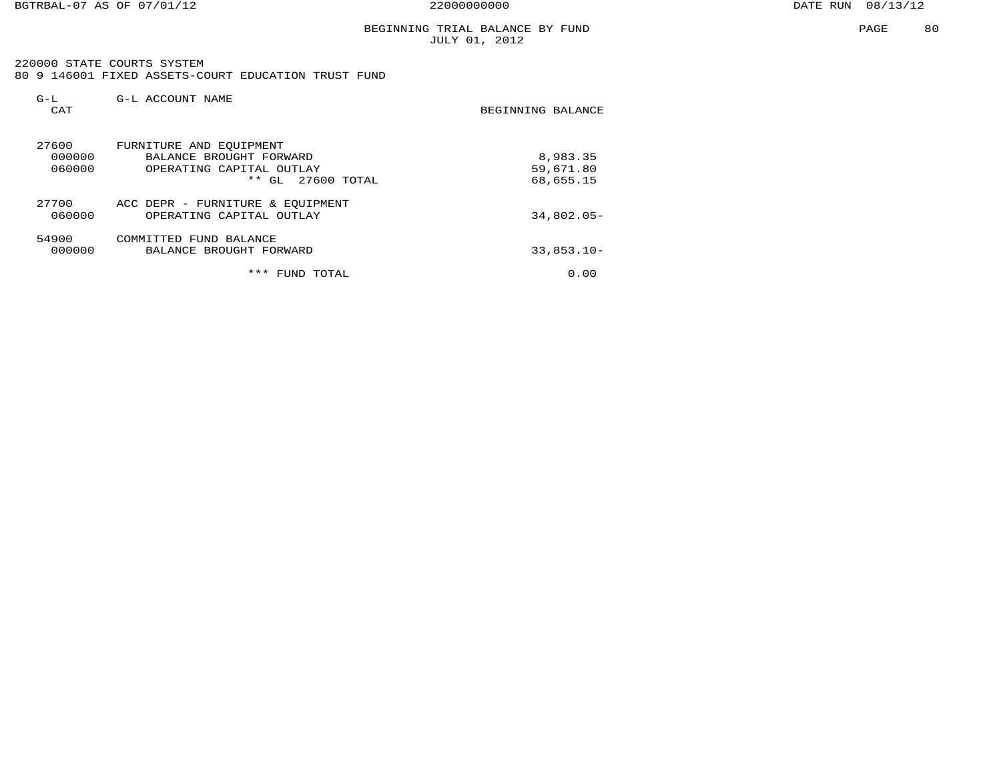BGTRBAL-07 AS OF 07/01/12 22000000000 DATE RUN 08/13/12

PAGE 80

#### BEGINNING TRIAL BALANCE BY FUND JULY 01, 2012

 220000 STATE COURTS SYSTEM 80 9 146001 FIXED ASSETS-COURT EDUCATION TRUST FUND

| $G-L$<br>CAT | G-L ACCOUNT NAME                                                                                                              | BEGINNING BALANCE                  |
|--------------|-------------------------------------------------------------------------------------------------------------------------------|------------------------------------|
| 27600        | FURNITURE AND EOUIPMENT<br>000000<br>BALANCE BROUGHT FORWARD<br>060000<br>OPERATING CAPITAL OUTLAY<br>$***$ GL<br>27600 TOTAL | 8,983.35<br>59,671.80<br>68,655.15 |
| 27700        | ACC DEPR - FURNITURE & EOUIPMENT<br>060000<br>OPERATING CAPITAL OUTLAY                                                        | $34.802.05 -$                      |
| 54900        | COMMITTED FUND BALANCE<br>000000<br>BALANCE BROUGHT FORWARD                                                                   | $33,853.10 -$                      |
|              | ***<br>TOTAL<br>FUND                                                                                                          | 0.00                               |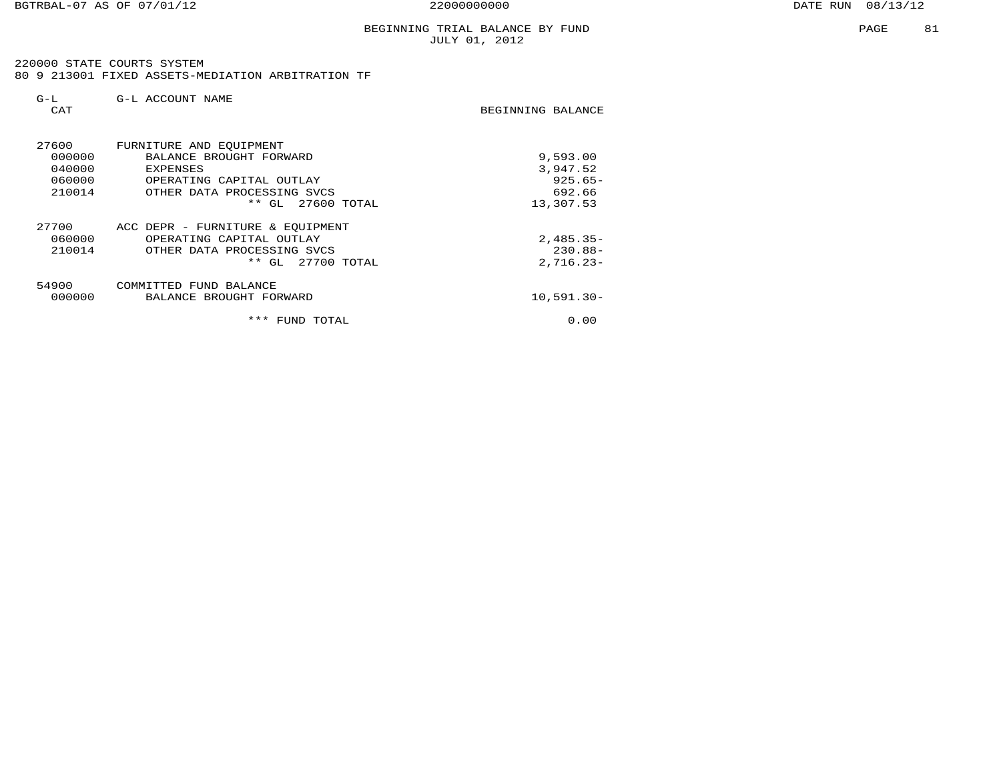220000 STATE COURTS SYSTEM 80 9 213001 FIXED ASSETS-MEDIATION ARBITRATION TF

| $G-L$<br>CAT                                  | G-L ACCOUNT NAME                                                                                                                                            | BEGINNING BALANCE                                         |
|-----------------------------------------------|-------------------------------------------------------------------------------------------------------------------------------------------------------------|-----------------------------------------------------------|
| 27600<br>000000<br>040000<br>060000<br>210014 | FURNITURE AND EQUIPMENT<br>BALANCE BROUGHT FORWARD<br><b>EXPENSES</b><br>OPERATING CAPITAL OUTLAY<br>OTHER DATA PROCESSING SVCS<br>* *<br>GL<br>27600 TOTAL | 9,593.00<br>3,947.52<br>$925.65 -$<br>692.66<br>13,307.53 |
| 27700<br>060000<br>210014                     | ACC DEPR - FURNITURE & EQUIPMENT<br>OPERATING CAPITAL OUTLAY<br>OTHER DATA PROCESSING SVCS<br>27700 TOTAL<br>$***$<br>GL                                    | $2,485.35-$<br>$230.88 -$<br>$2,716.23-$                  |
| 54900<br>000000                               | FUND BALANCE<br>COMMITTED<br>BALANCE BROUGHT FORWARD<br>***<br>FUND TOTAL                                                                                   | $10,591.30 -$<br>0.00                                     |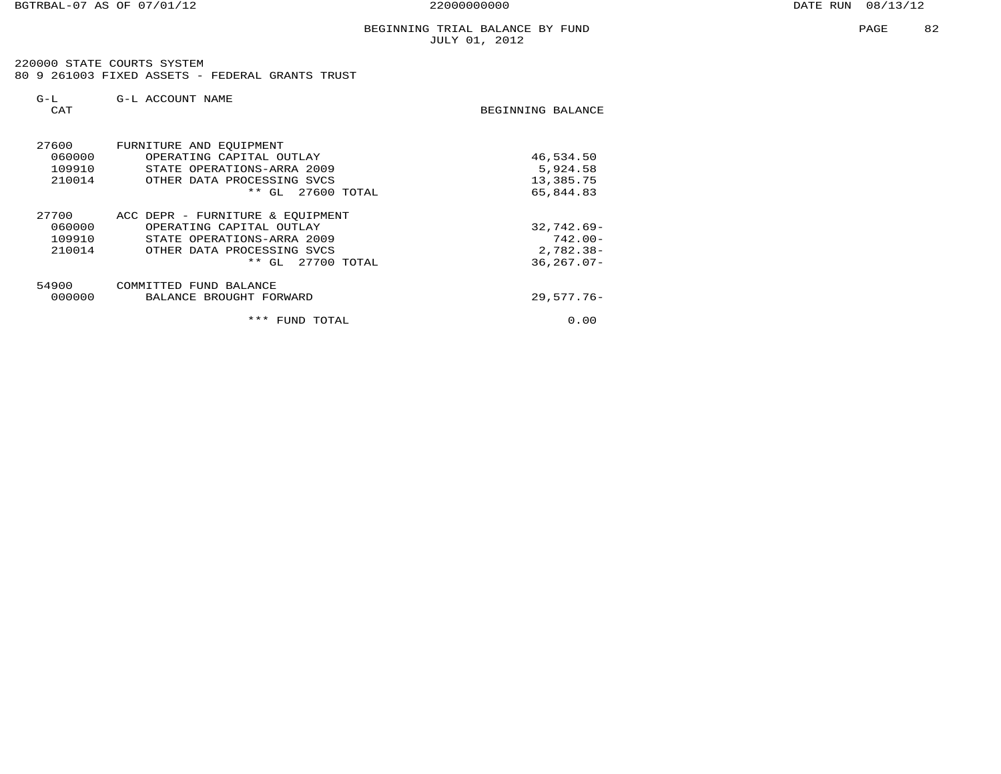220000 STATE COURTS SYSTEM 80 9 261003 FIXED ASSETS - FEDERAL GRANTS TRUST

| $G-L$<br><b>CAT</b>                 | G-L ACCOUNT NAME                                                                                                                                       | BEGINNING BALANCE                                           |
|-------------------------------------|--------------------------------------------------------------------------------------------------------------------------------------------------------|-------------------------------------------------------------|
| 27600<br>060000<br>109910<br>210014 | FURNITURE AND EQUIPMENT<br>OPERATING CAPITAL OUTLAY<br>STATE OPERATIONS-ARRA 2009<br>OTHER DATA PROCESSING SVCS<br>$***$<br>GL<br>27600 TOTAL          | 46,534.50<br>5,924.58<br>13,385.75<br>65,844.83             |
| 27700<br>060000<br>109910<br>210014 | ACC DEPR - FURNITURE & EOUIPMENT<br>OPERATING CAPITAL OUTLAY<br>STATE OPERATIONS-ARRA 2009<br>OTHER DATA PROCESSING SVCS<br>$***$<br>GL<br>27700 TOTAL | $32,742.69-$<br>$742.00 -$<br>$2,782.38-$<br>$36, 267.07 -$ |
| 54900<br>000000                     | COMMITTED FUND BALANCE<br>BALANCE BROUGHT FORWARD                                                                                                      | $29,577.76 -$                                               |
|                                     | ***<br>TOTAL<br>FUND                                                                                                                                   | 0.00                                                        |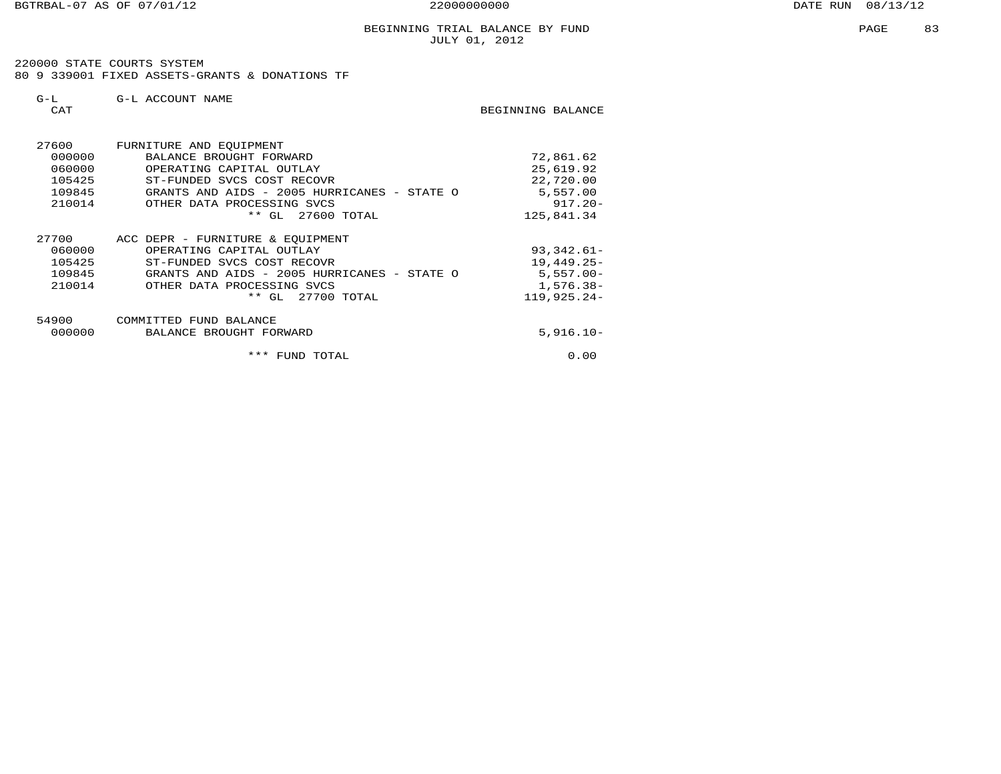220000 STATE COURTS SYSTEM80 9 339001 FIXED ASSETS-GRANTS & DONATIONS TF

| $G-L$<br>CAT                                  | G-L ACCOUNT NAME                                                                                                                                                                             | BEGINNING BALANCE                                                             |
|-----------------------------------------------|----------------------------------------------------------------------------------------------------------------------------------------------------------------------------------------------|-------------------------------------------------------------------------------|
| 27600<br>000000<br>060000<br>105425<br>109845 | FURNITURE AND EOUIPMENT<br>BALANCE BROUGHT FORWARD<br>OPERATING CAPITAL OUTLAY<br>ST-FUNDED SVCS COST RECOVR<br>GRANTS AND AIDS - 2005 HURRICANES - STATE O                                  | 72,861.62<br>25,619.92<br>22,720.00<br>5,557.00                               |
| 210014                                        | OTHER DATA PROCESSING SVCS<br>** GL 27600 TOTAL                                                                                                                                              | $917.20 -$<br>125,841.34                                                      |
| 27700<br>060000<br>105425<br>109845<br>210014 | ACC DEPR - FURNITURE & EQUIPMENT<br>OPERATING CAPITAL OUTLAY<br>ST-FUNDED SVCS COST RECOVR<br>GRANTS AND AIDS - 2005 HURRICANES - STATE O<br>OTHER DATA PROCESSING SVCS<br>** GL 27700 TOTAL | $93,342.61 -$<br>$19,449.25-$<br>$5,557.00 -$<br>$1,576.38-$<br>$119,925.24-$ |
| 54900<br>000000                               | COMMITTED FUND BALANCE<br>BALANCE BROUGHT FORWARD                                                                                                                                            | $5,916.10 -$                                                                  |
|                                               | * * *<br>FUND TOTAL                                                                                                                                                                          | 0.00                                                                          |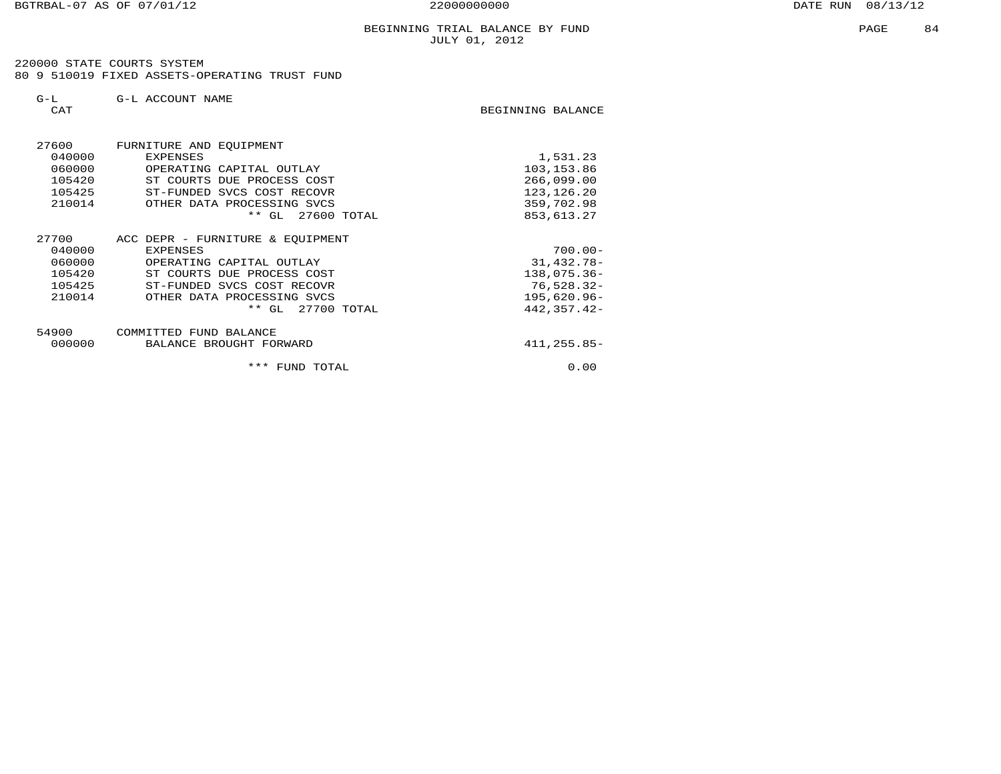220000 STATE COURTS SYSTEM 80 9 510019 FIXED ASSETS-OPERATING TRUST FUND

| $G-L$<br>CAT | G-L ACCOUNT NAME                 | BEGINNING BALANCE |
|--------------|----------------------------------|-------------------|
|              |                                  |                   |
| 27600        | FURNITURE AND EQUIPMENT          |                   |
| 040000       | <b>EXPENSES</b>                  | 1,531.23          |
| 060000       | OPERATING CAPITAL OUTLAY         | 103,153.86        |
| 105420       | ST COURTS DUE PROCESS COST       | 266,099.00        |
| 105425       | ST-FUNDED SVCS COST RECOVR       | 123, 126. 20      |
| 210014       | OTHER DATA PROCESSING SVCS       | 359,702.98        |
|              | $***$ GL<br>27600 TOTAL          | 853,613.27        |
| 27700        | ACC DEPR - FURNITURE & EQUIPMENT |                   |
| 040000       | <b>EXPENSES</b>                  | $700.00 -$        |
| 060000       | OPERATING CAPITAL OUTLAY         | $31,432.78-$      |
| 105420       | ST COURTS DUE PROCESS COST       | $138,075.36 -$    |
| 105425       | ST-FUNDED SVCS COST RECOVR       | $76,528.32-$      |
| 210014       | OTHER DATA PROCESSING SVCS       | $195,620.96 -$    |
|              | 27700 TOTAL<br>$**$ GL           | $442, 357.42 -$   |
| 54900        | COMMITTED FUND BALANCE           |                   |
| 000000       | BALANCE BROUGHT FORWARD          | $411, 255.85 -$   |
|              | *** FUND TOTAL                   | 0.00              |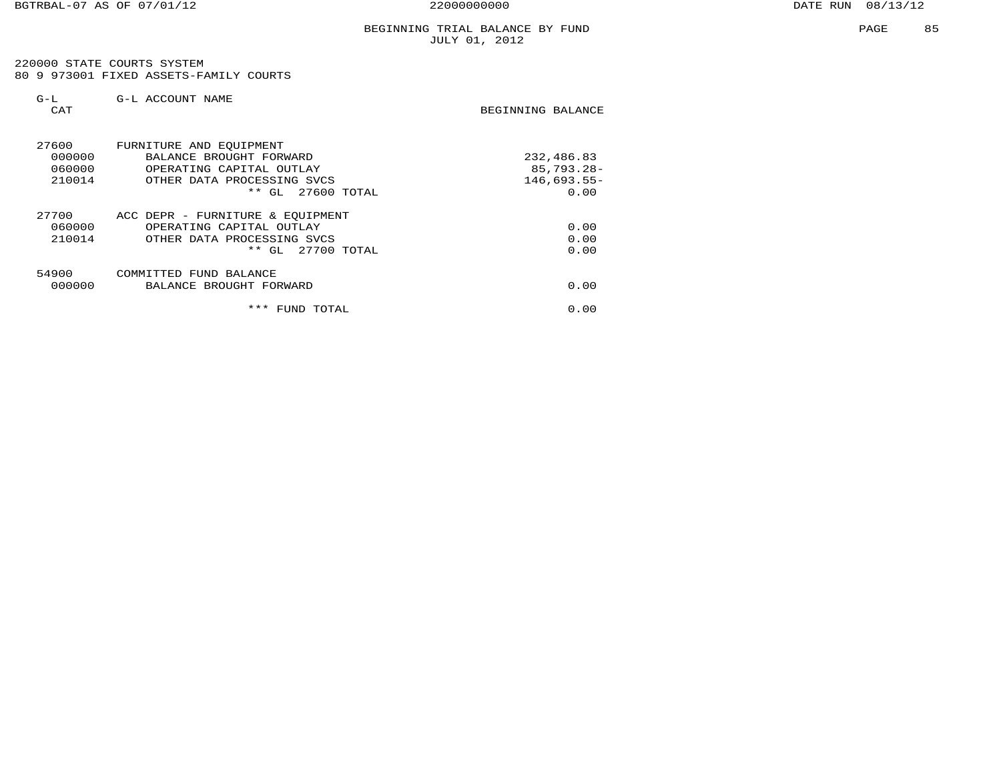220000 STATE COURTS SYSTEM 80 9 973001 FIXED ASSETS-FAMILY COURTS

| $G-L$<br>CAT                        | G-L ACCOUNT NAME                                                                                                                             | BEGINNING BALANCE                                    |
|-------------------------------------|----------------------------------------------------------------------------------------------------------------------------------------------|------------------------------------------------------|
| 27600<br>000000<br>060000<br>210014 | FURNITURE AND EQUIPMENT<br>BALANCE BROUGHT FORWARD<br>OPERATING CAPITAL OUTLAY<br>OTHER DATA PROCESSING SVCS<br>$***$<br>$27600$ TOTAL<br>GL | 232,486.83<br>$85,793.28 -$<br>$146,693.55-$<br>0.00 |
| 27700<br>060000<br>210014           | ACC DEPR - FURNITURE & EQUIPMENT<br>OPERATING CAPITAL OUTLAY<br>OTHER DATA PROCESSING SVCS<br>27700 TOTAL<br>$***$<br>GL                     | 0.00<br>0.00<br>0.00                                 |
| 54900<br>000000                     | COMMITTED FUND BALANCE<br>BALANCE BROUGHT FORWARD                                                                                            | 0.00                                                 |
|                                     | ***<br>FUND<br>TOTAL                                                                                                                         | 0.00                                                 |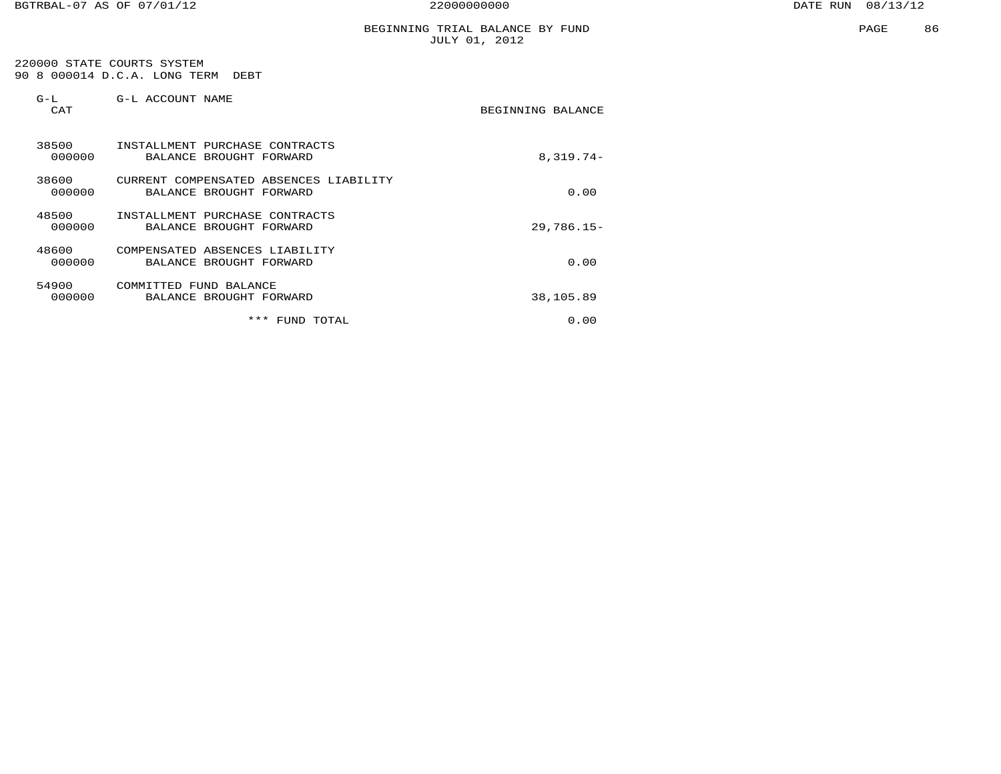#### BEGINNING TRIAL BALANCE BY FUND JULY 01, 2012

 220000 STATE COURTS SYSTEM 90 8 000014 D.C.A. LONG TERM DEBT

| $G-L$<br>CAT    | G-L ACCOUNT NAME                                                     | BEGINNING BALANCE |
|-----------------|----------------------------------------------------------------------|-------------------|
| 38500<br>000000 | INSTALLMENT PURCHASE CONTRACTS<br>BALANCE BROUGHT FORWARD            | $8,319.74-$       |
| 38600<br>000000 | CURRENT COMPENSATED<br>ABSENCES LIABILITY<br>BALANCE BROUGHT FORWARD | 0.00              |
| 48500<br>000000 | INSTALLMENT PURCHASE CONTRACTS<br>BALANCE BROUGHT FORWARD            | $29,786.15-$      |
| 48600<br>000000 | COMPENSATED ABSENCES LIABILITY<br>BALANCE BROUGHT FORWARD            | 0.00              |
| 54900<br>000000 | COMMITTED<br>FUND BALANCE<br>BALANCE BROUGHT FORWARD                 | 38,105.89         |
|                 | ***<br>FUND TOTAL                                                    | 0.00              |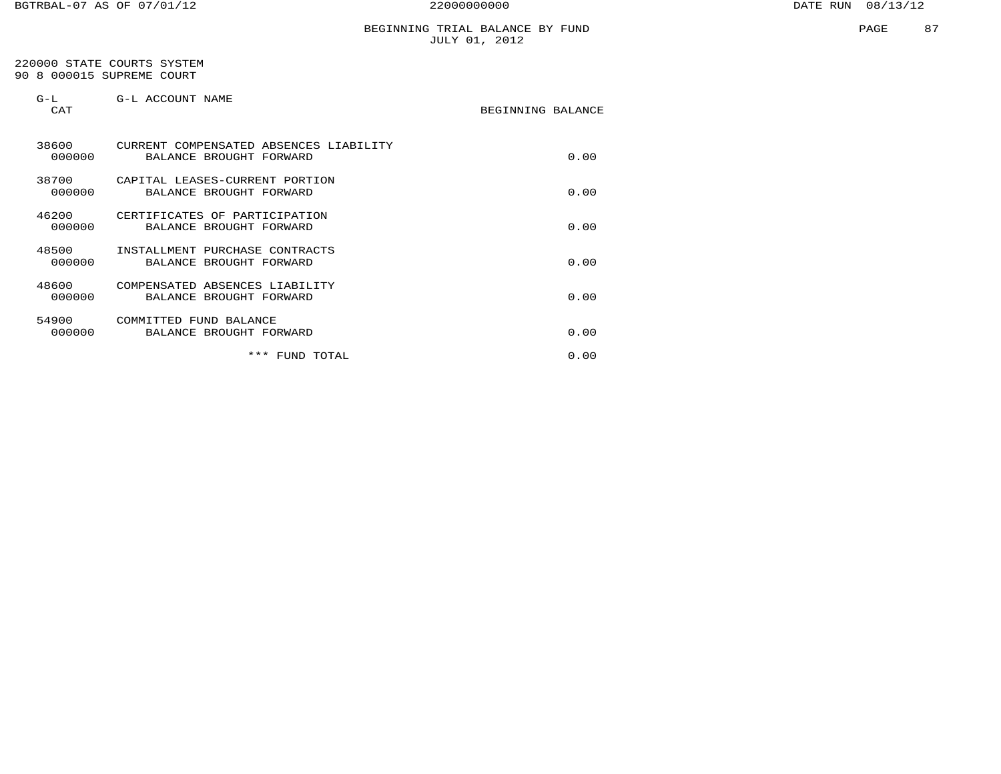#### BEGINNING TRIAL BALANCE BY FUND JULY 01, 2012

#### 220000 STATE COURTS SYSTEM 90 8 000015 SUPREME COURT

| $G-L$<br><b>CAT</b> | G-L ACCOUNT NAME                                                  | BEGINNING BALANCE |  |
|---------------------|-------------------------------------------------------------------|-------------------|--|
| 38600<br>000000     | CURRENT COMPENSATED ABSENCES LIABILITY<br>BALANCE BROUGHT FORWARD | 0.00              |  |
| 38700<br>000000     | CAPITAL LEASES-CURRENT PORTION<br>BALANCE BROUGHT FORWARD         | 0.00              |  |
| 46200<br>000000     | CERTIFICATES OF PARTICIPATION<br>BALANCE BROUGHT FORWARD          | 0.00              |  |
| 48500<br>000000     | INSTALLMENT PURCHASE CONTRACTS<br>BALANCE BROUGHT FORWARD         | 0.00              |  |
| 48600<br>000000     | COMPENSATED ABSENCES LIABILITY<br>BALANCE BROUGHT FORWARD         | 0.00              |  |
| 54900<br>000000     | COMMITTED FUND BALANCE<br>BALANCE BROUGHT FORWARD                 | 0.00              |  |
|                     | * * *<br>FUND TOTAL                                               | 0.00              |  |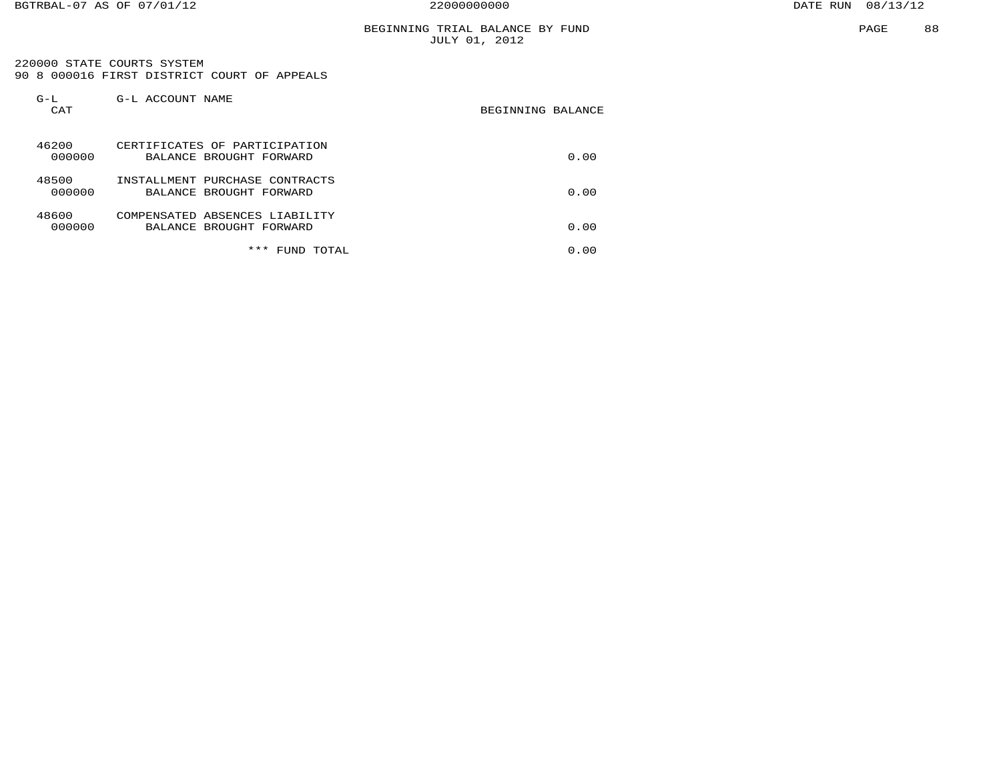#### BEGINNING TRIAL BALANCE BY FUND JULY 01, 2012

 220000 STATE COURTS SYSTEM 90 8 000016 FIRST DISTRICT COURT OF APPEALS

| $G-L$<br>CAT    | G-L ACCOUNT NAME                                          | BEGINNING BALANCE |
|-----------------|-----------------------------------------------------------|-------------------|
| 46200<br>000000 | CERTIFICATES OF PARTICIPATION<br>BALANCE BROUGHT FORWARD  | 0.00              |
| 48500<br>000000 | INSTALLMENT PURCHASE CONTRACTS<br>BALANCE BROUGHT FORWARD | 0.00              |
| 48600<br>000000 | COMPENSATED ABSENCES LIABILITY<br>BALANCE BROUGHT FORWARD | 0.00              |
|                 | ***<br>TOTAL<br>FUND                                      | 0.00              |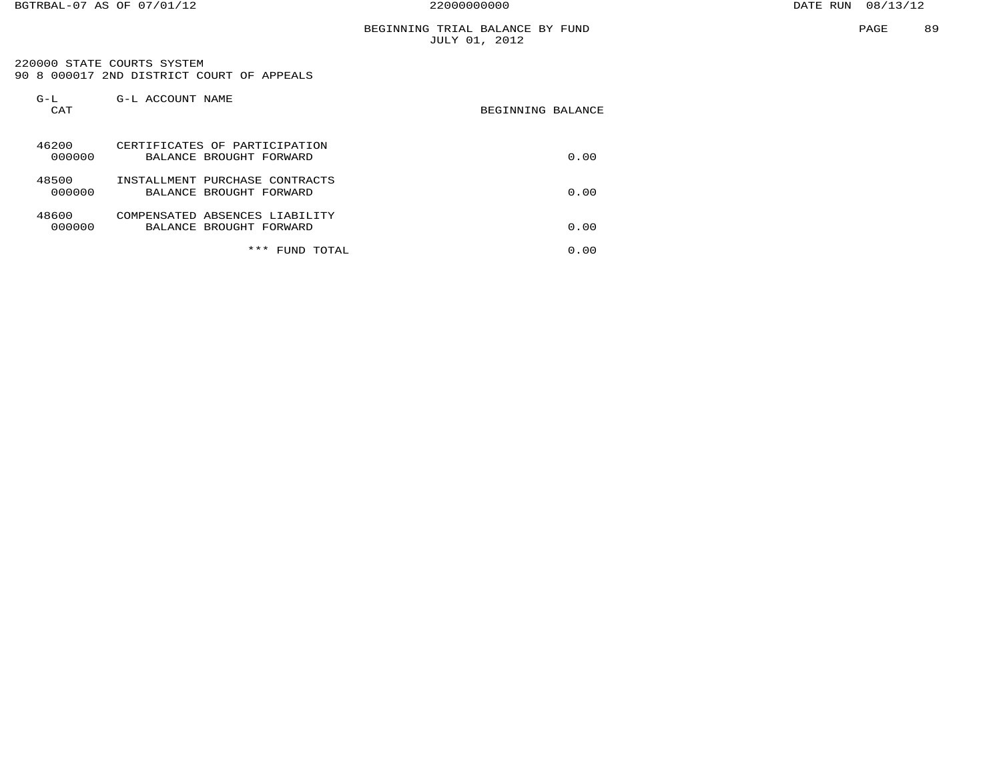#### BEGINNING TRIAL BALANCE BY FUND JULY 01, 2012

 220000 STATE COURTS SYSTEM 90 8 000017 2ND DISTRICT COURT OF APPEALS

| $G-L$<br>CAT    | G-L ACCOUNT NAME                                          | BEGINNING BALANCE |
|-----------------|-----------------------------------------------------------|-------------------|
| 46200<br>000000 | CERTIFICATES OF PARTICIPATION<br>BALANCE BROUGHT FORWARD  | 0.00              |
| 48500<br>000000 | INSTALLMENT PURCHASE CONTRACTS<br>BALANCE BROUGHT FORWARD | 0.00              |
| 48600<br>000000 | COMPENSATED ABSENCES LIABILITY<br>BALANCE BROUGHT FORWARD | 0.00              |
|                 | ***<br><b>TOTAL</b><br>FUND                               | 0.00              |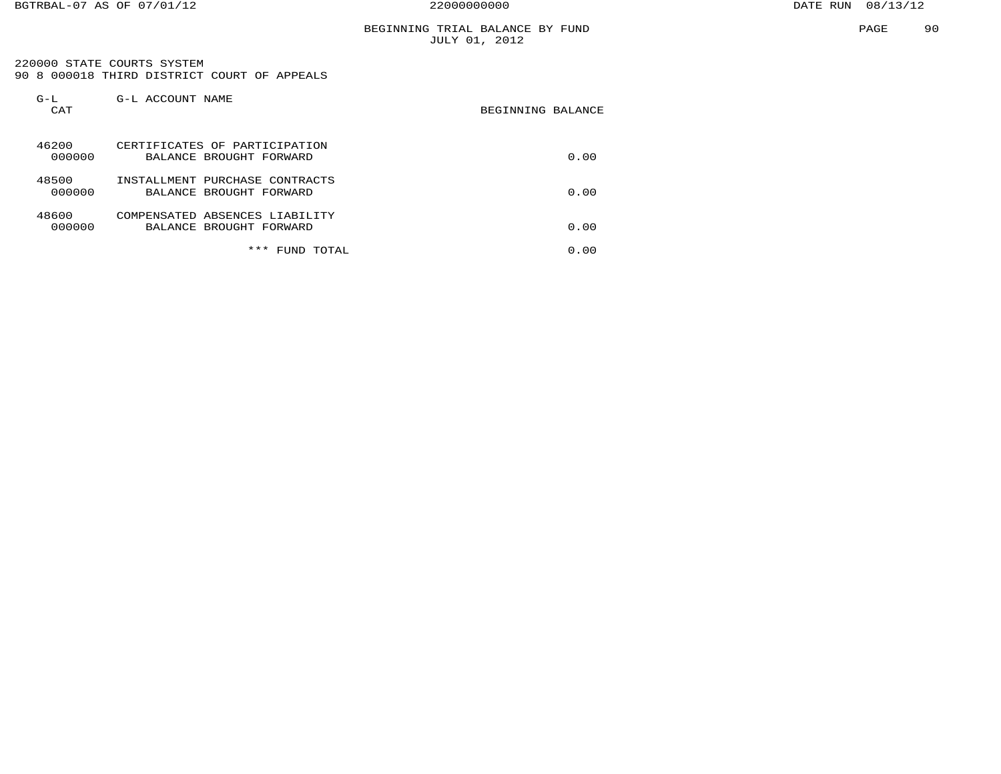#### BEGINNING TRIAL BALANCE BY FUND JULY 01, 2012

 220000 STATE COURTS SYSTEM 90 8 000018 THIRD DISTRICT COURT OF APPEALS

| $G-L$<br>CAT    | G-L ACCOUNT NAME                                          | BEGINNING BALANCE |
|-----------------|-----------------------------------------------------------|-------------------|
| 46200<br>000000 | CERTIFICATES OF PARTICIPATION<br>BALANCE BROUGHT FORWARD  | 0.00              |
| 48500<br>000000 | INSTALLMENT PURCHASE CONTRACTS<br>BALANCE BROUGHT FORWARD | 0.00              |
| 48600<br>000000 | COMPENSATED ABSENCES LIABILITY<br>BALANCE BROUGHT FORWARD | 0.00              |
|                 | ***<br>TOTAL<br>FUND                                      | 0.00              |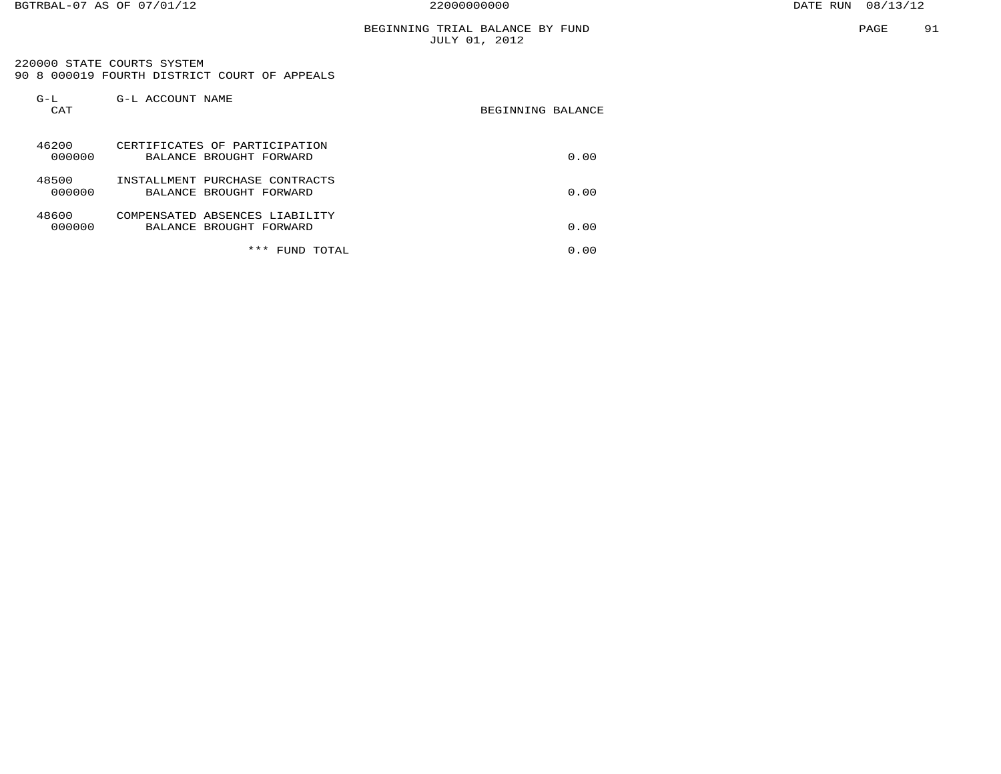220000 STATE COURTS SYSTEM 90 8 000019 FOURTH DISTRICT COURT OF APPEALS

| $G-L$<br>CAT    | G-L ACCOUNT NAME                                          | BEGINNING BALANCE |
|-----------------|-----------------------------------------------------------|-------------------|
| 46200<br>000000 | CERTIFICATES OF PARTICIPATION<br>BALANCE BROUGHT FORWARD  | 0.00              |
| 48500<br>000000 | INSTALLMENT PURCHASE CONTRACTS<br>BALANCE BROUGHT FORWARD | 0.00              |
| 48600<br>000000 | COMPENSATED ABSENCES LIABILITY<br>BALANCE BROUGHT FORWARD | 0.00              |
|                 | * * *<br>TOTAL<br>FUND                                    | 0.00              |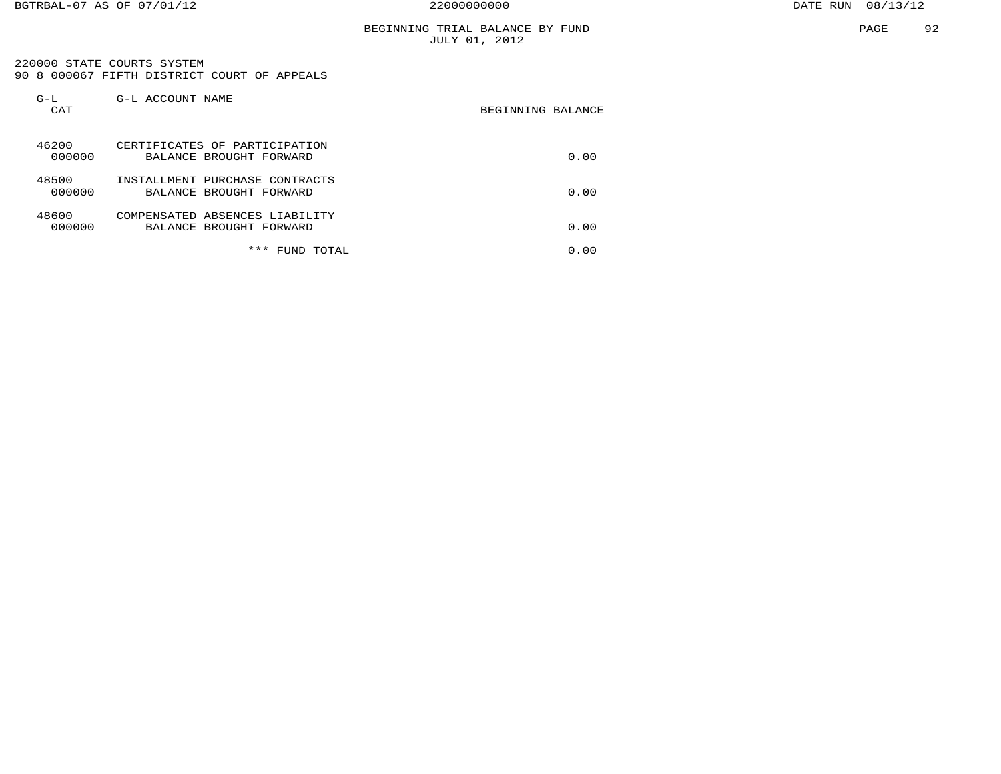#### BEGINNING TRIAL BALANCE BY FUND JULY 01, 2012

 220000 STATE COURTS SYSTEM 90 8 000067 FIFTH DISTRICT COURT OF APPEALS

| $G-L$<br>CAT    | G-L ACCOUNT NAME                                          | BEGINNING BALANCE |
|-----------------|-----------------------------------------------------------|-------------------|
| 46200<br>000000 | CERTIFICATES OF PARTICIPATION<br>BALANCE BROUGHT FORWARD  | 0.00              |
| 48500<br>000000 | INSTALLMENT PURCHASE CONTRACTS<br>BALANCE BROUGHT FORWARD | 0.00              |
| 48600<br>000000 | COMPENSATED ABSENCES LIABILITY<br>BALANCE BROUGHT FORWARD | 0.00              |
|                 | ***<br>TOTAL<br>FUND                                      | 0.00              |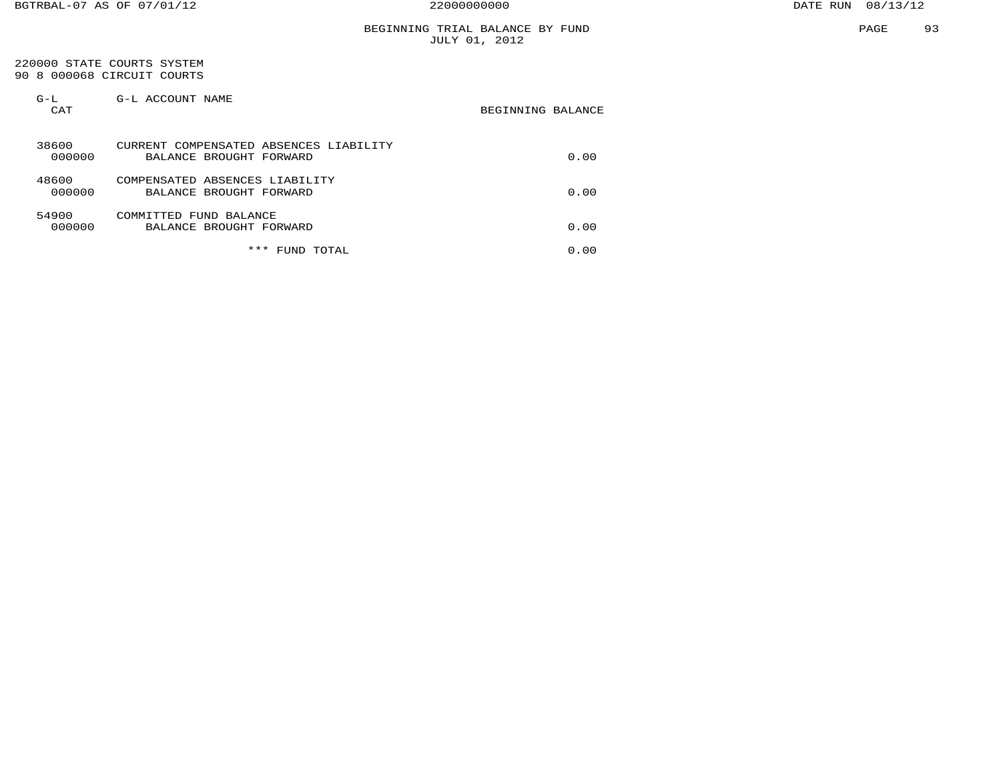#### 220000 STATE COURTS SYSTEM 90 8 000068 CIRCUIT COURTS

| $G-L$<br>CAT    | G-L ACCOUNT NAME                                                  | BEGINNING BALANCE |
|-----------------|-------------------------------------------------------------------|-------------------|
| 38600<br>000000 | CURRENT COMPENSATED ABSENCES LIABILITY<br>BALANCE BROUGHT FORWARD | 0.00              |
| 48600<br>000000 | COMPENSATED ABSENCES LIABILITY<br>BALANCE BROUGHT FORWARD         | 0.00              |
| 54900<br>000000 | COMMITTED FUND BALANCE<br>BALANCE BROUGHT FORWARD                 | 0.00              |
|                 | ***<br>TOTAL<br>FUND                                              | 0.00              |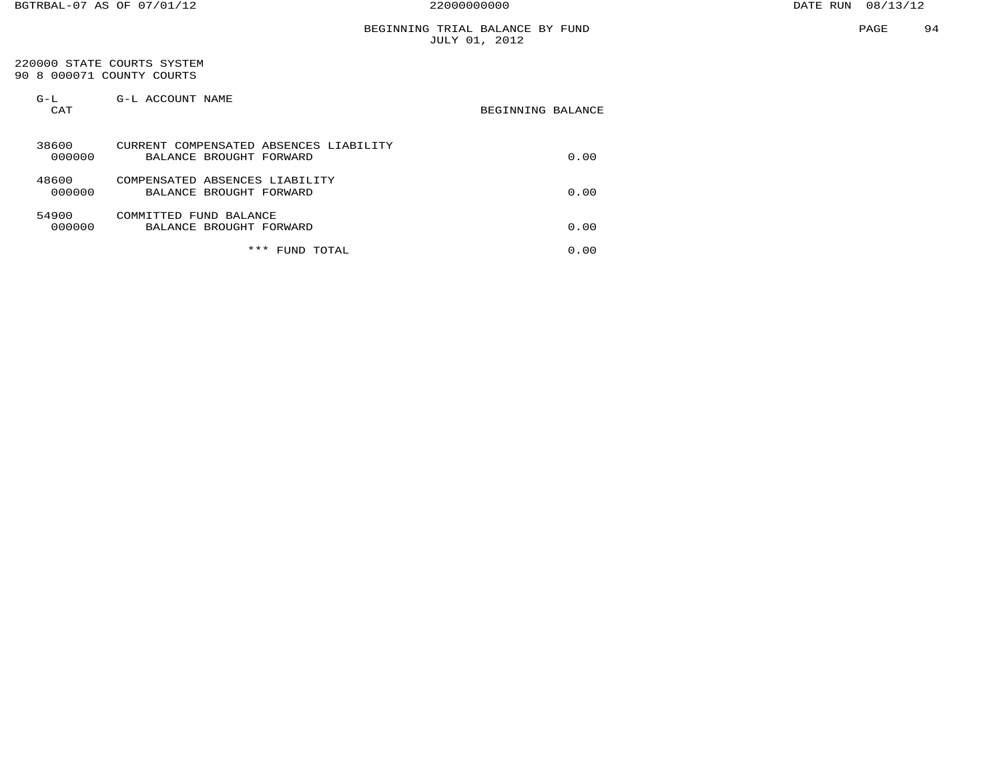#### 220000 STATE COURTS SYSTEM 90 8 000071 COUNTY COURTS

| $G-L$<br>CAT    | G-L ACCOUNT NAME                                                  | BEGINNING BALANCE |
|-----------------|-------------------------------------------------------------------|-------------------|
| 38600<br>000000 | CURRENT COMPENSATED ABSENCES LIABILITY<br>BALANCE BROUGHT FORWARD | 0.00              |
| 48600<br>000000 | COMPENSATED ABSENCES LIABILITY<br>BALANCE BROUGHT FORWARD         | 0.00              |
| 54900<br>000000 | COMMITTED FUND BALANCE<br>BALANCE BROUGHT FORWARD                 | 0.00              |
|                 | ***<br>TOTAL<br>FUND                                              | 0.00              |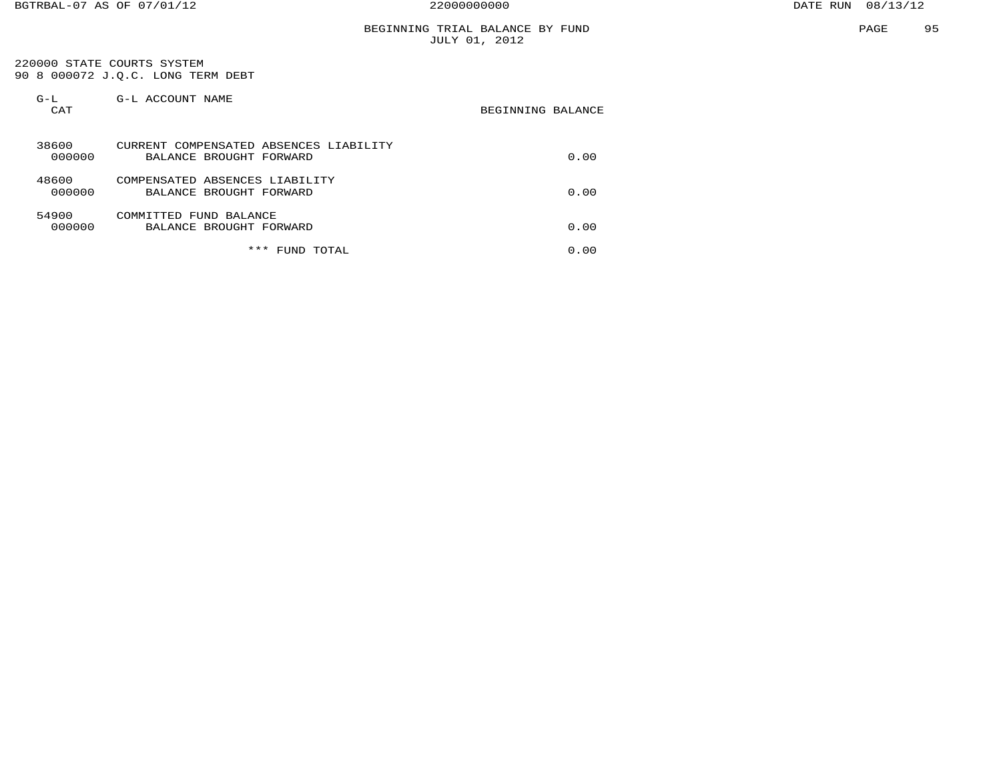#### BEGINNING TRIAL BALANCE BY FUND JULY 01, 2012

 220000 STATE COURTS SYSTEM 90 8 000072 J.Q.C. LONG TERM DEBT

| $G-L$<br>CAT    | G-L ACCOUNT NAME                                                  | BEGINNING BALANCE |
|-----------------|-------------------------------------------------------------------|-------------------|
| 38600<br>000000 | CURRENT COMPENSATED ABSENCES LIABILITY<br>BALANCE BROUGHT FORWARD | 0.00              |
| 48600<br>000000 | COMPENSATED ABSENCES LIABILITY<br>BALANCE BROUGHT FORWARD         | 0.00              |
| 54900<br>000000 | COMMITTED FUND BALANCE<br>BALANCE BROUGHT FORWARD                 | 0.00              |
|                 | ***<br>FUND TOTAL                                                 | 0.00              |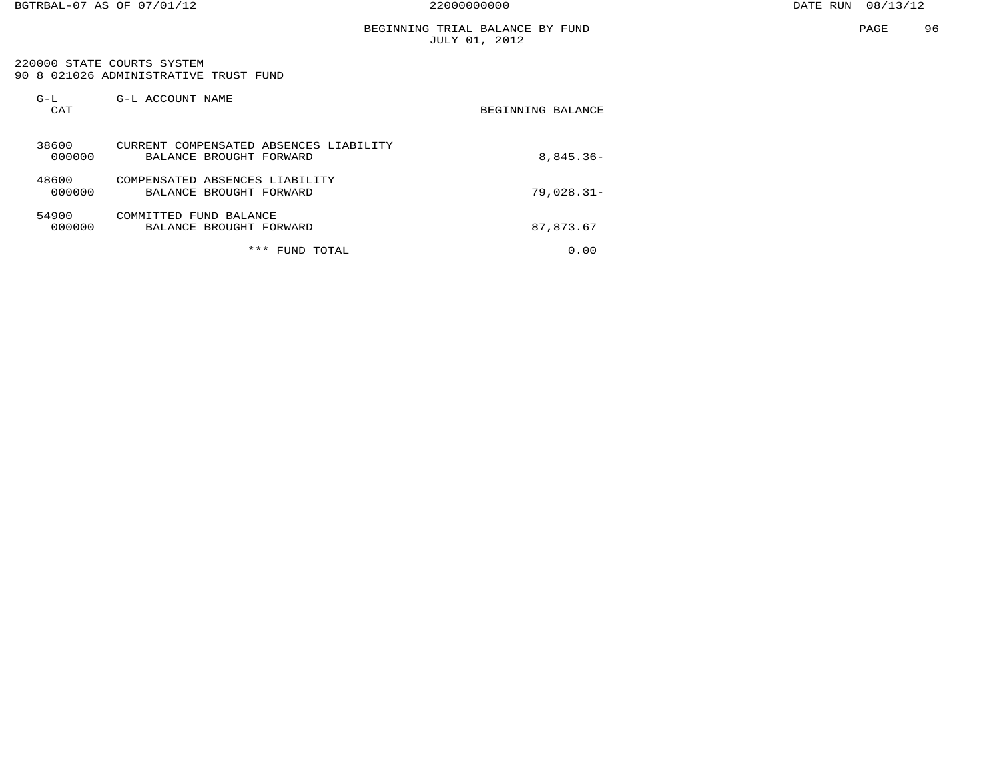#### 220000 STATE COURTS SYSTEM90 8 021026 ADMINISTRATIVE TRUST FUND

| $G-L$<br>CAT    | G-L ACCOUNT NAME                                                  | BEGINNING BALANCE |
|-----------------|-------------------------------------------------------------------|-------------------|
| 38600<br>000000 | CURRENT COMPENSATED ABSENCES LIABILITY<br>BALANCE BROUGHT FORWARD | $8,845.36-$       |
| 48600<br>000000 | COMPENSATED ABSENCES LIABILITY<br>BALANCE BROUGHT FORWARD         | $79,028.31-$      |
| 54900<br>000000 | COMMITTED FUND BALANCE<br>BALANCE BROUGHT FORWARD                 | 87,873.67         |
|                 | ***<br>TOTAL<br>FUND                                              | 0.00              |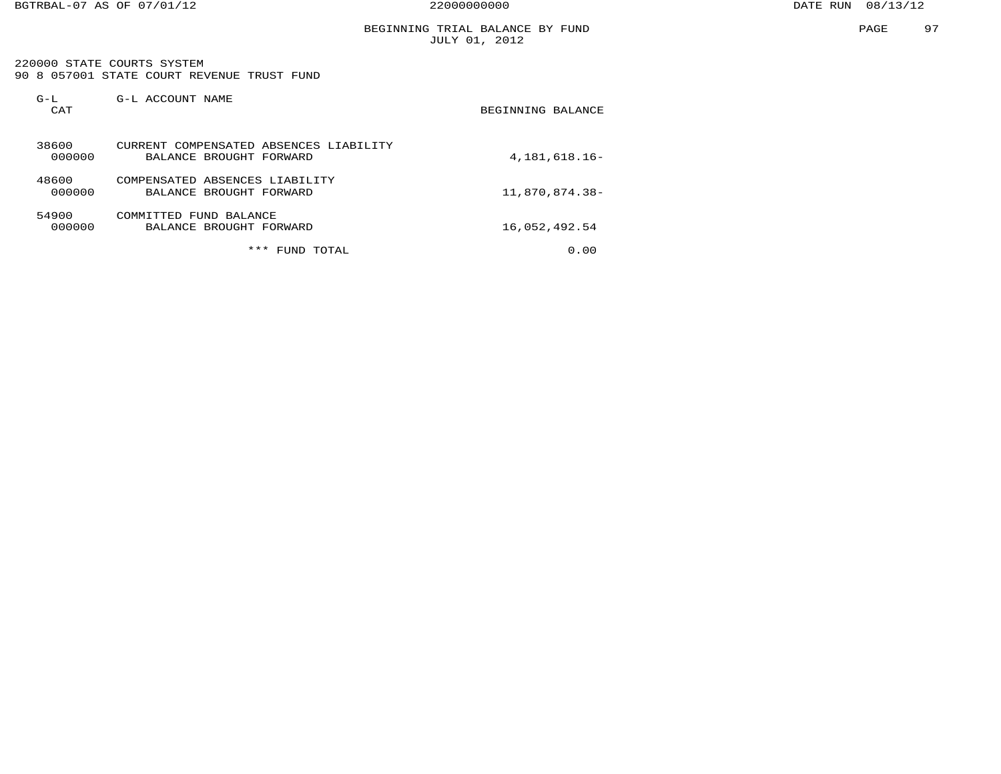#### BEGINNING TRIAL BALANCE BY FUND JULY 01, 2012

 220000 STATE COURTS SYSTEM 90 8 057001 STATE COURT REVENUE TRUST FUND

| $G-L$<br>CAT    | G-L ACCOUNT NAME                                                  | BEGINNING BALANCE |
|-----------------|-------------------------------------------------------------------|-------------------|
| 38600<br>000000 | CURRENT COMPENSATED ABSENCES LIABILITY<br>BALANCE BROUGHT FORWARD | 4,181,618.16-     |
| 48600<br>000000 | COMPENSATED ABSENCES LIABILITY<br>BALANCE BROUGHT FORWARD         | 11,870,874.38-    |
| 54900<br>000000 | COMMITTED<br>FUND BALANCE<br>BALANCE BROUGHT FORWARD              | 16,052,492.54     |
|                 | ***<br>TOTAL<br>FUND                                              | 0.00              |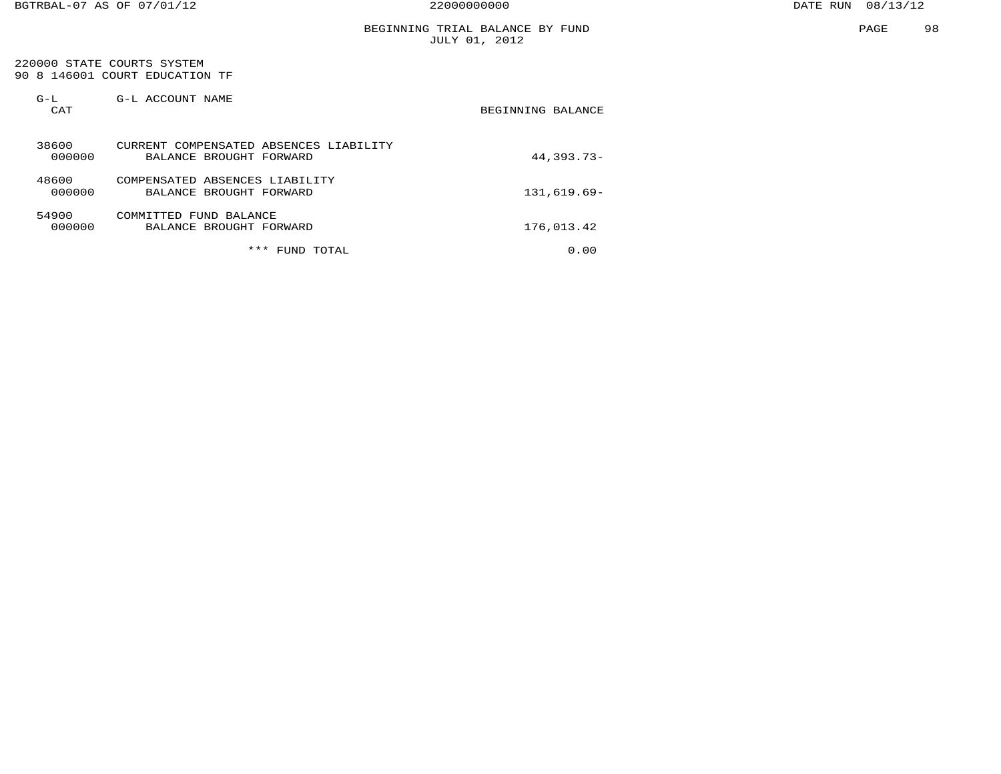#### BEGINNING TRIAL BALANCE BY FUND JULY 01, 2012

#### 220000 STATE COURTS SYSTEM 90 8 146001 COURT EDUCATION TF

| $G-L$<br>CAT    | G-L ACCOUNT NAME                                                  | BEGINNING BALANCE |
|-----------------|-------------------------------------------------------------------|-------------------|
| 38600<br>000000 | CURRENT COMPENSATED ABSENCES LIABILITY<br>BALANCE BROUGHT FORWARD | $44.393.73-$      |
| 48600<br>000000 | COMPENSATED ABSENCES LIABILITY<br>BALANCE BROUGHT FORWARD         | $131,619.69-$     |
| 54900<br>000000 | COMMITTED FUND BALANCE<br>BALANCE BROUGHT FORWARD                 | 176,013.42        |
|                 | ***<br>FUND<br>TOTAL                                              | 0.00              |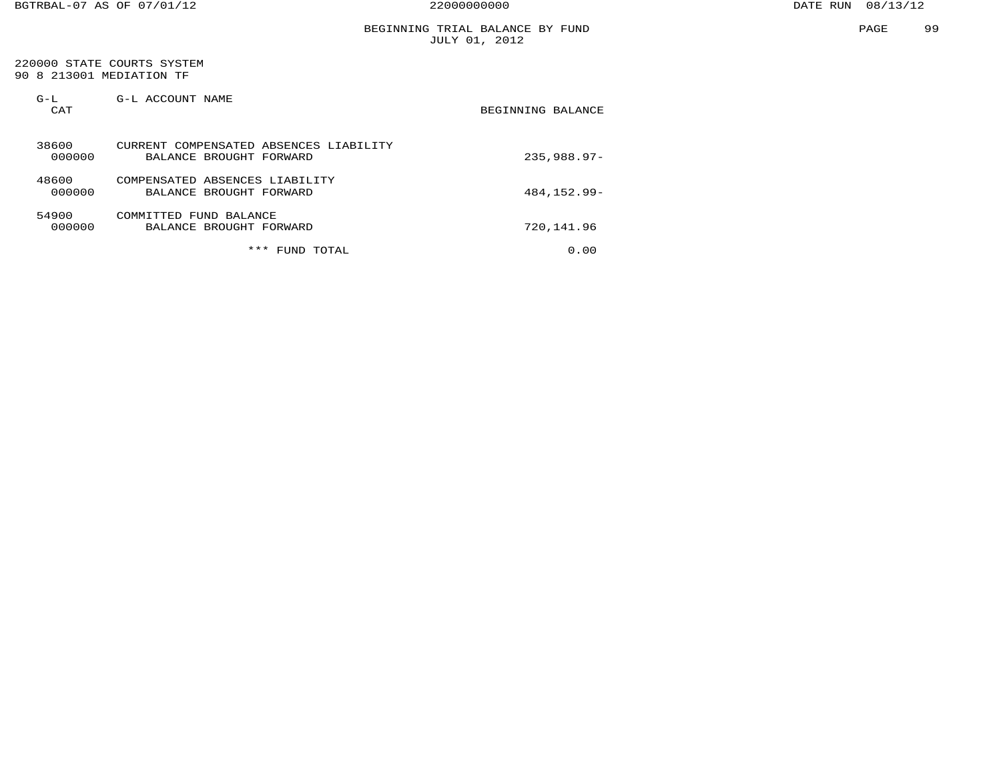#### BEGINNING TRIAL BALANCE BY FUND JULY 01, 2012

 220000 STATE COURTS SYSTEM 90 8 213001 MEDIATION TF

| $G-L$<br>CAT    | G-L ACCOUNT NAME                                                  | BEGINNING BALANCE |
|-----------------|-------------------------------------------------------------------|-------------------|
| 38600<br>000000 | CURRENT COMPENSATED ABSENCES LIABILITY<br>BALANCE BROUGHT FORWARD | $235.988.97-$     |
| 48600<br>000000 | COMPENSATED ABSENCES LIABILITY<br>BALANCE BROUGHT FORWARD         | 484, 152, 99-     |
| 54900<br>000000 | COMMITTED FUND BALANCE<br>BALANCE BROUGHT FORWARD                 | 720,141.96        |
|                 | ***<br>TOTAL<br><b>FUND</b>                                       | 0.00              |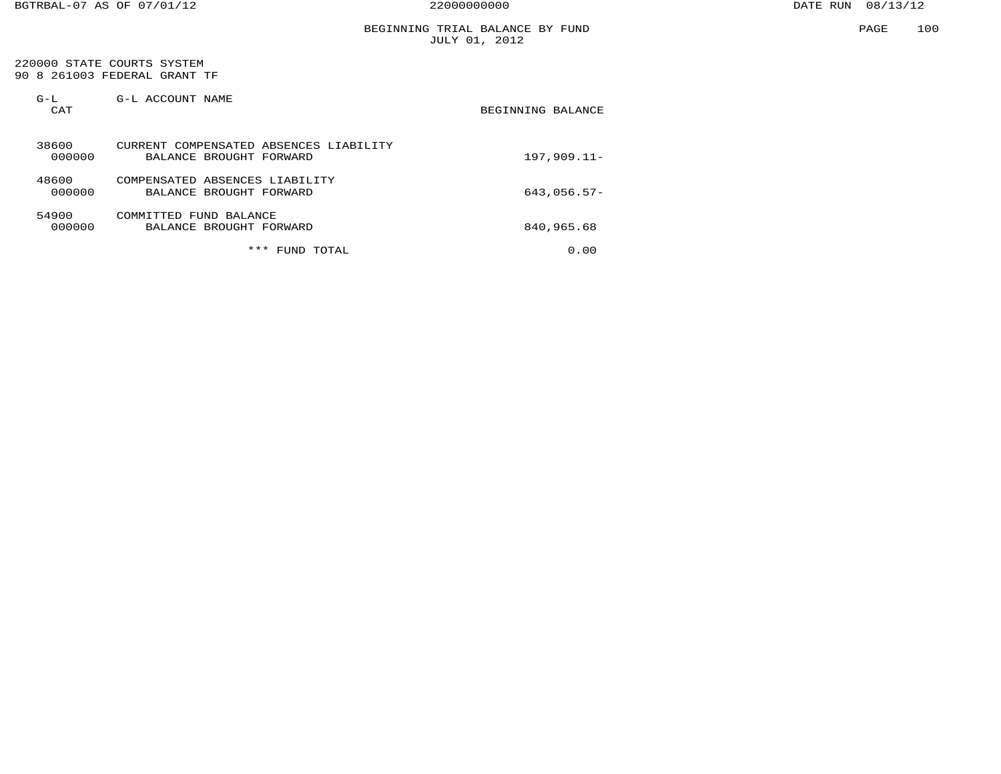#### BEGINNING TRIAL BALANCE BY FUND JULY 01, 2012

 220000 STATE COURTS SYSTEM 90 8 261003 FEDERAL GRANT TF

| $G-L$<br>CAT    | G-L ACCOUNT NAME                                                  | BEGINNING BALANCE |
|-----------------|-------------------------------------------------------------------|-------------------|
| 38600<br>000000 | CURRENT COMPENSATED ABSENCES LIABILITY<br>BALANCE BROUGHT FORWARD | $197,909.11-$     |
| 48600<br>000000 | COMPENSATED ABSENCES LIABILITY<br>BALANCE BROUGHT FORWARD         | $643,056.57-$     |
| 54900<br>000000 | COMMITTED FUND BALANCE<br>BALANCE BROUGHT FORWARD                 | 840,965.68        |
|                 | ***<br>TOTAL<br><b>FUND</b>                                       | 0.00              |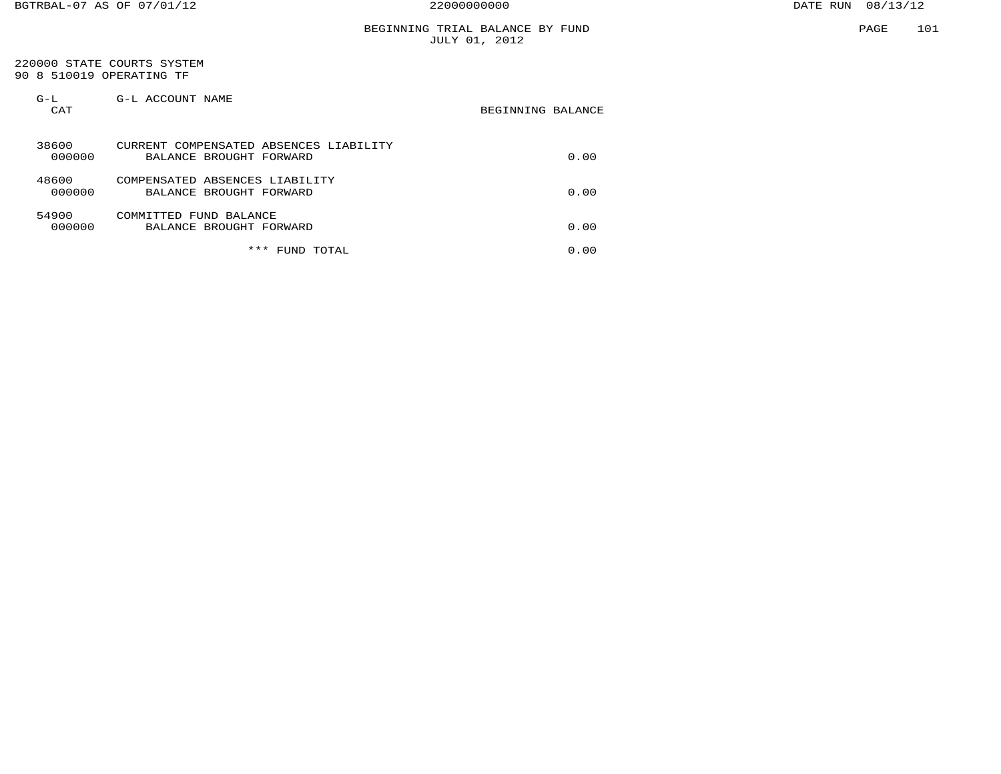#### BEGINNING TRIAL BALANCE BY FUND JULY 01, 2012

#### 220000 STATE COURTS SYSTEM 90 8 510019 OPERATING TF

| $G-L$<br>CAT    | G-L ACCOUNT NAME                                                  | BEGINNING BALANCE |
|-----------------|-------------------------------------------------------------------|-------------------|
| 38600<br>000000 | CURRENT COMPENSATED ABSENCES LIABILITY<br>BALANCE BROUGHT FORWARD | 0.00              |
| 48600<br>000000 | COMPENSATED ABSENCES LIABILITY<br>BALANCE BROUGHT FORWARD         | 0.00              |
| 54900<br>000000 | COMMITTED FUND BALANCE<br>BALANCE BROUGHT FORWARD                 | 0.00              |
|                 | ***<br>TOTAL<br>FUND                                              | 0.00              |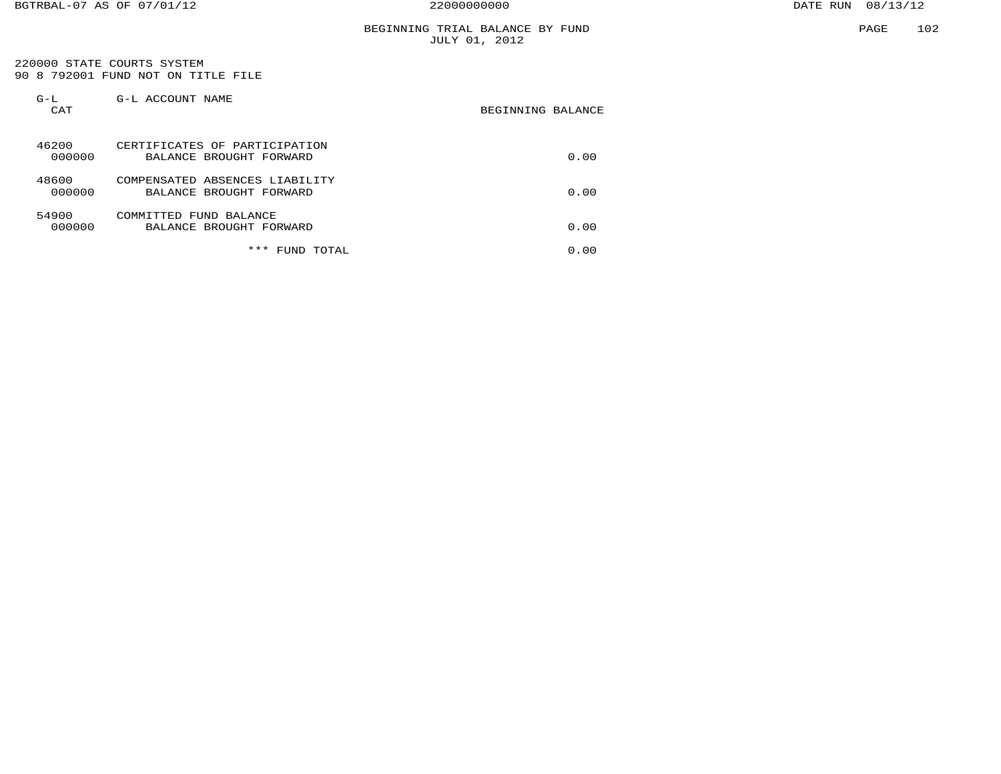#### BEGINNING TRIAL BALANCE BY FUND JULY 01, 2012

 220000 STATE COURTS SYSTEM 90 8 792001 FUND NOT ON TITLE FILE

| $G-L$<br>CAT    | G-L ACCOUNT NAME                                          | BEGINNING BALANCE |
|-----------------|-----------------------------------------------------------|-------------------|
| 46200<br>000000 | CERTIFICATES OF PARTICIPATION<br>BALANCE BROUGHT FORWARD  | 0.00              |
| 48600<br>000000 | COMPENSATED ABSENCES LIABILITY<br>BALANCE BROUGHT FORWARD | 0.00              |
| 54900<br>000000 | COMMITTED FUND BALANCE<br>BALANCE BROUGHT FORWARD         | 0.00              |
|                 | ***<br>TOTAL<br>FUND                                      | 0.00              |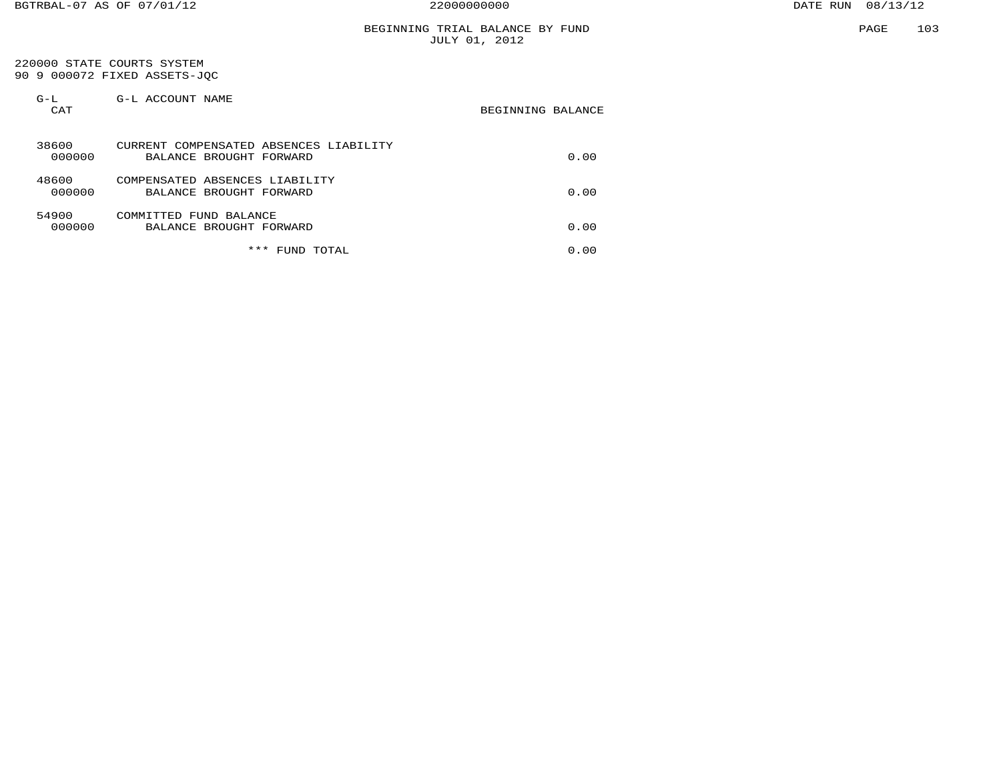#### BEGINNING TRIAL BALANCE BY FUND JULY 01, 2012

 220000 STATE COURTS SYSTEM 90 9 000072 FIXED ASSETS-JQC

| $G-L$<br>CAT    | G-L ACCOUNT NAME                                                  | BEGINNING BALANCE |
|-----------------|-------------------------------------------------------------------|-------------------|
| 38600<br>000000 | CURRENT COMPENSATED ABSENCES LIABILITY<br>BALANCE BROUGHT FORWARD | 0.00              |
| 48600<br>000000 | COMPENSATED ABSENCES LIABILITY<br>BALANCE BROUGHT FORWARD         | 0.00              |
| 54900<br>000000 | COMMITTED FUND BALANCE<br>BALANCE BROUGHT FORWARD                 | 0.00              |
|                 | ***<br>FUND TOTAL                                                 | 0.00              |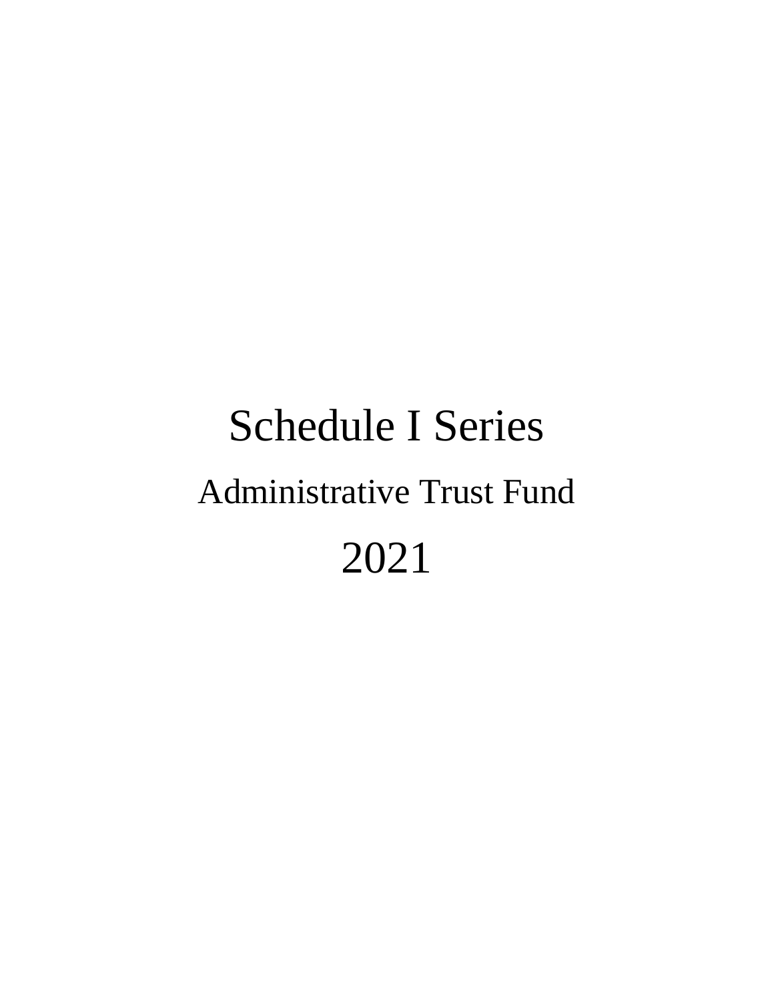# Schedule I Series Administrative Trust Fund 2021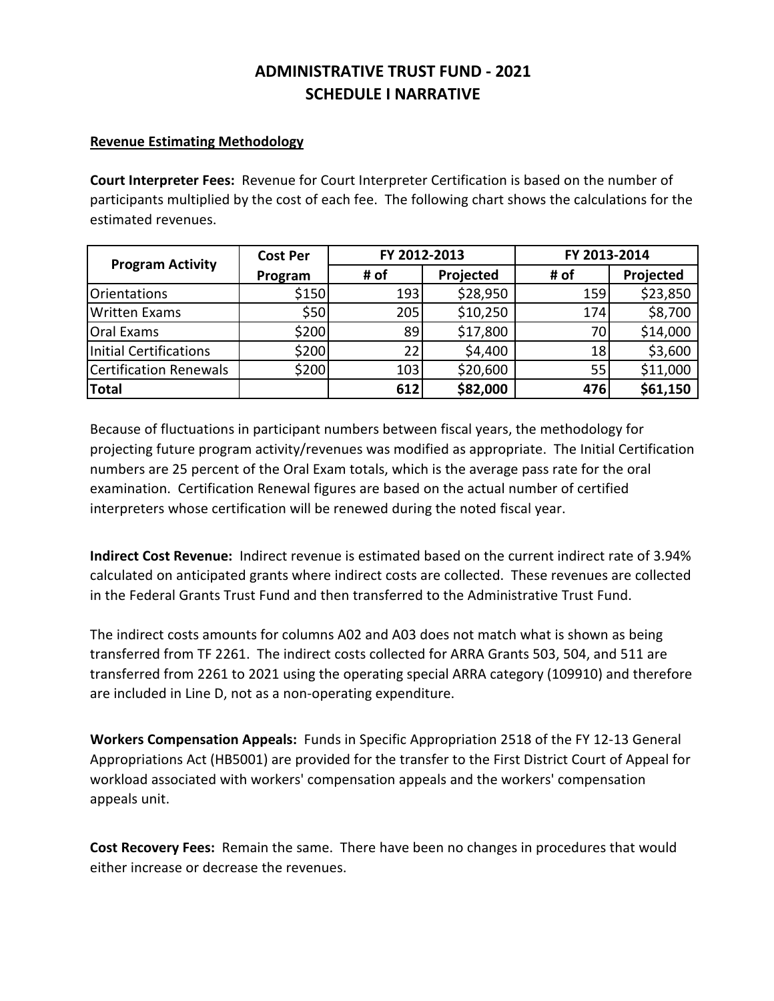# **ADMINISTRATIVE TRUST FUND ‐ 2021 SCHEDULE I NARRATIVE**

## **Revenue Estimating Methodology**

**Court Interpreter Fees:** Revenue for Court Interpreter Certification is based on the number of participants multiplied by the cost of each fee. The following chart shows the calculations for the estimated revenues.

| <b>Program Activity</b> | <b>Cost Per</b> | FY 2012-2013 |           | FY 2013-2014 |           |  |
|-------------------------|-----------------|--------------|-----------|--------------|-----------|--|
|                         | Program         | # of         | Projected | # of         | Projected |  |
| Orientations            | \$150           | 193          | \$28,950  | 159          | \$23,850  |  |
| <b>Written Exams</b>    | \$50            | 205          | \$10,250  | 174          | \$8,700   |  |
| Oral Exams              | \$200           | 89           | \$17,800  | 70           | \$14,000  |  |
| Initial Certifications  | \$200           | 22           | \$4,400   | 18           | \$3,600   |  |
| Certification Renewals  | \$200           | 103          | \$20,600  | 55           | \$11,000  |  |
| Total                   |                 | 612          | \$82,000  | 476          | \$61,150  |  |

Because of fluctuations in participant numbers between fiscal years, the methodology for projecting future program activity/revenues was modified as appropriate. The Initial Certification numbers are 25 percent of the Oral Exam totals, which is the average pass rate for the oral examination. Certification Renewal figures are based on the actual number of certified interpreters whose certification will be renewed during the noted fiscal year.

**Indirect Cost Revenue:** Indirect revenue is estimated based on the current indirect rate of 3.94% calculated on anticipated grants where indirect costs are collected. These revenues are collected in the Federal Grants Trust Fund and then transferred to the Administrative Trust Fund.

The indirect costs amounts for columns A02 and A03 does not match what is shown as being transferred from TF 2261. The indirect costs collected for ARRA Grants 503, 504, and 511 are transferred from 2261 to 2021 using the operating special ARRA category (109910) and therefore are included in Line D, not as a non‐operating expenditure.

**Workers Compensation Appeals:** Funds in Specific Appropriation 2518 of the FY 12‐13 General Appropriations Act (HB5001) are provided for the transfer to the First District Court of Appeal for workload associated with workers' compensation appeals and the workers' compensation appeals unit.

**Cost Recovery Fees:** Remain the same. There have been no changes in procedures that would either increase or decrease the revenues.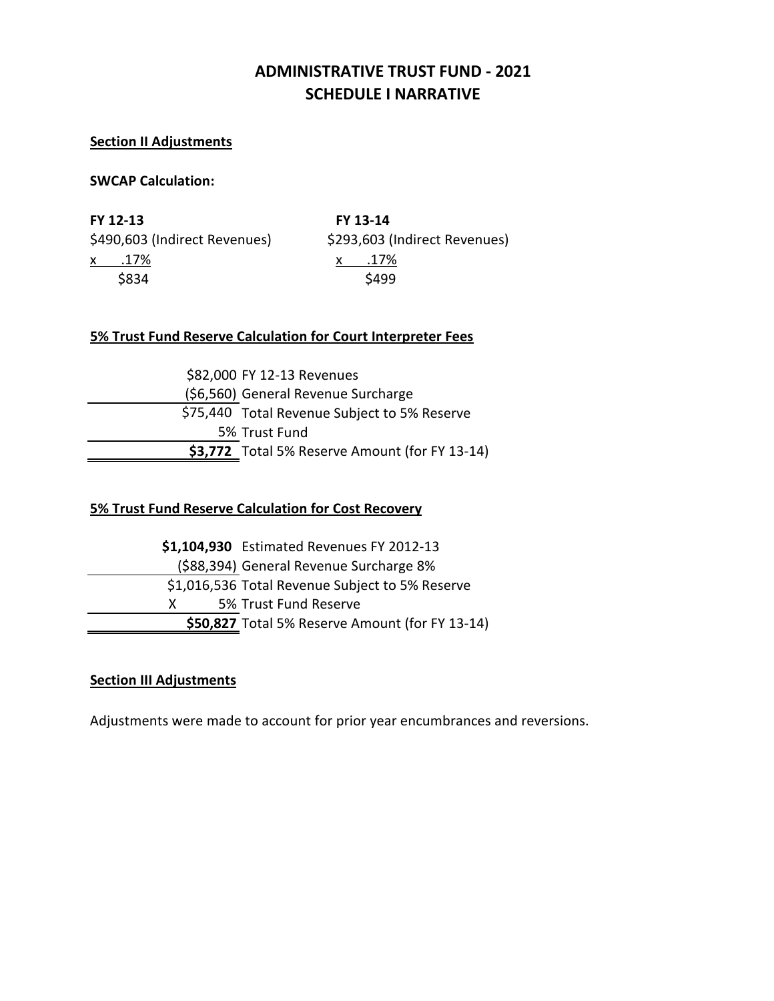# **ADMINISTRATIVE TRUST FUND ‐ 2021 SCHEDULE I NARRATIVE**

## **Section II Adjustments**

## **SWCAP Calculation:**

**FY 12‐13 FY 13‐14** x .17% x .17%  $$834$ 

\$490,603 (Indirect Revenues) \$293,603 (Indirect Revenues)

## **5% Trust Fund Reserve Calculation for Court Interpreter Fees**

| \$82,000 FY 12-13 Revenues                      |
|-------------------------------------------------|
| (\$6,560) General Revenue Surcharge             |
| \$75,440 Total Revenue Subject to 5% Reserve    |
| 5% Trust Fund                                   |
| $$3,772$ Total 5% Reserve Amount (for FY 13-14) |

## **5% Trust Fund Reserve Calculation for Cost Recovery**

**\$1,104,930** Estimated Revenues FY 2012‐13 (\$88,394) General Revenue Surcharge 8% \$1,016,536 Total Revenue Subject to 5% Reserve X 5% Trust Fund Reserve**\$50,827** Total 5% Reserve Amount (for FY 13‐14)

## **Section III Adjustments**

Adjustments were made to account for prior year encumbrances and reversions.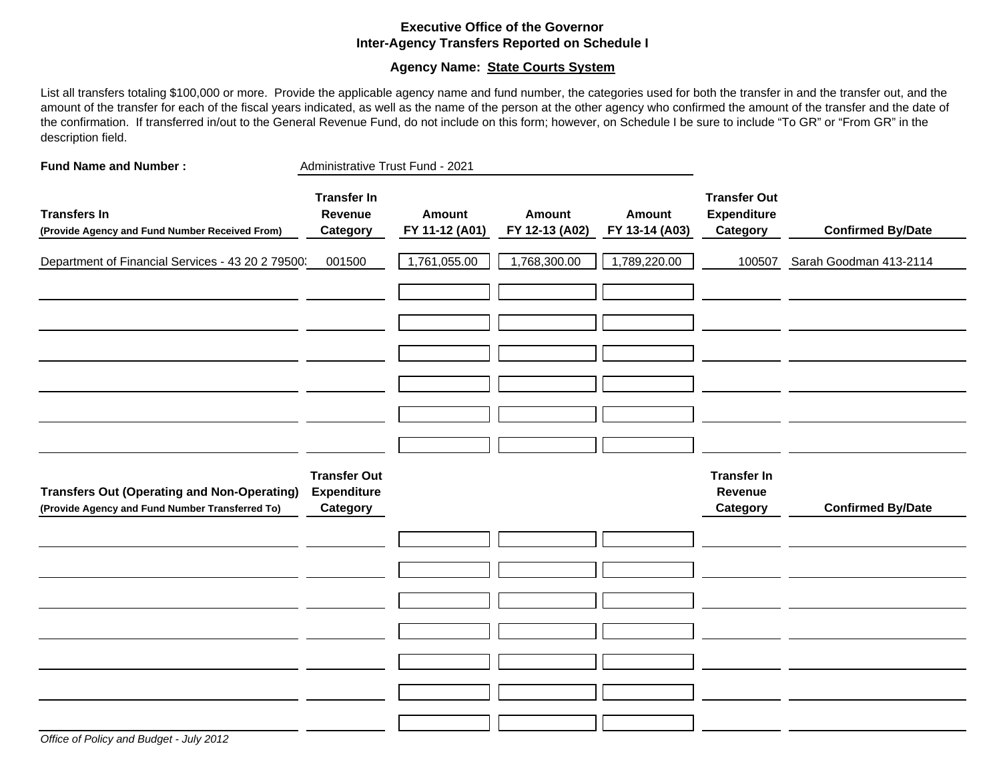### **Executive Office of the GovernorInter-Agency Transfers Reported on Schedule I**

## **Agency Name: State Courts System**

List all transfers totaling \$100,000 or more. Provide the applicable agency name and fund number, the categories used for both the transfer in and the transfer out, and the amount of the transfer for each of the fiscal years indicated, as well as the name of the person at the other agency who confirmed the amount of the transfer and the date of the confirmation. If transferred in/out to the General Revenue Fund, do not include on this form; however, on Schedule I be sure to include "To GR" or "From GR" in the description field.

| <b>Fund Name and Number:</b>                                                                          | Administrative Trust Fund - 2021                      |                          |                                 |                                 |                                                       |                          |
|-------------------------------------------------------------------------------------------------------|-------------------------------------------------------|--------------------------|---------------------------------|---------------------------------|-------------------------------------------------------|--------------------------|
| <b>Transfers In</b><br>(Provide Agency and Fund Number Received From)                                 | <b>Transfer In</b><br>Revenue<br>Category             | Amount<br>FY 11-12 (A01) | <b>Amount</b><br>FY 12-13 (A02) | <b>Amount</b><br>FY 13-14 (A03) | <b>Transfer Out</b><br><b>Expenditure</b><br>Category | <b>Confirmed By/Date</b> |
| Department of Financial Services - 43 20 2 79500.                                                     | 001500                                                | 1,761,055.00             | 1,768,300.00                    | 1,789,220.00                    | 100507                                                | Sarah Goodman 413-2114   |
|                                                                                                       |                                                       |                          |                                 |                                 |                                                       |                          |
|                                                                                                       |                                                       |                          |                                 |                                 |                                                       |                          |
|                                                                                                       |                                                       |                          |                                 |                                 |                                                       |                          |
| <b>Transfers Out (Operating and Non-Operating)</b><br>(Provide Agency and Fund Number Transferred To) | <b>Transfer Out</b><br><b>Expenditure</b><br>Category |                          |                                 |                                 | <b>Transfer In</b><br>Revenue<br><b>Category</b>      | <b>Confirmed By/Date</b> |
|                                                                                                       |                                                       |                          |                                 |                                 |                                                       |                          |
|                                                                                                       |                                                       |                          |                                 |                                 |                                                       |                          |
|                                                                                                       |                                                       |                          |                                 |                                 |                                                       |                          |
|                                                                                                       |                                                       |                          |                                 |                                 |                                                       |                          |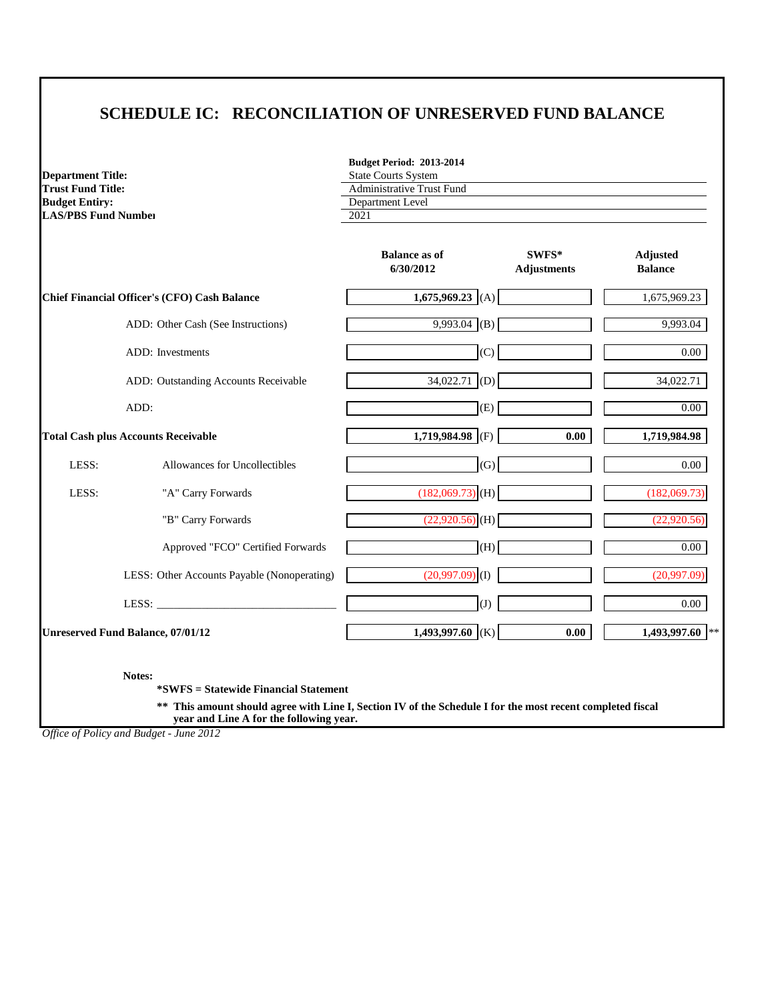## **SCHEDULE IC: RECONCILIATION OF UNRESERVED FUND BALANCE**

|                            | <b>Budget Period: 2013-2014</b>  |
|----------------------------|----------------------------------|
| <b>Department Title:</b>   | <b>State Courts System</b>       |
| <b>Trust Fund Title:</b>   | <b>Administrative Trust Fund</b> |
| <b>Budget Entiry:</b>      | Department Level                 |
| <b>LAS/PBS Fund Number</b> | 2021                             |
|                            |                                  |

|                                              |                                             | <b>Balance as of</b><br>6/30/2012 | $SWFS*$<br><b>Adjustments</b> | <b>Adjusted</b><br><b>Balance</b> |
|----------------------------------------------|---------------------------------------------|-----------------------------------|-------------------------------|-----------------------------------|
| Chief Financial Officer's (CFO) Cash Balance |                                             | 1,675,969.23 (A)                  |                               | 1,675,969.23                      |
|                                              | ADD: Other Cash (See Instructions)          | $9,993.04$ (B)                    |                               | 9,993.04                          |
|                                              | <b>ADD</b> : Investments                    | (C)                               |                               | $0.00\,$                          |
|                                              | ADD: Outstanding Accounts Receivable        | $34,022.71$ (D)                   |                               | 34,022.71                         |
|                                              | ADD:                                        | (E)                               |                               | $0.00\,$                          |
| <b>Total Cash plus Accounts Receivable</b>   |                                             | 1,719,984.98 (F)                  | 0.00                          | 1,719,984.98                      |
| LESS:                                        | Allowances for Uncollectibles               | (G)                               |                               | 0.00                              |
| LESS:                                        | "A" Carry Forwards                          | $(182,069.73)$ (H)                |                               | (182,069.73)                      |
|                                              | "B" Carry Forwards                          | $(22,920.56)$ (H)                 |                               | (22,920.56)                       |
|                                              | Approved "FCO" Certified Forwards           | (H)                               |                               | $0.00\,$                          |
|                                              | LESS: Other Accounts Payable (Nonoperating) | $(20,997.09)$ (I)                 |                               | (20,997.09)                       |
|                                              | LESS:                                       | (J)                               |                               | $0.00\,$                          |
| <b>Unreserved Fund Balance, 07/01/12</b>     |                                             | 1,493,997.60 (K)                  | 0.00                          | 1,493,997.60 **                   |

**Notes:**

**\*SWFS = Statewide Financial Statement** 

**\*\* This amount should agree with Line I, Section IV of the Schedule I for the most recent completed fiscal year and Line A for the following year.**

*Office of Policy and Budget - June 2012*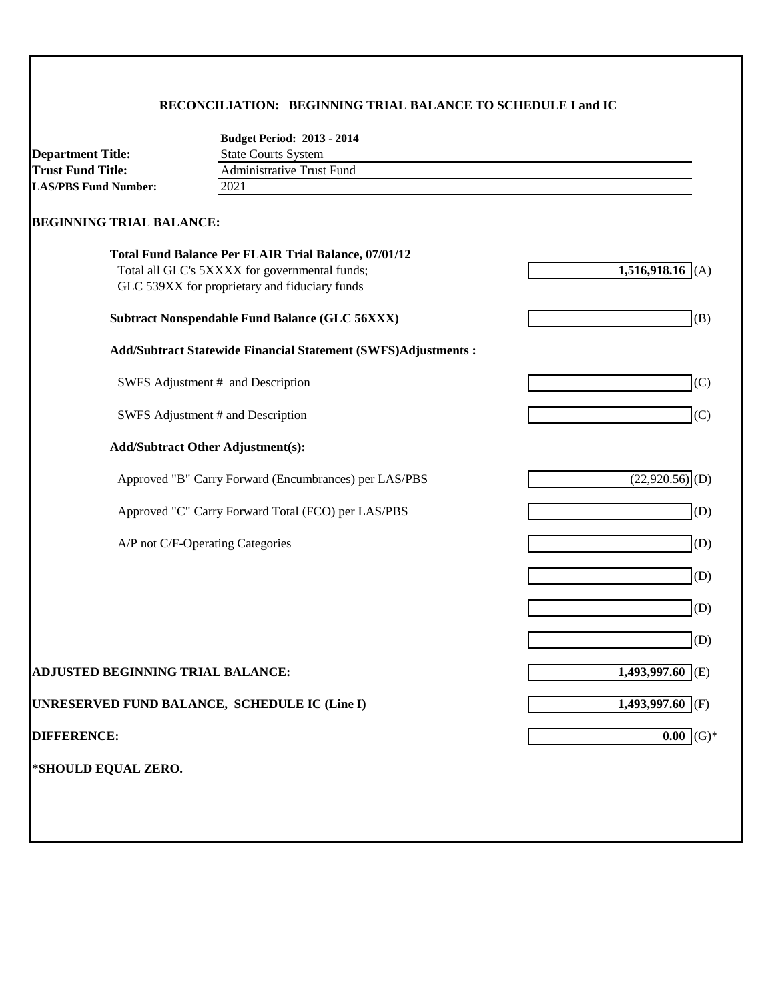## **RECONCILIATION: BEGINNING TRIAL BALANCE TO SCHEDULE I and IC**

|                                          | <b>Budget Period: 2013 - 2014</b>                              |                              |
|------------------------------------------|----------------------------------------------------------------|------------------------------|
| <b>Department Title:</b>                 | <b>State Courts System</b>                                     |                              |
| <b>Trust Fund Title:</b>                 | <b>Administrative Trust Fund</b>                               |                              |
| <b>LAS/PBS Fund Number:</b>              | 2021                                                           |                              |
| <b>BEGINNING TRIAL BALANCE:</b>          |                                                                |                              |
|                                          | <b>Total Fund Balance Per FLAIR Trial Balance, 07/01/12</b>    |                              |
|                                          | Total all GLC's 5XXXX for governmental funds;                  | 1,516,918.16                 |
|                                          | GLC 539XX for proprietary and fiduciary funds                  |                              |
|                                          | <b>Subtract Nonspendable Fund Balance (GLC 56XXX)</b>          | (B)                          |
|                                          | Add/Subtract Statewide Financial Statement (SWFS)Adjustments : |                              |
|                                          | SWFS Adjustment # and Description                              | (C)                          |
|                                          | SWFS Adjustment # and Description                              | (C)                          |
|                                          | <b>Add/Subtract Other Adjustment(s):</b>                       |                              |
|                                          | Approved "B" Carry Forward (Encumbrances) per LAS/PBS          | $(22,920.56)$ <sup>(D)</sup> |
|                                          | Approved "C" Carry Forward Total (FCO) per LAS/PBS             | (D)                          |
|                                          | A/P not C/F-Operating Categories                               | (D)                          |
|                                          |                                                                | (D)                          |
|                                          |                                                                | (D)                          |
|                                          |                                                                | (D)                          |
| <b>ADJUSTED BEGINNING TRIAL BALANCE:</b> |                                                                | 1,493,997.60<br>(E)          |
|                                          | UNRESERVED FUND BALANCE, SCHEDULE IC (Line I)                  | $1,493,997.60$ (F)           |
| <b>DIFFERENCE:</b>                       |                                                                | $0.00$ (G)*                  |
| *SHOULD EQUAL ZERO.                      |                                                                |                              |
|                                          |                                                                |                              |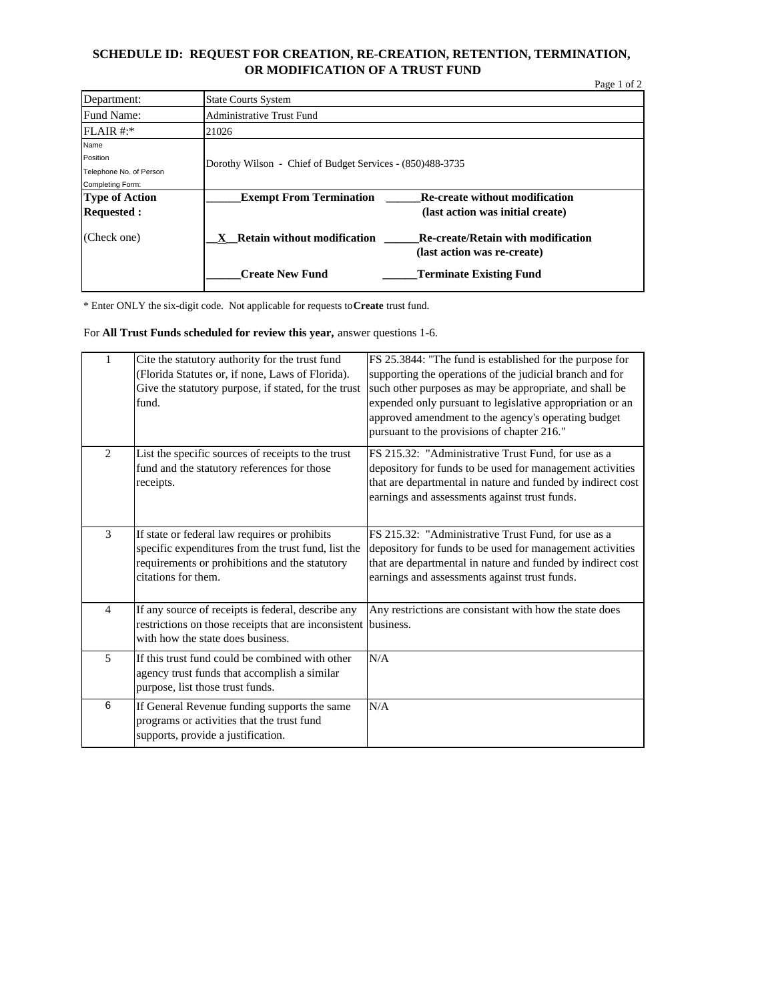#### **SCHEDULE ID: REQUEST FOR CREATION, RE-CREATION, RETENTION, TERMINATION, OR MODIFICATION OF A TRUST FUND**

|                         |                                                           | Page 1 of 2                               |
|-------------------------|-----------------------------------------------------------|-------------------------------------------|
| Department:             | <b>State Courts System</b>                                |                                           |
| Fund Name:              | Administrative Trust Fund                                 |                                           |
| $FLAIR #.*$             | 21026                                                     |                                           |
| Name                    |                                                           |                                           |
| Position                | Dorothy Wilson - Chief of Budget Services - (850)488-3735 |                                           |
| Telephone No. of Person |                                                           |                                           |
| Completing Form:        |                                                           |                                           |
| Type of Action          | <b>Exempt From Termination</b>                            | Re-create without modification            |
| <b>Requested:</b>       |                                                           | (last action was initial create)          |
| (Check one)             | <b>Retain without modification</b>                        | <b>Re-create/Retain with modification</b> |
|                         |                                                           | (last action was re-create)               |
|                         | <b>Create New Fund</b>                                    | <b>Terminate Existing Fund</b>            |

\* Enter ONLY the six-digit code. Not applicable for requests to **Create** trust fund.

For **All Trust Funds scheduled for review this year,** answer questions 1-6.

| 1              | Cite the statutory authority for the trust fund<br>(Florida Statutes or, if none, Laws of Florida).<br>Give the statutory purpose, if stated, for the trust<br>fund.          | FS 25.3844: "The fund is established for the purpose for<br>supporting the operations of the judicial branch and for<br>such other purposes as may be appropriate, and shall be<br>expended only pursuant to legislative appropriation or an<br>approved amendment to the agency's operating budget<br>pursuant to the provisions of chapter 216." |
|----------------|-------------------------------------------------------------------------------------------------------------------------------------------------------------------------------|----------------------------------------------------------------------------------------------------------------------------------------------------------------------------------------------------------------------------------------------------------------------------------------------------------------------------------------------------|
| 2              | List the specific sources of receipts to the trust<br>fund and the statutory references for those<br>receipts.                                                                | FS 215.32: "Administrative Trust Fund, for use as a<br>depository for funds to be used for management activities<br>that are departmental in nature and funded by indirect cost<br>earnings and assessments against trust funds.                                                                                                                   |
| 3              | If state or federal law requires or prohibits<br>specific expenditures from the trust fund, list the<br>requirements or prohibitions and the statutory<br>citations for them. | FS 215.32: "Administrative Trust Fund, for use as a<br>depository for funds to be used for management activities<br>that are departmental in nature and funded by indirect cost<br>earnings and assessments against trust funds.                                                                                                                   |
| $\overline{4}$ | If any source of receipts is federal, describe any<br>restrictions on those receipts that are inconsistent business.<br>with how the state does business.                     | Any restrictions are consistant with how the state does                                                                                                                                                                                                                                                                                            |
| 5              | If this trust fund could be combined with other<br>agency trust funds that accomplish a similar<br>purpose, list those trust funds.                                           | N/A                                                                                                                                                                                                                                                                                                                                                |
| 6              | If General Revenue funding supports the same<br>programs or activities that the trust fund<br>supports, provide a justification.                                              | N/A                                                                                                                                                                                                                                                                                                                                                |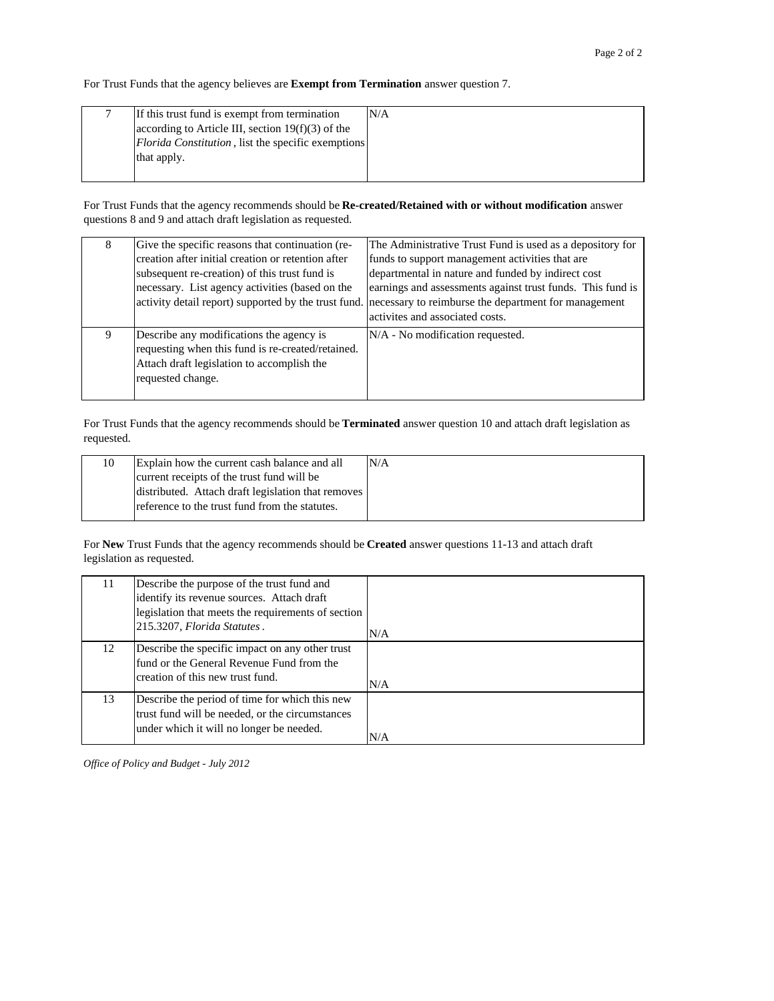For Trust Funds that the agency believes are **Exempt from Termination** answer question 7.

| If this trust fund is exempt from termination              | N/A |
|------------------------------------------------------------|-----|
| according to Article III, section $19(f)(3)$ of the        |     |
| <i>Florida Constitution</i> , list the specific exemptions |     |
| that apply.                                                |     |
|                                                            |     |

For Trust Funds that the agency recommends should be **Re-created/Retained with or without modification** answer questions 8 and 9 and attach draft legislation as requested.

| 8 | Give the specific reasons that continuation (re-     | The Administrative Trust Fund is used as a depository for  |
|---|------------------------------------------------------|------------------------------------------------------------|
|   | creation after initial creation or retention after   | funds to support management activities that are            |
|   | subsequent re-creation) of this trust fund is        | departmental in nature and funded by indirect cost         |
|   | necessary. List agency activities (based on the      | earnings and assessments against trust funds. This fund is |
|   | activity detail report) supported by the trust fund. | necessary to reimburse the department for management       |
|   |                                                      | activites and associated costs.                            |
| 9 | Describe any modifications the agency is             | $N/A$ - No modification requested.                         |
|   | requesting when this fund is re-created/retained.    |                                                            |
|   | Attach draft legislation to accomplish the           |                                                            |
|   | requested change.                                    |                                                            |
|   |                                                      |                                                            |

For Trust Funds that the agency recommends should be **Terminated** answer question 10 and attach draft legislation as requested.

| 10 | Explain how the current cash balance and all       | N/A |
|----|----------------------------------------------------|-----|
|    | current receipts of the trust fund will be         |     |
|    | distributed. Attach draft legislation that removes |     |
|    | reference to the trust fund from the statutes.     |     |
|    |                                                    |     |

For **New** Trust Funds that the agency recommends should be **Created** answer questions 11-13 and attach draft legislation as requested.

| 11 | Describe the purpose of the trust fund and                                                                                                    |     |
|----|-----------------------------------------------------------------------------------------------------------------------------------------------|-----|
|    | identify its revenue sources. Attach draft                                                                                                    |     |
|    | legislation that meets the requirements of section                                                                                            |     |
|    | 215.3207, Florida Statutes.                                                                                                                   | N/A |
| 12 | Describe the specific impact on any other trust<br>fund or the General Revenue Fund from the<br>creation of this new trust fund.              | N/A |
| 13 | Describe the period of time for which this new<br>trust fund will be needed, or the circumstances<br>under which it will no longer be needed. | N/A |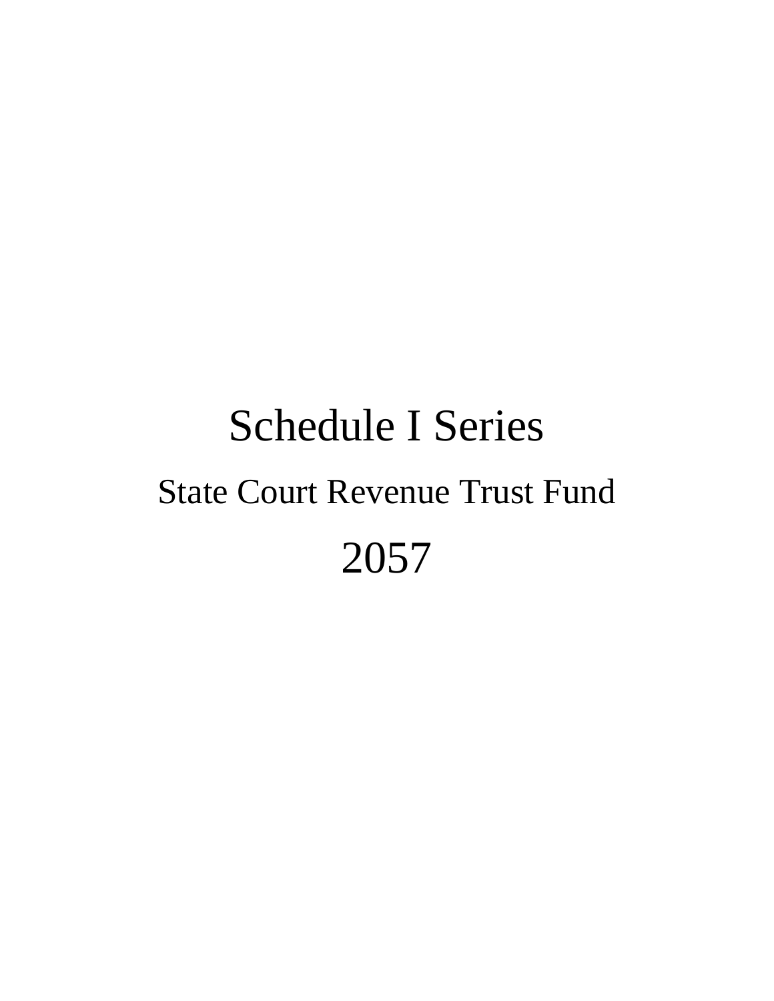# Schedule I Series State Court Revenue Trust Fund 2057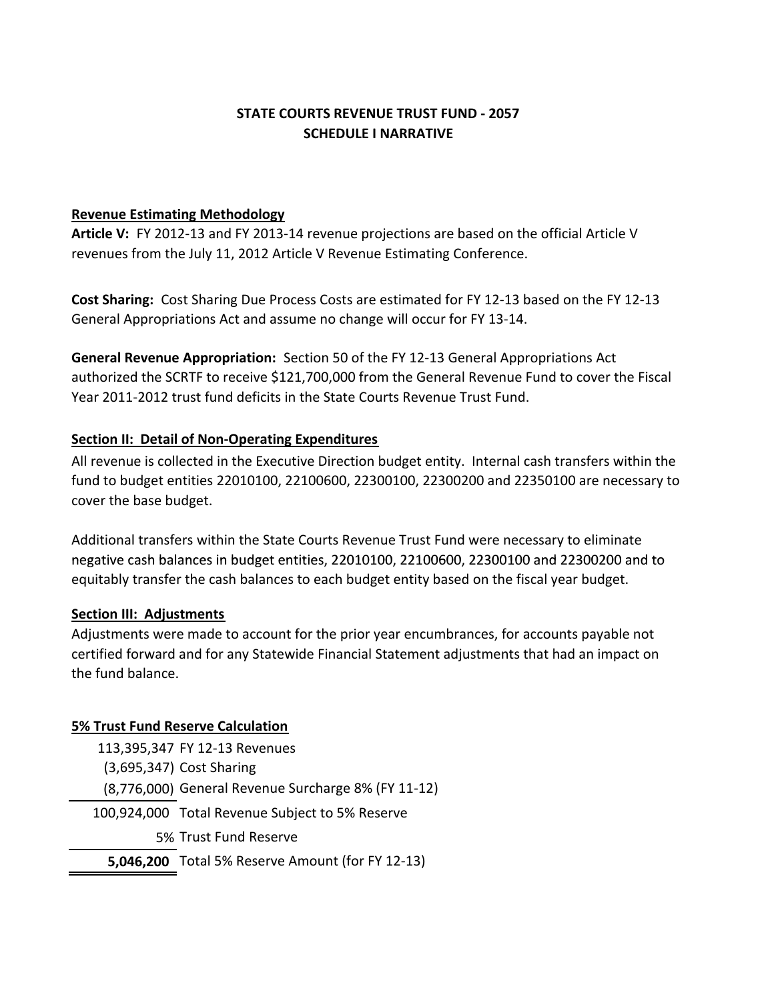## **STATE COURTS REVENUE TRUST FUND ‐ 2057 SCHEDULE I NARRATIVE**

#### **Revenue Estimating Methodology**

**Article V:** FY 2012‐13 and FY 2013‐14 revenue projections are based on the official Article V revenues from the July 11, 2012 Article V Revenue Estimating Conference.

**Cost Sharing:** Cost Sharing Due Process Costs are estimated for FY 12‐13 based on the FY 12‐13 General Appropriations Act and assume no change will occur for FY 13‐14.

**General Revenue Appropriation:** Section 50 of the FY 12-13 General Appropriations Act authorized the SCRTF to receive \$121,700,000 from the General Revenue Fund to cover the Fiscal Year 2011‐2012 trust fund deficits in the State Courts Revenue Trust Fund.

## **Section II: Detail of Non‐Operating Expenditures**

All revenue is collected in the Executive Direction budget entity. Internal cash transfers within the fund to budget entities 22010100, 22100600, 22300100, 22300200 and 22350100 are necessary to cover the base budget.

Additional transfers within the State Courts Revenue Trust Fund were necessary to eliminate negative cash balances in budget entities, 22010100, 22100600, 22300100 and 22300200 and to equitably transfer the cash balances to each budget entity based on the fiscal year budget.

#### **Section III: Adjustments**

Adjustments were made to account for the prior year encumbrances, for accounts payable not certified forward and for any Statewide Financial Statement adjustments that had an impact on the fund balance.

## **5% Trust Fund Reserve Calculation**

| 113,395,347 FY 12-13 Revenues                           |
|---------------------------------------------------------|
| (3,695,347) Cost Sharing                                |
| (8,776,000) General Revenue Surcharge 8% (FY 11-12)     |
| 100,924,000 Total Revenue Subject to 5% Reserve         |
| 5% Trust Fund Reserve                                   |
| <b>5,046,200</b> Total 5% Reserve Amount (for FY 12-13) |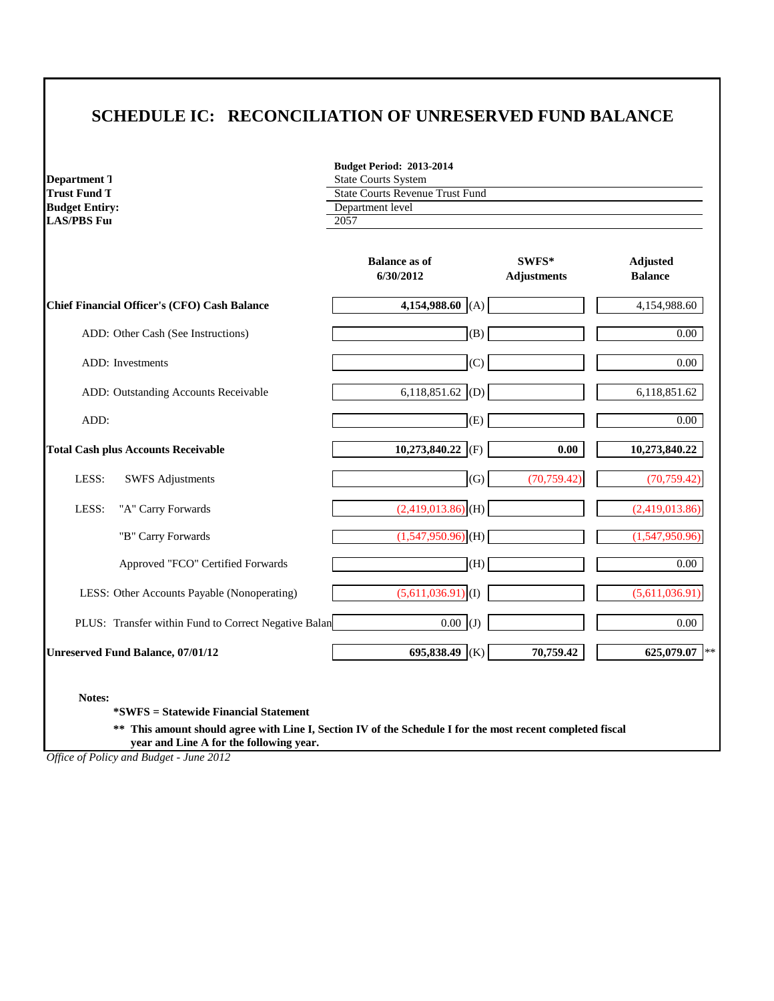# **SCHEDULE IC: RECONCILIATION OF UNRESERVED FUND BALANCE**

| <b>Department</b> T   | State |
|-----------------------|-------|
| <b>Trust Fund T</b>   | State |
| <b>Budget Entiry:</b> | Depa  |
| <b>LAS/PBS Ful</b>    | 2057  |

**Budget Period: 2013-2014 State Courts System State Courts Revenue Trust Fund Department level** 

|                                                      | <b>Balance as of</b><br>6/30/2012 | SWFS*<br><b>Adjustments</b> | Adjusted<br><b>Balance</b> |
|------------------------------------------------------|-----------------------------------|-----------------------------|----------------------------|
| Chief Financial Officer's (CFO) Cash Balance         | 4,154,988.60 (A)                  |                             | 4,154,988.60               |
| ADD: Other Cash (See Instructions)                   | (B)                               |                             | $0.00\,$                   |
| <b>ADD</b> : Investments                             | (C)                               |                             | 0.00                       |
| ADD: Outstanding Accounts Receivable                 | 6,118,851.62 (D)                  |                             | 6,118,851.62               |
| ADD:                                                 | (E)                               |                             | $0.00\,$                   |
| <b>Total Cash plus Accounts Receivable</b>           | 10,273,840.22<br>(F)              | 0.00                        | 10,273,840.22              |
| LESS:<br><b>SWFS</b> Adjustments                     | (G)                               | (70, 759.42)                | (70, 759.42)               |
| LESS:<br>"A" Carry Forwards                          | $(2,419,013.86)$ <sub>(H)</sub>   |                             | (2,419,013.86)             |
| "B" Carry Forwards                                   | $(1,547,950.96)$ <sub>(H)</sub>   |                             | (1,547,950.96)             |
| Approved "FCO" Certified Forwards                    | (H)                               |                             | 0.00                       |
| LESS: Other Accounts Payable (Nonoperating)          | $(5,611,036.91)$ <sup>(I)</sup>   |                             | (5,611,036.91)             |
| PLUS: Transfer within Fund to Correct Negative Balan | $0.00$ (J)                        |                             | 0.00                       |
| <b>Unreserved Fund Balance, 07/01/12</b>             | 695,838.49<br>(K)                 | 70,759.42                   | 625,079.07<br>$***$        |

**Notes:**

**\*SWFS = Statewide Financial Statement** 

**\*\* This amount should agree with Line I, Section IV of the Schedule I for the most recent completed fiscal year and Line A for the following year.**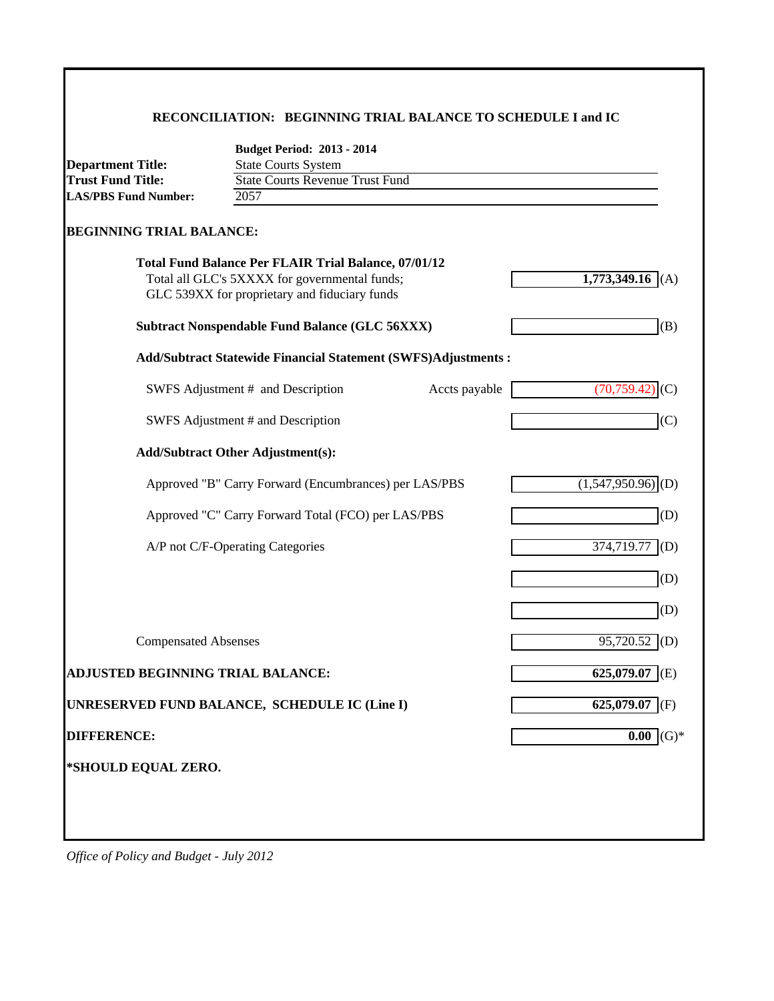#### **RECONCILIATION: BEGINNING TRIAL BALANCE TO SCHEDULE I and IC**

|                                                         | <b>Budget Period: 2013 - 2014</b>                                    |               |                                 |
|---------------------------------------------------------|----------------------------------------------------------------------|---------------|---------------------------------|
| <b>Department Title:</b>                                | <b>State Courts System</b><br><b>State Courts Revenue Trust Fund</b> |               |                                 |
| <b>Trust Fund Title:</b><br><b>LAS/PBS Fund Number:</b> | 2057                                                                 |               |                                 |
|                                                         |                                                                      |               |                                 |
| <b>BEGINNING TRIAL BALANCE:</b>                         |                                                                      |               |                                 |
|                                                         | <b>Total Fund Balance Per FLAIR Trial Balance, 07/01/12</b>          |               |                                 |
|                                                         | Total all GLC's 5XXXX for governmental funds;                        |               | 1,773,349.16 (A)                |
|                                                         | GLC 539XX for proprietary and fiduciary funds                        |               |                                 |
|                                                         | <b>Subtract Nonspendable Fund Balance (GLC 56XXX)</b>                |               | (B)                             |
|                                                         | <b>Add/Subtract Statewide Financial Statement (SWFS)Adjustments:</b> |               |                                 |
|                                                         | SWFS Adjustment # and Description                                    | Accts payable | (70, 759.42)<br>(C)             |
|                                                         | SWFS Adjustment # and Description                                    |               | (C)                             |
|                                                         | <b>Add/Subtract Other Adjustment(s):</b>                             |               |                                 |
|                                                         | Approved "B" Carry Forward (Encumbrances) per LAS/PBS                |               | $(1,547,950.96)$ <sub>(D)</sub> |
|                                                         | Approved "C" Carry Forward Total (FCO) per LAS/PBS                   |               | (D)                             |
|                                                         | A/P not C/F-Operating Categories                                     |               | 374,719.77<br>(D)               |
|                                                         |                                                                      |               | (D)                             |
|                                                         |                                                                      |               | (D)                             |
| <b>Compensated Absenses</b>                             |                                                                      |               | $95,720.52$ (D)                 |
| <b>ADJUSTED BEGINNING TRIAL BALANCE:</b>                |                                                                      |               | 625,079.07<br>I(E)              |
|                                                         | UNRESERVED FUND BALANCE, SCHEDULE IC (Line I)                        |               | $625,079.07$ (F)                |
| <b>DIFFERENCE:</b>                                      |                                                                      |               | $0.00$ (G)*                     |
|                                                         |                                                                      |               |                                 |
| *SHOULD EQUAL ZERO.                                     |                                                                      |               |                                 |
|                                                         |                                                                      |               |                                 |
|                                                         |                                                                      |               |                                 |
|                                                         |                                                                      |               |                                 |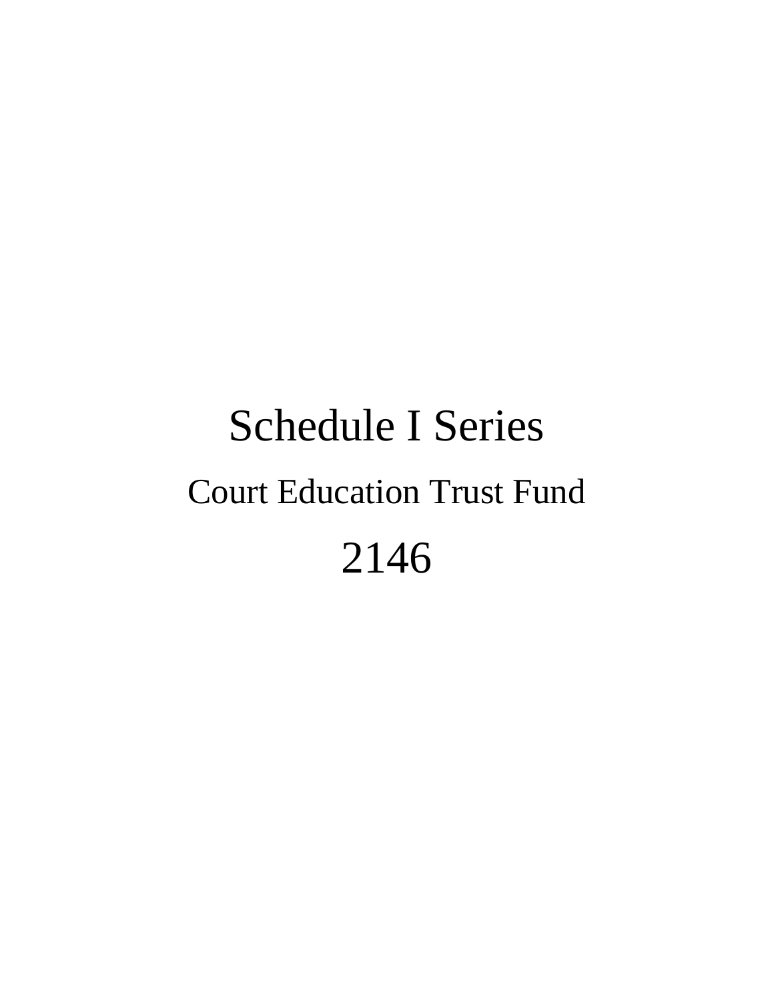# Schedule I Series Court Education Trust Fund 2146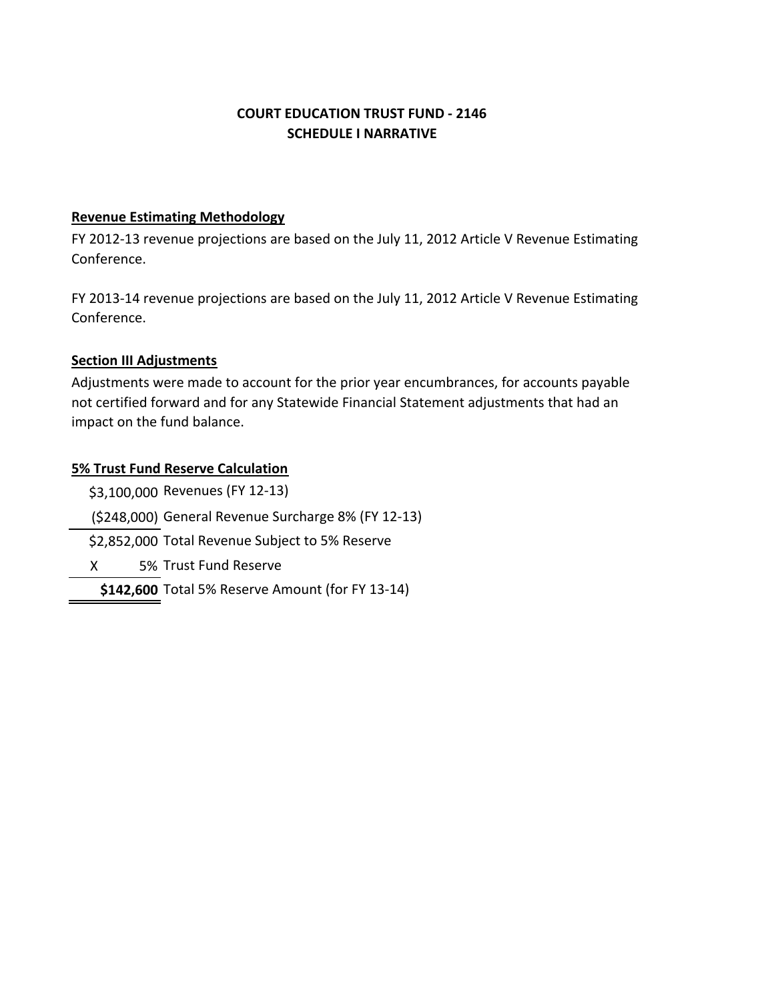## **COURT EDUCATION TRUST FUND ‐ 2146 SCHEDULE I NARRATIVE**

#### **Revenue Estimating Methodology**

FY 2012-13 revenue projections are based on the July 11, 2012 Article V Revenue Estimating Conference.

FY 2013‐14 revenue projections are based on the July 11, 2012 Article V Revenue Estimating Conference.

## **Section III Adjustments**

Adjustments were made to account for the prior year encumbrances, for accounts payable not certified forward and for any Statewide Financial Statement adjustments that had an impact on the fund balance.

## **5% Trust Fund Reserve Calculation**

\$3,100,000 Revenues (FY 12‐13) (\$248,000) General Revenue Surcharge 8% (FY 12‐13) \$2,852,000 Total Revenue Subject to 5% Reserve d X 5% Trust Fund Reserve**\$142,600** Total 5% Reserve Amount (for FY 13‐14)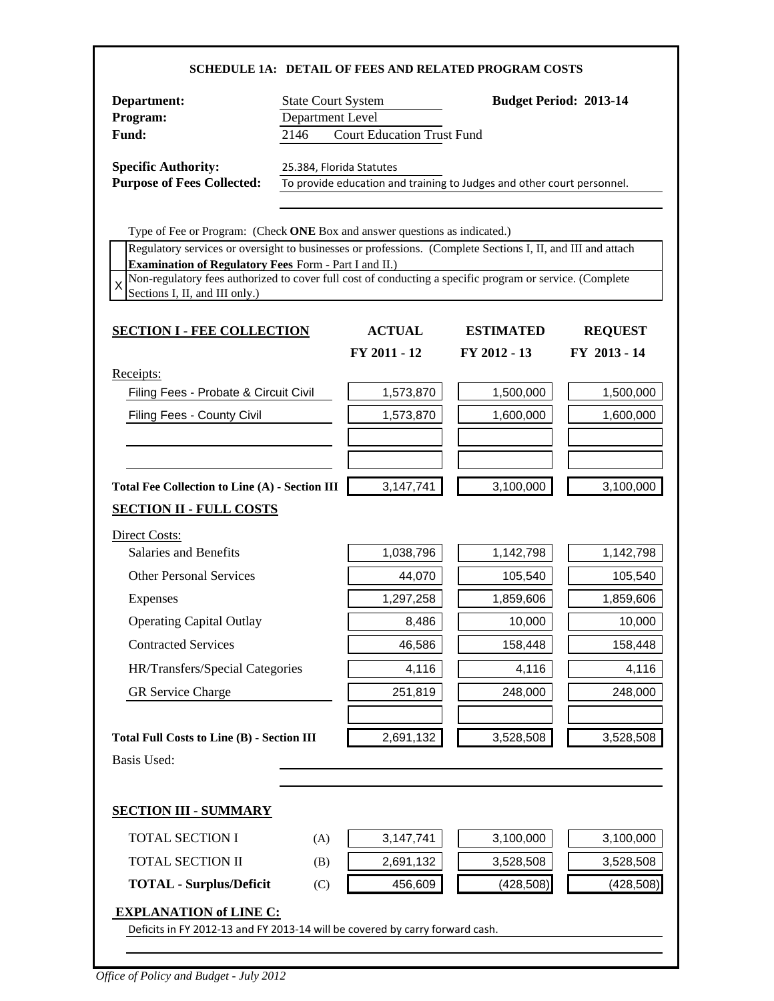| Department:                                                                                                                                                                               | <b>State Court System</b>                                                                          |               |                  | <b>Budget Period: 2013-14</b> |  |
|-------------------------------------------------------------------------------------------------------------------------------------------------------------------------------------------|----------------------------------------------------------------------------------------------------|---------------|------------------|-------------------------------|--|
| Program:                                                                                                                                                                                  | Department Level                                                                                   |               |                  |                               |  |
| Fund:                                                                                                                                                                                     | <b>Court Education Trust Fund</b><br>2146                                                          |               |                  |                               |  |
| <b>Specific Authority:</b>                                                                                                                                                                | 25.384, Florida Statutes<br>To provide education and training to Judges and other court personnel. |               |                  |                               |  |
| <b>Purpose of Fees Collected:</b>                                                                                                                                                         |                                                                                                    |               |                  |                               |  |
|                                                                                                                                                                                           |                                                                                                    |               |                  |                               |  |
| Type of Fee or Program: (Check ONE Box and answer questions as indicated.)<br>Regulatory services or oversight to businesses or professions. (Complete Sections I, II, and III and attach |                                                                                                    |               |                  |                               |  |
| <b>Examination of Regulatory Fees Form - Part I and II.)</b>                                                                                                                              |                                                                                                    |               |                  |                               |  |
| Non-regulatory fees authorized to cover full cost of conducting a specific program or service. (Complete<br>X<br>Sections I, II, and III only.)                                           |                                                                                                    |               |                  |                               |  |
|                                                                                                                                                                                           |                                                                                                    |               |                  |                               |  |
| <b>SECTION I - FEE COLLECTION</b>                                                                                                                                                         |                                                                                                    | <b>ACTUAL</b> | <b>ESTIMATED</b> | <b>REQUEST</b>                |  |
|                                                                                                                                                                                           |                                                                                                    | FY 2011 - 12  | FY 2012 - 13     | FY 2013 - 14                  |  |
| Receipts:                                                                                                                                                                                 |                                                                                                    |               |                  |                               |  |
| Filing Fees - Probate & Circuit Civil                                                                                                                                                     |                                                                                                    | 1,573,870     | 1,500,000        | 1,500,000                     |  |
| Filing Fees - County Civil                                                                                                                                                                |                                                                                                    | 1,573,870     | 1,600,000        | 1,600,000                     |  |
|                                                                                                                                                                                           |                                                                                                    |               |                  |                               |  |
|                                                                                                                                                                                           |                                                                                                    |               |                  |                               |  |
| Total Fee Collection to Line (A) - Section III                                                                                                                                            |                                                                                                    | 3,147,741     | 3,100,000        | 3,100,000                     |  |
| <b>SECTION II - FULL COSTS</b>                                                                                                                                                            |                                                                                                    |               |                  |                               |  |
| Direct Costs:                                                                                                                                                                             |                                                                                                    |               |                  |                               |  |
| <b>Salaries and Benefits</b>                                                                                                                                                              |                                                                                                    | 1,038,796     | 1,142,798        | 1,142,798                     |  |
| <b>Other Personal Services</b>                                                                                                                                                            |                                                                                                    | 44,070        | 105,540          | 105,540                       |  |
| <b>Expenses</b>                                                                                                                                                                           |                                                                                                    | 1,297,258     | 1,859,606        | 1,859,606                     |  |
| <b>Operating Capital Outlay</b>                                                                                                                                                           |                                                                                                    | 8,486         | 10,000           | 10,000                        |  |
| <b>Contracted Services</b>                                                                                                                                                                |                                                                                                    | 46,586        | 158,448          | 158,448                       |  |
| HR/Transfers/Special Categories                                                                                                                                                           |                                                                                                    | 4,116         | 4,116            | 4,116                         |  |
| <b>GR</b> Service Charge                                                                                                                                                                  |                                                                                                    | 251,819       | 248,000          | 248,000                       |  |
|                                                                                                                                                                                           |                                                                                                    |               |                  |                               |  |
| <b>Total Full Costs to Line (B) - Section III</b>                                                                                                                                         |                                                                                                    | 2,691,132     | 3,528,508        | 3,528,508                     |  |
| <b>Basis Used:</b>                                                                                                                                                                        |                                                                                                    |               |                  |                               |  |
|                                                                                                                                                                                           |                                                                                                    |               |                  |                               |  |
| <b>SECTION III - SUMMARY</b>                                                                                                                                                              |                                                                                                    |               |                  |                               |  |
| <b>TOTAL SECTION I</b>                                                                                                                                                                    | (A)                                                                                                | 3,147,741     | 3,100,000        | 3,100,000                     |  |
|                                                                                                                                                                                           |                                                                                                    |               |                  | 3,528,508                     |  |
| TOTAL SECTION II                                                                                                                                                                          | (B)                                                                                                | 2,691,132     | 3,528,508        |                               |  |
| <b>TOTAL - Surplus/Deficit</b>                                                                                                                                                            | (C)                                                                                                | 456,609       | (428, 508)       | (428, 508)                    |  |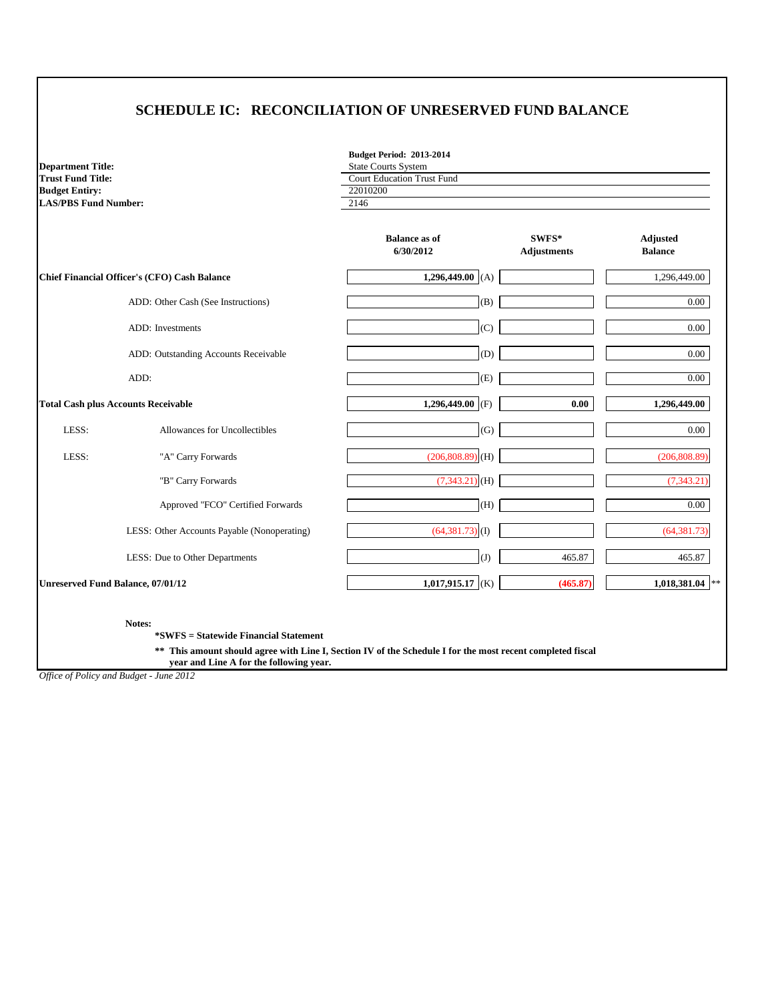| <b>Department Title:</b>                   |                                                     | <b>Budget Period: 2013-2014</b><br><b>State Courts System</b> |                             |                                   |
|--------------------------------------------|-----------------------------------------------------|---------------------------------------------------------------|-----------------------------|-----------------------------------|
| <b>Trust Fund Title:</b>                   |                                                     | <b>Court Education Trust Fund</b>                             |                             |                                   |
| <b>Budget Entiry:</b>                      |                                                     | 22010200                                                      |                             |                                   |
| <b>LAS/PBS Fund Number:</b>                |                                                     | 2146                                                          |                             |                                   |
|                                            |                                                     | <b>Balance as of</b><br>6/30/2012                             | SWFS*<br><b>Adjustments</b> | <b>Adjusted</b><br><b>Balance</b> |
|                                            | <b>Chief Financial Officer's (CFO) Cash Balance</b> | 1,296,449.00 (A)                                              |                             | 1,296,449.00                      |
|                                            | ADD: Other Cash (See Instructions)                  | (B)                                                           |                             | $0.00\,$                          |
|                                            | ADD: Investments                                    | (C)                                                           |                             | 0.00                              |
|                                            | ADD: Outstanding Accounts Receivable                | (D)                                                           |                             | 0.00                              |
|                                            | ADD:                                                | (E)                                                           |                             | $0.00\,$                          |
| <b>Total Cash plus Accounts Receivable</b> |                                                     | 1,296,449.00 (F)                                              | 0.00                        | 1,296,449.00                      |
| LESS:                                      | Allowances for Uncollectibles                       | (G)                                                           |                             | $0.00\,$                          |
| LESS:                                      | "A" Carry Forwards                                  | $(206, 808.89)$ (H)                                           |                             | (206, 808.89)                     |
|                                            | "B" Carry Forwards                                  | $(7,343.21)$ (H)                                              |                             | (7, 343.21)                       |
|                                            | Approved "FCO" Certified Forwards                   | (H)                                                           |                             | 0.00                              |
|                                            | LESS: Other Accounts Payable (Nonoperating)         | $(64,381.73)$ (I)                                             |                             | (64, 381.73)                      |
|                                            | LESS: Due to Other Departments                      | (J)                                                           | 465.87                      | 465.87                            |
| Unreserved Fund Balance, 07/01/12          |                                                     | 1,017,915.17 (K)                                              | (465.87)                    | 1,018,381.04                      |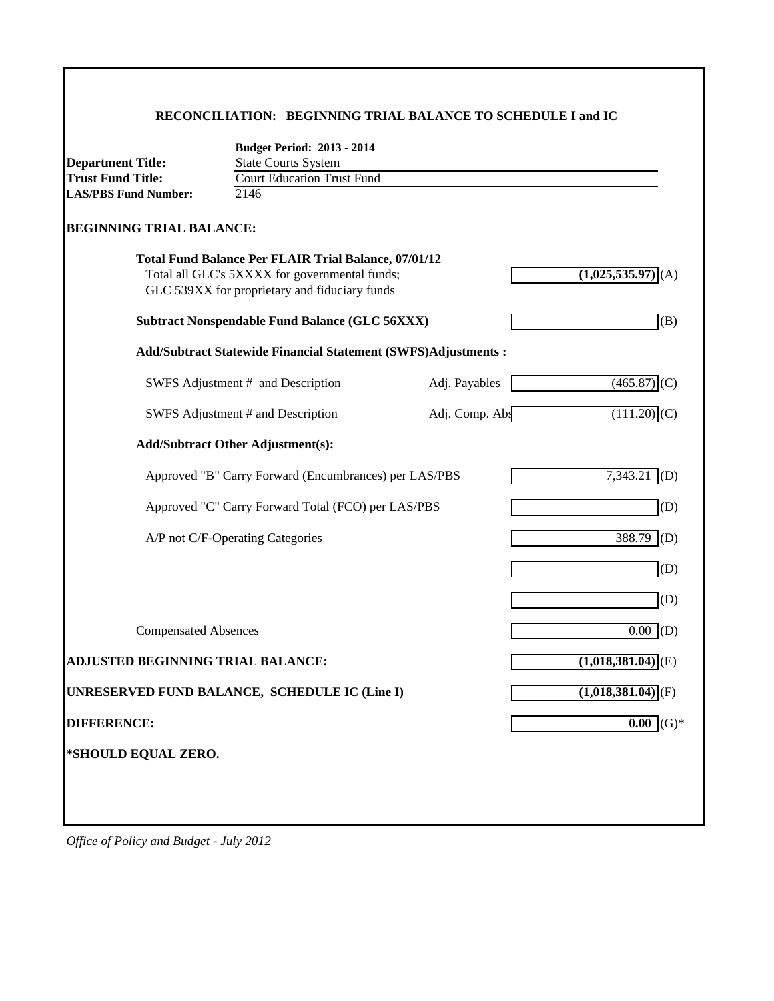#### **RECONCILIATION: BEGINNING TRIAL BALANCE TO SCHEDULE I and IC**

| <b>Department Title:</b>                                      | <b>Budget Period: 2013 - 2014</b><br><b>State Courts System</b>                                                                                               |                |                                 |  |  |  |
|---------------------------------------------------------------|---------------------------------------------------------------------------------------------------------------------------------------------------------------|----------------|---------------------------------|--|--|--|
| <b>Trust Fund Title:</b><br><b>Court Education Trust Fund</b> |                                                                                                                                                               |                |                                 |  |  |  |
| <b>LAS/PBS Fund Number:</b>                                   | 2146                                                                                                                                                          |                |                                 |  |  |  |
| <b>BEGINNING TRIAL BALANCE:</b>                               | <b>Total Fund Balance Per FLAIR Trial Balance, 07/01/12</b><br>Total all GLC's 5XXXX for governmental funds;<br>GLC 539XX for proprietary and fiduciary funds |                | (1,025,535.97)<br>(A)           |  |  |  |
|                                                               | <b>Subtract Nonspendable Fund Balance (GLC 56XXX)</b>                                                                                                         |                | (B)                             |  |  |  |
|                                                               | <b>Add/Subtract Statewide Financial Statement (SWFS)Adjustments:</b>                                                                                          |                |                                 |  |  |  |
|                                                               | SWFS Adjustment # and Description                                                                                                                             | Adj. Payables  | $(465.87)$ (C)                  |  |  |  |
|                                                               | SWFS Adjustment # and Description                                                                                                                             | Adj. Comp. Abs | $(111.20)$ (C)                  |  |  |  |
|                                                               | <b>Add/Subtract Other Adjustment(s):</b>                                                                                                                      |                |                                 |  |  |  |
|                                                               | Approved "B" Carry Forward (Encumbrances) per LAS/PBS                                                                                                         |                | 7,343.21<br>(D)                 |  |  |  |
|                                                               | Approved "C" Carry Forward Total (FCO) per LAS/PBS                                                                                                            |                | (D)                             |  |  |  |
|                                                               | A/P not C/F-Operating Categories                                                                                                                              |                | 388.79<br>(D)                   |  |  |  |
|                                                               |                                                                                                                                                               |                | (D)                             |  |  |  |
|                                                               |                                                                                                                                                               |                | (D)                             |  |  |  |
| <b>Compensated Absences</b>                                   |                                                                                                                                                               |                | $\overline{0.00}$<br>(D)        |  |  |  |
| <b>ADJUSTED BEGINNING TRIAL BALANCE:</b>                      |                                                                                                                                                               |                | $\overline{(1,018,381.04)}$ (E) |  |  |  |
|                                                               | UNRESERVED FUND BALANCE, SCHEDULE IC (Line I)                                                                                                                 |                | $(1,018,381.04)$ <sub>(F)</sub> |  |  |  |
| <b>DIFFERENCE:</b>                                            |                                                                                                                                                               | 0.00           |                                 |  |  |  |
| *SHOULD EQUAL ZERO.                                           |                                                                                                                                                               |                |                                 |  |  |  |
|                                                               |                                                                                                                                                               |                |                                 |  |  |  |
|                                                               |                                                                                                                                                               |                |                                 |  |  |  |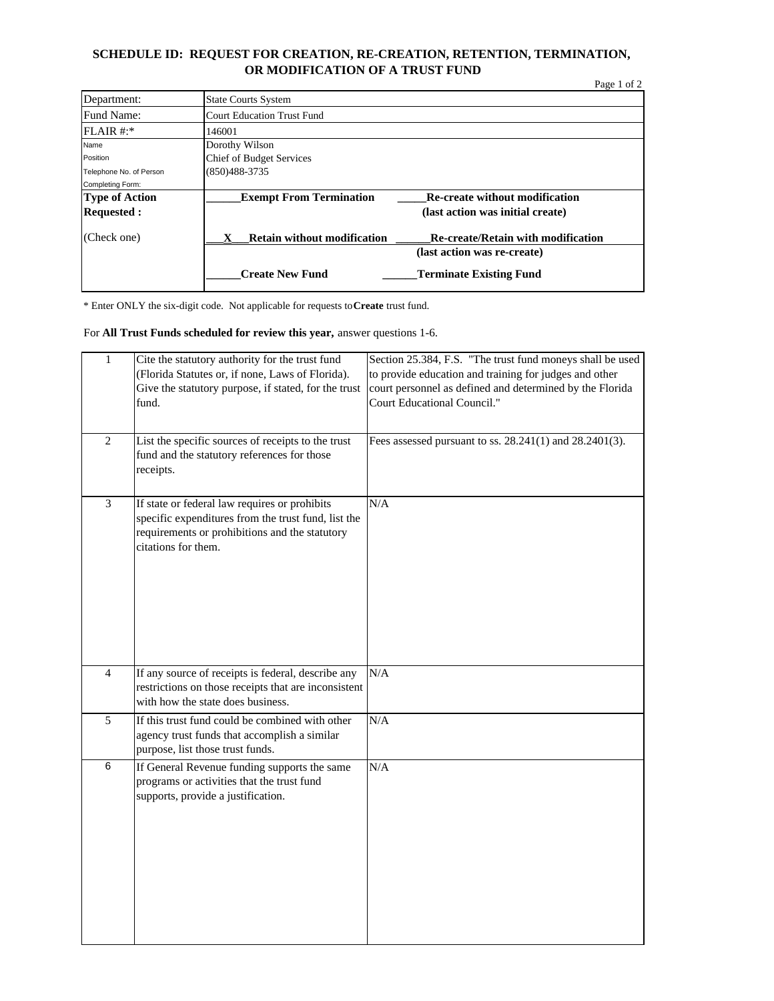#### **SCHEDULE ID: REQUEST FOR CREATION, RE-CREATION, RETENTION, TERMINATION, OR MODIFICATION OF A TRUST FUND**

|                         |                                    | Page 1 of 2                               |  |
|-------------------------|------------------------------------|-------------------------------------------|--|
| Department:             | <b>State Courts System</b>         |                                           |  |
| Fund Name:              | <b>Court Education Trust Fund</b>  |                                           |  |
| FLAIR #:                | 146001                             |                                           |  |
| Name                    | Dorothy Wilson                     |                                           |  |
| Position                | <b>Chief of Budget Services</b>    |                                           |  |
| Telephone No. of Person | (850)488-3735                      |                                           |  |
| Completing Form:        |                                    |                                           |  |
| <b>Type of Action</b>   | <b>Exempt From Termination</b>     | <b>Re-create without modification</b>     |  |
| <b>Requested:</b>       |                                    | (last action was initial create)          |  |
| (Check one)             | <b>Retain without modification</b> | <b>Re-create/Retain with modification</b> |  |
|                         |                                    | (last action was re-create)               |  |
|                         | <b>Create New Fund</b>             | <b>Terminate Existing Fund</b>            |  |

\* Enter ONLY the six-digit code. Not applicable for requests to **Create** trust fund.

#### For **All Trust Funds scheduled for review this year,** answer questions 1-6.

| $\,1$           | Cite the statutory authority for the trust fund<br>(Florida Statutes or, if none, Laws of Florida).<br>Give the statutory purpose, if stated, for the trust<br>fund.          | Section 25.384, F.S. "The trust fund moneys shall be used<br>to provide education and training for judges and other<br>court personnel as defined and determined by the Florida<br>Court Educational Council." |
|-----------------|-------------------------------------------------------------------------------------------------------------------------------------------------------------------------------|----------------------------------------------------------------------------------------------------------------------------------------------------------------------------------------------------------------|
| $\overline{2}$  | List the specific sources of receipts to the trust<br>fund and the statutory references for those<br>receipts.                                                                | Fees assessed pursuant to ss. 28.241(1) and 28.2401(3).                                                                                                                                                        |
| $\mathfrak{Z}$  | If state or federal law requires or prohibits<br>specific expenditures from the trust fund, list the<br>requirements or prohibitions and the statutory<br>citations for them. | N/A                                                                                                                                                                                                            |
| $\overline{4}$  | If any source of receipts is federal, describe any<br>restrictions on those receipts that are inconsistent<br>with how the state does business.                               | N/A                                                                                                                                                                                                            |
| 5               | If this trust fund could be combined with other<br>agency trust funds that accomplish a similar<br>purpose, list those trust funds.                                           | N/A                                                                                                                                                                                                            |
| $6\overline{6}$ | If General Revenue funding supports the same<br>programs or activities that the trust fund<br>supports, provide a justification.                                              | N/A                                                                                                                                                                                                            |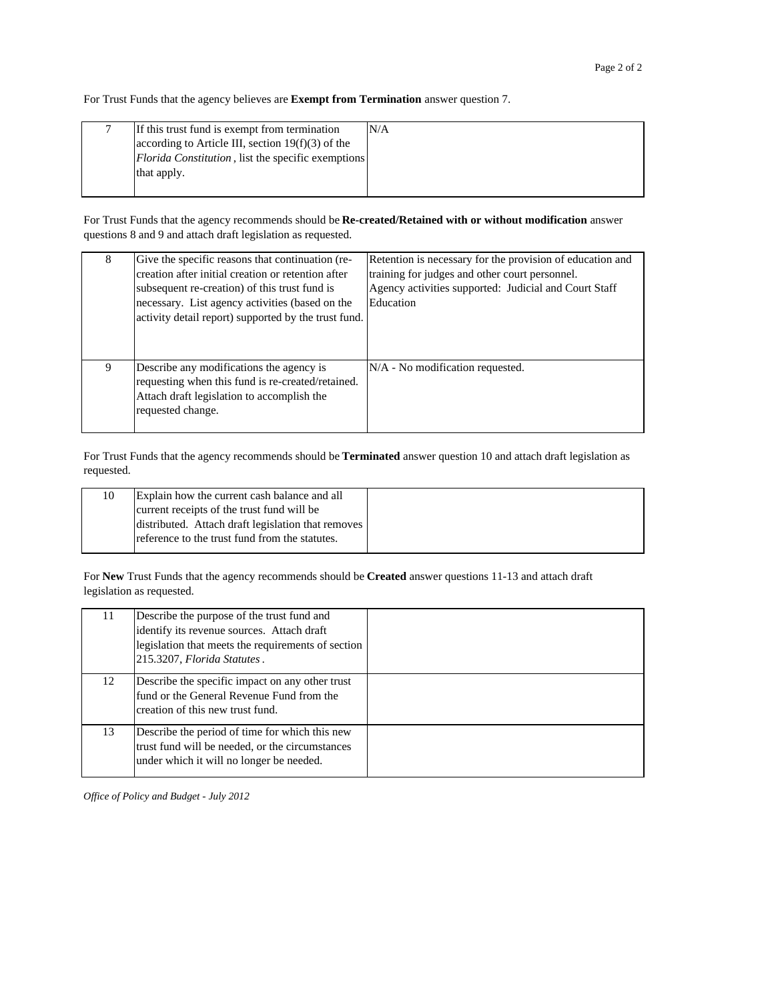For Trust Funds that the agency believes are **Exempt from Termination** answer question 7.

| If this trust fund is exempt from termination              | N/A |
|------------------------------------------------------------|-----|
| according to Article III, section $19(f)(3)$ of the        |     |
| <i>Florida Constitution</i> , list the specific exemptions |     |
| that apply.                                                |     |
|                                                            |     |

For Trust Funds that the agency recommends should be **Re-created/Retained with or without modification** answer questions 8 and 9 and attach draft legislation as requested.

| 8 | Give the specific reasons that continuation (re-<br>creation after initial creation or retention after<br>subsequent re-creation) of this trust fund is<br>necessary. List agency activities (based on the<br>activity detail report) supported by the trust fund. | Retention is necessary for the provision of education and<br>training for judges and other court personnel.<br>Agency activities supported: Judicial and Court Staff<br>Education |
|---|--------------------------------------------------------------------------------------------------------------------------------------------------------------------------------------------------------------------------------------------------------------------|-----------------------------------------------------------------------------------------------------------------------------------------------------------------------------------|
| 9 | Describe any modifications the agency is<br>requesting when this fund is re-created/retained.<br>Attach draft legislation to accomplish the<br>requested change.                                                                                                   | $N/A$ - No modification requested.                                                                                                                                                |

For Trust Funds that the agency recommends should be **Terminated** answer question 10 and attach draft legislation as requested.

| 10 | Explain how the current cash balance and all       |
|----|----------------------------------------------------|
|    | current receipts of the trust fund will be         |
|    | distributed. Attach draft legislation that removes |
|    | reference to the trust fund from the statutes.     |
|    |                                                    |

For **New** Trust Funds that the agency recommends should be **Created** answer questions 11-13 and attach draft legislation as requested.

| 11 | Describe the purpose of the trust fund and<br>identify its revenue sources. Attach draft<br>legislation that meets the requirements of section<br>215.3207, Florida Statutes. |  |
|----|-------------------------------------------------------------------------------------------------------------------------------------------------------------------------------|--|
| 12 | Describe the specific impact on any other trust<br>fund or the General Revenue Fund from the<br>creation of this new trust fund.                                              |  |
| 13 | Describe the period of time for which this new<br>trust fund will be needed, or the circumstances<br>under which it will no longer be needed.                                 |  |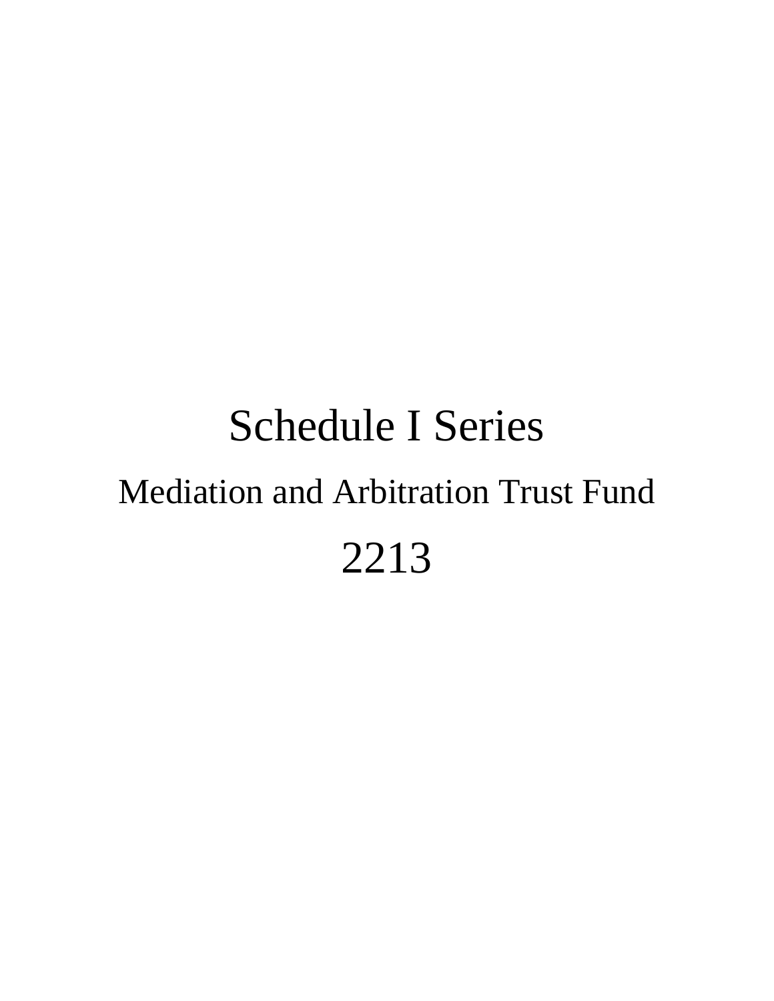# Schedule I Series Mediation and Arbitration Trust Fund 2213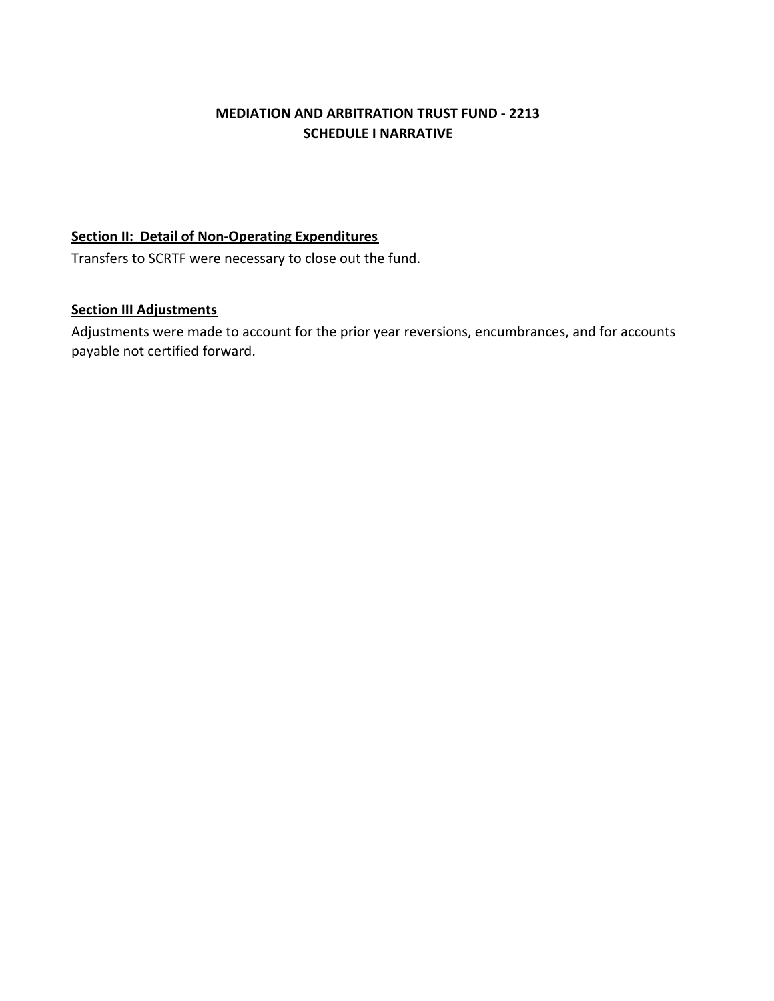## **MEDIATION AND ARBITRATION TRUST FUND ‐ 2213 SCHEDULE I NARRATIVE**

#### **Section II: Detail of Non‐Operating Expenditures**

Transfers to SCRTF were necessary to close out the fund.

## **Section III Adjustments**

Adjustments were made to account for the prior year reversions, encumbrances, and for accounts payable not certified forward.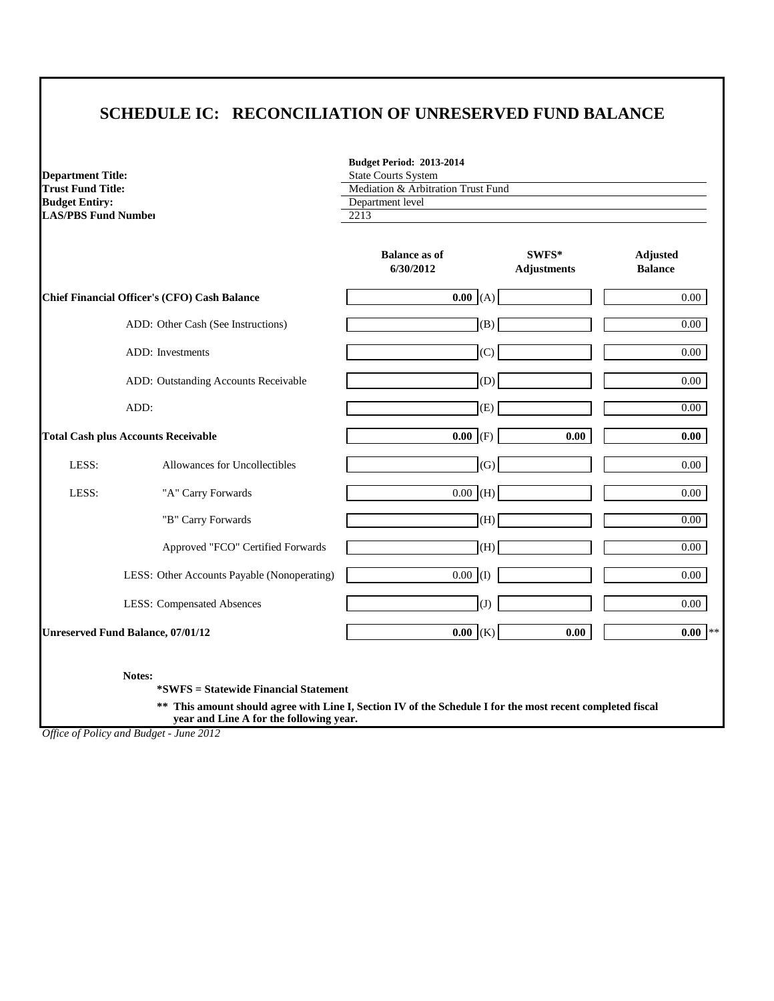# **SCHEDULE IC: RECONCILIATION OF UNRESERVED FUND BALANCE**

**Department Title: Trust Fund Title: Budget Entiry: LAS/PBS Fund Number** 

| <b>Budget Period: 2013-2014</b>    |  |
|------------------------------------|--|
| <b>State Courts System</b>         |  |
| Mediation & Arbitration Trust Fund |  |
| Department level                   |  |
| 2212                               |  |

|                                              |                                             | <b>Balance as of</b><br>6/30/2012 | SWFS*<br><b>Adjustments</b> | Adjusted<br><b>Balance</b> |
|----------------------------------------------|---------------------------------------------|-----------------------------------|-----------------------------|----------------------------|
| Chief Financial Officer's (CFO) Cash Balance |                                             | 0.00(A)                           |                             | 0.00                       |
|                                              | ADD: Other Cash (See Instructions)          | (B)                               |                             | 0.00                       |
|                                              | <b>ADD</b> : Investments                    | (C)                               |                             | 0.00                       |
|                                              | ADD: Outstanding Accounts Receivable        | (D)                               |                             | 0.00                       |
|                                              | ADD:                                        | (E)                               |                             | $0.00\,$                   |
| <b>Total Cash plus Accounts Receivable</b>   |                                             | $0.00$ (F)                        | 0.00                        | 0.00                       |
| LESS:                                        | Allowances for Uncollectibles               | (G)                               |                             | $0.00\,$                   |
| LESS:                                        | "A" Carry Forwards                          | $0.00$ (H)                        |                             | 0.00                       |
|                                              | "B" Carry Forwards                          | (H)                               |                             | 0.00                       |
|                                              | Approved "FCO" Certified Forwards           | (H)                               |                             | 0.00                       |
|                                              | LESS: Other Accounts Payable (Nonoperating) | $0.00$ (I)                        |                             | 0.00                       |
|                                              | <b>LESS: Compensated Absences</b>           | (J)                               |                             | 0.00                       |
| <b>Unreserved Fund Balance, 07/01/12</b>     |                                             | $0.00$ (K)                        | 0.00                        | $0.00$ **                  |

**Notes:**

**\*SWFS = Statewide Financial Statement** 

**\*\* This amount should agree with Line I, Section IV of the Schedule I for the most recent completed fiscal year and Line A for the following year.**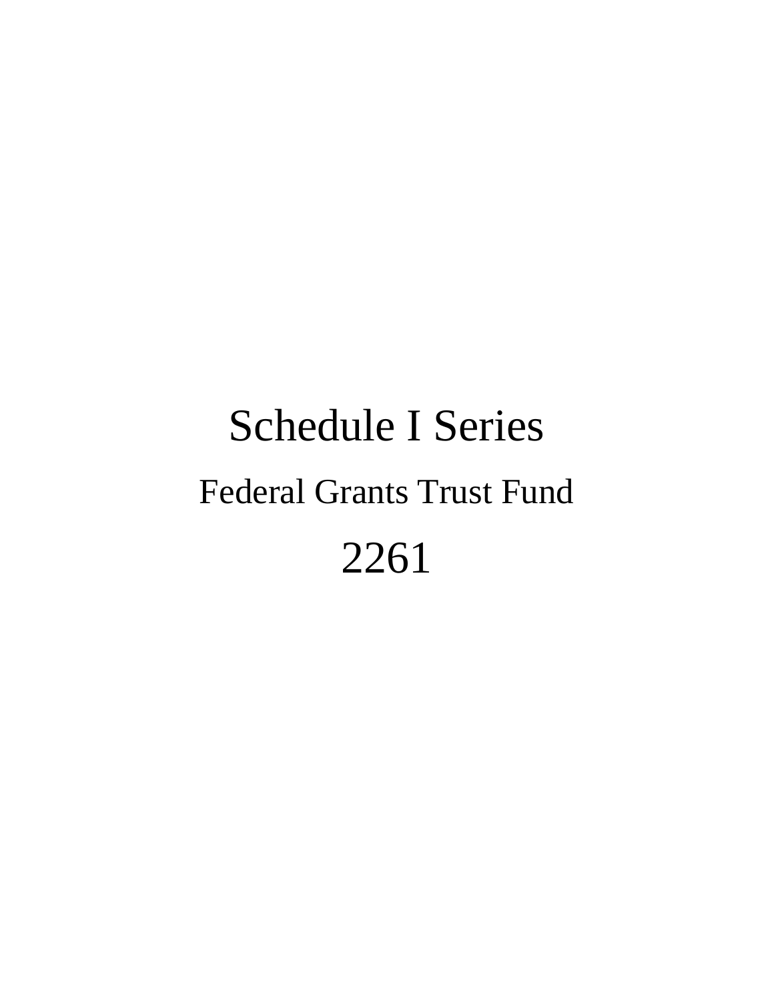# Schedule I Series Federal Grants Trust Fund 2261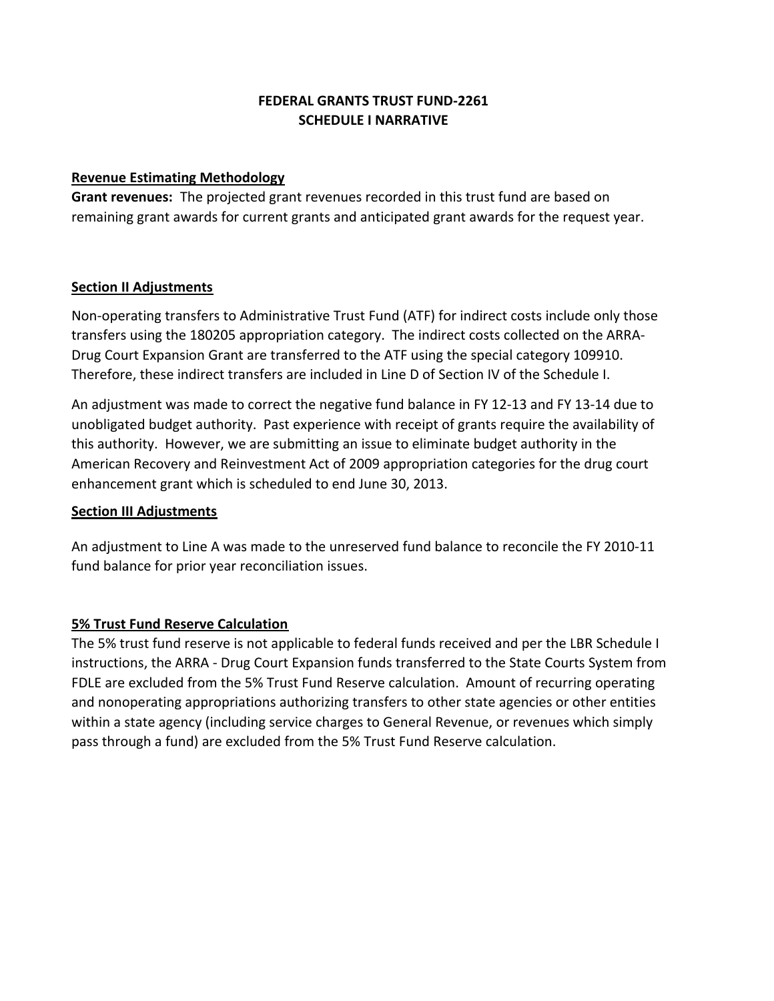## **SCHEDULE I NARRATIVE FEDERAL GRANTS TRUST FUND‐2261**

#### **Revenue Estimating Methodology**

**Grant revenues:** The projected grant revenues recorded in this trust fund are based on remaining grant awards for current grants and anticipated grant awards for the request year.

#### **Section II Adjustments**

Non-operating transfers to Administrative Trust Fund (ATF) for indirect costs include only those transfers using the 180205 appropriation category. The indirect costs collected on the ARRA‐ Drug Court Expansion Grant are transferred to the ATF using the special category 109910. Therefore, these indirect transfers are included in Line D of Section IV of the Schedule I.

An adjustment was made to correct the negative fund balance in FY 12‐13 and FY 13‐14 due to unobligated budget authority. Past experience with receipt of grants require the availability of this authority. However, we are submitting an issue to eliminate budget authority in the American Recovery and Reinvestment Act of 2009 appropriation categories for the drug court enhancement grant which is scheduled to end June 30, 2013.

## **Section III Adjustments**

An adjustment to Line A was made to the unreserved fund balance to reconcile the FY 2010‐11 fund balance for prior year reconciliation issues.

## **5% Trust Fund Reserve Calculation**

The 5% trust fund reserve is not applicable to federal funds received and per the LBR Schedule I instructions, the ARRA ‐ Drug Court Expansion funds transferred to the State Courts System from FDLE are excluded from the 5% Trust Fund Reserve calculation. Amount of recurring operating and nonoperating appropriations authorizing transfers to other state agencies or other entities within a state agency (including service charges to General Revenue, or revenues which simply pass through a fund) are excluded from the 5% Trust Fund Reserve calculation.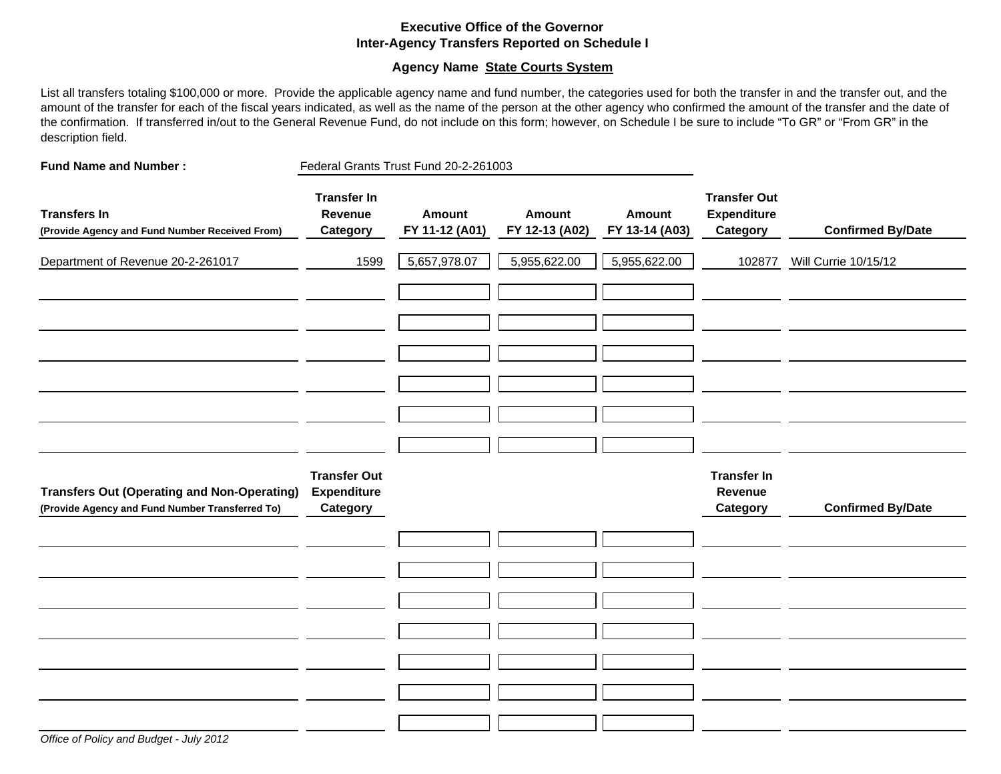#### **Executive Office of the GovernorInter-Agency Transfers Reported on Schedule I**

#### **Agency Name State Courts System**

List all transfers totaling \$100,000 or more. Provide the applicable agency name and fund number, the categories used for both the transfer in and the transfer out, and the amount of the transfer for each of the fiscal years indicated, as well as the name of the person at the other agency who confirmed the amount of the transfer and the date of the confirmation. If transferred in/out to the General Revenue Fund, do not include on this form; however, on Schedule I be sure to include "To GR" or "From GR" in the description field.

| <b>Fund Name and Number:</b>                                                                          | Federal Grants Trust Fund 20-2-261003                 |                                 |                                 |                                 |                                                       |                          |
|-------------------------------------------------------------------------------------------------------|-------------------------------------------------------|---------------------------------|---------------------------------|---------------------------------|-------------------------------------------------------|--------------------------|
| <b>Transfers In</b><br>(Provide Agency and Fund Number Received From)                                 | <b>Transfer In</b><br>Revenue<br><b>Category</b>      | <b>Amount</b><br>FY 11-12 (A01) | <b>Amount</b><br>FY 12-13 (A02) | <b>Amount</b><br>FY 13-14 (A03) | <b>Transfer Out</b><br><b>Expenditure</b><br>Category | <b>Confirmed By/Date</b> |
| Department of Revenue 20-2-261017                                                                     | 1599                                                  | 5,657,978.07                    | 5,955,622.00                    | 5,955,622.00                    | 102877                                                | Will Currie 10/15/12     |
|                                                                                                       |                                                       |                                 |                                 |                                 |                                                       |                          |
|                                                                                                       |                                                       |                                 |                                 |                                 |                                                       |                          |
| <b>Transfers Out (Operating and Non-Operating)</b><br>(Provide Agency and Fund Number Transferred To) | <b>Transfer Out</b><br><b>Expenditure</b><br>Category |                                 |                                 |                                 | <b>Transfer In</b><br>Revenue<br>Category             | <b>Confirmed By/Date</b> |
|                                                                                                       |                                                       |                                 |                                 |                                 |                                                       |                          |
|                                                                                                       |                                                       |                                 |                                 |                                 |                                                       |                          |
|                                                                                                       |                                                       |                                 |                                 |                                 |                                                       |                          |
|                                                                                                       |                                                       |                                 |                                 |                                 |                                                       |                          |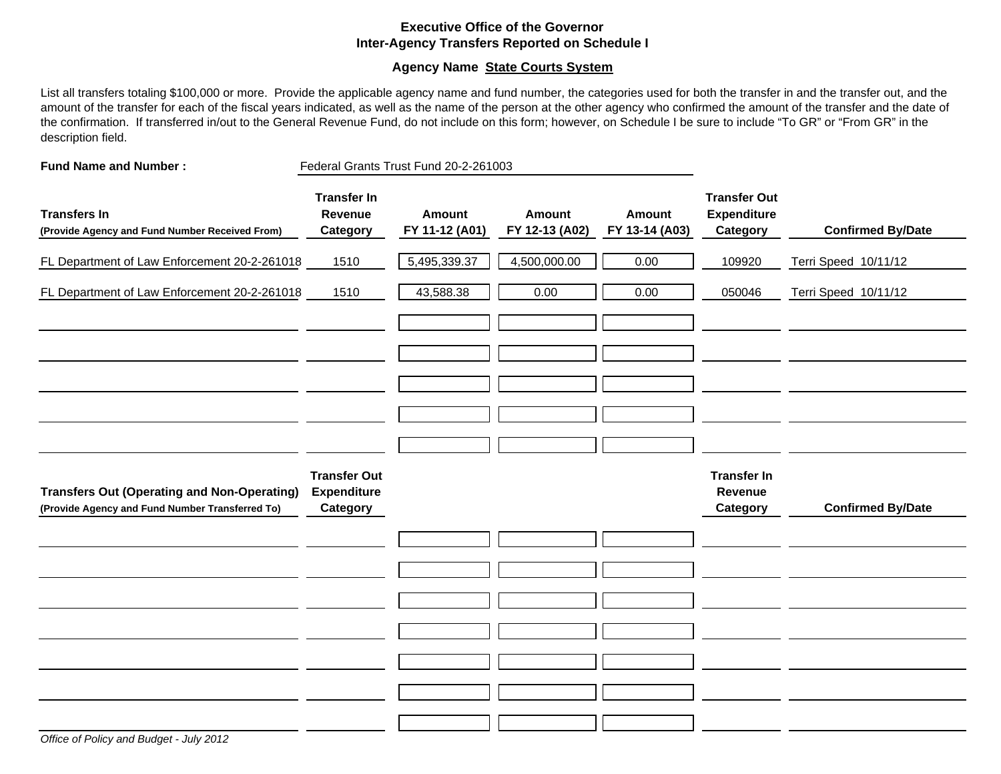#### **Executive Office of the GovernorInter-Agency Transfers Reported on Schedule I**

#### **Agency Name State Courts System**

List all transfers totaling \$100,000 or more. Provide the applicable agency name and fund number, the categories used for both the transfer in and the transfer out, and the amount of the transfer for each of the fiscal years indicated, as well as the name of the person at the other agency who confirmed the amount of the transfer and the date of the confirmation. If transferred in/out to the General Revenue Fund, do not include on this form; however, on Schedule I be sure to include "To GR" or "From GR" in the description field.

| <b>Fund Name and Number:</b>                                                                          | Federal Grants Trust Fund 20-2-261003                 |                                 |                                 |                          |                                                       |                          |
|-------------------------------------------------------------------------------------------------------|-------------------------------------------------------|---------------------------------|---------------------------------|--------------------------|-------------------------------------------------------|--------------------------|
| <b>Transfers In</b><br>(Provide Agency and Fund Number Received From)                                 | <b>Transfer In</b><br>Revenue<br>Category             | <b>Amount</b><br>FY 11-12 (A01) | <b>Amount</b><br>FY 12-13 (A02) | Amount<br>FY 13-14 (A03) | <b>Transfer Out</b><br><b>Expenditure</b><br>Category | <b>Confirmed By/Date</b> |
| FL Department of Law Enforcement 20-2-261018                                                          | 1510                                                  | 5,495,339.37                    | 4,500,000.00                    | 0.00                     | 109920                                                | Terri Speed 10/11/12     |
| FL Department of Law Enforcement 20-2-261018                                                          | 1510                                                  | 43,588.38                       | 0.00                            | 0.00                     | 050046                                                | Terri Speed 10/11/12     |
|                                                                                                       |                                                       |                                 |                                 |                          |                                                       |                          |
|                                                                                                       |                                                       |                                 |                                 |                          |                                                       |                          |
|                                                                                                       |                                                       |                                 |                                 |                          |                                                       |                          |
| <b>Transfers Out (Operating and Non-Operating)</b><br>(Provide Agency and Fund Number Transferred To) | <b>Transfer Out</b><br><b>Expenditure</b><br>Category |                                 |                                 |                          | <b>Transfer In</b><br>Revenue<br>Category             | <b>Confirmed By/Date</b> |
|                                                                                                       |                                                       |                                 |                                 |                          |                                                       |                          |
|                                                                                                       |                                                       |                                 |                                 |                          |                                                       |                          |
|                                                                                                       |                                                       |                                 |                                 |                          |                                                       |                          |
|                                                                                                       |                                                       |                                 |                                 |                          |                                                       |                          |
|                                                                                                       |                                                       |                                 |                                 |                          |                                                       |                          |
|                                                                                                       |                                                       |                                 |                                 |                          |                                                       |                          |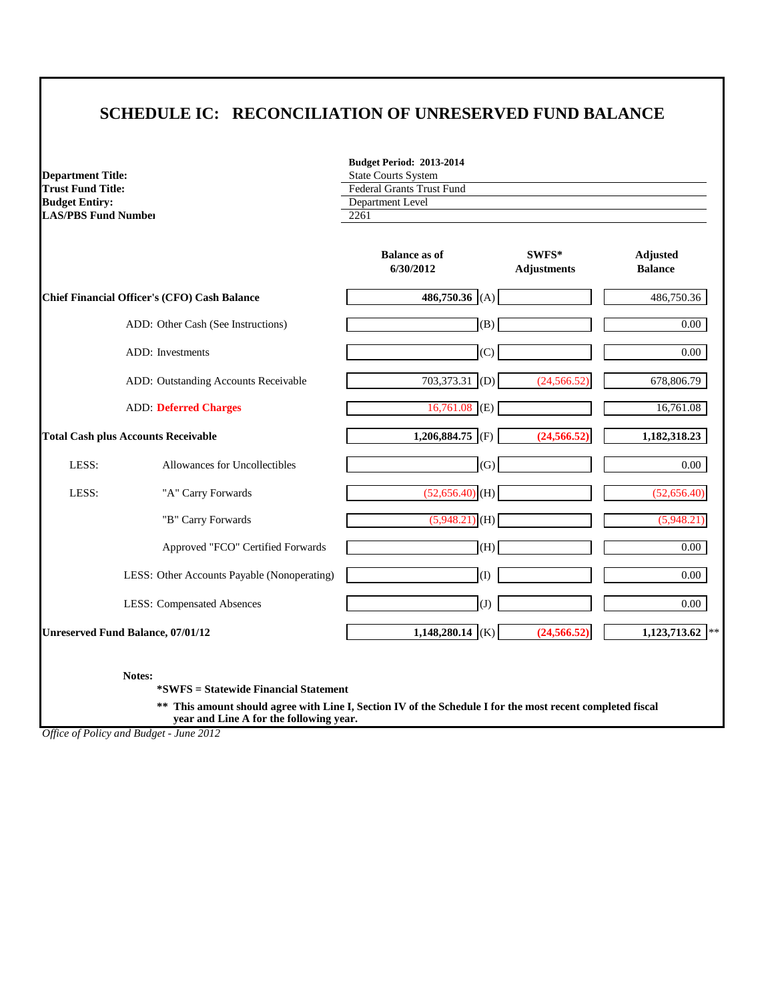# **SCHEDULE IC: RECONCILIATION OF UNRESERVED FUND BALANCE**

|                            | <b>Budget Period: 2013-2014</b>  |         |                 |
|----------------------------|----------------------------------|---------|-----------------|
| <b>Department Title:</b>   | <b>State Courts System</b>       |         |                 |
| <b>Trust Fund Title:</b>   | <b>Federal Grants Trust Fund</b> |         |                 |
| <b>Budget Entiry:</b>      | Department Level                 |         |                 |
| <b>LAS/PBS Fund Number</b> | 2261                             |         |                 |
|                            |                                  |         |                 |
|                            | <b>Balance as of</b>             | $SWFS*$ | <b>Adjusted</b> |

|       |                                                     | 6/30/2012                   | <b>Adjustments</b> | <b>Balance</b>    |
|-------|-----------------------------------------------------|-----------------------------|--------------------|-------------------|
|       | <b>Chief Financial Officer's (CFO) Cash Balance</b> | 486,750.36 (A)              |                    | 486,750.36        |
|       | ADD: Other Cash (See Instructions)                  | (B)                         |                    | $0.00\,$          |
|       | ADD: Investments                                    | (C)                         |                    | $0.00\,$          |
|       | ADD: Outstanding Accounts Receivable                | 703,373.31 (D)              | (24, 566.52)       | 678,806.79        |
|       | <b>ADD: Deferred Charges</b>                        | $\overline{16,761.08}$ (E)  |                    | 16,761.08         |
|       | <b>Total Cash plus Accounts Receivable</b>          | 1,206,884.75 (F)            | (24, 566.52)       | 1,182,318.23      |
| LESS: | Allowances for Uncollectibles                       | (G)                         |                    | $0.00\,$          |
| LESS: | "A" Carry Forwards                                  | $(52,656.40)$ (H)           |                    | (52,656.40)       |
|       | "B" Carry Forwards                                  | $\overline{(5,948.21)}$ (H) |                    | (5,948.21)        |
|       | Approved "FCO" Certified Forwards                   | (H)                         |                    | $0.00\,$          |
|       | LESS: Other Accounts Payable (Nonoperating)         | $\Omega$                    |                    | $0.00\,$          |
|       | <b>LESS: Compensated Absences</b>                   | $\left( J\right)$           |                    | $0.00\,$          |
|       | <b>Unreserved Fund Balance, 07/01/12</b>            | 1,148,280.14 (K)            | (24, 566.52)       | $1,123,713.62$ ** |

**Notes:**

**\*SWFS = Statewide Financial Statement** 

**\*\* This amount should agree with Line I, Section IV of the Schedule I for the most recent completed fiscal year and Line A for the following year.**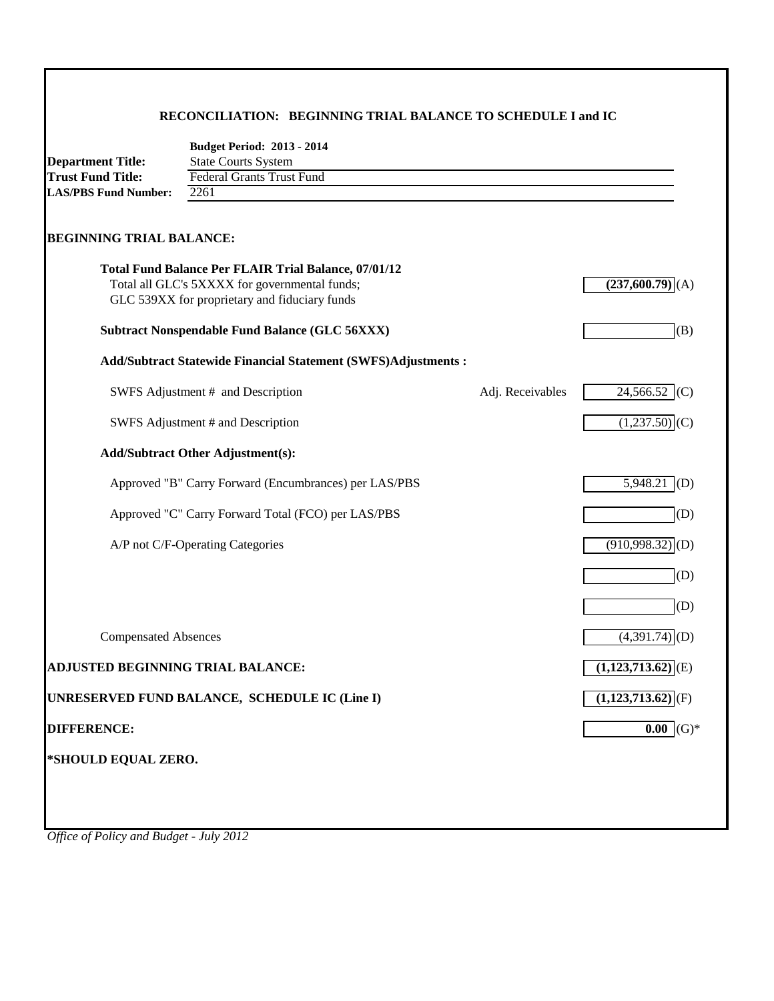#### **RECONCILIATION: BEGINNING TRIAL BALANCE TO SCHEDULE I and IC**

| <b>Budget Period: 2013 - 2014</b> |  |  |  |
|-----------------------------------|--|--|--|
|-----------------------------------|--|--|--|

| <b>Department Title:</b>    | <b>State Courts System</b> |
|-----------------------------|----------------------------|
| <b>Trust Fund Title:</b>    | Federal Grants Trust Fund  |
| <b>LAS/PBS Fund Number:</b> | 2261                       |
|                             |                            |

# **BEGINNING TRIAL BALANCE:**

| <b>Total Fund Balance Per FLAIR Trial Balance, 07/01/12</b><br>Total all GLC's 5XXXX for governmental funds;<br>GLC 539XX for proprietary and fiduciary funds |                  | (237,600.79)<br>(A)             |
|---------------------------------------------------------------------------------------------------------------------------------------------------------------|------------------|---------------------------------|
| <b>Subtract Nonspendable Fund Balance (GLC 56XXX)</b>                                                                                                         |                  | (B)                             |
| Add/Subtract Statewide Financial Statement (SWFS)Adjustments :                                                                                                |                  |                                 |
| SWFS Adjustment # and Description                                                                                                                             | Adj. Receivables | 24,566.52<br>(C)                |
| SWFS Adjustment # and Description                                                                                                                             |                  | (1,237.50)<br>(C)               |
| <b>Add/Subtract Other Adjustment(s):</b>                                                                                                                      |                  |                                 |
| Approved "B" Carry Forward (Encumbrances) per LAS/PBS                                                                                                         |                  | 5,948.21<br>(D)                 |
| Approved "C" Carry Forward Total (FCO) per LAS/PBS                                                                                                            |                  | (D)                             |
| A/P not C/F-Operating Categories                                                                                                                              |                  | (910, 998.32)<br>(D)            |
|                                                                                                                                                               |                  | (D)                             |
|                                                                                                                                                               |                  | (D)                             |
| <b>Compensated Absences</b>                                                                                                                                   |                  | $(4,391.74)$ (D)                |
| <b>ADJUSTED BEGINNING TRIAL BALANCE:</b>                                                                                                                      |                  | $(1,123,713.62)$ <sup>(E)</sup> |
| UNRESERVED FUND BALANCE, SCHEDULE IC (Line I)                                                                                                                 |                  | $\overline{(1,123,713.62)}$ (F) |
| <b>DIFFERENCE:</b>                                                                                                                                            |                  | $0.00$ (G)*                     |
| *SHOULD EQUAL ZERO.                                                                                                                                           |                  |                                 |
|                                                                                                                                                               |                  |                                 |
|                                                                                                                                                               |                  |                                 |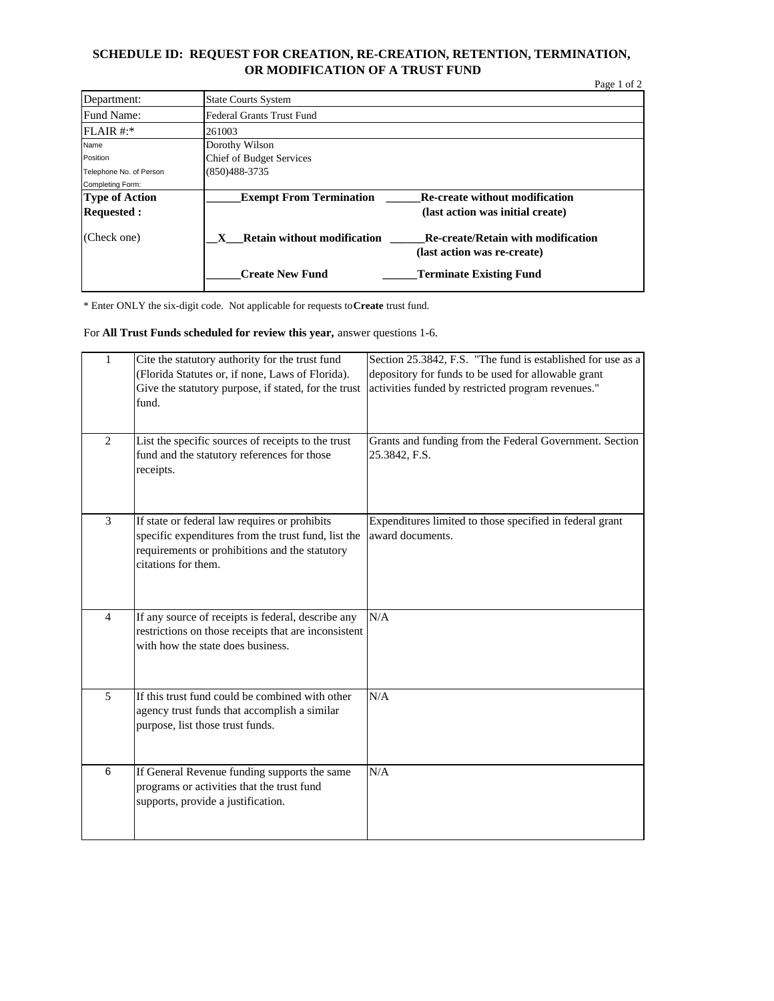#### **SCHEDULE ID: REQUEST FOR CREATION, RE-CREATION, RETENTION, TERMINATION, OR MODIFICATION OF A TRUST FUND**

|                         |                                         | Page 1 of 2                               |
|-------------------------|-----------------------------------------|-------------------------------------------|
| Department:             | <b>State Courts System</b>              |                                           |
| Fund Name:              | Federal Grants Trust Fund               |                                           |
| $FLAIR #.*$             | 261003                                  |                                           |
| Name                    | Dorothy Wilson                          |                                           |
| Position                | <b>Chief of Budget Services</b>         |                                           |
| Telephone No. of Person | $(850)488-3735$                         |                                           |
| Completing Form:        |                                         |                                           |
| <b>Type of Action</b>   | <b>Exempt From Termination</b>          | Re-create without modification            |
| <b>Requested:</b>       |                                         | (last action was initial create)          |
| (Check one)             | <b>Retain without modification</b><br>X | <b>Re-create/Retain with modification</b> |
|                         |                                         | (last action was re-create)               |
|                         | <b>Create New Fund</b>                  | <b>Terminate Existing Fund</b>            |

\* Enter ONLY the six-digit code. Not applicable for requests to **Create** trust fund.

For **All Trust Funds scheduled for review this year,** answer questions 1-6.

| $\mathbf{1}$   | Cite the statutory authority for the trust fund<br>(Florida Statutes or, if none, Laws of Florida).<br>Give the statutory purpose, if stated, for the trust<br>fund.          | Section 25.3842, F.S. "The fund is established for use as a<br>depository for funds to be used for allowable grant<br>activities funded by restricted program revenues." |
|----------------|-------------------------------------------------------------------------------------------------------------------------------------------------------------------------------|--------------------------------------------------------------------------------------------------------------------------------------------------------------------------|
| $\overline{2}$ | List the specific sources of receipts to the trust<br>fund and the statutory references for those<br>receipts.                                                                | Grants and funding from the Federal Government. Section<br>25.3842, F.S.                                                                                                 |
| 3              | If state or federal law requires or prohibits<br>specific expenditures from the trust fund, list the<br>requirements or prohibitions and the statutory<br>citations for them. | Expenditures limited to those specified in federal grant<br>award documents.                                                                                             |
| $\overline{4}$ | If any source of receipts is federal, describe any<br>restrictions on those receipts that are inconsistent<br>with how the state does business.                               | N/A                                                                                                                                                                      |
| 5              | If this trust fund could be combined with other<br>agency trust funds that accomplish a similar<br>purpose, list those trust funds.                                           | N/A                                                                                                                                                                      |
| 6              | If General Revenue funding supports the same<br>programs or activities that the trust fund<br>supports, provide a justification.                                              | N/A                                                                                                                                                                      |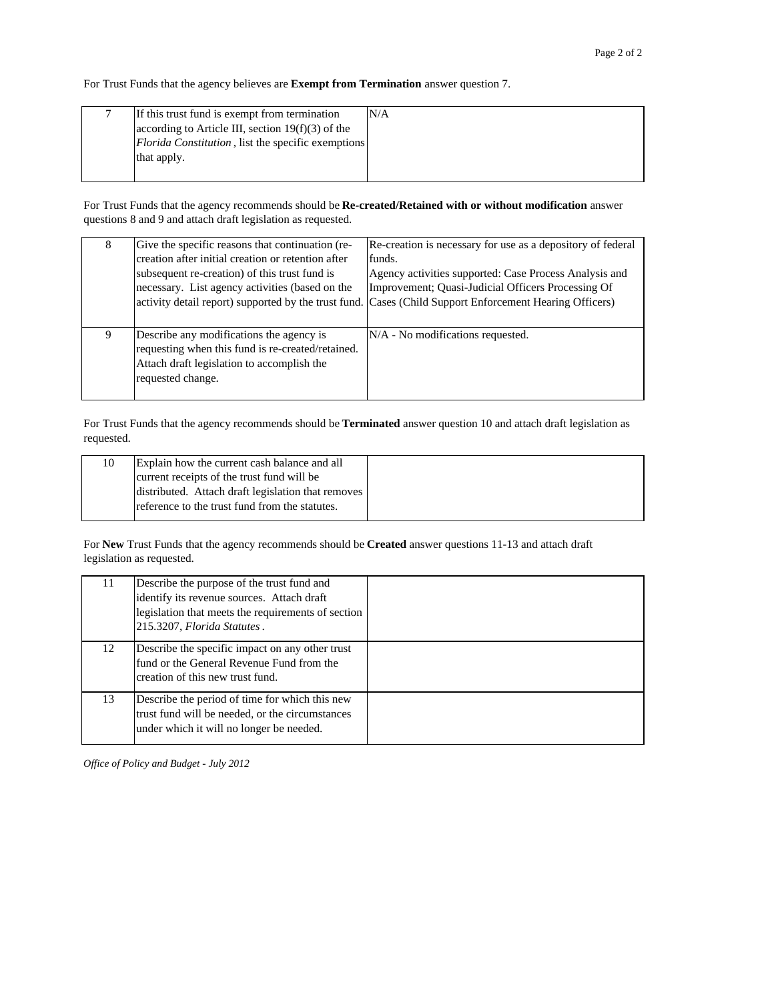For Trust Funds that the agency believes are **Exempt from Termination** answer question 7.

| If this trust fund is exempt from termination              | N/A |
|------------------------------------------------------------|-----|
| according to Article III, section $19(f)(3)$ of the        |     |
| <i>Florida Constitution</i> , list the specific exemptions |     |
| that apply.                                                |     |
|                                                            |     |

For Trust Funds that the agency recommends should be **Re-created/Retained with or without modification** answer questions 8 and 9 and attach draft legislation as requested.

| 8 | Give the specific reasons that continuation (re-<br>creation after initial creation or retention after<br>subsequent re-creation) of this trust fund is<br>necessary. List agency activities (based on the | Re-creation is necessary for use as a depository of federal<br>funds.<br>Agency activities supported: Case Process Analysis and<br>Improvement; Quasi-Judicial Officers Processing Of<br>activity detail report) supported by the trust fund. Cases (Child Support Enforcement Hearing Officers) |
|---|------------------------------------------------------------------------------------------------------------------------------------------------------------------------------------------------------------|--------------------------------------------------------------------------------------------------------------------------------------------------------------------------------------------------------------------------------------------------------------------------------------------------|
| 9 | Describe any modifications the agency is<br>requesting when this fund is re-created/retained.<br>Attach draft legislation to accomplish the<br>requested change.                                           | N/A - No modifications requested.                                                                                                                                                                                                                                                                |

For Trust Funds that the agency recommends should be **Terminated** answer question 10 and attach draft legislation as requested.

| 10 | Explain how the current cash balance and all       |
|----|----------------------------------------------------|
|    | current receipts of the trust fund will be         |
|    | distributed. Attach draft legislation that removes |
|    | reference to the trust fund from the statutes.     |
|    |                                                    |

For **New** Trust Funds that the agency recommends should be **Created** answer questions 11-13 and attach draft legislation as requested.

| 11 | Describe the purpose of the trust fund and         |  |
|----|----------------------------------------------------|--|
|    | identify its revenue sources. Attach draft         |  |
|    | legislation that meets the requirements of section |  |
|    | 215.3207, Florida Statutes.                        |  |
| 12 | Describe the specific impact on any other trust    |  |
|    | fund or the General Revenue Fund from the          |  |
|    | creation of this new trust fund.                   |  |
| 13 | Describe the period of time for which this new     |  |
|    | trust fund will be needed, or the circumstances    |  |
|    | under which it will no longer be needed.           |  |
|    |                                                    |  |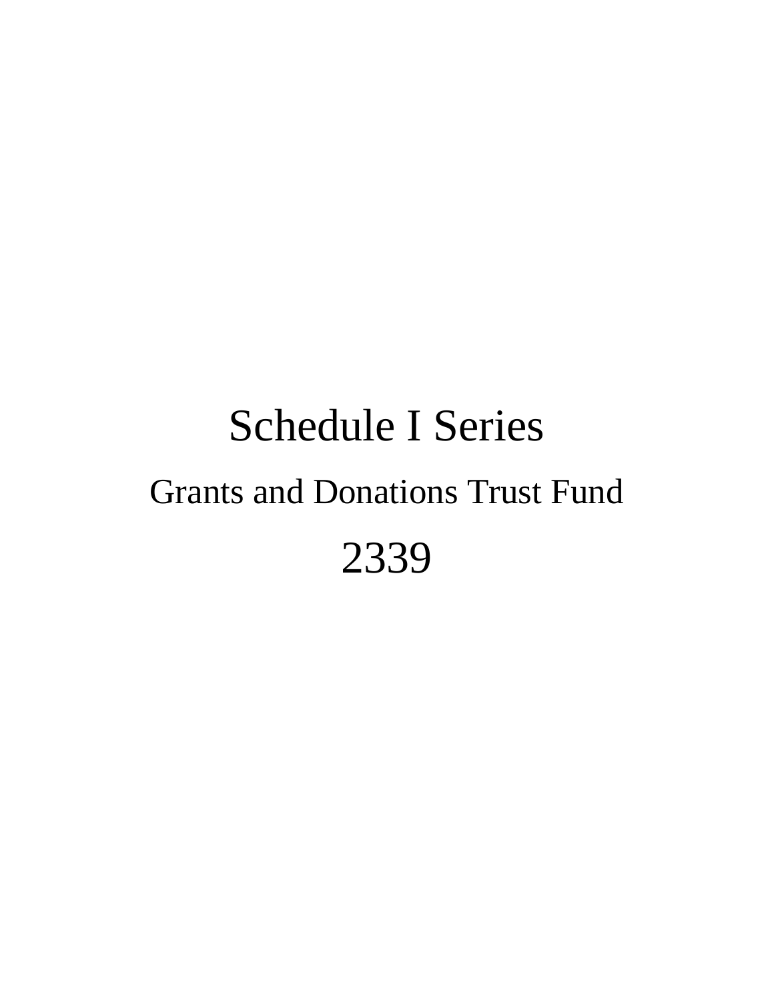# Schedule I Series Grants and Donations Trust Fund 2339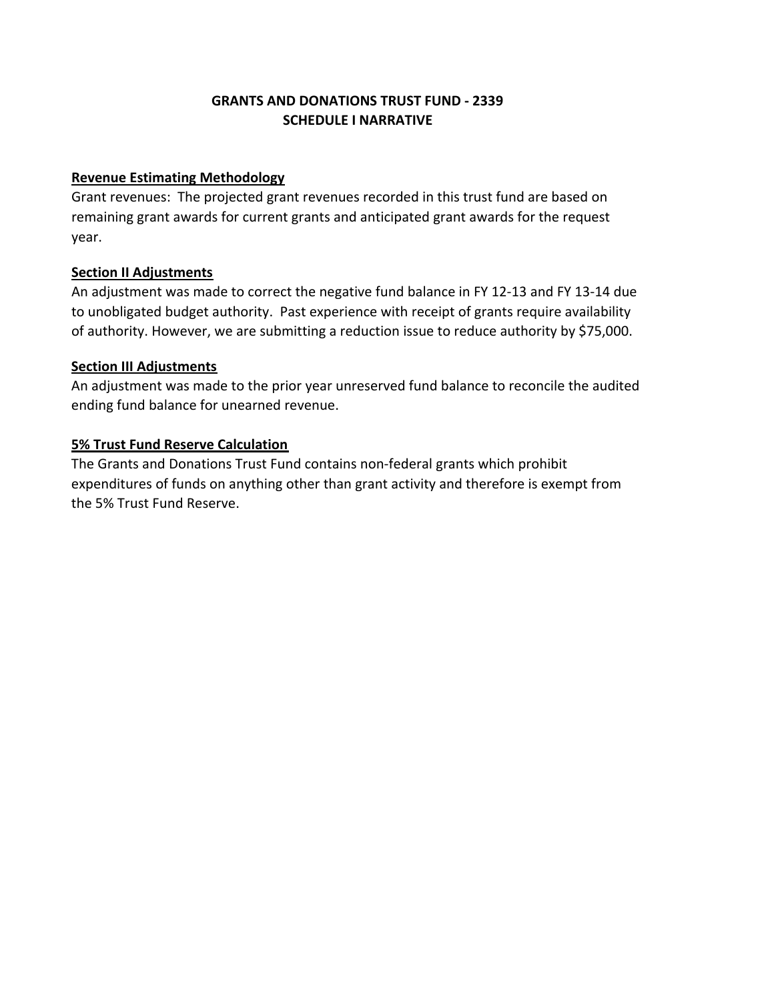## **GRANTS AND DONATIONS TRUST FUND ‐ 2339 SCHEDULE I NARRATIVE**

#### **Revenue Estimating Methodology**

Grant revenues: The projected grant revenues recorded in this trust fund are based on remaining grant awards for current grants and anticipated grant awards for the request year.

#### **Section II Adjustments**

An adjustment was made to correct the negative fund balance in FY 12‐13 and FY 13‐14 due to unobligated budget authority. Past experience with receipt of grants require availability of authority. However, we are submitting a reduction issue to reduce authority by \$75,000.

#### **Section III Adjustments**

An adjustment was made to the prior year unreserved fund balance to reconcile the audited ending fund balance for unearned revenue.

#### **5% Trust Fund Reserve Calculation**

The Grants and Donations Trust Fund contains non‐federal grants which prohibit expenditures of funds on anything other than grant activity and therefore is exempt from the 5% Trust Fund Reserve.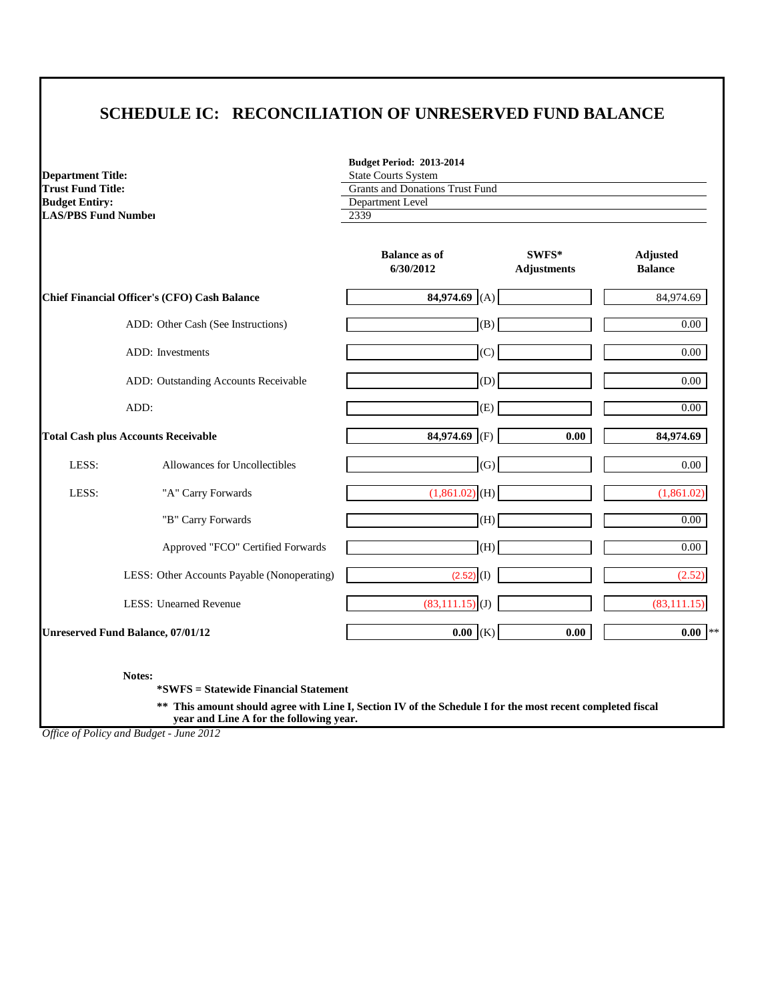# **SCHEDULE IC: RECONCILIATION OF UNRESERVED FUND BALANCE**

**Department Title: Trust Fund Title: Budget Entiry: LAS/PBS Fund Number** 2339

| <b>Budget Period: 2013-2014</b>        |
|----------------------------------------|
| <b>State Courts System</b>             |
| <b>Grants and Donations Trust Fund</b> |
| Department Level                       |
|                                        |

|       |                                                     | <b>Balance as of</b><br>6/30/2012 | SWFS*<br><b>Adjustments</b> | <b>Adjusted</b><br><b>Balance</b> |
|-------|-----------------------------------------------------|-----------------------------------|-----------------------------|-----------------------------------|
|       | <b>Chief Financial Officer's (CFO) Cash Balance</b> | 84,974.69<br>(A)                  |                             | 84,974.69                         |
|       | ADD: Other Cash (See Instructions)                  | (B)                               |                             | 0.00                              |
|       | ADD: Investments                                    | (C)                               |                             | 0.00                              |
|       | ADD: Outstanding Accounts Receivable                | (D)                               |                             | 0.00                              |
|       | ADD:                                                | (E)                               |                             | $0.00\,$                          |
|       | <b>Total Cash plus Accounts Receivable</b>          | 84,974.69 (F)                     | 0.00                        | 84,974.69                         |
| LESS: | Allowances for Uncollectibles                       | (G)                               |                             | $0.00\,$                          |
| LESS: | "A" Carry Forwards                                  | $(1,861.02)$ (H)                  |                             | (1,861.02)                        |
|       | "B" Carry Forwards                                  | (H)                               |                             | 0.00                              |
|       | Approved "FCO" Certified Forwards                   | (H)                               |                             | $0.00\,$                          |
|       | LESS: Other Accounts Payable (Nonoperating)         | $(2.52)$ (I)                      |                             | (2.52)                            |
|       | <b>LESS: Unearned Revenue</b>                       | $(83,111.15)$ (J)                 |                             | (83, 111.15)                      |
|       | <b>Unreserved Fund Balance, 07/01/12</b>            | $0.00$ (K)                        | 0.00                        | $0.00$ **                         |

**Notes:**

**\*SWFS = Statewide Financial Statement** 

**\*\* This amount should agree with Line I, Section IV of the Schedule I for the most recent completed fiscal year and Line A for the following year.**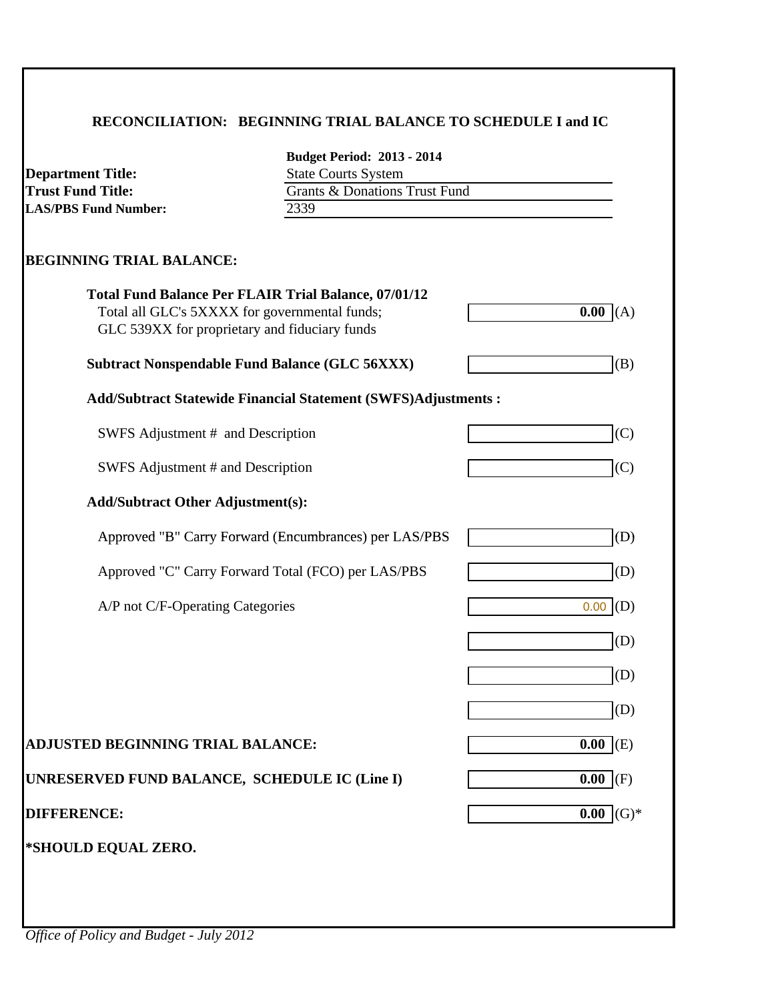# **RECONCILIATION: BEGINNING TRIAL BALANCE TO SCHEDULE I and IC**

| <b>Department Title:</b>                                                                       | <b>Budget Period: 2013 - 2014</b><br><b>State Courts System</b>      |             |  |
|------------------------------------------------------------------------------------------------|----------------------------------------------------------------------|-------------|--|
| <b>Trust Fund Title:</b><br><b>LAS/PBS Fund Number:</b>                                        | <b>Grants &amp; Donations Trust Fund</b><br>2339                     |             |  |
|                                                                                                |                                                                      |             |  |
| <b>BEGINNING TRIAL BALANCE:</b>                                                                |                                                                      |             |  |
| <b>Total Fund Balance Per FLAIR Trial Balance, 07/01/12</b>                                    |                                                                      |             |  |
| Total all GLC's 5XXXX for governmental funds;<br>GLC 539XX for proprietary and fiduciary funds |                                                                      | 0.00<br>(A) |  |
| <b>Subtract Nonspendable Fund Balance (GLC 56XXX)</b>                                          |                                                                      | (B)         |  |
|                                                                                                | <b>Add/Subtract Statewide Financial Statement (SWFS)Adjustments:</b> |             |  |
| SWFS Adjustment # and Description                                                              |                                                                      | (C)         |  |
| SWFS Adjustment # and Description                                                              |                                                                      | (C)         |  |
| <b>Add/Subtract Other Adjustment(s):</b>                                                       |                                                                      |             |  |
|                                                                                                | Approved "B" Carry Forward (Encumbrances) per LAS/PBS                | (D)         |  |
|                                                                                                | Approved "C" Carry Forward Total (FCO) per LAS/PBS                   | (D)         |  |
| A/P not C/F-Operating Categories                                                               |                                                                      | (D)<br>0.00 |  |
|                                                                                                |                                                                      | (D)         |  |
|                                                                                                |                                                                      | (D)         |  |
|                                                                                                |                                                                      | (D)         |  |
| <b>ADJUSTED BEGINNING TRIAL BALANCE:</b>                                                       |                                                                      | $0.00$ (E)  |  |
| UNRESERVED FUND BALANCE, SCHEDULE IC (Line I)                                                  |                                                                      | $0.00$ (F)  |  |
| <b>DIFFERENCE:</b>                                                                             |                                                                      | $0.00$ (G)* |  |
| *SHOULD EQUAL ZERO.                                                                            |                                                                      |             |  |
|                                                                                                |                                                                      |             |  |
|                                                                                                |                                                                      |             |  |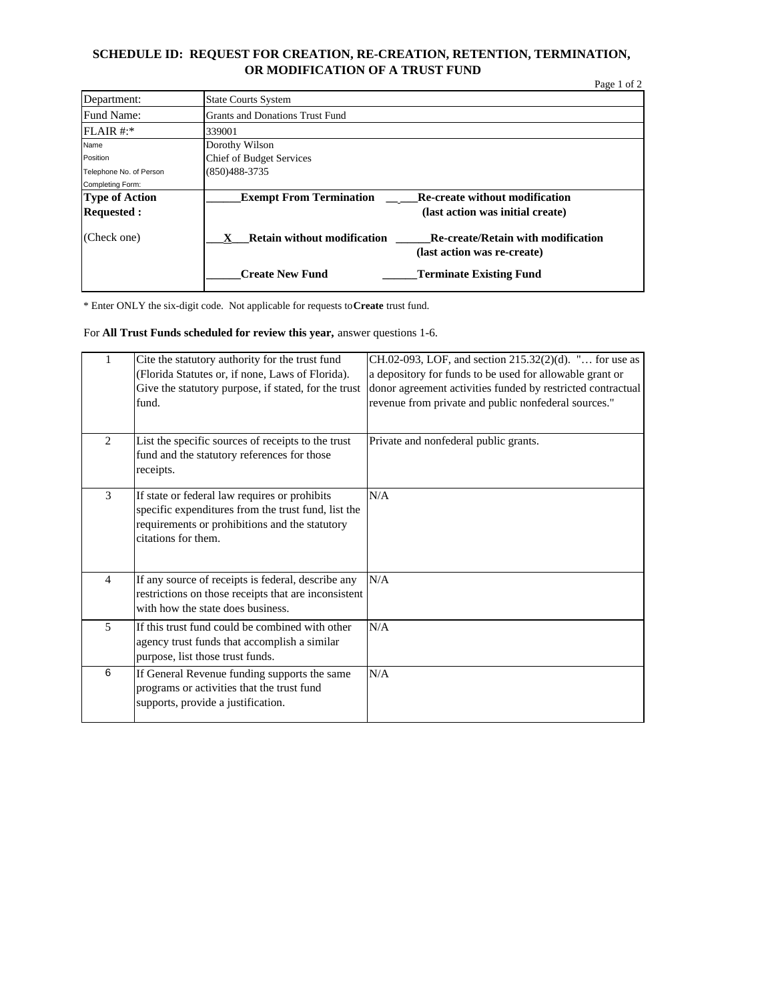#### **SCHEDULE ID: REQUEST FOR CREATION, RE-CREATION, RETENTION, TERMINATION, OR MODIFICATION OF A TRUST FUND**

|                         |                                        | Page 1 of 2                                                              |  |
|-------------------------|----------------------------------------|--------------------------------------------------------------------------|--|
| Department:             | <b>State Courts System</b>             |                                                                          |  |
| Fund Name:              | <b>Grants and Donations Trust Fund</b> |                                                                          |  |
| $FLAIR #.*$             | 339001                                 |                                                                          |  |
| Name                    | Dorothy Wilson                         |                                                                          |  |
| Position                | <b>Chief of Budget Services</b>        |                                                                          |  |
| Telephone No. of Person | $(850)488-3735$                        |                                                                          |  |
| Completing Form:        |                                        |                                                                          |  |
| Type of Action          | <b>Exempt From Termination</b>         | <b>Re-create without modification</b>                                    |  |
| <b>Requested:</b>       |                                        | (last action was initial create)                                         |  |
| (Check one)             | <b>Retain without modification</b>     | <b>Re-create/Retain with modification</b><br>(last action was re-create) |  |
|                         | <b>Create New Fund</b>                 | <b>Terminate Existing Fund</b>                                           |  |

\* Enter ONLY the six-digit code. Not applicable for requests to **Create** trust fund.

#### For **All Trust Funds scheduled for review this year,** answer questions 1-6.

| 1              | Cite the statutory authority for the trust fund<br>(Florida Statutes or, if none, Laws of Florida).<br>Give the statutory purpose, if stated, for the trust<br>fund.          | CH.02-093, LOF, and section 215.32(2)(d). " for use as<br>a depository for funds to be used for allowable grant or<br>donor agreement activities funded by restricted contractual<br>revenue from private and public nonfederal sources." |
|----------------|-------------------------------------------------------------------------------------------------------------------------------------------------------------------------------|-------------------------------------------------------------------------------------------------------------------------------------------------------------------------------------------------------------------------------------------|
| 2              | List the specific sources of receipts to the trust<br>fund and the statutory references for those<br>receipts.                                                                | Private and nonfederal public grants.                                                                                                                                                                                                     |
| 3              | If state or federal law requires or prohibits<br>specific expenditures from the trust fund, list the<br>requirements or prohibitions and the statutory<br>citations for them. | N/A                                                                                                                                                                                                                                       |
| $\overline{4}$ | If any source of receipts is federal, describe any<br>restrictions on those receipts that are inconsistent<br>with how the state does business.                               | N/A                                                                                                                                                                                                                                       |
| 5              | If this trust fund could be combined with other<br>agency trust funds that accomplish a similar<br>purpose, list those trust funds.                                           | N/A                                                                                                                                                                                                                                       |
| 6              | If General Revenue funding supports the same<br>programs or activities that the trust fund<br>supports, provide a justification.                                              | N/A                                                                                                                                                                                                                                       |